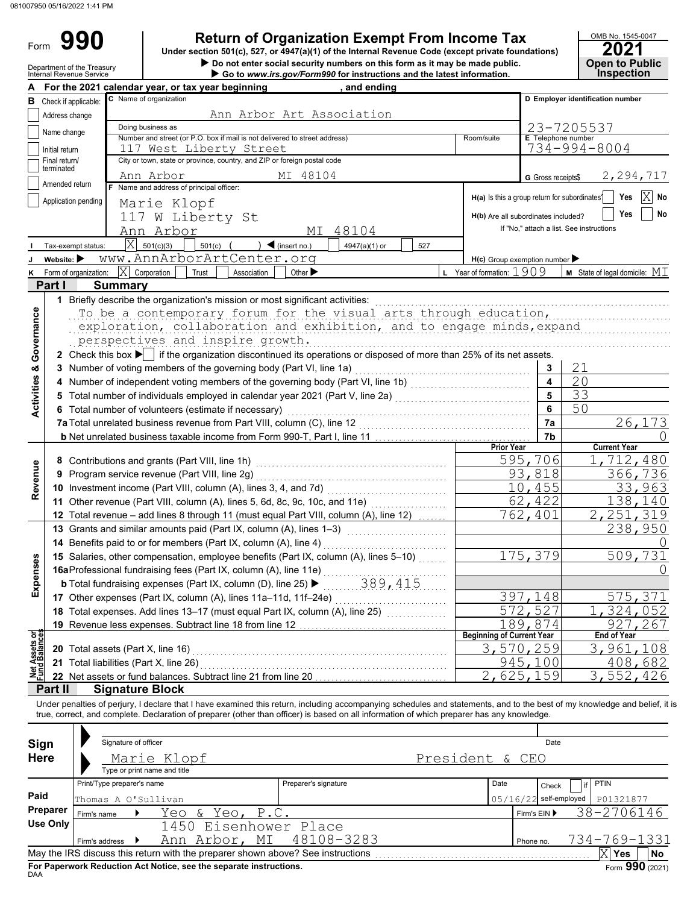Form 990

#### **Return of Organization Exempt From Income Tax**

**Under section 501(c), 527, or 4947(a)(1) of the Internal Revenue Code (except private foundations)**

OMB No. 1545-0047

| .                                    |  |
|--------------------------------------|--|
|                                      |  |
|                                      |  |
|                                      |  |
| <b>Open to Public<br/>Inspection</b> |  |

|                                        | Department of the Treasury<br>Internal Revenue Service | Do not enter social security numbers on this form as it may be made public.<br>Go to www.irs.gov/Form990 for instructions and the latest information.                      |                                                           |                         | <b>Open to Public</b><br><b>Inspection</b> |
|----------------------------------------|--------------------------------------------------------|----------------------------------------------------------------------------------------------------------------------------------------------------------------------------|-----------------------------------------------------------|-------------------------|--------------------------------------------|
|                                        |                                                        | For the 2021 calendar year, or tax year beginning<br>, and ending                                                                                                          |                                                           |                         |                                            |
|                                        | <b>B</b> Check if applicable:                          | C Name of organization                                                                                                                                                     |                                                           |                         | D Employer identification number           |
|                                        | Address change                                         | Ann Arbor Art Association                                                                                                                                                  |                                                           |                         |                                            |
|                                        |                                                        | Doing business as                                                                                                                                                          |                                                           |                         |                                            |
|                                        | Name change                                            | Number and street (or P.O. box if mail is not delivered to street address)                                                                                                 | Room/suite                                                |                         | $23 - 7205537$<br>E Telephone number       |
|                                        | Initial return                                         | 117 West Liberty Street                                                                                                                                                    |                                                           |                         | 734-994-8004                               |
|                                        | Final return/<br>terminated                            | City or town, state or province, country, and ZIP or foreign postal code                                                                                                   |                                                           |                         |                                            |
|                                        | Amended return                                         | MI 48104<br>Ann Arbor                                                                                                                                                      | 2,294,717<br>G Gross receipts\$                           |                         |                                            |
|                                        |                                                        | Name and address of principal officer:                                                                                                                                     | H(a) Is this a group return for subordinates <sup>1</sup> |                         | $ X $ No<br>Yes                            |
|                                        | Application pending                                    | Marie Klopf                                                                                                                                                                |                                                           |                         |                                            |
|                                        |                                                        | 117 W Liberty St                                                                                                                                                           | H(b) Are all subordinates included?                       |                         | No<br>Yes                                  |
|                                        |                                                        | 48104<br>Ann Arbor<br>МI                                                                                                                                                   |                                                           |                         | If "No," attach a list. See instructions   |
|                                        | Tax-exempt status:                                     | $ \mathrm{X} $<br>501(c)(3)<br>$501(c)$ (<br>$\bigcup$ (insert no.)<br>4947(a)(1) or<br>527                                                                                |                                                           |                         |                                            |
|                                        | Website: $\blacktriangleright$                         | www.AnnArborArtCenter.org                                                                                                                                                  | $H(c)$ Group exemption number                             |                         |                                            |
| ĸ                                      | Form of organization:                                  | $ X $ Corporation<br>Trust<br>Association<br>Other $\blacktriangleright$                                                                                                   | <b>L</b> Year of formation: $1909$                        |                         | <b>M</b> State of legal domicile: $MI$     |
|                                        | Part I                                                 | <b>Summary</b>                                                                                                                                                             |                                                           |                         |                                            |
|                                        |                                                        | 1 Briefly describe the organization's mission or most significant activities:                                                                                              |                                                           |                         |                                            |
| Governance                             |                                                        | To be a contemporary forum for the visual arts through education,<br>exploration, collaboration and exhibition, and to engage minds, expand                                |                                                           |                         |                                            |
|                                        |                                                        | perspectives and inspire growth.                                                                                                                                           |                                                           |                         |                                            |
|                                        |                                                        |                                                                                                                                                                            |                                                           |                         |                                            |
|                                        |                                                        | 2 Check this box if the organization discontinued its operations or disposed of more than 25% of its net assets.                                                           |                                                           |                         |                                            |
| ×                                      | 3                                                      | Number of voting members of the governing body (Part VI, line 1a)                                                                                                          |                                                           | 3                       | 21                                         |
| Activities                             | 4                                                      | Number of independent voting members of the governing body (Part VI, line 1b) [100] [10] Number of independent                                                             |                                                           | $\overline{\mathbf{4}}$ | $\overline{20}$                            |
|                                        |                                                        | Total number of individuals employed in calendar year 2021 (Part V, line 2a) [[[[[[[[[[[[[[[[[[[[[[[[[[[[[[[[                                                              |                                                           | 5                       | $\overline{33}$                            |
|                                        |                                                        | 6 Total number of volunteers (estimate if necessary)                                                                                                                       |                                                           | 6                       | 50                                         |
|                                        |                                                        |                                                                                                                                                                            |                                                           | 7a                      | 26, 173                                    |
|                                        |                                                        |                                                                                                                                                                            |                                                           | 7b                      |                                            |
|                                        |                                                        |                                                                                                                                                                            | <b>Prior Year</b>                                         |                         | <b>Current Year</b>                        |
|                                        |                                                        |                                                                                                                                                                            | 595,706                                                   |                         | 1,712,480                                  |
| Revenue                                | 9                                                      | Program service revenue (Part VIII, line 2g)                                                                                                                               |                                                           | 93,818                  | 366,736                                    |
|                                        |                                                        |                                                                                                                                                                            |                                                           | 10,455                  | 33,963                                     |
|                                        |                                                        | 11 Other revenue (Part VIII, column (A), lines 5, 6d, 8c, 9c, 10c, and 11e)                                                                                                |                                                           | 62,422                  | 138,140                                    |
|                                        |                                                        | 12 Total revenue - add lines 8 through 11 (must equal Part VIII, column (A), line 12)                                                                                      | 762,401                                                   |                         | 2, 251, 319                                |
|                                        |                                                        | 13 Grants and similar amounts paid (Part IX, column (A), lines 1-3)                                                                                                        |                                                           |                         | 238,950                                    |
|                                        |                                                        | 14 Benefits paid to or for members (Part IX, column (A), line 4)                                                                                                           |                                                           |                         |                                            |
| ises                                   |                                                        | 15 Salaries, other compensation, employee benefits (Part IX, column (A), lines 5-10)                                                                                       | 175,379                                                   |                         | 509,731                                    |
|                                        |                                                        | 16aProfessional fundraising fees (Part IX, column (A), line 11e)                                                                                                           |                                                           |                         |                                            |
| Expen                                  |                                                        | 389,415<br><b>b</b> Total fundraising expenses (Part IX, column (D), line 25) ▶                                                                                            |                                                           |                         |                                            |
|                                        |                                                        | 17 Other expenses (Part IX, column (A), lines 11a-11d, 11f-24e)                                                                                                            | 397,148                                                   |                         | 575,371                                    |
|                                        |                                                        | 18 Total expenses. Add lines 13-17 (must equal Part IX, column (A), line 25) [1] [1] 18 Total expenses.                                                                    | 572,527                                                   |                         | 1,324,052                                  |
|                                        |                                                        | 19 Revenue less expenses. Subtract line 18 from line 12                                                                                                                    | 189,874                                                   |                         | 927,267                                    |
|                                        |                                                        |                                                                                                                                                                            | <b>Beginning of Current Year</b>                          |                         | <b>End of Year</b>                         |
| <b>Net Assets or<br/>Fund Balances</b> |                                                        | 20 Total assets (Part X, line 16)                                                                                                                                          | 3,570,259                                                 |                         | 3,961,108                                  |
|                                        |                                                        | 21 Total liabilities (Part X, line 26)                                                                                                                                     | 945,100                                                   |                         | 408,682                                    |
|                                        |                                                        | 22 Net assets or fund balances. Subtract line 21 from line 20                                                                                                              | 2,625,159                                                 |                         | 3,552,426                                  |
|                                        | Part II                                                | <b>Signature Block</b>                                                                                                                                                     |                                                           |                         |                                            |
|                                        |                                                        | Under penalties of perjury, I declare that I have examined this return, including accompanying schedules and statements, and to the best of my knowledge and belief, it is |                                                           |                         |                                            |
|                                        |                                                        | true, correct, and complete. Declaration of preparer (other than officer) is based on all information of which preparer has any knowledge.                                 |                                                           |                         |                                            |
|                                        |                                                        |                                                                                                                                                                            |                                                           |                         |                                            |
|                                        | Sign                                                   | Signature of officer                                                                                                                                                       |                                                           | Date                    |                                            |
|                                        |                                                        |                                                                                                                                                                            |                                                           |                         |                                            |
|                                        | <b>Here</b>                                            | Marie Klopf<br>President & CEO                                                                                                                                             |                                                           |                         |                                            |
|                                        |                                                        | Type or print name and title                                                                                                                                               |                                                           |                         |                                            |
|                                        |                                                        | Print/Type preparer's name<br>Preparer's signature                                                                                                                         | Date                                                      | Check                   | <b>PTIN</b>                                |
| Paid                                   |                                                        | Thomas A O'Sullivan                                                                                                                                                        | $05/16/22$ self-employed                                  |                         | P01321877                                  |
|                                        | <b>Preparer</b><br>Firm's name                         | Yeo & Yeo, P.C.                                                                                                                                                            |                                                           | Firm's EIN ▶            | 38-2706146                                 |
|                                        | <b>Use Only</b>                                        | 1450 Eisenhower Place                                                                                                                                                      |                                                           |                         |                                            |
|                                        | Firm's address                                         | 48108-3283<br>Ann Arbor, MI                                                                                                                                                |                                                           | Phone no.               | 734-769-1331                               |
|                                        |                                                        | May the IRS discuss this return with the preparer shown above? See instructions                                                                                            |                                                           |                         | ΙX<br>Yes<br>No                            |

**For Paperwork Reduction Act Notice, see the separate instructions.**<br><sub>DAA</sub>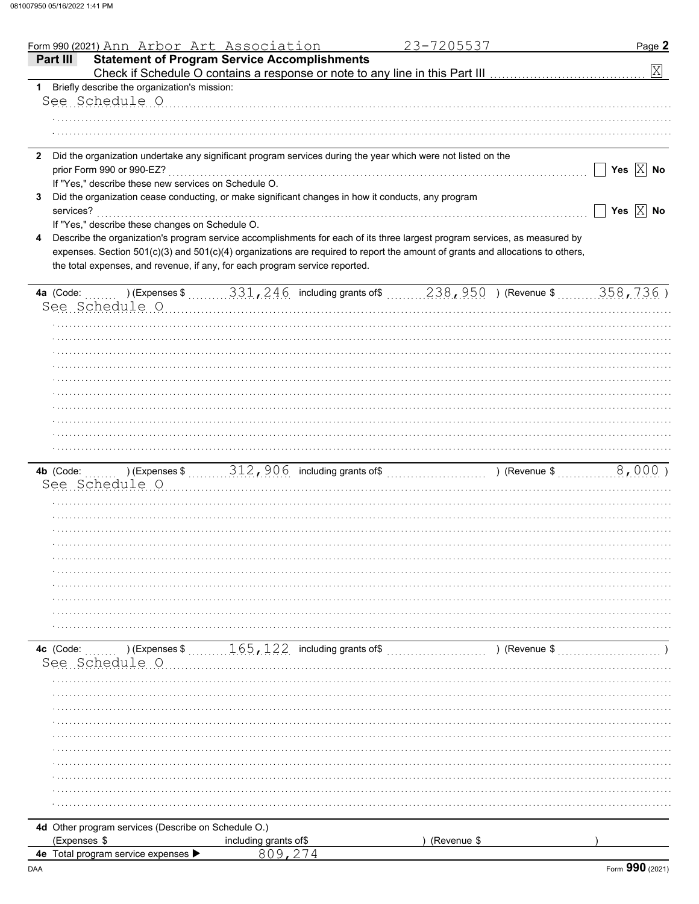|              | Form 990 (2021) Ann Arbor Art Association            |                                                                             | 23-7205537                                                                                                                                                                                                                                                   | Page 2                  |
|--------------|------------------------------------------------------|-----------------------------------------------------------------------------|--------------------------------------------------------------------------------------------------------------------------------------------------------------------------------------------------------------------------------------------------------------|-------------------------|
| Part III     |                                                      | <b>Statement of Program Service Accomplishments</b>                         |                                                                                                                                                                                                                                                              | $\overline{\mathrm{X}}$ |
| 1            | Briefly describe the organization's mission:         |                                                                             |                                                                                                                                                                                                                                                              |                         |
|              | See Schedule O                                       |                                                                             |                                                                                                                                                                                                                                                              |                         |
|              |                                                      |                                                                             |                                                                                                                                                                                                                                                              |                         |
|              |                                                      |                                                                             |                                                                                                                                                                                                                                                              |                         |
|              |                                                      |                                                                             |                                                                                                                                                                                                                                                              |                         |
| $\mathbf{z}$ | prior Form 990 or 990-EZ?                            |                                                                             | Did the organization undertake any significant program services during the year which were not listed on the                                                                                                                                                 | Yes $\overline{X}$ No   |
|              | If "Yes," describe these new services on Schedule O. |                                                                             |                                                                                                                                                                                                                                                              |                         |
| 3            |                                                      |                                                                             | Did the organization cease conducting, or make significant changes in how it conducts, any program                                                                                                                                                           |                         |
| services?    |                                                      |                                                                             |                                                                                                                                                                                                                                                              | Yes $\boxed{\times}$ No |
|              | If "Yes," describe these changes on Schedule O.      |                                                                             |                                                                                                                                                                                                                                                              |                         |
| 4            |                                                      | the total expenses, and revenue, if any, for each program service reported. | Describe the organization's program service accomplishments for each of its three largest program services, as measured by<br>expenses. Section 501(c)(3) and 501(c)(4) organizations are required to report the amount of grants and allocations to others, |                         |
|              |                                                      |                                                                             | 4a (Code:  ) (Expenses \$  331, 246 including grants of \$  238, 950 ) (Revenue \$  358, 736 )                                                                                                                                                               |                         |
|              |                                                      |                                                                             | See Schedule 0                                                                                                                                                                                                                                               |                         |
|              |                                                      |                                                                             |                                                                                                                                                                                                                                                              |                         |
|              |                                                      |                                                                             |                                                                                                                                                                                                                                                              |                         |
|              |                                                      |                                                                             |                                                                                                                                                                                                                                                              |                         |
|              |                                                      |                                                                             |                                                                                                                                                                                                                                                              |                         |
|              |                                                      |                                                                             |                                                                                                                                                                                                                                                              |                         |
|              |                                                      |                                                                             |                                                                                                                                                                                                                                                              |                         |
|              |                                                      |                                                                             |                                                                                                                                                                                                                                                              |                         |
|              |                                                      |                                                                             |                                                                                                                                                                                                                                                              |                         |
|              |                                                      |                                                                             |                                                                                                                                                                                                                                                              |                         |
|              |                                                      |                                                                             |                                                                                                                                                                                                                                                              |                         |
|              |                                                      |                                                                             |                                                                                                                                                                                                                                                              |                         |
|              | See Schedule O                                       |                                                                             |                                                                                                                                                                                                                                                              |                         |
|              |                                                      |                                                                             |                                                                                                                                                                                                                                                              |                         |
|              |                                                      |                                                                             |                                                                                                                                                                                                                                                              |                         |
|              |                                                      |                                                                             |                                                                                                                                                                                                                                                              |                         |
|              |                                                      |                                                                             |                                                                                                                                                                                                                                                              |                         |
|              |                                                      |                                                                             |                                                                                                                                                                                                                                                              |                         |
|              |                                                      |                                                                             |                                                                                                                                                                                                                                                              |                         |
|              |                                                      |                                                                             |                                                                                                                                                                                                                                                              |                         |
|              |                                                      |                                                                             |                                                                                                                                                                                                                                                              |                         |
|              |                                                      |                                                                             |                                                                                                                                                                                                                                                              |                         |
| 4c (Code:    |                                                      | ) (Expenses $\frac{165}{122}$ including grants of \$                        | ) (Revenue \$                                                                                                                                                                                                                                                |                         |
|              | See Schedule O                                       |                                                                             |                                                                                                                                                                                                                                                              |                         |
|              |                                                      |                                                                             |                                                                                                                                                                                                                                                              |                         |
|              |                                                      |                                                                             |                                                                                                                                                                                                                                                              |                         |
|              |                                                      |                                                                             |                                                                                                                                                                                                                                                              |                         |
|              |                                                      |                                                                             |                                                                                                                                                                                                                                                              |                         |
|              |                                                      |                                                                             |                                                                                                                                                                                                                                                              |                         |
|              |                                                      |                                                                             |                                                                                                                                                                                                                                                              |                         |
|              |                                                      |                                                                             |                                                                                                                                                                                                                                                              |                         |
|              |                                                      |                                                                             |                                                                                                                                                                                                                                                              |                         |
|              |                                                      |                                                                             |                                                                                                                                                                                                                                                              |                         |
|              |                                                      |                                                                             |                                                                                                                                                                                                                                                              |                         |
|              | 4d Other program services (Describe on Schedule O.)  |                                                                             |                                                                                                                                                                                                                                                              |                         |
| (Expenses \$ |                                                      | including grants of\$                                                       | (Revenue \$                                                                                                                                                                                                                                                  |                         |
|              | 4e Total program service expenses ▶                  | 809,274                                                                     |                                                                                                                                                                                                                                                              |                         |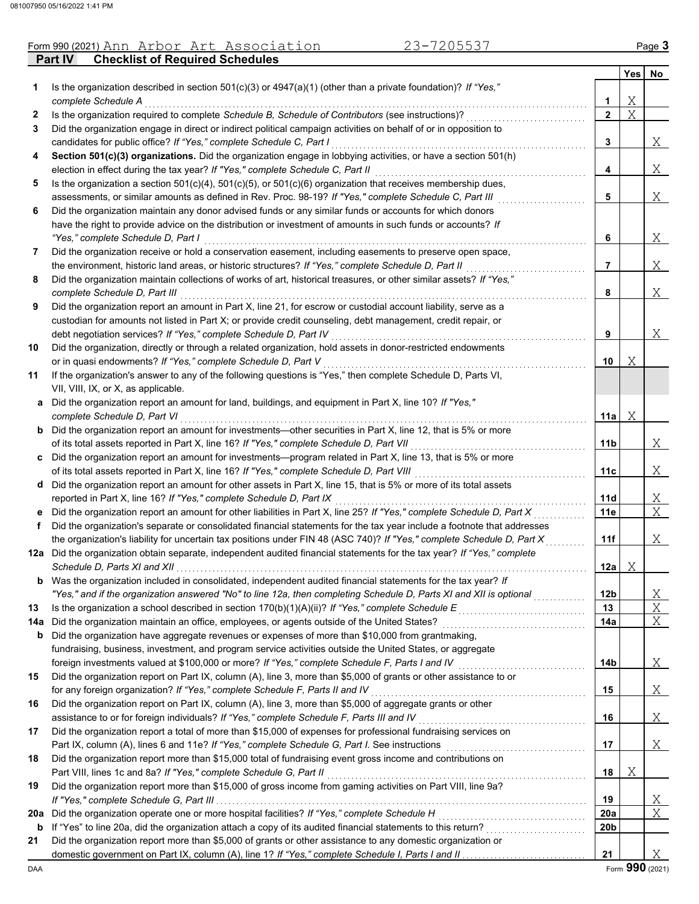#### Form 990 (2021) Page **3** Ann Arbor Art Association 23-7205537

**Part IV Checklist of Required Schedules**

|         |                                                                                                                                                                                                                                               |                 | <b>Yes</b> |               |
|---------|-----------------------------------------------------------------------------------------------------------------------------------------------------------------------------------------------------------------------------------------------|-----------------|------------|---------------|
| 1.      | Is the organization described in section $501(c)(3)$ or $4947(a)(1)$ (other than a private foundation)? If "Yes,"                                                                                                                             |                 |            | No            |
|         | complete Schedule A                                                                                                                                                                                                                           | 1               | Χ          |               |
| 2       | Is the organization required to complete Schedule B, Schedule of Contributors (see instructions)?                                                                                                                                             | $\overline{2}$  | X          |               |
| 3       | Did the organization engage in direct or indirect political campaign activities on behalf of or in opposition to<br>candidates for public office? If "Yes," complete Schedule C, Part I                                                       | 3               |            | Χ             |
| 4       | Section 501(c)(3) organizations. Did the organization engage in lobbying activities, or have a section 501(h)                                                                                                                                 |                 |            |               |
|         | election in effect during the tax year? If "Yes," complete Schedule C, Part II                                                                                                                                                                | 4               |            | Χ             |
| 5       | Is the organization a section $501(c)(4)$ , $501(c)(5)$ , or $501(c)(6)$ organization that receives membership dues,<br>assessments, or similar amounts as defined in Rev. Proc. 98-19? If "Yes," complete Schedule C, Part III               | 5               |            | Χ             |
| 6       | Did the organization maintain any donor advised funds or any similar funds or accounts for which donors                                                                                                                                       |                 |            |               |
|         | have the right to provide advice on the distribution or investment of amounts in such funds or accounts? If                                                                                                                                   |                 |            |               |
|         | "Yes," complete Schedule D, Part I                                                                                                                                                                                                            | 6               |            | X             |
| 7       | Did the organization receive or hold a conservation easement, including easements to preserve open space,                                                                                                                                     |                 |            |               |
|         | the environment, historic land areas, or historic structures? If "Yes," complete Schedule D, Part II                                                                                                                                          | 7               |            | Χ             |
| 8       | Did the organization maintain collections of works of art, historical treasures, or other similar assets? If "Yes,"<br>complete Schedule D, Part III                                                                                          | 8               |            | Χ             |
| 9       | Did the organization report an amount in Part X, line 21, for escrow or custodial account liability, serve as a                                                                                                                               |                 |            |               |
|         | custodian for amounts not listed in Part X; or provide credit counseling, debt management, credit repair, or                                                                                                                                  |                 |            |               |
|         | debt negotiation services? If "Yes," complete Schedule D, Part IV                                                                                                                                                                             | 9               |            | Χ             |
| 10      | Did the organization, directly or through a related organization, hold assets in donor-restricted endowments                                                                                                                                  |                 |            |               |
|         | or in quasi endowments? If "Yes," complete Schedule D, Part V                                                                                                                                                                                 | 10              | Χ          |               |
| 11      | If the organization's answer to any of the following questions is "Yes," then complete Schedule D, Parts VI,                                                                                                                                  |                 |            |               |
|         | VII, VIII, IX, or X, as applicable.                                                                                                                                                                                                           |                 |            |               |
| a       | Did the organization report an amount for land, buildings, and equipment in Part X, line 10? If "Yes,"                                                                                                                                        |                 |            |               |
|         | complete Schedule D, Part VI                                                                                                                                                                                                                  | 11a             | Χ          |               |
|         | <b>b</b> Did the organization report an amount for investments—other securities in Part X, line 12, that is 5% or more                                                                                                                        |                 |            |               |
|         | of its total assets reported in Part X, line 16? If "Yes," complete Schedule D, Part VII                                                                                                                                                      | 11 <sub>b</sub> |            | Χ             |
| C       | Did the organization report an amount for investments—program related in Part X, line 13, that is 5% or more                                                                                                                                  |                 |            |               |
|         | of its total assets reported in Part X, line 16? If "Yes," complete Schedule D, Part VIII                                                                                                                                                     | 11c             |            | Χ             |
| d       | Did the organization report an amount for other assets in Part X, line 15, that is 5% or more of its total assets                                                                                                                             |                 |            |               |
|         | reported in Part X, line 16? If "Yes," complete Schedule D, Part IX                                                                                                                                                                           | 11d             |            | <u>X</u>      |
| е       | Did the organization report an amount for other liabilities in Part X, line 25? If "Yes," complete Schedule D, Part X                                                                                                                         | 11e             |            | X             |
| f       | Did the organization's separate or consolidated financial statements for the tax year include a footnote that addresses                                                                                                                       |                 |            |               |
| 12a     | the organization's liability for uncertain tax positions under FIN 48 (ASC 740)? If "Yes," complete Schedule D, Part X<br>Did the organization obtain separate, independent audited financial statements for the tax year? If "Yes," complete | 11f             |            | Χ             |
|         |                                                                                                                                                                                                                                               | 12a             | Χ          |               |
|         | <b>b</b> Was the organization included in consolidated, independent audited financial statements for the tax year? If                                                                                                                         |                 |            |               |
|         | "Yes," and if the organization answered "No" to line 12a, then completing Schedule D, Parts XI and XII is optional                                                                                                                            | 12 <sub>b</sub> |            | <u>X</u>      |
| 13      | Is the organization a school described in section $170(b)(1)(A)(ii)?$ If "Yes," complete Schedule E                                                                                                                                           | 13              |            | Χ             |
| 14a     | Did the organization maintain an office, employees, or agents outside of the United States?                                                                                                                                                   | 14a             |            | Χ             |
| b       | Did the organization have aggregate revenues or expenses of more than \$10,000 from grantmaking,                                                                                                                                              |                 |            |               |
|         | fundraising, business, investment, and program service activities outside the United States, or aggregate                                                                                                                                     |                 |            |               |
|         | foreign investments valued at \$100,000 or more? If "Yes," complete Schedule F, Parts I and IV                                                                                                                                                | 14b             |            | Χ             |
| 15      | Did the organization report on Part IX, column (A), line 3, more than \$5,000 of grants or other assistance to or                                                                                                                             |                 |            |               |
|         | for any foreign organization? If "Yes," complete Schedule F, Parts II and IV                                                                                                                                                                  | 15              |            | Χ             |
| 16      | Did the organization report on Part IX, column (A), line 3, more than \$5,000 of aggregate grants or other                                                                                                                                    |                 |            |               |
|         | assistance to or for foreign individuals? If "Yes," complete Schedule F, Parts III and IV                                                                                                                                                     | 16              |            | Χ             |
| 17      | Did the organization report a total of more than \$15,000 of expenses for professional fundraising services on                                                                                                                                |                 |            |               |
|         | Part IX, column (A), lines 6 and 11e? If "Yes," complete Schedule G, Part I. See instructions                                                                                                                                                 | 17              |            | Χ             |
| 18      | Did the organization report more than \$15,000 total of fundraising event gross income and contributions on                                                                                                                                   |                 |            |               |
|         | Part VIII, lines 1c and 8a? If "Yes," complete Schedule G, Part II                                                                                                                                                                            | 18              | Χ          |               |
| 19      | Did the organization report more than \$15,000 of gross income from gaming activities on Part VIII, line 9a?                                                                                                                                  |                 |            |               |
|         | If "Yes," complete Schedule G, Part III                                                                                                                                                                                                       | 19              |            | <u>X</u><br>X |
| 20a     | Did the organization operate one or more hospital facilities? If "Yes," complete Schedule H                                                                                                                                                   | 20a             |            |               |
| b<br>21 | Did the organization report more than \$5,000 of grants or other assistance to any domestic organization or                                                                                                                                   | 20b             |            |               |
|         |                                                                                                                                                                                                                                               | 21              |            | Χ             |
|         |                                                                                                                                                                                                                                               |                 |            |               |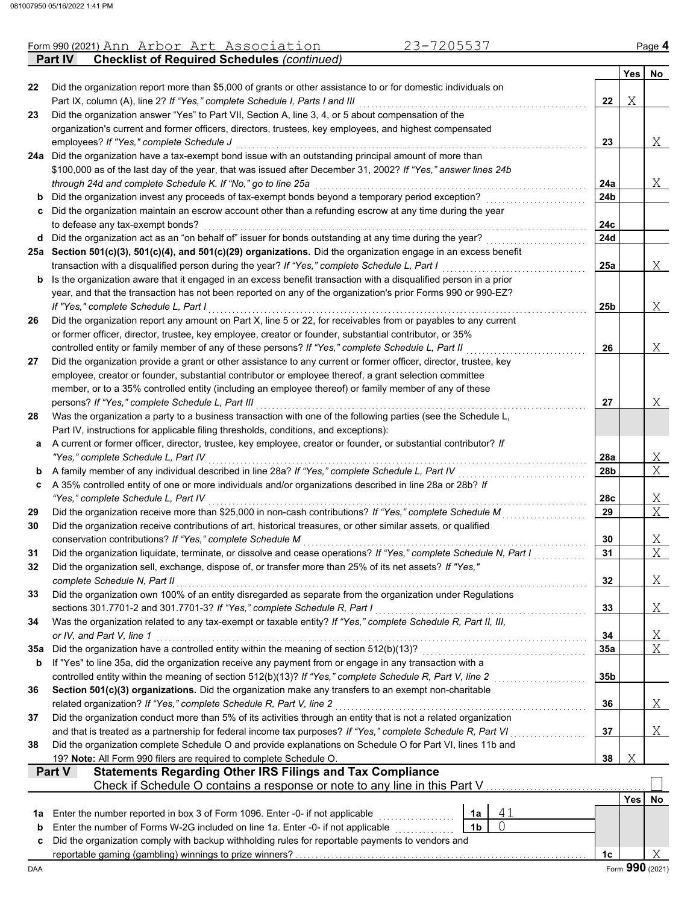|     | 23-7205537<br>Form 990 (2021) Ann Arbor Art Association                                                                                                                                                       |    |                |                 |            | Page 4          |
|-----|---------------------------------------------------------------------------------------------------------------------------------------------------------------------------------------------------------------|----|----------------|-----------------|------------|-----------------|
|     | <b>Checklist of Required Schedules (continued)</b><br><b>Part IV</b>                                                                                                                                          |    |                |                 |            |                 |
| 22  | Did the organization report more than \$5,000 of grants or other assistance to or for domestic individuals on                                                                                                 |    |                |                 | <b>Yes</b> | No              |
|     | Part IX, column (A), line 2? If "Yes," complete Schedule I, Parts I and III                                                                                                                                   |    |                | 22              | Χ          |                 |
| 23  | Did the organization answer "Yes" to Part VII, Section A, line 3, 4, or 5 about compensation of the                                                                                                           |    |                |                 |            |                 |
|     | organization's current and former officers, directors, trustees, key employees, and highest compensated                                                                                                       |    |                |                 |            |                 |
|     | employees? If "Yes," complete Schedule J                                                                                                                                                                      |    |                | 23              |            | Χ               |
|     | 24a Did the organization have a tax-exempt bond issue with an outstanding principal amount of more than                                                                                                       |    |                |                 |            |                 |
|     | \$100,000 as of the last day of the year, that was issued after December 31, 2002? If "Yes," answer lines 24b                                                                                                 |    |                |                 |            |                 |
|     | through 24d and complete Schedule K. If "No," go to line 25a                                                                                                                                                  |    |                | 24a             |            | Χ               |
| b   | Did the organization invest any proceeds of tax-exempt bonds beyond a temporary period exception?                                                                                                             |    |                | 24b             |            |                 |
|     | c Did the organization maintain an escrow account other than a refunding escrow at any time during the year                                                                                                   |    |                |                 |            |                 |
|     | to defease any tax-exempt bonds?                                                                                                                                                                              |    |                | 24c             |            |                 |
|     | d Did the organization act as an "on behalf of" issuer for bonds outstanding at any time during the year?                                                                                                     |    |                | 24d             |            |                 |
|     | 25a Section 501(c)(3), 501(c)(4), and 501(c)(29) organizations. Did the organization engage in an excess benefit                                                                                              |    |                |                 |            |                 |
|     | transaction with a disqualified person during the year? If "Yes," complete Schedule L, Part I                                                                                                                 |    |                | 25a             |            | Χ               |
| b   | Is the organization aware that it engaged in an excess benefit transaction with a disqualified person in a prior                                                                                              |    |                |                 |            |                 |
|     | year, and that the transaction has not been reported on any of the organization's prior Forms 990 or 990-EZ?                                                                                                  |    |                |                 |            |                 |
|     | If "Yes," complete Schedule L, Part I                                                                                                                                                                         |    |                | 25b             |            | Χ               |
| 26  | Did the organization report any amount on Part X, line 5 or 22, for receivables from or payables to any current                                                                                               |    |                |                 |            |                 |
|     | or former officer, director, trustee, key employee, creator or founder, substantial contributor, or 35%<br>controlled entity or family member of any of these persons? If "Yes," complete Schedule L, Part II |    |                | 26              |            | Χ               |
| 27  | Did the organization provide a grant or other assistance to any current or former officer, director, trustee, key                                                                                             |    |                |                 |            |                 |
|     | employee, creator or founder, substantial contributor or employee thereof, a grant selection committee                                                                                                        |    |                |                 |            |                 |
|     | member, or to a 35% controlled entity (including an employee thereof) or family member of any of these                                                                                                        |    |                |                 |            |                 |
|     | persons? If "Yes," complete Schedule L, Part III                                                                                                                                                              |    |                | 27              |            | Χ               |
| 28  | Was the organization a party to a business transaction with one of the following parties (see the Schedule L,                                                                                                 |    |                |                 |            |                 |
|     | Part IV, instructions for applicable filing thresholds, conditions, and exceptions):                                                                                                                          |    |                |                 |            |                 |
| а   | A current or former officer, director, trustee, key employee, creator or founder, or substantial contributor? If                                                                                              |    |                |                 |            |                 |
|     | "Yes," complete Schedule L, Part IV                                                                                                                                                                           |    |                | 28a             |            | <u>X</u>        |
| b   | A family member of any individual described in line 28a? If "Yes," complete Schedule L, Part IV                                                                                                               |    |                | 28b             |            | $\overline{X}$  |
| c   | A 35% controlled entity of one or more individuals and/or organizations described in line 28a or 28b? If                                                                                                      |    |                |                 |            |                 |
|     | "Yes," complete Schedule L, Part IV                                                                                                                                                                           |    |                | 28c             |            | X               |
| 29  | Did the organization receive more than \$25,000 in non-cash contributions? If "Yes," complete Schedule M                                                                                                      |    |                | 29              |            | $\overline{X}$  |
| 30  | Did the organization receive contributions of art, historical treasures, or other similar assets, or qualified                                                                                                |    |                |                 |            |                 |
|     | conservation contributions? If "Yes," complete Schedule M                                                                                                                                                     |    |                | 30              |            | Χ               |
| 31  | Did the organization liquidate, terminate, or dissolve and cease operations? If "Yes," complete Schedule N, Part I                                                                                            |    |                | 31              |            | $\overline{X}$  |
| 32  | Did the organization sell, exchange, dispose of, or transfer more than 25% of its net assets? If "Yes,"                                                                                                       |    |                |                 |            |                 |
|     | complete Schedule N, Part II                                                                                                                                                                                  |    |                | 32              |            | Χ               |
| 33  | Did the organization own 100% of an entity disregarded as separate from the organization under Regulations                                                                                                    |    |                |                 |            |                 |
|     | sections 301.7701-2 and 301.7701-3? If "Yes," complete Schedule R, Part I                                                                                                                                     |    |                | 33              |            | Χ               |
| 34  | Was the organization related to any tax-exempt or taxable entity? If "Yes," complete Schedule R, Part II, III,                                                                                                |    |                |                 |            |                 |
|     | or IV, and Part V, line 1                                                                                                                                                                                     |    |                | 34              |            | <u>X</u>        |
| 35а | Did the organization have a controlled entity within the meaning of section 512(b)(13)?                                                                                                                       |    |                | 35a             |            | $\overline{X}$  |
| b   | If "Yes" to line 35a, did the organization receive any payment from or engage in any transaction with a                                                                                                       |    |                |                 |            |                 |
|     | controlled entity within the meaning of section 512(b)(13)? If "Yes," complete Schedule R, Part V, line 2                                                                                                     |    |                | 35 <sub>b</sub> |            |                 |
| 36  | Section 501(c)(3) organizations. Did the organization make any transfers to an exempt non-charitable                                                                                                          |    |                |                 |            |                 |
| 37  | related organization? If "Yes," complete Schedule R, Part V, line 2<br>Did the organization conduct more than 5% of its activities through an entity that is not a related organization                       |    |                | 36              |            | Χ               |
|     | and that is treated as a partnership for federal income tax purposes? If "Yes," complete Schedule R, Part VI                                                                                                  |    |                | 37              |            | Χ               |
| 38  | Did the organization complete Schedule O and provide explanations on Schedule O for Part VI, lines 11b and                                                                                                    |    |                |                 |            |                 |
|     | 19? Note: All Form 990 filers are required to complete Schedule O.                                                                                                                                            |    |                | 38              | Χ          |                 |
|     | Part V<br><b>Statements Regarding Other IRS Filings and Tax Compliance</b>                                                                                                                                    |    |                |                 |            |                 |
|     | Check if Schedule O contains a response or note to any line in this Part V                                                                                                                                    |    |                |                 |            |                 |
|     |                                                                                                                                                                                                               |    |                |                 | <b>Yes</b> | No              |
| 1a  | Enter the number reported in box 3 of Form 1096. Enter -0- if not applicable                                                                                                                                  | 1a | 41             |                 |            |                 |
| b   | Enter the number of Forms W-2G included on line 1a. Enter -0- if not applicable                                                                                                                               | 1b | $\overline{0}$ |                 |            |                 |
| c   | Did the organization comply with backup withholding rules for reportable payments to vendors and                                                                                                              |    |                |                 |            |                 |
|     |                                                                                                                                                                                                               |    |                | 1c              |            | Χ               |
| DAA |                                                                                                                                                                                                               |    |                |                 |            | Form 990 (2021) |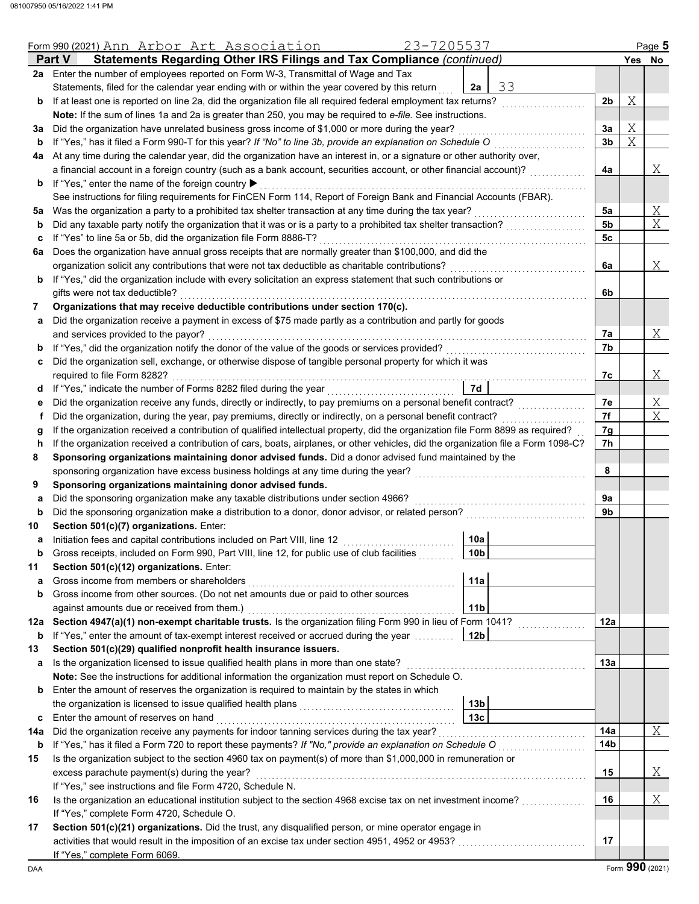|     | 23-7205537<br>Form 990 (2021) Ann Arbor Art Association                                                                                         |                |   | Page 5                           |
|-----|-------------------------------------------------------------------------------------------------------------------------------------------------|----------------|---|----------------------------------|
|     | Statements Regarding Other IRS Filings and Tax Compliance (continued)<br><b>Part V</b>                                                          |                |   | Yes No                           |
|     | 2a Enter the number of employees reported on Form W-3, Transmittal of Wage and Tax                                                              |                |   |                                  |
|     | 33<br>Statements, filed for the calendar year ending with or within the year covered by this return<br>2a                                       |                |   |                                  |
| b   | If at least one is reported on line 2a, did the organization file all required federal employment tax returns?                                  | 2 <sub>b</sub> | Χ |                                  |
|     | Note: If the sum of lines 1a and 2a is greater than 250, you may be required to e-file. See instructions.                                       |                |   |                                  |
| За  | Did the organization have unrelated business gross income of \$1,000 or more during the year?                                                   | 3a             | Χ |                                  |
| b   | If "Yes," has it filed a Form 990-T for this year? If "No" to line 3b, provide an explanation on Schedule O                                     | 3b             | X |                                  |
| 4a  | At any time during the calendar year, did the organization have an interest in, or a signature or other authority over,                         |                |   |                                  |
|     | a financial account in a foreign country (such as a bank account, securities account, or other financial account)?                              | 4a             |   | Χ                                |
| b   | If "Yes," enter the name of the foreign country ▶                                                                                               |                |   |                                  |
|     | See instructions for filing requirements for FinCEN Form 114, Report of Foreign Bank and Financial Accounts (FBAR).                             |                |   |                                  |
| 5a  | Was the organization a party to a prohibited tax shelter transaction at any time during the tax year?                                           | 5a             |   | <u>X</u>                         |
| b   | Did any taxable party notify the organization that it was or is a party to a prohibited tax shelter transaction?                                | 5 <sub>b</sub> |   | $\overline{X}$                   |
| c   | If "Yes" to line 5a or 5b, did the organization file Form 8886-T?                                                                               | 5c             |   |                                  |
| 6a  | Does the organization have annual gross receipts that are normally greater than \$100,000, and did the                                          |                |   |                                  |
|     | organization solicit any contributions that were not tax deductible as charitable contributions?                                                | 6a             |   | X                                |
| b   | If "Yes," did the organization include with every solicitation an express statement that such contributions or                                  |                |   |                                  |
|     | gifts were not tax deductible?                                                                                                                  | 6b             |   |                                  |
| 7   | Organizations that may receive deductible contributions under section 170(c).                                                                   |                |   |                                  |
| a   | Did the organization receive a payment in excess of \$75 made partly as a contribution and partly for goods                                     |                |   |                                  |
|     | and services provided to the payor?                                                                                                             | 7a             |   | X                                |
| b   | If "Yes," did the organization notify the donor of the value of the goods or services provided?                                                 | 7b             |   |                                  |
| с   | Did the organization sell, exchange, or otherwise dispose of tangible personal property for which it was                                        |                |   |                                  |
|     | required to file Form 8282?                                                                                                                     | 7c             |   | Χ                                |
| d   | 7d<br>If "Yes," indicate the number of Forms 8282 filed during the year                                                                         |                |   |                                  |
| е   | Did the organization receive any funds, directly or indirectly, to pay premiums on a personal benefit contract?                                 | 7e             |   | $\overline{X}$<br>$\overline{X}$ |
| f   | Did the organization, during the year, pay premiums, directly or indirectly, on a personal benefit contract?                                    | 7f             |   |                                  |
| g   | If the organization received a contribution of qualified intellectual property, did the organization file Form 8899 as required?                | 7g             |   |                                  |
| h   | If the organization received a contribution of cars, boats, airplanes, or other vehicles, did the organization file a Form 1098-C?              | 7h             |   |                                  |
| 8   | Sponsoring organizations maintaining donor advised funds. Did a donor advised fund maintained by the                                            | 8              |   |                                  |
| 9   | sponsoring organization have excess business holdings at any time during the year?<br>Sponsoring organizations maintaining donor advised funds. |                |   |                                  |
| a   | Did the sponsoring organization make any taxable distributions under section 4966?                                                              | 9а             |   |                                  |
| b   | Did the sponsoring organization make a distribution to a donor, donor advisor, or related person?                                               | 9b             |   |                                  |
| 10  | Section 501(c)(7) organizations. Enter:                                                                                                         |                |   |                                  |
| а   | 10a<br>Initiation fees and capital contributions included on Part VIII, line 12                                                                 |                |   |                                  |
|     | 10 <sub>b</sub><br>Gross receipts, included on Form 990, Part VIII, line 12, for public use of club facilities                                  |                |   |                                  |
| 11  | Section 501(c)(12) organizations. Enter:                                                                                                        |                |   |                                  |
| a   | Gross income from members or shareholders<br>11a                                                                                                |                |   |                                  |
| b   | Gross income from other sources. (Do not net amounts due or paid to other sources                                                               |                |   |                                  |
|     | against amounts due or received from them.)<br>11 <sub>b</sub>                                                                                  |                |   |                                  |
| 12a | Section 4947(a)(1) non-exempt charitable trusts. Is the organization filing Form 990 in lieu of Form 1041?                                      | 12a            |   |                                  |
| b   | If "Yes," enter the amount of tax-exempt interest received or accrued during the year<br>12 <sub>b</sub>                                        |                |   |                                  |
| 13  | Section 501(c)(29) qualified nonprofit health insurance issuers.                                                                                |                |   |                                  |
| а   | Is the organization licensed to issue qualified health plans in more than one state?                                                            | 13a            |   |                                  |
|     | Note: See the instructions for additional information the organization must report on Schedule O.                                               |                |   |                                  |
| b   | Enter the amount of reserves the organization is required to maintain by the states in which                                                    |                |   |                                  |
|     | the organization is licensed to issue qualified health plans<br>13 <sub>b</sub>                                                                 |                |   |                                  |
| c   | Enter the amount of reserves on hand<br>13 <sub>c</sub>                                                                                         |                |   |                                  |
| 14a | Did the organization receive any payments for indoor tanning services during the tax year?                                                      | 14a            |   | Χ                                |
| b   | If "Yes," has it filed a Form 720 to report these payments? If "No," provide an explanation on Schedule O                                       | 14b            |   |                                  |
| 15  | Is the organization subject to the section 4960 tax on payment(s) of more than \$1,000,000 in remuneration or                                   |                |   |                                  |
|     | excess parachute payment(s) during the year?                                                                                                    | 15             |   | Χ                                |
|     | If "Yes," see instructions and file Form 4720, Schedule N.                                                                                      |                |   |                                  |
| 16  | Is the organization an educational institution subject to the section 4968 excise tax on net investment income?                                 | 16             |   | Χ                                |
|     | If "Yes," complete Form 4720, Schedule O.                                                                                                       |                |   |                                  |
| 17  | Section 501(c)(21) organizations. Did the trust, any disqualified person, or mine operator engage in                                            |                |   |                                  |
|     |                                                                                                                                                 | 17             |   |                                  |
| DAA | If "Yes," complete Form 6069.                                                                                                                   |                |   | Form 990 (2021)                  |
|     |                                                                                                                                                 |                |   |                                  |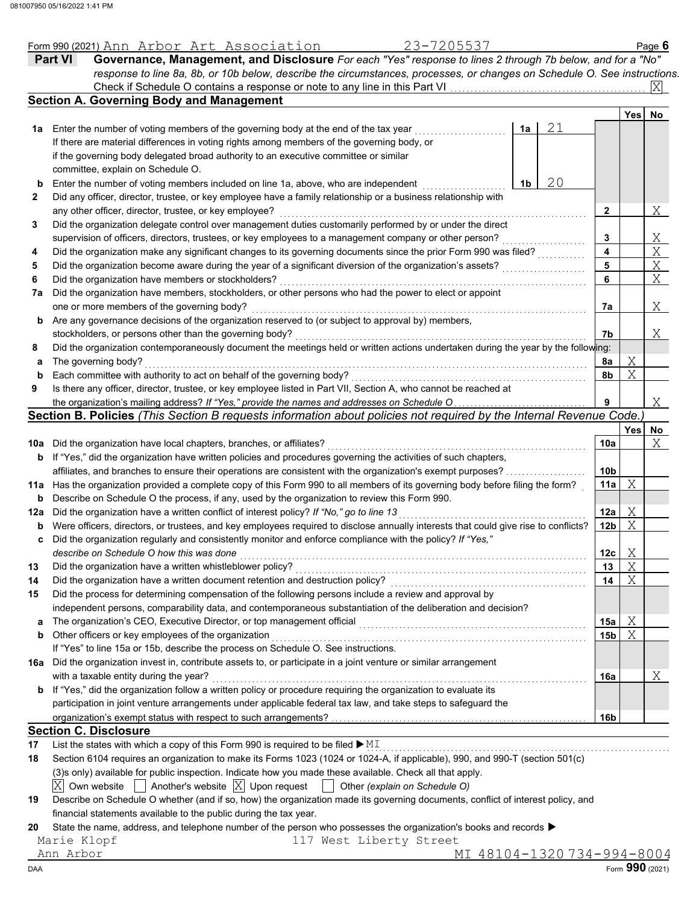|     | 23-7205537<br>Form 990 (2021) Ann Arbor Art Association                                                                              |                 |     | Page 6                |
|-----|--------------------------------------------------------------------------------------------------------------------------------------|-----------------|-----|-----------------------|
|     | Governance, Management, and Disclosure For each "Yes" response to lines 2 through 7b below, and for a "No"<br><b>Part VI</b>         |                 |     |                       |
|     | response to line 8a, 8b, or 10b below, describe the circumstances, processes, or changes on Schedule O. See instructions.            |                 |     |                       |
|     |                                                                                                                                      |                 |     | Ixl                   |
|     | <b>Section A. Governing Body and Management</b>                                                                                      |                 |     |                       |
|     |                                                                                                                                      |                 | Yes | No                    |
| 1а  | 21<br>Enter the number of voting members of the governing body at the end of the tax year<br>1a                                      |                 |     |                       |
|     | If there are material differences in voting rights among members of the governing body, or                                           |                 |     |                       |
|     | if the governing body delegated broad authority to an executive committee or similar                                                 |                 |     |                       |
|     | committee, explain on Schedule O.                                                                                                    |                 |     |                       |
| b   | 20<br>Enter the number of voting members included on line 1a, above, who are independent<br>1b                                       |                 |     |                       |
| 2   | Did any officer, director, trustee, or key employee have a family relationship or a business relationship with                       |                 |     |                       |
|     | any other officer, director, trustee, or key employee?                                                                               | 2               |     | Χ                     |
| 3   | Did the organization delegate control over management duties customarily performed by or under the direct                            |                 |     |                       |
|     | supervision of officers, directors, trustees, or key employees to a management company or other person?                              | 3               |     |                       |
| 4   | Did the organization make any significant changes to its governing documents since the prior Form 990 was filed?                     | 4               |     | $\frac{X}{X}$         |
| 5   | Did the organization become aware during the year of a significant diversion of the organization's assets?                           | 5               |     | $\overline{X}$        |
| 6   | Did the organization have members or stockholders?                                                                                   | 6               |     | $\overline{\text{X}}$ |
| 7a  | Did the organization have members, stockholders, or other persons who had the power to elect or appoint                              |                 |     |                       |
|     | one or more members of the governing body?                                                                                           | 7а              |     | Χ                     |
| b   | Are any governance decisions of the organization reserved to (or subject to approval by) members,                                    |                 |     |                       |
|     | stockholders, or persons other than the governing body?                                                                              | 7b              |     | Χ                     |
| 8   | Did the organization contemporaneously document the meetings held or written actions undertaken during the year by the following:    |                 |     |                       |
| а   | The governing body?                                                                                                                  | 8a              | Χ   |                       |
| b   | Each committee with authority to act on behalf of the governing body?                                                                | 8b              | X   |                       |
| 9   | Is there any officer, director, trustee, or key employee listed in Part VII, Section A, who cannot be reached at                     |                 |     |                       |
|     | the organization's mailing address? If "Yes," provide the names and addresses on Schedule O                                          | 9               |     | Χ                     |
|     | Section B. Policies (This Section B requests information about policies not required by the Internal Revenue Code.)                  |                 |     |                       |
|     |                                                                                                                                      |                 | Yes | No                    |
|     | 10a Did the organization have local chapters, branches, or affiliates?                                                               | 10a             |     | Χ                     |
| b   | If "Yes," did the organization have written policies and procedures governing the activities of such chapters,                       |                 |     |                       |
|     | affiliates, and branches to ensure their operations are consistent with the organization's exempt purposes?                          | 10 <sub>b</sub> |     |                       |
|     | 11a Has the organization provided a complete copy of this Form 990 to all members of its governing body before filing the form?      | 11a             | X   |                       |
| b   | Describe on Schedule O the process, if any, used by the organization to review this Form 990.                                        |                 |     |                       |
| 12a | Did the organization have a written conflict of interest policy? If "No," go to line 13                                              | 12a             | Χ   |                       |
|     | Were officers, directors, or trustees, and key employees required to disclose annually interests that could give rise to conflicts?  | 12 <sub>b</sub> | X   |                       |
| b   |                                                                                                                                      |                 |     |                       |
| c   | Did the organization regularly and consistently monitor and enforce compliance with the policy? If "Yes,"                            | 12c             | Χ   |                       |
|     | describe on Schedule O how this was done                                                                                             |                 | X   |                       |
| 13  | Did the organization have a written whistleblower policy?                                                                            | 13              | X   |                       |
| 14  | Did the organization have a written document retention and destruction policy?                                                       | 14              |     |                       |
| 15  | Did the process for determining compensation of the following persons include a review and approval by                               |                 |     |                       |
|     | independent persons, comparability data, and contemporaneous substantiation of the deliberation and decision?                        |                 |     |                       |
| a   | The organization's CEO, Executive Director, or top management official                                                               | 15a             | Χ   |                       |
| b   | Other officers or key employees of the organization                                                                                  | 15b             | X   |                       |
|     | If "Yes" to line 15a or 15b, describe the process on Schedule O. See instructions.                                                   |                 |     |                       |
|     | 16a Did the organization invest in, contribute assets to, or participate in a joint venture or similar arrangement                   |                 |     |                       |
|     | with a taxable entity during the year?                                                                                               | 16a             |     | Χ                     |
| b   | If "Yes," did the organization follow a written policy or procedure requiring the organization to evaluate its                       |                 |     |                       |
|     | participation in joint venture arrangements under applicable federal tax law, and take steps to safeguard the                        |                 |     |                       |
|     |                                                                                                                                      | 16b             |     |                       |
|     | <b>Section C. Disclosure</b>                                                                                                         |                 |     |                       |
| 17  | List the states with which a copy of this Form 990 is required to be filed $\blacktriangleright$ MI                                  |                 |     |                       |
| 18  | Section 6104 requires an organization to make its Forms 1023 (1024 or 1024-A, if applicable), 990, and 990-T (section 501(c)         |                 |     |                       |
|     | (3)s only) available for public inspection. Indicate how you made these available. Check all that apply.                             |                 |     |                       |
|     | Another's website $ X $ Upon request<br>$ X $ Own website<br>Other (explain on Schedule O)                                           |                 |     |                       |
| 19  | Describe on Schedule O whether (and if so, how) the organization made its governing documents, conflict of interest policy, and      |                 |     |                       |
|     | financial statements available to the public during the tax year.                                                                    |                 |     |                       |
| 20  | State the name, address, and telephone number of the person who possesses the organization's books and records $\blacktriangleright$ |                 |     |                       |
|     | 117 West Liberty Street<br>Marie Klopf                                                                                               |                 |     |                       |
|     | Ann Arbor<br><u>MI 48104-1320734-994-8004</u>                                                                                        |                 |     |                       |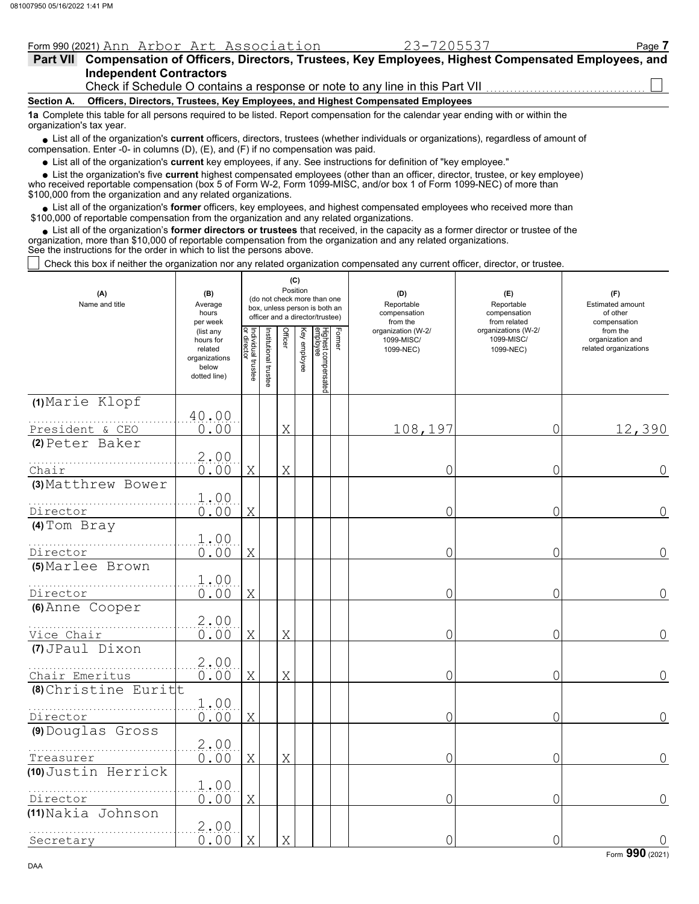|                          | Form 990 (2021) Ann Arbor Art Association                                                                                                                                                                                                               | 23-7205537 | Page 7 |
|--------------------------|---------------------------------------------------------------------------------------------------------------------------------------------------------------------------------------------------------------------------------------------------------|------------|--------|
|                          | Part VII Compensation of Officers, Directors, Trustees, Key Employees, Highest Compensated Employees, and                                                                                                                                               |            |        |
|                          | <b>Independent Contractors</b>                                                                                                                                                                                                                          |            |        |
|                          | Check if Schedule O contains a response or note to any line in this Part VII <i>mummum</i>                                                                                                                                                              |            |        |
| Section A.               | Officers, Directors, Trustees, Key Employees, and Highest Compensated Employees                                                                                                                                                                         |            |        |
| organization's tax year. | 1a Complete this table for all persons required to be listed. Report compensation for the calendar year ending with or within the                                                                                                                       |            |        |
|                          | • List all of the organization's current officers, directors, trustees (whether individuals or organizations), regardless of amount of<br>compensation. Enter -0- in columns $(D)$ , $(E)$ , and $(F)$ if no compensation was paid.                     |            |        |
|                          | • List all of the organization's current key employees, if any. See instructions for definition of "key employee."                                                                                                                                      |            |        |
|                          | List the organization's five current highest compensated employees (other than an officer, director, trustee, or key employee)<br>who received repertable componention (boy 5 of Form $M/2$ Form 1000 MISC, and/or boy 1 of Form 1000 NEC) of more than |            |        |

who received reportable compensation (box 5 of Form W-2, Form 1099-MISC, and/or box 1 of Form 1099-NEC) of more than \$100,000 from the organization and any related organizations.

• List all of the organization's **former** officers, key employees, and highest compensated employees who received more than<br>00,000 of reportable compensation from the organization and any related erganizations. \$100,000 of reportable compensation from the organization and any related organizations.

List all of the organization's **former directors or trustees** that received, in the capacity as a former director or trustee of the • List all of the organization's **former directors or trustees** that received, in the capacity as a former director organization, more than \$10,000 of reportable compensation from the organization and any related organizat See the instructions for the order in which to list the persons above.

Check this box if neither the organization nor any related organization compensated any current officer, director, or trustee.

| (A)<br>Name and title                 | (B)<br>Average<br>hours<br>per week                                         |                                   |                      | Position | (C)          | (do not check more than one<br>box, unless person is both an<br>officer and a director/trustee) |        | (D)<br>Reportable<br>compensation<br>from the | (E)<br>Reportable<br>compensation<br>from related | (F)<br><b>Estimated amount</b><br>of other<br>compensation |
|---------------------------------------|-----------------------------------------------------------------------------|-----------------------------------|----------------------|----------|--------------|-------------------------------------------------------------------------------------------------|--------|-----------------------------------------------|---------------------------------------------------|------------------------------------------------------------|
|                                       | (list any<br>hours for<br>related<br>organizations<br>below<br>dotted line) | Individual trustee<br>or director | nstitutional trustee | Officer  | Key employee | Highest compensated<br>employee                                                                 | Former | organization (W-2/<br>1099-MISC/<br>1099-NEC) | organizations (W-2/<br>1099-MISC/<br>1099-NEC)    | from the<br>organization and<br>related organizations      |
| (1) Marie Klopf<br>President & CEO    | 40.00<br>0.00                                                               |                                   |                      | X        |              |                                                                                                 |        | 108,197                                       | 0                                                 | 12,390                                                     |
| (2) Peter Baker<br>Chair              | 2.00<br>0.00                                                                | Χ                                 |                      | X        |              |                                                                                                 |        | 0                                             | 0                                                 | 0                                                          |
| (3) Matthrew Bower                    | 1.00                                                                        |                                   |                      |          |              |                                                                                                 |        |                                               |                                                   |                                                            |
| Director<br>(4) Tom Bray              | 0.00<br>1.00                                                                | Χ                                 |                      |          |              |                                                                                                 |        | 0                                             | 0                                                 | $\overline{0}$                                             |
| Director<br>(5) Marlee Brown          | 0.00<br>1.00                                                                | Χ                                 |                      |          |              |                                                                                                 |        | 0                                             | Ω                                                 | $\overline{0}$                                             |
| Director<br>(6) Anne Cooper           | 0.00<br>2.00                                                                | X                                 |                      |          |              |                                                                                                 |        | 0                                             | 0                                                 | 0                                                          |
| Vice Chair<br>(7) JPaul Dixon         | 0.00<br>2.00                                                                | Χ                                 |                      | X        |              |                                                                                                 |        | 0                                             | 0                                                 | 0                                                          |
| Chair Emeritus<br>(8) Christine Eurit | 0.00                                                                        | X                                 |                      | X        |              |                                                                                                 |        | 0                                             | 0                                                 | $\overline{0}$                                             |
| Director<br>(9) Douglas Gross         | 1.00<br>0.00                                                                | $\mathbf X$                       |                      |          |              |                                                                                                 |        | 0                                             | 0                                                 | 0                                                          |
| Treasurer<br>(10) Justin Herrick      | 2.00<br>0.00                                                                | Χ                                 |                      | X        |              |                                                                                                 |        | 0                                             | 0                                                 | 0                                                          |
| Director                              | 1.00<br>0.00                                                                | Χ                                 |                      |          |              |                                                                                                 |        | 0                                             | 0                                                 | $\Omega$                                                   |
| (11) Nakia Johnson<br>Secretary       | 2,00<br>0.00                                                                | X                                 |                      | Χ        |              |                                                                                                 |        | 0                                             | Ω                                                 | $\mathsf{O}\xspace$                                        |

Form **990** (2021)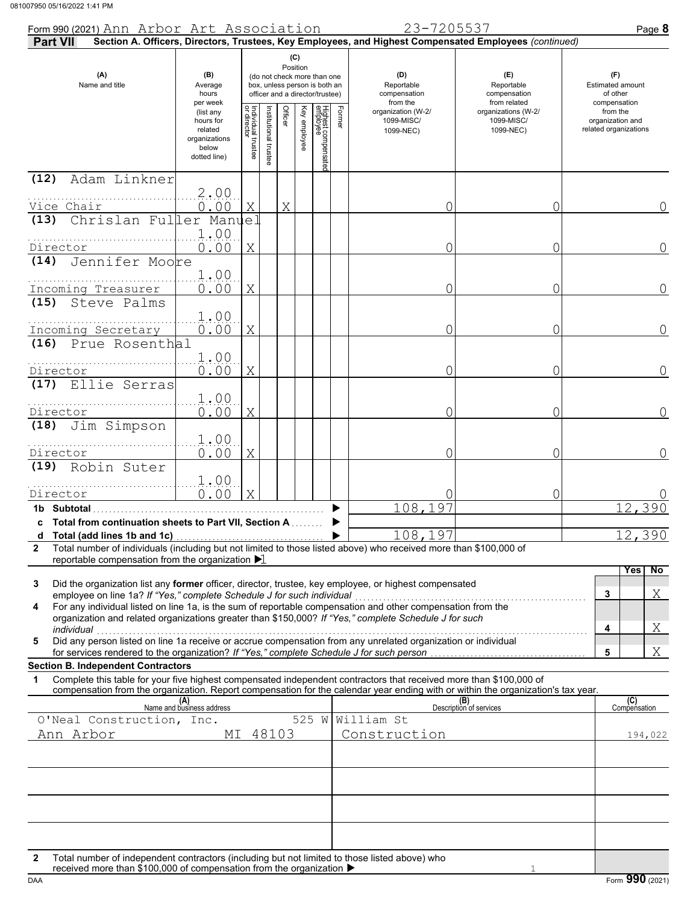| Form 990 (2021) Ann Arbor Art Association                                                                                                                                                                                                                                                                                                                                                                                                                                                                                                                                                                                                                                                                                                                                                                                                                                                 |                                                                             |                                   |                       |                 |              |                                                                                                 |        | 23-7205537                                                                                             |                                                   | Page 8                                                |
|-------------------------------------------------------------------------------------------------------------------------------------------------------------------------------------------------------------------------------------------------------------------------------------------------------------------------------------------------------------------------------------------------------------------------------------------------------------------------------------------------------------------------------------------------------------------------------------------------------------------------------------------------------------------------------------------------------------------------------------------------------------------------------------------------------------------------------------------------------------------------------------------|-----------------------------------------------------------------------------|-----------------------------------|-----------------------|-----------------|--------------|-------------------------------------------------------------------------------------------------|--------|--------------------------------------------------------------------------------------------------------|---------------------------------------------------|-------------------------------------------------------|
| Part VII                                                                                                                                                                                                                                                                                                                                                                                                                                                                                                                                                                                                                                                                                                                                                                                                                                                                                  |                                                                             |                                   |                       |                 |              |                                                                                                 |        | Section A. Officers, Directors, Trustees, Key Employees, and Highest Compensated Employees (continued) |                                                   |                                                       |
| (A)<br>Name and title                                                                                                                                                                                                                                                                                                                                                                                                                                                                                                                                                                                                                                                                                                                                                                                                                                                                     | (B)<br>Average<br>hours<br>per week                                         |                                   |                       | (C)<br>Position |              | (do not check more than one<br>box, unless person is both an<br>officer and a director/trustee) |        | (D)<br>Reportable<br>compensation<br>from the                                                          | (E)<br>Reportable<br>compensation<br>from related | (F)<br>Estimated amount<br>of other<br>compensation   |
|                                                                                                                                                                                                                                                                                                                                                                                                                                                                                                                                                                                                                                                                                                                                                                                                                                                                                           | (list any<br>hours for<br>related<br>organizations<br>below<br>dotted line) | Individual trustee<br>or director | Institutional trustee | Officer         | Key employee | Highest compensatec<br>employee                                                                 | Former | organization (W-2/<br>1099-MISC/<br>1099-NEC)                                                          | organizations (W-2/<br>1099-MISC/<br>1099-NEC)    | from the<br>organization and<br>related organizations |
| Adam Linkner<br>(12)                                                                                                                                                                                                                                                                                                                                                                                                                                                                                                                                                                                                                                                                                                                                                                                                                                                                      | 2.00                                                                        |                                   |                       |                 |              |                                                                                                 |        |                                                                                                        |                                                   |                                                       |
| Vice Chair<br>Chrislan Fuller Manuel<br>(13)                                                                                                                                                                                                                                                                                                                                                                                                                                                                                                                                                                                                                                                                                                                                                                                                                                              | 0.00                                                                        | Χ                                 |                       | Χ               |              |                                                                                                 |        | ∩                                                                                                      | 0                                                 | 0                                                     |
| Director                                                                                                                                                                                                                                                                                                                                                                                                                                                                                                                                                                                                                                                                                                                                                                                                                                                                                  | 1.00<br>0.00                                                                | X                                 |                       |                 |              |                                                                                                 |        | ∩                                                                                                      | 0                                                 | 0                                                     |
| Jennifer Moore<br>(14)<br>Incoming Treasurer                                                                                                                                                                                                                                                                                                                                                                                                                                                                                                                                                                                                                                                                                                                                                                                                                                              | 1.00<br>0.00                                                                | X                                 |                       |                 |              |                                                                                                 |        | ∩                                                                                                      | 0                                                 | 0                                                     |
| (15)<br>Steve Palms                                                                                                                                                                                                                                                                                                                                                                                                                                                                                                                                                                                                                                                                                                                                                                                                                                                                       | 1.00                                                                        |                                   |                       |                 |              |                                                                                                 |        |                                                                                                        |                                                   |                                                       |
| Incoming Secretary<br>(16)<br>Prue Rosenthal                                                                                                                                                                                                                                                                                                                                                                                                                                                                                                                                                                                                                                                                                                                                                                                                                                              | 0.00                                                                        | X                                 |                       |                 |              |                                                                                                 |        | ∩                                                                                                      | 0                                                 | 0                                                     |
| Director<br>Ellie Serras<br>(17)                                                                                                                                                                                                                                                                                                                                                                                                                                                                                                                                                                                                                                                                                                                                                                                                                                                          | 1.00<br>0.00                                                                | X                                 |                       |                 |              |                                                                                                 |        | ∩                                                                                                      | 0                                                 | $\overline{0}$                                        |
| Director                                                                                                                                                                                                                                                                                                                                                                                                                                                                                                                                                                                                                                                                                                                                                                                                                                                                                  | 1.00<br>0.00                                                                | Χ                                 |                       |                 |              |                                                                                                 |        | ∩                                                                                                      | 0                                                 | $\Omega$                                              |
| Jim Simpson<br>(18)<br>Director                                                                                                                                                                                                                                                                                                                                                                                                                                                                                                                                                                                                                                                                                                                                                                                                                                                           | 1.00<br>0.00                                                                | Χ                                 |                       |                 |              |                                                                                                 |        | ∩                                                                                                      | 0                                                 | $\Omega$                                              |
| Robin Suter<br>(19)                                                                                                                                                                                                                                                                                                                                                                                                                                                                                                                                                                                                                                                                                                                                                                                                                                                                       | 1.00                                                                        |                                   |                       |                 |              |                                                                                                 |        |                                                                                                        |                                                   |                                                       |
| Director<br>1b Subtotal                                                                                                                                                                                                                                                                                                                                                                                                                                                                                                                                                                                                                                                                                                                                                                                                                                                                   | 0.00                                                                        | X                                 |                       |                 |              |                                                                                                 |        | 108,197                                                                                                | 0                                                 | 12,390                                                |
| c Total from continuation sheets to Part VII, Section A<br>$\mathbf{2}$                                                                                                                                                                                                                                                                                                                                                                                                                                                                                                                                                                                                                                                                                                                                                                                                                   |                                                                             |                                   |                       |                 |              |                                                                                                 |        | 108,197                                                                                                |                                                   | 390<br>12,                                            |
| Total number of individuals (including but not limited to those listed above) who received more than \$100,000 of<br>reportable compensation from the organization $\blacktriangleright$ 1<br>Did the organization list any former officer, director, trustee, key employee, or highest compensated<br>3<br>3<br>employee on line 1a? If "Yes," complete Schedule J for such individual<br>employee on line 1a? <i>if</i> yes, complete Schedule J for such individual <i>compensation</i> and other compensation from the For any individual listed on line 1a, is the sum of reportable compensation and other compensation from<br>4<br>organization and related organizations greater than \$150,000? If "Yes," complete Schedule J for such<br>4<br>individual<br>Did any person listed on line 1a receive or accrue compensation from any unrelated organization or individual<br>5 |                                                                             |                                   |                       |                 |              |                                                                                                 |        |                                                                                                        | No<br>Yes<br>Χ<br>Χ<br>Χ<br>5                     |                                                       |
| <b>Section B. Independent Contractors</b><br>Complete this table for your five highest compensated independent contractors that received more than \$100,000 of<br>1                                                                                                                                                                                                                                                                                                                                                                                                                                                                                                                                                                                                                                                                                                                      |                                                                             |                                   |                       |                 |              |                                                                                                 |        |                                                                                                        |                                                   |                                                       |
| compensation from the organization. Report compensation for the calendar year ending with or within the organization's tax year.                                                                                                                                                                                                                                                                                                                                                                                                                                                                                                                                                                                                                                                                                                                                                          | (A)<br>Name and business address                                            |                                   |                       |                 |              |                                                                                                 |        |                                                                                                        | (B)<br>Description of services                    | (C)<br>Compensation                                   |
| O'Neal Construction, Inc.<br>MI 48103<br>Ann Arbor                                                                                                                                                                                                                                                                                                                                                                                                                                                                                                                                                                                                                                                                                                                                                                                                                                        |                                                                             |                                   |                       |                 |              |                                                                                                 |        | 525 W William St<br>Construction                                                                       |                                                   | 194,022                                               |
|                                                                                                                                                                                                                                                                                                                                                                                                                                                                                                                                                                                                                                                                                                                                                                                                                                                                                           |                                                                             |                                   |                       |                 |              |                                                                                                 |        |                                                                                                        |                                                   |                                                       |
| Total number of independent contractors (including but not limited to those listed above) who<br>$\mathbf{2}$<br>received more than \$100,000 of compensation from the organization ▶                                                                                                                                                                                                                                                                                                                                                                                                                                                                                                                                                                                                                                                                                                     |                                                                             |                                   |                       |                 |              |                                                                                                 |        |                                                                                                        |                                                   |                                                       |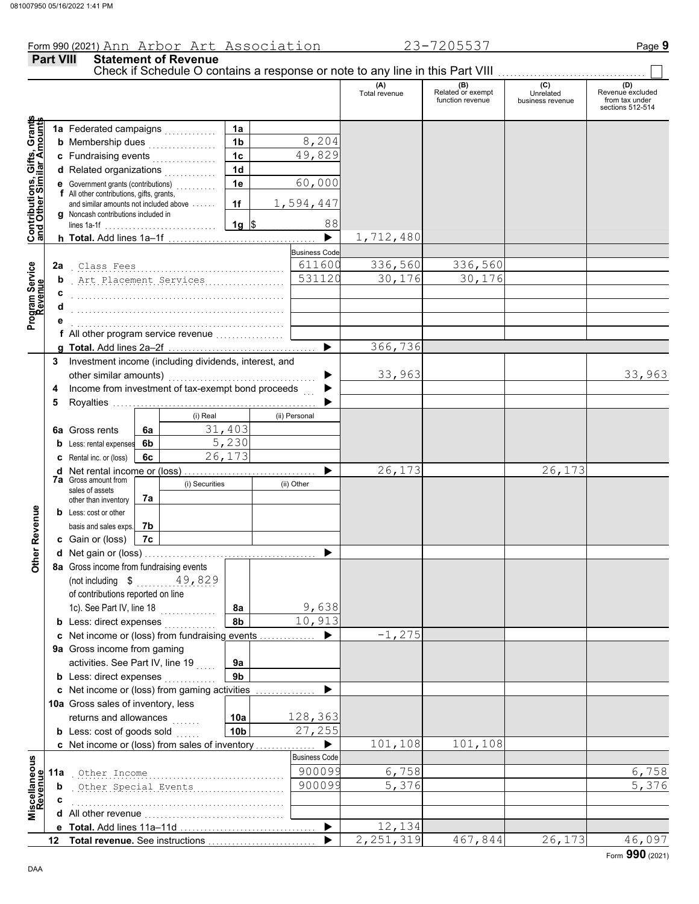#### Form 990 (2021) Page **9** Ann Arbor Art Association 23-7205537 **Part VIII Statement of Revenue** Check if Schedule O contains a response or note to any line in this Part VIII. **(A) (B) (C) (D)** Total revenue Related or exempt Unrelated Revenue excluded function revenue business revenue from tax under sections 512-514 **Contributions, Gifts, Grants** Grants **and Other Similar Amounts 1a 1a** Federated campaigns . . . . . . . . . . . , Gifts, Gra<br>illar Amou 8,204 **1b b** Membership dues  $\ldots$  . . . . . . . . . . . . **1c** 49,829 **c** Fundraising events . . . . . . . . . . . . . . . . **1d d** Related organizations <sub>.</sub> . . . . . . . . . . **Contributions,<br>and Other Simi 1e** 60,000 **e** Government grants (contributions) . . . . . . . . . . **f** All other contributions, gifts, grants, 1,594,447 **1f** and similar amounts not included above  $\dots$ ... **g** Noncash contributions included in lines 1a-1f . . . . . . . . . . . . . . . . . . . . . . . . . . . . 88 **1g** \$ . . . . . . . . . . . . . . . . . . . . 1,712,480  $\blacktriangleright$ **h Total.** Add lines 1a–1f . . . . . . . . . . . . . . . . . . . . . . . . . . . . . . . . . . . . . Business Cod Program Service<br>Revenue . . . . . . . . . . . . . . . . . . . . . . . . . . . . . . . . . . . . . . . . . . . . . . . . . . . . . **2a** Class Fees 611600 336,560 336,560 **Program Service** . . . . . . . . . . . . . . . . . . . . . . . . . . . . . . . . . . . . . . . . . . . . . . . . . . . . . Art Placement Services 531120 30,176 30,176 **b c** . . . . . . . . . . . . . . . . . . . . . . . . . . . . . . . . . . . . . . . . . . . . . . . . . . . . . **d** . . . . . . . . . . . . . . . . . . . . . . . . . . . . . . . . . . . . . . . . . . . . . . . . . . . . . **e** . . . . . . . . . . . . . . . . . . . . . . . . . . . . . . . . . . . . . . . . . . . . . . . . . . . . . **f** All other program service revenue . . . . . . . . . . . . . . . . . 366,736 **g Total.** Add lines 2a–2f . . . . . . . . . . . . . . . . . . . . . . . . . . . . . . . . . . . . . **3** Investment income (including dividends, interest, and other similar amounts) ............... ь 33,963 33,963 Income from investment of tax-exempt bond proceeds **4**  $\blacktriangleright$ **5** Royalties .... ▶ (i) Real (ii) Personal 31,403 **6a** Gross rents **6a 6b** 5,230 **b** Less: rental expenses 26,173 **c** Rental inc. or (loss) **6c** 26,173 26,173 ь **d** Net rental income or (loss) . . . . . . . . . . . . . . . . . . . . . . . . . . . . . . . . . **7a** Gross amount from (i) Securities (ii) Other sales of assets **7a** other than inventory **Other Revenue Other Revenue b** Less: cost or other **7b** basis and sales exps. **c** Gain or (loss) **7c d** Net gain or (loss) . . . . . . . . . . . . . . . . . . . . . . . . . . . . . . . . . . . . . . . . . . . **8a** Gross income from fundraising events (not including \$ . . . . . . . . . . . . . . . . . . . . 49,829 of contributions reported on line 1c). See Part IV, line 18 **8a** 9,638 **8b** 10,913 **b** Less: direct expenses <sub>.</sub> . . . . . . . . . . -1,275 **c** Net income or (loss) from fundraising events . . . . . . . . . . . . . . ▶ **9a** Gross income from gaming activities. See Part IV, line 19 **9a 9b b** Less: direct expenses  $\ldots$ ▶ Net income or (loss) from gaming activities . . . . . . . . . . . . . . . **c** 10a Gross sales of inventory, less returns and allowances **10a** 128,363 **10b** 27,255 **b** Less:  $\cosh$  of goods  $\sinh$ ▶ 101,108 101,108 Net income or (loss) from sales of inventory . . . . . . . . . . . . . . . **c** cellaneous<br>Revenue Business Code **Miscellaneous**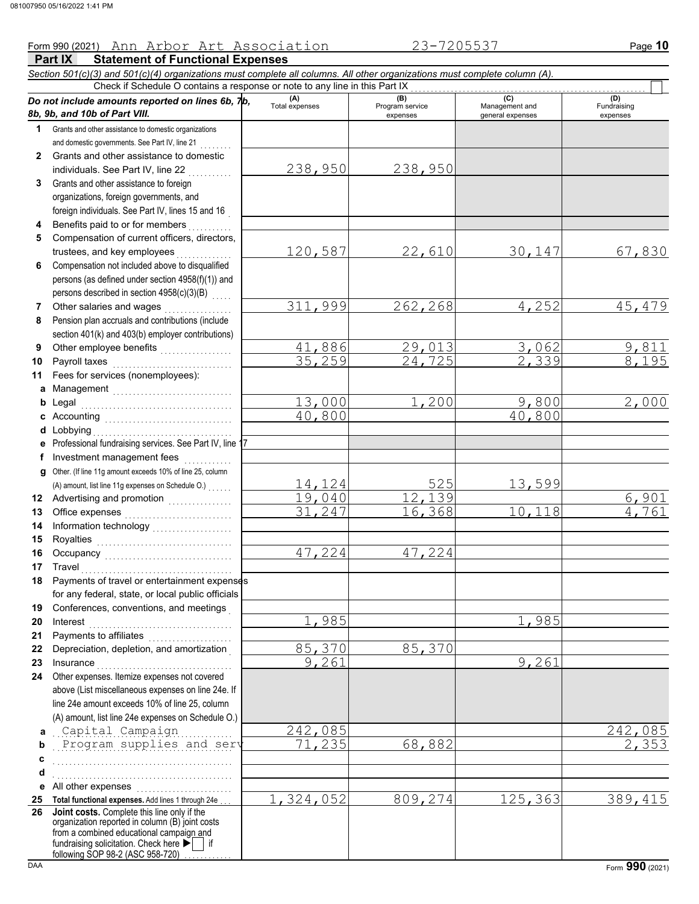#### Form 990 (2021) Page **10** Ann Arbor Art Association 23-7205537

**Part IX Statement of Functional Expenses** *Section 501(c)(3) and 501(c)(4) organizations must complete all columns. All other organizations must complete column (A). Do not include amounts reported on lines 6b, 7b, 8b, 9b, and 10b of Part VIII.* **1 2 3 4 5 6 7 8 9 10 11 a** Management .............................. **b** Legal **c** Accounting . . . . . . . . . . . . . . . . . . . . . . . . . . . . . . . . **d** Lobbying . . . . . . . . . . . . . . . . . . . . . . . . . . . . . . . . . . . **e f g** Other. (If line 11g amount exceeds 10% of line 25, column **12** Advertising and promotion **. . . . . . . . . . . .** . . **13 14 15 16 17 18 19 20 21 22 23 24 a** Capital Campaign 242,085 242,085 242,085 242,085 **b c d e** All other expenses . . . . . . . . . . . . . . . . . . . . . . . . **25 Total functional expenses.** Add lines 1 through 24e . . . **26** Grants and other assistance to domestic organizations and domestic governments. See Part IV, line 21 Grants and other assistance to domestic individuals. See Part IV, line 22 Grants and other assistance to foreign organizations, foreign governments, and foreign individuals. See Part IV, lines 15 and 16 Benefits paid to or for members . . . . . . . . . . Compensation of current officers, directors, trustees, and key employees Compensation not included above to disqualified persons (as defined under section 4958(f)(1)) and persons described in section 4958(c)(3)(B) Other salaries and wages Pension plan accruals and contributions (include section 401(k) and 403(b) employer contributions) Other employee benefits . . . . . . . . . . . . . . . . . . Payroll taxes . . . . . . . . . . . . . . . . . . . . . . . . . . . . . . Fees for services (nonemployees): Legal . . . . . . . . . . . . . . . . . . . . . . . . . . . . . . . . . . . . . . Professional fundraising services. See Part IV, line 17 Investment management fees ............. Office expenses . . . . . . . . . . . . . . . . . . . . . . . . . . . Information technology . . . . . . . . . . . . . . . . . . . . Royalties . . . . . . . . . . . . . . . . . . . . . . . . . . . . . . . . . . Occupancy . . . . . . . . . . . . . . . . . . . . . . . . . . . . . . . . Travel . . . . . . . . . . . . . . . . . . . . . . . . . . . . . . . . . . . . . . Payments of travel or entertainment expenses for any federal, state, or local public officials Conferences, conventions, and meetings . Interest . . . . . . . . . . . . . . . . . . . . . . . . . . . . . . . . . . . . Payments to affiliates ....................... Depreciation, depletion, and amortization . Insurance . . . . . . . . . . . . . . . . . . . . . . . . . . . . . . . . . . Other expenses. Itemize expenses not covered above (List miscellaneous expenses on line 24e. If line 24e amount exceeds 10% of line 25, column (A) amount, list line 24e expenses on Schedule O.) fundraising solicitation. Check here  $\blacktriangleright$  | if organization reported in column (B) joint costs from a combined educational campaign and following SOP 98-2 (ASC 958-720) **(A) (B)** (B) (B) (C) (C) (A) (D)<br>Total expenses Program service Management and Fundrai expenses and general expenses (D)<br>Fundraising expenses . Program supplies and serv  $\begin{array}{|c|c|c|c|c|}\hline 71,235 & 68,882 & \multicolumn{2}{c|}{\bf \end{array}}$   $\begin{array}{|c|c|c|c|c|c|}\hline \rule{0pt}{1.5ex}2,353 & \multicolumn{2}{c|}{\bf \end{array}$ . . . . . . . . . . . . . . . . . . . . . . . . . . . . . . . . . . . . . . . . . . . . . . . . . . . . . . . . . . . . . . . . . . . . . . . . . . . . . . . . . . . . . . . . . . Check if Schedule O contains a response or note to any line in this Part IX **Joint costs.** Complete this line only if the (A) amount, list line 11g expenses on Schedule O.) . . . . . . . 238,950 238,950 120,587 22,610 30,147 67,830 <u>311,999 262,268 4,252 45,479</u> 41,886 29,013 3,062 9,811 <u>35,259 24,725 2,339 8,195</u> 13,000 1,200 9,800 2,000<br>40,800 40,800 40,800 14,124 525 13,599 19,040 12,139 6,901 31,247 16,368 10,118 4,761 47,224 47,224 1,985 1,985 85,370 85,370 9,261 9,261 1,324,052 809,274 125,363 389,415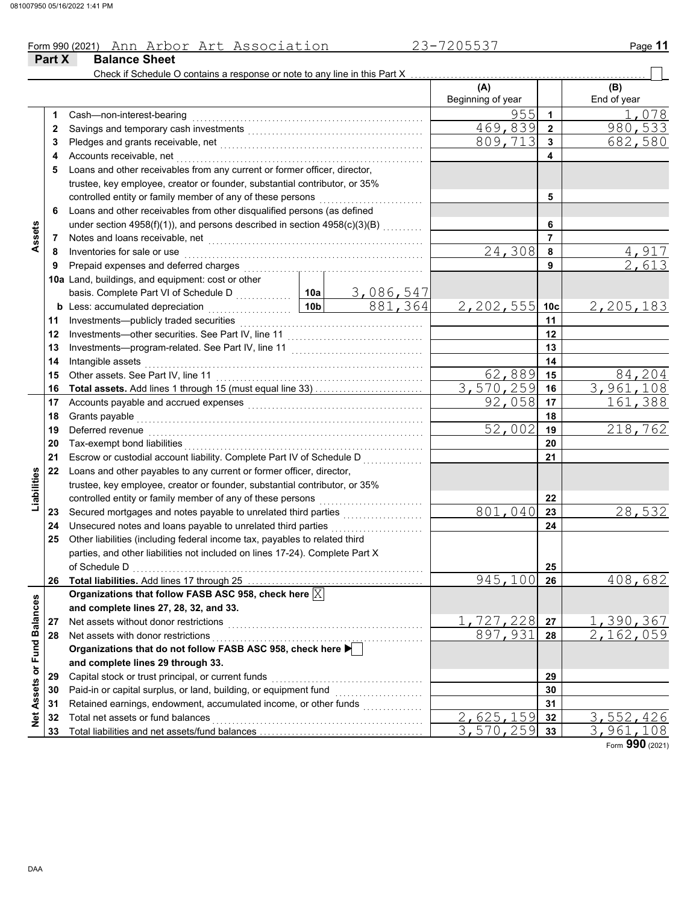#### Form 990 (2021) Page **11** Ann Arbor Art Association 23-7205537

|                             | Part X | <b>Balance Sheet</b>                                                         |                                                                       |                                                                                                                         |                          |                 |                        |  |  |  |
|-----------------------------|--------|------------------------------------------------------------------------------|-----------------------------------------------------------------------|-------------------------------------------------------------------------------------------------------------------------|--------------------------|-----------------|------------------------|--|--|--|
|                             |        | Check if Schedule O contains a response or note to any line in this Part X   |                                                                       |                                                                                                                         | (A)<br>Beginning of year |                 | (B)<br>End of year     |  |  |  |
|                             | 1      | Cash-non-interest-bearing                                                    |                                                                       |                                                                                                                         | 955                      | $\mathbf{1}$    | ,078                   |  |  |  |
|                             | 2      |                                                                              |                                                                       |                                                                                                                         | 469,839                  | $\overline{2}$  | 980,533                |  |  |  |
|                             | 3      |                                                                              |                                                                       |                                                                                                                         | 809,713                  | 3               | 682,580                |  |  |  |
|                             | 4      | Accounts receivable, net                                                     |                                                                       |                                                                                                                         |                          | 4               |                        |  |  |  |
|                             | 5      | Loans and other receivables from any current or former officer, director,    |                                                                       |                                                                                                                         |                          |                 |                        |  |  |  |
|                             |        | trustee, key employee, creator or founder, substantial contributor, or 35%   |                                                                       |                                                                                                                         |                          |                 |                        |  |  |  |
|                             |        | controlled entity or family member of any of these persons                   |                                                                       |                                                                                                                         |                          | 5               |                        |  |  |  |
|                             | 6      | Loans and other receivables from other disqualified persons (as defined      |                                                                       |                                                                                                                         |                          |                 |                        |  |  |  |
|                             |        | under section 4958(f)(1)), and persons described in section 4958(c)(3)(B)    |                                                                       |                                                                                                                         |                          | 6               |                        |  |  |  |
| Assets                      | 7      |                                                                              |                                                                       |                                                                                                                         |                          | $\overline{7}$  |                        |  |  |  |
|                             | 8      | Inventories for sale or use                                                  |                                                                       |                                                                                                                         | 24,308                   | 8               | 4,917                  |  |  |  |
|                             | 9      | Prepaid expenses and deferred charges                                        |                                                                       |                                                                                                                         |                          | 9               | 2,613                  |  |  |  |
|                             |        | 10a Land, buildings, and equipment: cost or other                            |                                                                       |                                                                                                                         |                          |                 |                        |  |  |  |
|                             |        | basis. Complete Part VI of Schedule D                                        | 10a                                                                   |                                                                                                                         |                          |                 |                        |  |  |  |
|                             |        | <b>b</b> Less: accumulated depreciation                                      | 10 <sub>b</sub>                                                       | 3,086,547<br>881,364                                                                                                    | 2,202,555                | 10 <sub>c</sub> | 2,205,183              |  |  |  |
|                             | 11     | .<br>Investments-publicly traded securities                                  |                                                                       |                                                                                                                         |                          | 11              |                        |  |  |  |
|                             | 12     | Investments-other securities. See Part IV, line 11                           |                                                                       |                                                                                                                         |                          | 12              |                        |  |  |  |
|                             | 13     | Investments-program-related. See Part IV, line 11                            |                                                                       |                                                                                                                         |                          | 13              |                        |  |  |  |
|                             | 14     | Intangible assets                                                            |                                                                       |                                                                                                                         |                          | 14              |                        |  |  |  |
|                             | 15     | Other assets. See Part IV. line 11                                           |                                                                       |                                                                                                                         | 62,889                   | 15              | 84,204                 |  |  |  |
|                             | 16     |                                                                              |                                                                       |                                                                                                                         | 3,570,259                | 16              | 3,961,108              |  |  |  |
|                             | 17     |                                                                              |                                                                       |                                                                                                                         | 92,058                   | 17              | 161,388                |  |  |  |
|                             | 18     | Grants payable                                                               |                                                                       |                                                                                                                         |                          | 18              |                        |  |  |  |
|                             | 19     | Deferred revenue                                                             |                                                                       | 52,002                                                                                                                  | 19                       | 218,762         |                        |  |  |  |
|                             | 20     | Tax-exempt bond liabilities                                                  |                                                                       |                                                                                                                         |                          | 20              |                        |  |  |  |
|                             | 21     |                                                                              | Escrow or custodial account liability. Complete Part IV of Schedule D |                                                                                                                         |                          |                 |                        |  |  |  |
|                             | 22     | Loans and other payables to any current or former officer, director,         |                                                                       |                                                                                                                         |                          | 21              |                        |  |  |  |
| Liabilities                 |        | trustee, key employee, creator or founder, substantial contributor, or 35%   |                                                                       |                                                                                                                         |                          |                 |                        |  |  |  |
|                             |        | controlled entity or family member of any of these persons                   |                                                                       |                                                                                                                         |                          | 22              |                        |  |  |  |
|                             | 23     |                                                                              |                                                                       |                                                                                                                         | 801,040                  | 23              | 28,532                 |  |  |  |
|                             | 24     | Unsecured notes and loans payable to unrelated third parties                 |                                                                       | .                                                                                                                       |                          | 24              |                        |  |  |  |
|                             | 25     | Other liabilities (including federal income tax, payables to related third   |                                                                       |                                                                                                                         |                          |                 |                        |  |  |  |
|                             |        | parties, and other liabilities not included on lines 17-24). Complete Part X |                                                                       |                                                                                                                         |                          |                 |                        |  |  |  |
|                             |        | of Schedule D                                                                |                                                                       |                                                                                                                         |                          | 25              |                        |  |  |  |
|                             | 26     |                                                                              |                                                                       |                                                                                                                         | 945,100                  | 26              | 408,682                |  |  |  |
|                             |        | Organizations that follow FASB ASC 958, check here $\boxed{\text{X}}$        |                                                                       |                                                                                                                         |                          |                 |                        |  |  |  |
|                             |        | and complete lines 27, 28, 32, and 33.                                       |                                                                       |                                                                                                                         |                          |                 |                        |  |  |  |
|                             | 27     | Net assets without donor restrictions                                        |                                                                       |                                                                                                                         | 1,727,228                | 27              | <u>1,390,367</u>       |  |  |  |
|                             | 28     | Net assets with donor restrictions                                           |                                                                       |                                                                                                                         | 897,931                  | 28              | 2,162,059              |  |  |  |
|                             |        | Organizations that do not follow FASB ASC 958, check here ▶                  |                                                                       |                                                                                                                         |                          |                 |                        |  |  |  |
|                             |        | and complete lines 29 through 33.                                            |                                                                       |                                                                                                                         |                          |                 |                        |  |  |  |
| Net Assets or Fund Balances | 29     | Capital stock or trust principal, or current funds                           |                                                                       |                                                                                                                         |                          | 29              |                        |  |  |  |
|                             | 30     | Paid-in or capital surplus, or land, building, or equipment fund             |                                                                       | <u> 1966 - Johann Stoff, martin film ar yn y breninnas y breninnas y breninnas y breninnas y breninnas y breninnas </u> |                          | 30              |                        |  |  |  |
|                             | 31     |                                                                              |                                                                       |                                                                                                                         |                          | 31              |                        |  |  |  |
|                             | 32     | Total net assets or fund balances                                            |                                                                       |                                                                                                                         | 2,625,159                | 32              | 3,552,426              |  |  |  |
|                             | 33     |                                                                              |                                                                       |                                                                                                                         | 3,570,259                | 33              | $\overline{3,961,108}$ |  |  |  |

Form **990** (2021)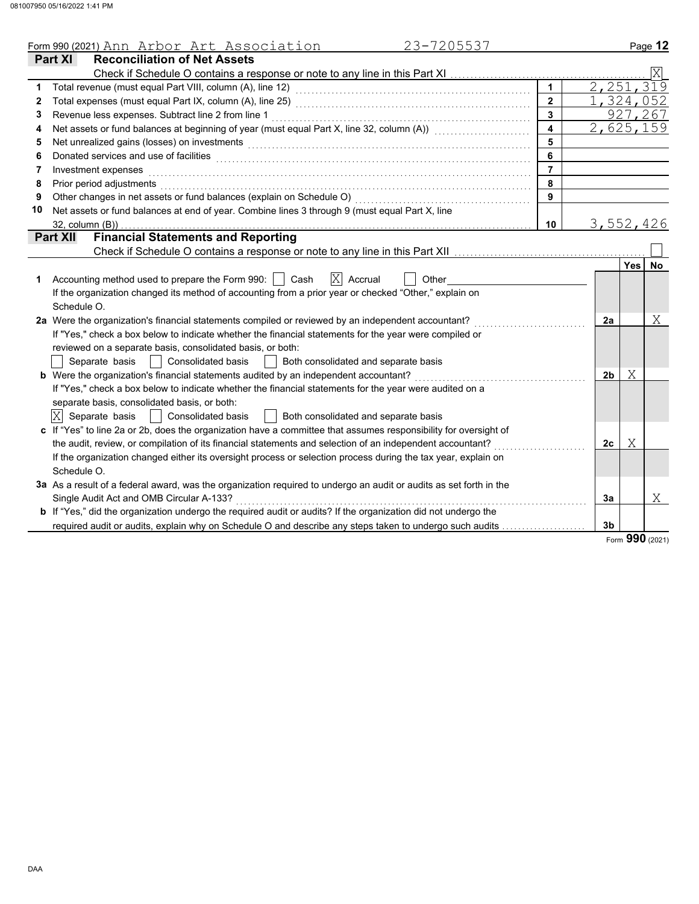| <b>Reconciliation of Net Assets</b><br><b>Part XI</b><br>$\overline{\mathrm{X}}$<br>2, 251, 319<br>$\mathbf{1}$<br>Total revenue (must equal Part VIII, column (A), line 12)<br>1<br>1,324,052<br>$\overline{2}$<br>2<br>$\overline{3}$<br>927,267<br>Revenue less expenses. Subtract line 2 from line 1<br>3<br>$\overline{\mathbf{4}}$<br>Net assets or fund balances at beginning of year (must equal Part X, line 32, column (A)) [[[[[[[[[[[[[[[[[[[<br>2,625,159<br>4<br>5<br>Net unrealized gains (losses) on investments [11] with an intervention of the state of the state of the state of the state of the state of the state of the state of the state of the state of the state of the state of the s<br>5<br>6<br>6<br>$\overline{7}$<br>Investment expenses<br>7<br>8<br>Prior period adjustments<br>8<br>9<br>Other changes in net assets or fund balances (explain on Schedule O)<br>9<br>Net assets or fund balances at end of year. Combine lines 3 through 9 (must equal Part X, line<br>10<br>3,552,426<br>10<br>32, column (B))<br><b>Financial Statements and Reporting</b><br><b>Part XII</b><br>Yes  <br><b>No</b><br>$ X $ Accrual<br>Accounting method used to prepare the Form 990:  <br>Cash<br>Other<br>1<br>If the organization changed its method of accounting from a prior year or checked "Other," explain on<br>Schedule O.<br>2a Were the organization's financial statements compiled or reviewed by an independent accountant?<br>Χ<br>2a<br>If "Yes," check a box below to indicate whether the financial statements for the year were compiled or<br>reviewed on a separate basis, consolidated basis, or both:<br>Separate basis<br>Consolidated basis<br>Both consolidated and separate basis<br>Χ<br>b Were the organization's financial statements audited by an independent accountant?<br>2 <sub>b</sub><br>If "Yes," check a box below to indicate whether the financial statements for the year were audited on a<br>separate basis, consolidated basis, or both:<br>$ X $ Separate basis<br><b>Consolidated basis</b><br>Both consolidated and separate basis<br>c If "Yes" to line 2a or 2b, does the organization have a committee that assumes responsibility for oversight of<br>the audit, review, or compilation of its financial statements and selection of an independent accountant?<br>Χ<br>2 <sub>c</sub><br>If the organization changed either its oversight process or selection process during the tax year, explain on<br>Schedule O.<br>3a As a result of a federal award, was the organization required to undergo an audit or audits as set forth in the<br>Single Audit Act and OMB Circular A-133?<br>Χ<br>3a<br><b>b</b> If "Yes," did the organization undergo the required audit or audits? If the organization did not undergo the<br>required audit or audits, explain why on Schedule O and describe any steps taken to undergo such audits<br>3 <sub>b</sub> | 23-7205537<br>Form 990 (2021) Ann Arbor Art Association |  | Page 12 |
|--------------------------------------------------------------------------------------------------------------------------------------------------------------------------------------------------------------------------------------------------------------------------------------------------------------------------------------------------------------------------------------------------------------------------------------------------------------------------------------------------------------------------------------------------------------------------------------------------------------------------------------------------------------------------------------------------------------------------------------------------------------------------------------------------------------------------------------------------------------------------------------------------------------------------------------------------------------------------------------------------------------------------------------------------------------------------------------------------------------------------------------------------------------------------------------------------------------------------------------------------------------------------------------------------------------------------------------------------------------------------------------------------------------------------------------------------------------------------------------------------------------------------------------------------------------------------------------------------------------------------------------------------------------------------------------------------------------------------------------------------------------------------------------------------------------------------------------------------------------------------------------------------------------------------------------------------------------------------------------------------------------------------------------------------------------------------------------------------------------------------------------------------------------------------------------------------------------------------------------------------------------------------------------------------------------------------------------------------------------------------------------------------------------------------------------------------------------------------------------------------------------------------------------------------------------------------------------------------------------------------------------------------------------------------------------------------------------------------------------------------------------------------------------------------------------------------------------------------------------------------------------------------------------------------------------------|---------------------------------------------------------|--|---------|
|                                                                                                                                                                                                                                                                                                                                                                                                                                                                                                                                                                                                                                                                                                                                                                                                                                                                                                                                                                                                                                                                                                                                                                                                                                                                                                                                                                                                                                                                                                                                                                                                                                                                                                                                                                                                                                                                                                                                                                                                                                                                                                                                                                                                                                                                                                                                                                                                                                                                                                                                                                                                                                                                                                                                                                                                                                                                                                                                            |                                                         |  |         |
|                                                                                                                                                                                                                                                                                                                                                                                                                                                                                                                                                                                                                                                                                                                                                                                                                                                                                                                                                                                                                                                                                                                                                                                                                                                                                                                                                                                                                                                                                                                                                                                                                                                                                                                                                                                                                                                                                                                                                                                                                                                                                                                                                                                                                                                                                                                                                                                                                                                                                                                                                                                                                                                                                                                                                                                                                                                                                                                                            |                                                         |  |         |
|                                                                                                                                                                                                                                                                                                                                                                                                                                                                                                                                                                                                                                                                                                                                                                                                                                                                                                                                                                                                                                                                                                                                                                                                                                                                                                                                                                                                                                                                                                                                                                                                                                                                                                                                                                                                                                                                                                                                                                                                                                                                                                                                                                                                                                                                                                                                                                                                                                                                                                                                                                                                                                                                                                                                                                                                                                                                                                                                            |                                                         |  |         |
|                                                                                                                                                                                                                                                                                                                                                                                                                                                                                                                                                                                                                                                                                                                                                                                                                                                                                                                                                                                                                                                                                                                                                                                                                                                                                                                                                                                                                                                                                                                                                                                                                                                                                                                                                                                                                                                                                                                                                                                                                                                                                                                                                                                                                                                                                                                                                                                                                                                                                                                                                                                                                                                                                                                                                                                                                                                                                                                                            |                                                         |  |         |
|                                                                                                                                                                                                                                                                                                                                                                                                                                                                                                                                                                                                                                                                                                                                                                                                                                                                                                                                                                                                                                                                                                                                                                                                                                                                                                                                                                                                                                                                                                                                                                                                                                                                                                                                                                                                                                                                                                                                                                                                                                                                                                                                                                                                                                                                                                                                                                                                                                                                                                                                                                                                                                                                                                                                                                                                                                                                                                                                            |                                                         |  |         |
|                                                                                                                                                                                                                                                                                                                                                                                                                                                                                                                                                                                                                                                                                                                                                                                                                                                                                                                                                                                                                                                                                                                                                                                                                                                                                                                                                                                                                                                                                                                                                                                                                                                                                                                                                                                                                                                                                                                                                                                                                                                                                                                                                                                                                                                                                                                                                                                                                                                                                                                                                                                                                                                                                                                                                                                                                                                                                                                                            |                                                         |  |         |
|                                                                                                                                                                                                                                                                                                                                                                                                                                                                                                                                                                                                                                                                                                                                                                                                                                                                                                                                                                                                                                                                                                                                                                                                                                                                                                                                                                                                                                                                                                                                                                                                                                                                                                                                                                                                                                                                                                                                                                                                                                                                                                                                                                                                                                                                                                                                                                                                                                                                                                                                                                                                                                                                                                                                                                                                                                                                                                                                            |                                                         |  |         |
|                                                                                                                                                                                                                                                                                                                                                                                                                                                                                                                                                                                                                                                                                                                                                                                                                                                                                                                                                                                                                                                                                                                                                                                                                                                                                                                                                                                                                                                                                                                                                                                                                                                                                                                                                                                                                                                                                                                                                                                                                                                                                                                                                                                                                                                                                                                                                                                                                                                                                                                                                                                                                                                                                                                                                                                                                                                                                                                                            |                                                         |  |         |
|                                                                                                                                                                                                                                                                                                                                                                                                                                                                                                                                                                                                                                                                                                                                                                                                                                                                                                                                                                                                                                                                                                                                                                                                                                                                                                                                                                                                                                                                                                                                                                                                                                                                                                                                                                                                                                                                                                                                                                                                                                                                                                                                                                                                                                                                                                                                                                                                                                                                                                                                                                                                                                                                                                                                                                                                                                                                                                                                            |                                                         |  |         |
|                                                                                                                                                                                                                                                                                                                                                                                                                                                                                                                                                                                                                                                                                                                                                                                                                                                                                                                                                                                                                                                                                                                                                                                                                                                                                                                                                                                                                                                                                                                                                                                                                                                                                                                                                                                                                                                                                                                                                                                                                                                                                                                                                                                                                                                                                                                                                                                                                                                                                                                                                                                                                                                                                                                                                                                                                                                                                                                                            |                                                         |  |         |
|                                                                                                                                                                                                                                                                                                                                                                                                                                                                                                                                                                                                                                                                                                                                                                                                                                                                                                                                                                                                                                                                                                                                                                                                                                                                                                                                                                                                                                                                                                                                                                                                                                                                                                                                                                                                                                                                                                                                                                                                                                                                                                                                                                                                                                                                                                                                                                                                                                                                                                                                                                                                                                                                                                                                                                                                                                                                                                                                            |                                                         |  |         |
|                                                                                                                                                                                                                                                                                                                                                                                                                                                                                                                                                                                                                                                                                                                                                                                                                                                                                                                                                                                                                                                                                                                                                                                                                                                                                                                                                                                                                                                                                                                                                                                                                                                                                                                                                                                                                                                                                                                                                                                                                                                                                                                                                                                                                                                                                                                                                                                                                                                                                                                                                                                                                                                                                                                                                                                                                                                                                                                                            |                                                         |  |         |
|                                                                                                                                                                                                                                                                                                                                                                                                                                                                                                                                                                                                                                                                                                                                                                                                                                                                                                                                                                                                                                                                                                                                                                                                                                                                                                                                                                                                                                                                                                                                                                                                                                                                                                                                                                                                                                                                                                                                                                                                                                                                                                                                                                                                                                                                                                                                                                                                                                                                                                                                                                                                                                                                                                                                                                                                                                                                                                                                            |                                                         |  |         |
|                                                                                                                                                                                                                                                                                                                                                                                                                                                                                                                                                                                                                                                                                                                                                                                                                                                                                                                                                                                                                                                                                                                                                                                                                                                                                                                                                                                                                                                                                                                                                                                                                                                                                                                                                                                                                                                                                                                                                                                                                                                                                                                                                                                                                                                                                                                                                                                                                                                                                                                                                                                                                                                                                                                                                                                                                                                                                                                                            |                                                         |  |         |
|                                                                                                                                                                                                                                                                                                                                                                                                                                                                                                                                                                                                                                                                                                                                                                                                                                                                                                                                                                                                                                                                                                                                                                                                                                                                                                                                                                                                                                                                                                                                                                                                                                                                                                                                                                                                                                                                                                                                                                                                                                                                                                                                                                                                                                                                                                                                                                                                                                                                                                                                                                                                                                                                                                                                                                                                                                                                                                                                            |                                                         |  |         |
|                                                                                                                                                                                                                                                                                                                                                                                                                                                                                                                                                                                                                                                                                                                                                                                                                                                                                                                                                                                                                                                                                                                                                                                                                                                                                                                                                                                                                                                                                                                                                                                                                                                                                                                                                                                                                                                                                                                                                                                                                                                                                                                                                                                                                                                                                                                                                                                                                                                                                                                                                                                                                                                                                                                                                                                                                                                                                                                                            |                                                         |  |         |
|                                                                                                                                                                                                                                                                                                                                                                                                                                                                                                                                                                                                                                                                                                                                                                                                                                                                                                                                                                                                                                                                                                                                                                                                                                                                                                                                                                                                                                                                                                                                                                                                                                                                                                                                                                                                                                                                                                                                                                                                                                                                                                                                                                                                                                                                                                                                                                                                                                                                                                                                                                                                                                                                                                                                                                                                                                                                                                                                            |                                                         |  |         |
|                                                                                                                                                                                                                                                                                                                                                                                                                                                                                                                                                                                                                                                                                                                                                                                                                                                                                                                                                                                                                                                                                                                                                                                                                                                                                                                                                                                                                                                                                                                                                                                                                                                                                                                                                                                                                                                                                                                                                                                                                                                                                                                                                                                                                                                                                                                                                                                                                                                                                                                                                                                                                                                                                                                                                                                                                                                                                                                                            |                                                         |  |         |
|                                                                                                                                                                                                                                                                                                                                                                                                                                                                                                                                                                                                                                                                                                                                                                                                                                                                                                                                                                                                                                                                                                                                                                                                                                                                                                                                                                                                                                                                                                                                                                                                                                                                                                                                                                                                                                                                                                                                                                                                                                                                                                                                                                                                                                                                                                                                                                                                                                                                                                                                                                                                                                                                                                                                                                                                                                                                                                                                            |                                                         |  |         |
|                                                                                                                                                                                                                                                                                                                                                                                                                                                                                                                                                                                                                                                                                                                                                                                                                                                                                                                                                                                                                                                                                                                                                                                                                                                                                                                                                                                                                                                                                                                                                                                                                                                                                                                                                                                                                                                                                                                                                                                                                                                                                                                                                                                                                                                                                                                                                                                                                                                                                                                                                                                                                                                                                                                                                                                                                                                                                                                                            |                                                         |  |         |
|                                                                                                                                                                                                                                                                                                                                                                                                                                                                                                                                                                                                                                                                                                                                                                                                                                                                                                                                                                                                                                                                                                                                                                                                                                                                                                                                                                                                                                                                                                                                                                                                                                                                                                                                                                                                                                                                                                                                                                                                                                                                                                                                                                                                                                                                                                                                                                                                                                                                                                                                                                                                                                                                                                                                                                                                                                                                                                                                            |                                                         |  |         |
|                                                                                                                                                                                                                                                                                                                                                                                                                                                                                                                                                                                                                                                                                                                                                                                                                                                                                                                                                                                                                                                                                                                                                                                                                                                                                                                                                                                                                                                                                                                                                                                                                                                                                                                                                                                                                                                                                                                                                                                                                                                                                                                                                                                                                                                                                                                                                                                                                                                                                                                                                                                                                                                                                                                                                                                                                                                                                                                                            |                                                         |  |         |
|                                                                                                                                                                                                                                                                                                                                                                                                                                                                                                                                                                                                                                                                                                                                                                                                                                                                                                                                                                                                                                                                                                                                                                                                                                                                                                                                                                                                                                                                                                                                                                                                                                                                                                                                                                                                                                                                                                                                                                                                                                                                                                                                                                                                                                                                                                                                                                                                                                                                                                                                                                                                                                                                                                                                                                                                                                                                                                                                            |                                                         |  |         |
|                                                                                                                                                                                                                                                                                                                                                                                                                                                                                                                                                                                                                                                                                                                                                                                                                                                                                                                                                                                                                                                                                                                                                                                                                                                                                                                                                                                                                                                                                                                                                                                                                                                                                                                                                                                                                                                                                                                                                                                                                                                                                                                                                                                                                                                                                                                                                                                                                                                                                                                                                                                                                                                                                                                                                                                                                                                                                                                                            |                                                         |  |         |
|                                                                                                                                                                                                                                                                                                                                                                                                                                                                                                                                                                                                                                                                                                                                                                                                                                                                                                                                                                                                                                                                                                                                                                                                                                                                                                                                                                                                                                                                                                                                                                                                                                                                                                                                                                                                                                                                                                                                                                                                                                                                                                                                                                                                                                                                                                                                                                                                                                                                                                                                                                                                                                                                                                                                                                                                                                                                                                                                            |                                                         |  |         |
|                                                                                                                                                                                                                                                                                                                                                                                                                                                                                                                                                                                                                                                                                                                                                                                                                                                                                                                                                                                                                                                                                                                                                                                                                                                                                                                                                                                                                                                                                                                                                                                                                                                                                                                                                                                                                                                                                                                                                                                                                                                                                                                                                                                                                                                                                                                                                                                                                                                                                                                                                                                                                                                                                                                                                                                                                                                                                                                                            |                                                         |  |         |
|                                                                                                                                                                                                                                                                                                                                                                                                                                                                                                                                                                                                                                                                                                                                                                                                                                                                                                                                                                                                                                                                                                                                                                                                                                                                                                                                                                                                                                                                                                                                                                                                                                                                                                                                                                                                                                                                                                                                                                                                                                                                                                                                                                                                                                                                                                                                                                                                                                                                                                                                                                                                                                                                                                                                                                                                                                                                                                                                            |                                                         |  |         |
|                                                                                                                                                                                                                                                                                                                                                                                                                                                                                                                                                                                                                                                                                                                                                                                                                                                                                                                                                                                                                                                                                                                                                                                                                                                                                                                                                                                                                                                                                                                                                                                                                                                                                                                                                                                                                                                                                                                                                                                                                                                                                                                                                                                                                                                                                                                                                                                                                                                                                                                                                                                                                                                                                                                                                                                                                                                                                                                                            |                                                         |  |         |
|                                                                                                                                                                                                                                                                                                                                                                                                                                                                                                                                                                                                                                                                                                                                                                                                                                                                                                                                                                                                                                                                                                                                                                                                                                                                                                                                                                                                                                                                                                                                                                                                                                                                                                                                                                                                                                                                                                                                                                                                                                                                                                                                                                                                                                                                                                                                                                                                                                                                                                                                                                                                                                                                                                                                                                                                                                                                                                                                            |                                                         |  |         |
|                                                                                                                                                                                                                                                                                                                                                                                                                                                                                                                                                                                                                                                                                                                                                                                                                                                                                                                                                                                                                                                                                                                                                                                                                                                                                                                                                                                                                                                                                                                                                                                                                                                                                                                                                                                                                                                                                                                                                                                                                                                                                                                                                                                                                                                                                                                                                                                                                                                                                                                                                                                                                                                                                                                                                                                                                                                                                                                                            |                                                         |  |         |
|                                                                                                                                                                                                                                                                                                                                                                                                                                                                                                                                                                                                                                                                                                                                                                                                                                                                                                                                                                                                                                                                                                                                                                                                                                                                                                                                                                                                                                                                                                                                                                                                                                                                                                                                                                                                                                                                                                                                                                                                                                                                                                                                                                                                                                                                                                                                                                                                                                                                                                                                                                                                                                                                                                                                                                                                                                                                                                                                            |                                                         |  |         |
|                                                                                                                                                                                                                                                                                                                                                                                                                                                                                                                                                                                                                                                                                                                                                                                                                                                                                                                                                                                                                                                                                                                                                                                                                                                                                                                                                                                                                                                                                                                                                                                                                                                                                                                                                                                                                                                                                                                                                                                                                                                                                                                                                                                                                                                                                                                                                                                                                                                                                                                                                                                                                                                                                                                                                                                                                                                                                                                                            |                                                         |  |         |
|                                                                                                                                                                                                                                                                                                                                                                                                                                                                                                                                                                                                                                                                                                                                                                                                                                                                                                                                                                                                                                                                                                                                                                                                                                                                                                                                                                                                                                                                                                                                                                                                                                                                                                                                                                                                                                                                                                                                                                                                                                                                                                                                                                                                                                                                                                                                                                                                                                                                                                                                                                                                                                                                                                                                                                                                                                                                                                                                            |                                                         |  |         |
|                                                                                                                                                                                                                                                                                                                                                                                                                                                                                                                                                                                                                                                                                                                                                                                                                                                                                                                                                                                                                                                                                                                                                                                                                                                                                                                                                                                                                                                                                                                                                                                                                                                                                                                                                                                                                                                                                                                                                                                                                                                                                                                                                                                                                                                                                                                                                                                                                                                                                                                                                                                                                                                                                                                                                                                                                                                                                                                                            |                                                         |  |         |
|                                                                                                                                                                                                                                                                                                                                                                                                                                                                                                                                                                                                                                                                                                                                                                                                                                                                                                                                                                                                                                                                                                                                                                                                                                                                                                                                                                                                                                                                                                                                                                                                                                                                                                                                                                                                                                                                                                                                                                                                                                                                                                                                                                                                                                                                                                                                                                                                                                                                                                                                                                                                                                                                                                                                                                                                                                                                                                                                            |                                                         |  |         |

Form **990** (2021)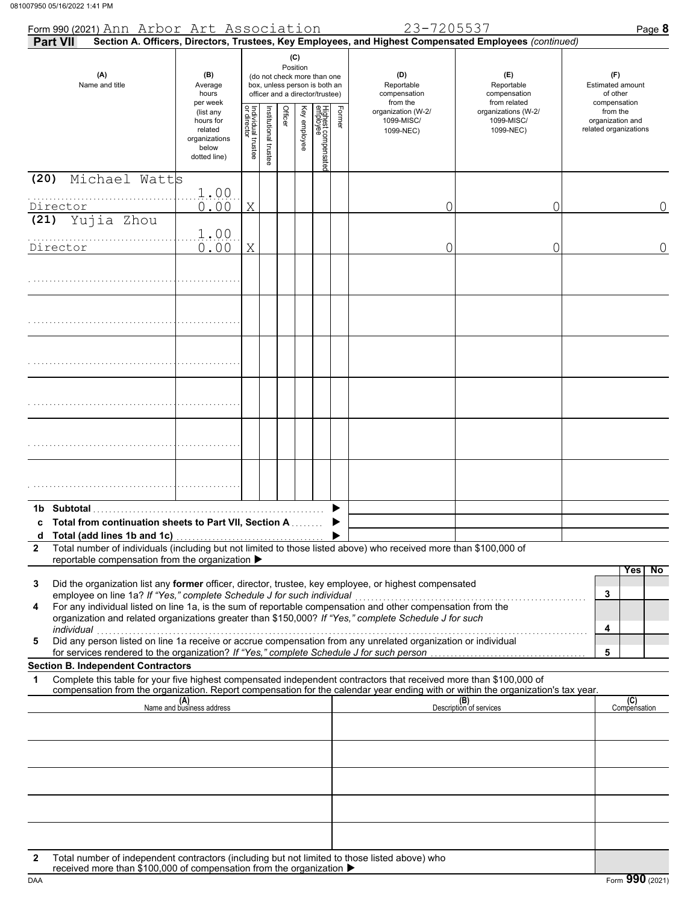| Form 990 (2021) Ann Arbor Art Association                                                                                                                                                                                                                                                                                                                                                                                                                                                                                                                                                                                                                     |                                                                             |                                   |                      |                                                                                                                    |              |                                 |        | 23-7205537                                                                                             |                                                   | Page 8                                                     |
|---------------------------------------------------------------------------------------------------------------------------------------------------------------------------------------------------------------------------------------------------------------------------------------------------------------------------------------------------------------------------------------------------------------------------------------------------------------------------------------------------------------------------------------------------------------------------------------------------------------------------------------------------------------|-----------------------------------------------------------------------------|-----------------------------------|----------------------|--------------------------------------------------------------------------------------------------------------------|--------------|---------------------------------|--------|--------------------------------------------------------------------------------------------------------|---------------------------------------------------|------------------------------------------------------------|
| Part VII                                                                                                                                                                                                                                                                                                                                                                                                                                                                                                                                                                                                                                                      |                                                                             |                                   |                      |                                                                                                                    |              |                                 |        | Section A. Officers, Directors, Trustees, Key Employees, and Highest Compensated Employees (continued) |                                                   |                                                            |
| (A)<br>Name and title                                                                                                                                                                                                                                                                                                                                                                                                                                                                                                                                                                                                                                         | (B)<br>Average<br>hours<br>per week                                         |                                   |                      | (C)<br>Position<br>(do not check more than one<br>box, unless person is both an<br>officer and a director/trustee) |              |                                 |        | (D)<br>Reportable<br>compensation<br>from the                                                          | (E)<br>Reportable<br>compensation<br>from related | (F)<br><b>Estimated amount</b><br>of other<br>compensation |
|                                                                                                                                                                                                                                                                                                                                                                                                                                                                                                                                                                                                                                                               | (list any<br>hours for<br>related<br>organizations<br>below<br>dotted line) | Individual trustee<br>or director | nstitutional trustee | Officer                                                                                                            | Key employee | Highest compensated<br>employee | Former | organization (W-2/<br>1099-MISC/<br>1099-NEC)                                                          | organizations (W-2/<br>1099-MISC/<br>1099-NEC)    | from the<br>organization and<br>related organizations      |
| (20)<br>Michael Watts                                                                                                                                                                                                                                                                                                                                                                                                                                                                                                                                                                                                                                         |                                                                             |                                   |                      |                                                                                                                    |              |                                 |        |                                                                                                        |                                                   |                                                            |
| Director                                                                                                                                                                                                                                                                                                                                                                                                                                                                                                                                                                                                                                                      | 1.00<br>0.00                                                                | Χ                                 |                      |                                                                                                                    |              |                                 |        | C                                                                                                      | 0                                                 | 0                                                          |
| Yujia Zhou<br>(21)                                                                                                                                                                                                                                                                                                                                                                                                                                                                                                                                                                                                                                            |                                                                             |                                   |                      |                                                                                                                    |              |                                 |        |                                                                                                        |                                                   |                                                            |
| Director                                                                                                                                                                                                                                                                                                                                                                                                                                                                                                                                                                                                                                                      | 1.00<br>0.00                                                                | Χ                                 |                      |                                                                                                                    |              |                                 |        | C                                                                                                      | 0                                                 | 0                                                          |
|                                                                                                                                                                                                                                                                                                                                                                                                                                                                                                                                                                                                                                                               |                                                                             |                                   |                      |                                                                                                                    |              |                                 |        |                                                                                                        |                                                   |                                                            |
|                                                                                                                                                                                                                                                                                                                                                                                                                                                                                                                                                                                                                                                               |                                                                             |                                   |                      |                                                                                                                    |              |                                 |        |                                                                                                        |                                                   |                                                            |
|                                                                                                                                                                                                                                                                                                                                                                                                                                                                                                                                                                                                                                                               |                                                                             |                                   |                      |                                                                                                                    |              |                                 |        |                                                                                                        |                                                   |                                                            |
|                                                                                                                                                                                                                                                                                                                                                                                                                                                                                                                                                                                                                                                               |                                                                             |                                   |                      |                                                                                                                    |              |                                 |        |                                                                                                        |                                                   |                                                            |
|                                                                                                                                                                                                                                                                                                                                                                                                                                                                                                                                                                                                                                                               |                                                                             |                                   |                      |                                                                                                                    |              |                                 |        |                                                                                                        |                                                   |                                                            |
|                                                                                                                                                                                                                                                                                                                                                                                                                                                                                                                                                                                                                                                               |                                                                             |                                   |                      |                                                                                                                    |              |                                 |        |                                                                                                        |                                                   |                                                            |
|                                                                                                                                                                                                                                                                                                                                                                                                                                                                                                                                                                                                                                                               |                                                                             |                                   |                      |                                                                                                                    |              |                                 |        |                                                                                                        |                                                   |                                                            |
| 1b Subtotal                                                                                                                                                                                                                                                                                                                                                                                                                                                                                                                                                                                                                                                   |                                                                             |                                   |                      |                                                                                                                    |              |                                 |        |                                                                                                        |                                                   |                                                            |
| c Total from continuation sheets to Part VII, Section A                                                                                                                                                                                                                                                                                                                                                                                                                                                                                                                                                                                                       |                                                                             |                                   |                      |                                                                                                                    |              |                                 |        |                                                                                                        |                                                   |                                                            |
| Total (add lines 1b and 1c)<br>d<br>Total number of individuals (including but not limited to those listed above) who received more than \$100,000 of<br>2                                                                                                                                                                                                                                                                                                                                                                                                                                                                                                    |                                                                             |                                   |                      |                                                                                                                    |              |                                 |        |                                                                                                        |                                                   |                                                            |
| reportable compensation from the organization ▶                                                                                                                                                                                                                                                                                                                                                                                                                                                                                                                                                                                                               |                                                                             |                                   |                      |                                                                                                                    |              |                                 |        |                                                                                                        |                                                   |                                                            |
| Did the organization list any former officer, director, trustee, key employee, or highest compensated<br>3<br>employee on line 1a? If "Yes," complete Schedule J for such individual<br>For any individual listed on line 1a, is the sum of reportable compensation and other compensation from the<br>4<br>organization and related organizations greater than \$150,000? If "Yes," complete Schedule J for such<br>individual<br>mannual construction of the fact of the construction of the component of the construction of individual Did any person listed on line 1a receive or accrue compensation from any unrelated organization or individual<br>5 |                                                                             |                                   |                      |                                                                                                                    |              |                                 |        |                                                                                                        |                                                   | N <sub>o</sub><br>Yes<br>3<br>4                            |
|                                                                                                                                                                                                                                                                                                                                                                                                                                                                                                                                                                                                                                                               |                                                                             |                                   |                      |                                                                                                                    |              |                                 |        |                                                                                                        |                                                   | 5                                                          |
| <b>Section B. Independent Contractors</b><br>Complete this table for your five highest compensated independent contractors that received more than \$100,000 of<br>1                                                                                                                                                                                                                                                                                                                                                                                                                                                                                          |                                                                             |                                   |                      |                                                                                                                    |              |                                 |        |                                                                                                        |                                                   |                                                            |
| compensation from the organization. Report compensation for the calendar year ending with or within the organization's tax year.                                                                                                                                                                                                                                                                                                                                                                                                                                                                                                                              |                                                                             |                                   |                      |                                                                                                                    |              |                                 |        |                                                                                                        |                                                   |                                                            |
|                                                                                                                                                                                                                                                                                                                                                                                                                                                                                                                                                                                                                                                               | $(A)$<br>Name and business address                                          |                                   |                      |                                                                                                                    |              |                                 |        |                                                                                                        | (B)<br>Description of services                    | (C)<br>Compensation                                        |
|                                                                                                                                                                                                                                                                                                                                                                                                                                                                                                                                                                                                                                                               |                                                                             |                                   |                      |                                                                                                                    |              |                                 |        |                                                                                                        |                                                   |                                                            |
|                                                                                                                                                                                                                                                                                                                                                                                                                                                                                                                                                                                                                                                               |                                                                             |                                   |                      |                                                                                                                    |              |                                 |        |                                                                                                        |                                                   |                                                            |
|                                                                                                                                                                                                                                                                                                                                                                                                                                                                                                                                                                                                                                                               |                                                                             |                                   |                      |                                                                                                                    |              |                                 |        |                                                                                                        |                                                   |                                                            |
| Total number of independent contractors (including but not limited to those listed above) who<br>$\mathbf{2}$<br>received more than \$100,000 of compensation from the organization ▶                                                                                                                                                                                                                                                                                                                                                                                                                                                                         |                                                                             |                                   |                      |                                                                                                                    |              |                                 |        |                                                                                                        |                                                   |                                                            |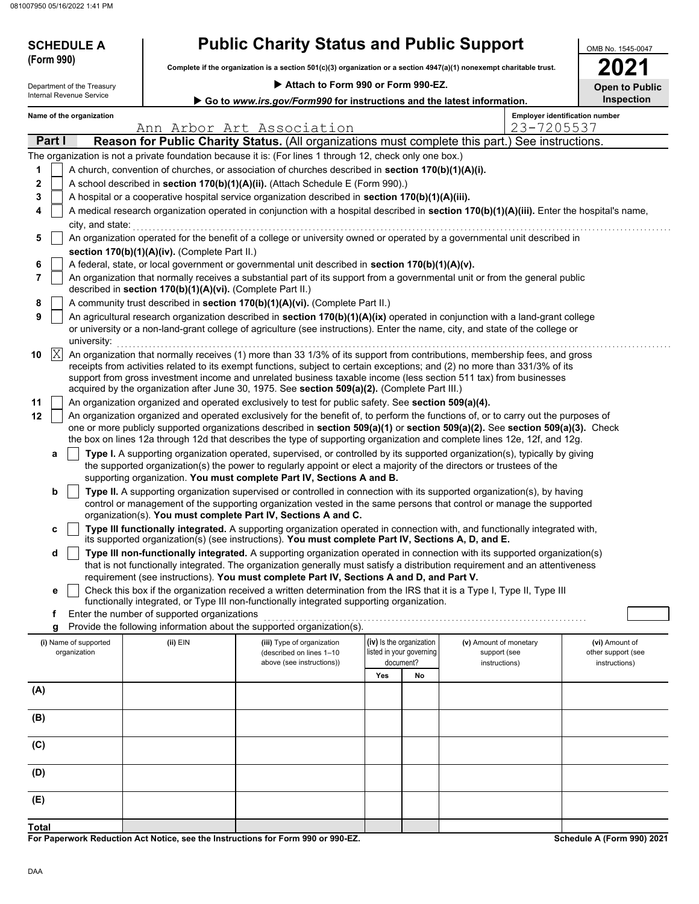# **SCHEDULE A Public Charity Status and Public Support** (Form 990)

| ×<br>÷<br>÷<br>÷<br>÷<br>í<br>í<br>í<br>í<br>۰<br>۰ | ×<br>×<br>×<br>×<br>÷<br>v<br>í<br>í<br>í<br>í<br>۰ | ×<br>w<br>÷<br>í<br>۰<br>۰ | ۰ |
|-----------------------------------------------------|-----------------------------------------------------|----------------------------|---|

OMB No. 1545-0047

| (Form 990) |                            |                  | Complete if the organization is a section 501(c)(3) organization or a section 4947(a)(1) nonexempt charitable trust. | 2021                                                                                                                                                                                          |     |                          |                                                                                                                                                                                                                                                                                                                                                                                                    |                       |  |  |
|------------|----------------------------|------------------|----------------------------------------------------------------------------------------------------------------------|-----------------------------------------------------------------------------------------------------------------------------------------------------------------------------------------------|-----|--------------------------|----------------------------------------------------------------------------------------------------------------------------------------------------------------------------------------------------------------------------------------------------------------------------------------------------------------------------------------------------------------------------------------------------|-----------------------|--|--|
|            | Department of the Treasury |                  |                                                                                                                      | Attach to Form 990 or Form 990-EZ.                                                                                                                                                            |     |                          |                                                                                                                                                                                                                                                                                                                                                                                                    | <b>Open to Public</b> |  |  |
|            | Internal Revenue Service   |                  |                                                                                                                      | Go to www.irs.gov/Form990 for instructions and the latest information.                                                                                                                        |     |                          |                                                                                                                                                                                                                                                                                                                                                                                                    |                       |  |  |
|            | Name of the organization   |                  |                                                                                                                      |                                                                                                                                                                                               |     |                          | <b>Employer identification number</b>                                                                                                                                                                                                                                                                                                                                                              |                       |  |  |
|            |                            |                  |                                                                                                                      | Ann Arbor Art Association                                                                                                                                                                     |     |                          | 23-7205537                                                                                                                                                                                                                                                                                                                                                                                         |                       |  |  |
|            | Part I                     |                  |                                                                                                                      |                                                                                                                                                                                               |     |                          | Reason for Public Charity Status. (All organizations must complete this part.) See instructions.                                                                                                                                                                                                                                                                                                   |                       |  |  |
|            |                            |                  |                                                                                                                      | The organization is not a private foundation because it is: (For lines 1 through 12, check only one box.)                                                                                     |     |                          |                                                                                                                                                                                                                                                                                                                                                                                                    |                       |  |  |
| 1          |                            |                  |                                                                                                                      | A church, convention of churches, or association of churches described in section 170(b)(1)(A)(i).                                                                                            |     |                          |                                                                                                                                                                                                                                                                                                                                                                                                    |                       |  |  |
| 2          |                            |                  |                                                                                                                      | A school described in section 170(b)(1)(A)(ii). (Attach Schedule E (Form 990).)                                                                                                               |     |                          |                                                                                                                                                                                                                                                                                                                                                                                                    |                       |  |  |
| 3          |                            |                  |                                                                                                                      | A hospital or a cooperative hospital service organization described in section 170(b)(1)(A)(iii).                                                                                             |     |                          |                                                                                                                                                                                                                                                                                                                                                                                                    |                       |  |  |
| 4          |                            |                  |                                                                                                                      |                                                                                                                                                                                               |     |                          | A medical research organization operated in conjunction with a hospital described in section 170(b)(1)(A)(iii). Enter the hospital's name,                                                                                                                                                                                                                                                         |                       |  |  |
|            |                            | city, and state: |                                                                                                                      |                                                                                                                                                                                               |     |                          |                                                                                                                                                                                                                                                                                                                                                                                                    |                       |  |  |
| 5          |                            |                  |                                                                                                                      |                                                                                                                                                                                               |     |                          | An organization operated for the benefit of a college or university owned or operated by a governmental unit described in                                                                                                                                                                                                                                                                          |                       |  |  |
|            |                            |                  | section 170(b)(1)(A)(iv). (Complete Part II.)                                                                        |                                                                                                                                                                                               |     |                          |                                                                                                                                                                                                                                                                                                                                                                                                    |                       |  |  |
| 6          |                            |                  |                                                                                                                      | A federal, state, or local government or governmental unit described in section 170(b)(1)(A)(v).                                                                                              |     |                          |                                                                                                                                                                                                                                                                                                                                                                                                    |                       |  |  |
| 7          |                            |                  | described in section 170(b)(1)(A)(vi). (Complete Part II.)                                                           |                                                                                                                                                                                               |     |                          | An organization that normally receives a substantial part of its support from a governmental unit or from the general public                                                                                                                                                                                                                                                                       |                       |  |  |
| 8          |                            |                  |                                                                                                                      | A community trust described in section 170(b)(1)(A)(vi). (Complete Part II.)                                                                                                                  |     |                          |                                                                                                                                                                                                                                                                                                                                                                                                    |                       |  |  |
| 9          | university:                |                  |                                                                                                                      |                                                                                                                                                                                               |     |                          | An agricultural research organization described in section 170(b)(1)(A)(ix) operated in conjunction with a land-grant college<br>or university or a non-land-grant college of agriculture (see instructions). Enter the name, city, and state of the college or                                                                                                                                    |                       |  |  |
| 10         | X                          |                  |                                                                                                                      |                                                                                                                                                                                               |     |                          | An organization that normally receives (1) more than 33 1/3% of its support from contributions, membership fees, and gross                                                                                                                                                                                                                                                                         |                       |  |  |
|            |                            |                  |                                                                                                                      |                                                                                                                                                                                               |     |                          | receipts from activities related to its exempt functions, subject to certain exceptions; and (2) no more than 331/3% of its                                                                                                                                                                                                                                                                        |                       |  |  |
|            |                            |                  |                                                                                                                      |                                                                                                                                                                                               |     |                          | support from gross investment income and unrelated business taxable income (less section 511 tax) from businesses                                                                                                                                                                                                                                                                                  |                       |  |  |
|            |                            |                  |                                                                                                                      | acquired by the organization after June 30, 1975. See section 509(a)(2). (Complete Part III.)                                                                                                 |     |                          |                                                                                                                                                                                                                                                                                                                                                                                                    |                       |  |  |
| 11         |                            |                  |                                                                                                                      | An organization organized and operated exclusively to test for public safety. See section 509(a)(4).                                                                                          |     |                          |                                                                                                                                                                                                                                                                                                                                                                                                    |                       |  |  |
| 12         |                            |                  |                                                                                                                      |                                                                                                                                                                                               |     |                          | An organization organized and operated exclusively for the benefit of, to perform the functions of, or to carry out the purposes of<br>one or more publicly supported organizations described in section 509(a)(1) or section 509(a)(2). See section 509(a)(3). Check<br>the box on lines 12a through 12d that describes the type of supporting organization and complete lines 12e, 12f, and 12g. |                       |  |  |
|            |                            |                  |                                                                                                                      |                                                                                                                                                                                               |     |                          | Type I. A supporting organization operated, supervised, or controlled by its supported organization(s), typically by giving                                                                                                                                                                                                                                                                        |                       |  |  |
|            | а                          |                  |                                                                                                                      | the supported organization(s) the power to regularly appoint or elect a majority of the directors or trustees of the<br>supporting organization. You must complete Part IV, Sections A and B. |     |                          |                                                                                                                                                                                                                                                                                                                                                                                                    |                       |  |  |
|            | b                          |                  |                                                                                                                      |                                                                                                                                                                                               |     |                          | Type II. A supporting organization supervised or controlled in connection with its supported organization(s), by having                                                                                                                                                                                                                                                                            |                       |  |  |
|            |                            |                  |                                                                                                                      |                                                                                                                                                                                               |     |                          | control or management of the supporting organization vested in the same persons that control or manage the supported                                                                                                                                                                                                                                                                               |                       |  |  |
|            |                            |                  |                                                                                                                      | organization(s). You must complete Part IV, Sections A and C.                                                                                                                                 |     |                          |                                                                                                                                                                                                                                                                                                                                                                                                    |                       |  |  |
|            | c                          |                  |                                                                                                                      | its supported organization(s) (see instructions). You must complete Part IV, Sections A, D, and E.                                                                                            |     |                          | Type III functionally integrated. A supporting organization operated in connection with, and functionally integrated with,                                                                                                                                                                                                                                                                         |                       |  |  |
|            | d                          |                  |                                                                                                                      |                                                                                                                                                                                               |     |                          | Type III non-functionally integrated. A supporting organization operated in connection with its supported organization(s)                                                                                                                                                                                                                                                                          |                       |  |  |
|            |                            |                  |                                                                                                                      |                                                                                                                                                                                               |     |                          | that is not functionally integrated. The organization generally must satisfy a distribution requirement and an attentiveness                                                                                                                                                                                                                                                                       |                       |  |  |
|            |                            |                  |                                                                                                                      | requirement (see instructions). You must complete Part IV, Sections A and D, and Part V.                                                                                                      |     |                          |                                                                                                                                                                                                                                                                                                                                                                                                    |                       |  |  |
|            | е                          |                  |                                                                                                                      | functionally integrated, or Type III non-functionally integrated supporting organization.                                                                                                     |     |                          | Check this box if the organization received a written determination from the IRS that it is a Type I, Type II, Type III                                                                                                                                                                                                                                                                            |                       |  |  |
|            | f                          |                  | Enter the number of supported organizations                                                                          |                                                                                                                                                                                               |     |                          |                                                                                                                                                                                                                                                                                                                                                                                                    |                       |  |  |
|            | g                          |                  |                                                                                                                      | Provide the following information about the supported organization(s).                                                                                                                        |     |                          |                                                                                                                                                                                                                                                                                                                                                                                                    |                       |  |  |
|            | (i) Name of supported      |                  | (ii) EIN                                                                                                             | (iii) Type of organization                                                                                                                                                                    |     | (iv) Is the organization | (v) Amount of monetary                                                                                                                                                                                                                                                                                                                                                                             | (vi) Amount of        |  |  |
|            | organization               |                  |                                                                                                                      | (described on lines 1-10                                                                                                                                                                      |     | listed in your governing | support (see                                                                                                                                                                                                                                                                                                                                                                                       | other support (see    |  |  |
|            |                            |                  |                                                                                                                      | above (see instructions))                                                                                                                                                                     | Yes | document?<br>No          | instructions)                                                                                                                                                                                                                                                                                                                                                                                      | instructions)         |  |  |
| (A)        |                            |                  |                                                                                                                      |                                                                                                                                                                                               |     |                          |                                                                                                                                                                                                                                                                                                                                                                                                    |                       |  |  |
|            |                            |                  |                                                                                                                      |                                                                                                                                                                                               |     |                          |                                                                                                                                                                                                                                                                                                                                                                                                    |                       |  |  |
| (B)        |                            |                  |                                                                                                                      |                                                                                                                                                                                               |     |                          |                                                                                                                                                                                                                                                                                                                                                                                                    |                       |  |  |
| (C)        |                            |                  |                                                                                                                      |                                                                                                                                                                                               |     |                          |                                                                                                                                                                                                                                                                                                                                                                                                    |                       |  |  |
|            |                            |                  |                                                                                                                      |                                                                                                                                                                                               |     |                          |                                                                                                                                                                                                                                                                                                                                                                                                    |                       |  |  |
| (D)        |                            |                  |                                                                                                                      |                                                                                                                                                                                               |     |                          |                                                                                                                                                                                                                                                                                                                                                                                                    |                       |  |  |
| (E)        |                            |                  |                                                                                                                      |                                                                                                                                                                                               |     |                          |                                                                                                                                                                                                                                                                                                                                                                                                    |                       |  |  |

**For Paperwork Reduction Act Notice, see the Instructions for Form 990 or 990-EZ.**

**Schedule A (Form 990) 2021**

**Total**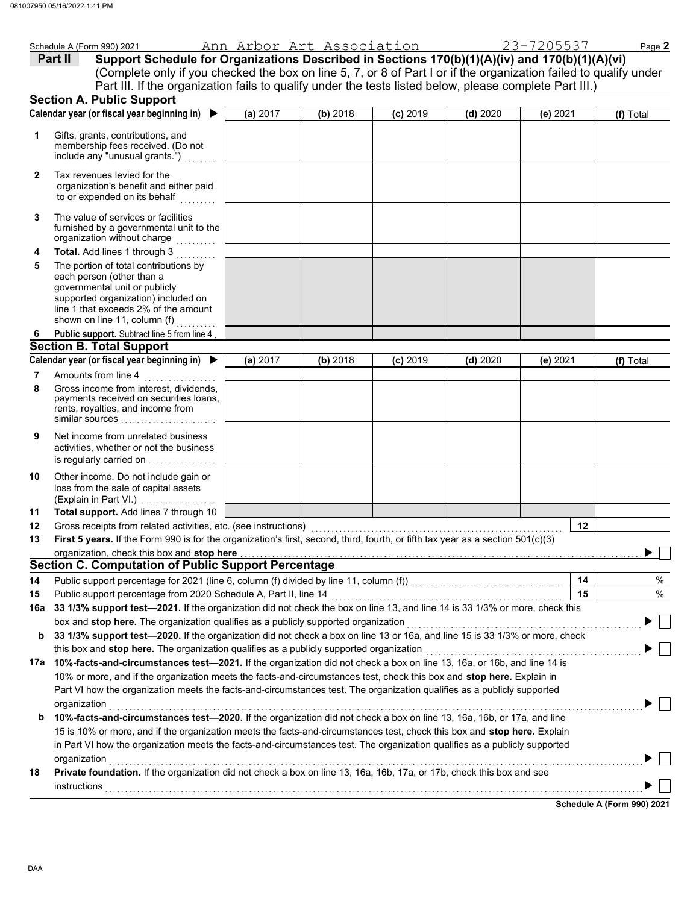|              | Schedule A (Form 990) 2021                                                                                                                                                                                                                             |          |          | Ann Arbor Art Association |            | 23-7205537 | Page 2    |
|--------------|--------------------------------------------------------------------------------------------------------------------------------------------------------------------------------------------------------------------------------------------------------|----------|----------|---------------------------|------------|------------|-----------|
|              | Support Schedule for Organizations Described in Sections 170(b)(1)(A)(iv) and 170(b)(1)(A)(vi)<br>Part II                                                                                                                                              |          |          |                           |            |            |           |
|              | (Complete only if you checked the box on line 5, 7, or 8 of Part I or if the organization failed to qualify under                                                                                                                                      |          |          |                           |            |            |           |
|              | Part III. If the organization fails to qualify under the tests listed below, please complete Part III.)                                                                                                                                                |          |          |                           |            |            |           |
|              | <b>Section A. Public Support</b>                                                                                                                                                                                                                       |          |          |                           |            |            |           |
|              | Calendar year (or fiscal year beginning in) $\blacktriangleright$                                                                                                                                                                                      | (a) 2017 | (b) 2018 | $(c)$ 2019                | $(d)$ 2020 | (e) $2021$ | (f) Total |
| 1            | Gifts, grants, contributions, and<br>membership fees received. (Do not<br>include any "unusual grants.")                                                                                                                                               |          |          |                           |            |            |           |
| $\mathbf{2}$ | Tax revenues levied for the<br>organization's benefit and either paid<br>to or expended on its behalf                                                                                                                                                  |          |          |                           |            |            |           |
| 3            | The value of services or facilities<br>furnished by a governmental unit to the<br>organization without charge<br>.                                                                                                                                     |          |          |                           |            |            |           |
| 4            | Total. Add lines 1 through 3<br>.                                                                                                                                                                                                                      |          |          |                           |            |            |           |
| 5            | The portion of total contributions by<br>each person (other than a<br>governmental unit or publicly<br>supported organization) included on<br>line 1 that exceeds 2% of the amount<br>shown on line 11, column (f)                                     |          |          |                           |            |            |           |
| 6            | Public support. Subtract line 5 from line 4                                                                                                                                                                                                            |          |          |                           |            |            |           |
|              | <b>Section B. Total Support</b>                                                                                                                                                                                                                        |          |          |                           |            |            |           |
|              | Calendar year (or fiscal year beginning in) $\blacktriangleright$                                                                                                                                                                                      | (a) 2017 | (b) 2018 | $(c)$ 2019                | $(d)$ 2020 | (e) $2021$ | (f) Total |
| 7            | Amounts from line 4                                                                                                                                                                                                                                    |          |          |                           |            |            |           |
| 8            | Gross income from interest, dividends,<br>payments received on securities loans,<br>rents, royalties, and income from<br>similar sources                                                                                                               |          |          |                           |            |            |           |
| 9            | Net income from unrelated business<br>activities, whether or not the business<br>is regularly carried on                                                                                                                                               |          |          |                           |            |            |           |
| 10           | Other income. Do not include gain or<br>loss from the sale of capital assets<br>(Explain in Part VI.)                                                                                                                                                  |          |          |                           |            |            |           |
| 11           | Total support. Add lines 7 through 10                                                                                                                                                                                                                  |          |          |                           |            |            |           |
| 12           | Gross receipts from related activities, etc. (see instructions)                                                                                                                                                                                        |          |          |                           |            | 12         |           |
| 13           | First 5 years. If the Form 990 is for the organization's first, second, third, fourth, or fifth tax year as a section 501(c)(3)                                                                                                                        |          |          |                           |            |            |           |
|              | organization, check this box and stop here                                                                                                                                                                                                             |          |          |                           |            |            |           |
|              | <b>Section C. Computation of Public Support Percentage</b>                                                                                                                                                                                             |          |          |                           |            |            |           |
| 14           |                                                                                                                                                                                                                                                        |          |          |                           |            | 14         | %         |
| 15           | Public support percentage from 2020 Schedule A, Part II, line 14                                                                                                                                                                                       |          |          |                           |            | 15         | $\%$      |
| 16a          | 33 1/3% support test-2021. If the organization did not check the box on line 13, and line 14 is 33 1/3% or more, check this                                                                                                                            |          |          |                           |            |            |           |
|              | box and stop here. The organization qualifies as a publicly supported organization                                                                                                                                                                     |          |          |                           |            |            |           |
| b            | 33 1/3% support test-2020. If the organization did not check a box on line 13 or 16a, and line 15 is 33 1/3% or more, check                                                                                                                            |          |          |                           |            |            |           |
|              | this box and stop here. The organization qualifies as a publicly supported organization                                                                                                                                                                |          |          |                           |            |            |           |
|              | 17a 10%-facts-and-circumstances test-2021. If the organization did not check a box on line 13, 16a, or 16b, and line 14 is                                                                                                                             |          |          |                           |            |            |           |
|              | 10% or more, and if the organization meets the facts-and-circumstances test, check this box and stop here. Explain in                                                                                                                                  |          |          |                           |            |            |           |
|              | Part VI how the organization meets the facts-and-circumstances test. The organization qualifies as a publicly supported                                                                                                                                |          |          |                           |            |            |           |
|              | organization                                                                                                                                                                                                                                           |          |          |                           |            |            |           |
| b            | 10%-facts-and-circumstances test-2020. If the organization did not check a box on line 13, 16a, 16b, or 17a, and line                                                                                                                                  |          |          |                           |            |            |           |
|              | 15 is 10% or more, and if the organization meets the facts-and-circumstances test, check this box and stop here. Explain<br>in Part VI how the organization meets the facts-and-circumstances test. The organization qualifies as a publicly supported |          |          |                           |            |            |           |
|              | organization                                                                                                                                                                                                                                           |          |          |                           |            |            |           |
| 18           | Private foundation. If the organization did not check a box on line 13, 16a, 16b, 17a, or 17b, check this box and see                                                                                                                                  |          |          |                           |            |            |           |
|              |                                                                                                                                                                                                                                                        |          |          |                           |            |            |           |
|              | instructions                                                                                                                                                                                                                                           |          |          |                           |            |            |           |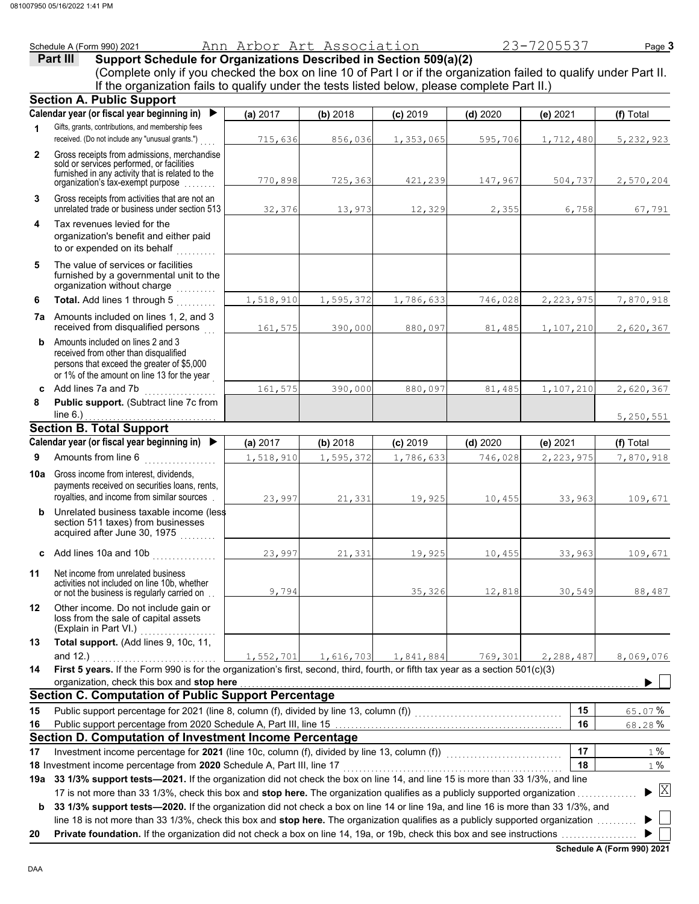|              | Schedule A (Form 990) 2021                                                                                                        | Ann Arbor Art Association |           |            |            | 23-7205537 | Page 3       |
|--------------|-----------------------------------------------------------------------------------------------------------------------------------|---------------------------|-----------|------------|------------|------------|--------------|
|              | Support Schedule for Organizations Described in Section 509(a)(2)<br>Part III                                                     |                           |           |            |            |            |              |
|              | (Complete only if you checked the box on line 10 of Part I or if the organization failed to qualify under Part II.                |                           |           |            |            |            |              |
|              | If the organization fails to qualify under the tests listed below, please complete Part II.)<br><b>Section A. Public Support</b>  |                           |           |            |            |            |              |
|              | Calendar year (or fiscal year beginning in) $\blacktriangleright$                                                                 |                           |           |            |            |            |              |
|              | Gifts, grants, contributions, and membership fees                                                                                 | (a) 2017                  | (b) 2018  | $(c)$ 2019 | $(d)$ 2020 | (e) 2021   | (f) Total    |
| 1            | received. (Do not include any "unusual grants.")                                                                                  | 715,636                   | 856,036   | 1,353,065  | 595,706    | 1,712,480  | 5, 232, 923  |
| $\mathbf{2}$ | Gross receipts from admissions, merchandise                                                                                       |                           |           |            |            |            |              |
|              | sold or services performed, or facilities                                                                                         |                           |           |            |            |            |              |
|              | furnished in any activity that is related to the                                                                                  | 770,898                   | 725,363   | 421,239    | 147,967    | 504,737    | 2,570,204    |
|              | organization's tax-exempt purpose                                                                                                 |                           |           |            |            |            |              |
| 3            | Gross receipts from activities that are not an<br>unrelated trade or business under section 513                                   | 32,376                    | 13,973    | 12,329     | 2,355      | 6,758      | 67,791       |
|              |                                                                                                                                   |                           |           |            |            |            |              |
| 4            | Tax revenues levied for the<br>organization's benefit and either paid                                                             |                           |           |            |            |            |              |
|              | to or expended on its behalf                                                                                                      |                           |           |            |            |            |              |
|              |                                                                                                                                   |                           |           |            |            |            |              |
| 5            | The value of services or facilities<br>furnished by a governmental unit to the                                                    |                           |           |            |            |            |              |
|              | organization without charge<br>.                                                                                                  |                           |           |            |            |            |              |
| 6            | Total. Add lines 1 through 5                                                                                                      | 1,518,910                 | 1,595,372 | 1,786,633  | 746,028    | 2,223,975  | 7,870,918    |
|              | 7a Amounts included on lines 1, 2, and 3                                                                                          |                           |           |            |            |            |              |
|              | received from disqualified persons                                                                                                | 161,575                   | 390,000   | 880,097    | 81,485     | 1,107,210  | 2,620,367    |
| b            | Amounts included on lines 2 and 3                                                                                                 |                           |           |            |            |            |              |
|              | received from other than disqualified                                                                                             |                           |           |            |            |            |              |
|              | persons that exceed the greater of \$5,000                                                                                        |                           |           |            |            |            |              |
|              | or 1% of the amount on line 13 for the year                                                                                       |                           |           |            |            |            |              |
|              | c Add lines 7a and 7b                                                                                                             | 161,575                   | 390,000   | 880,097    | 81,485     | 1,107,210  | 2,620,367    |
| 8            | Public support. (Subtract line 7c from                                                                                            |                           |           |            |            |            |              |
|              | line $6.$ )                                                                                                                       |                           |           |            |            |            | 5, 250, 551  |
|              | <b>Section B. Total Support</b>                                                                                                   |                           |           |            |            |            |              |
|              | Calendar year (or fiscal year beginning in)                                                                                       | (a) 2017                  | (b) 2018  | $(c)$ 2019 | $(d)$ 2020 | (e) 2021   | (f) Total    |
|              |                                                                                                                                   |                           |           |            |            |            |              |
| 9            | Amounts from line 6                                                                                                               | 1,518,910                 | 1,595,372 | 1,786,633  | 746,028    | 2,223,975  | 7,870,918    |
|              |                                                                                                                                   |                           |           |            |            |            |              |
|              | <b>10a</b> Gross income from interest, dividends,<br>payments received on securities loans, rents,                                |                           |           |            |            |            |              |
|              | royalties, and income from similar sources                                                                                        | 23,997                    | 21,331    | 19,925     | 10,455     | 33,963     | 109,671      |
|              | <b>b</b> Unrelated business taxable income (less                                                                                  |                           |           |            |            |            |              |
|              | section 511 taxes) from businesses                                                                                                |                           |           |            |            |            |              |
|              | acquired after June 30, 1975                                                                                                      |                           |           |            |            |            |              |
| c            | Add lines 10a and 10b                                                                                                             | 23,997                    | 21,331    | 19,925     | 10,455     | 33,963     | 109,671      |
|              |                                                                                                                                   |                           |           |            |            |            |              |
| 11           | Net income from unrelated business                                                                                                |                           |           |            |            |            |              |
|              | activities not included on line 10b, whether<br>or not the business is regularly carried on                                       | 9,794                     |           | 35,326     | 12,818     | 30,549     | 88,487       |
| 12           | Other income. Do not include gain or                                                                                              |                           |           |            |            |            |              |
|              | loss from the sale of capital assets                                                                                              |                           |           |            |            |            |              |
|              | (Explain in Part VI.)<br>.                                                                                                        |                           |           |            |            |            |              |
| 13           | Total support. (Add lines 9, 10c, 11,                                                                                             |                           |           |            |            |            |              |
|              | and 12.)                                                                                                                          | 1,552,701                 | 1,616,703 | 1,841,884  | 769,301    | 2,288,487  | 8,069,076    |
| 14           | First 5 years. If the Form 990 is for the organization's first, second, third, fourth, or fifth tax year as a section 501(c)(3)   |                           |           |            |            |            |              |
|              | organization, check this box and stop here                                                                                        |                           |           |            |            |            |              |
|              | <b>Section C. Computation of Public Support Percentage</b>                                                                        |                           |           |            |            |            |              |
| 15           |                                                                                                                                   |                           |           |            |            | 15         | 65.07%       |
| 16           |                                                                                                                                   |                           |           |            |            | 16         | 68.28%       |
|              | Section D. Computation of Investment Income Percentage                                                                            |                           |           |            |            |            |              |
| 17           | Investment income percentage for 2021 (line 10c, column (f), divided by line 13, column (f)) [[[[[[[[[[[[[[[[                     |                           |           |            |            | 17         | 1%           |
|              | 18 Investment income percentage from 2020 Schedule A, Part III, line 17                                                           |                           |           |            |            | 18         | 1%           |
| 19а          | 33 1/3% support tests-2021. If the organization did not check the box on line 14, and line 15 is more than 33 1/3%, and line      |                           |           |            |            |            |              |
|              | 17 is not more than 33 1/3%, check this box and stop here. The organization qualifies as a publicly supported organization        |                           |           |            |            |            | $\mathbf{X}$ |
| b            | 33 1/3% support tests-2020. If the organization did not check a box on line 14 or line 19a, and line 16 is more than 33 1/3%, and |                           |           |            |            |            |              |
|              | line 18 is not more than 33 1/3%, check this box and stop here. The organization qualifies as a publicly supported organization   |                           |           |            |            |            |              |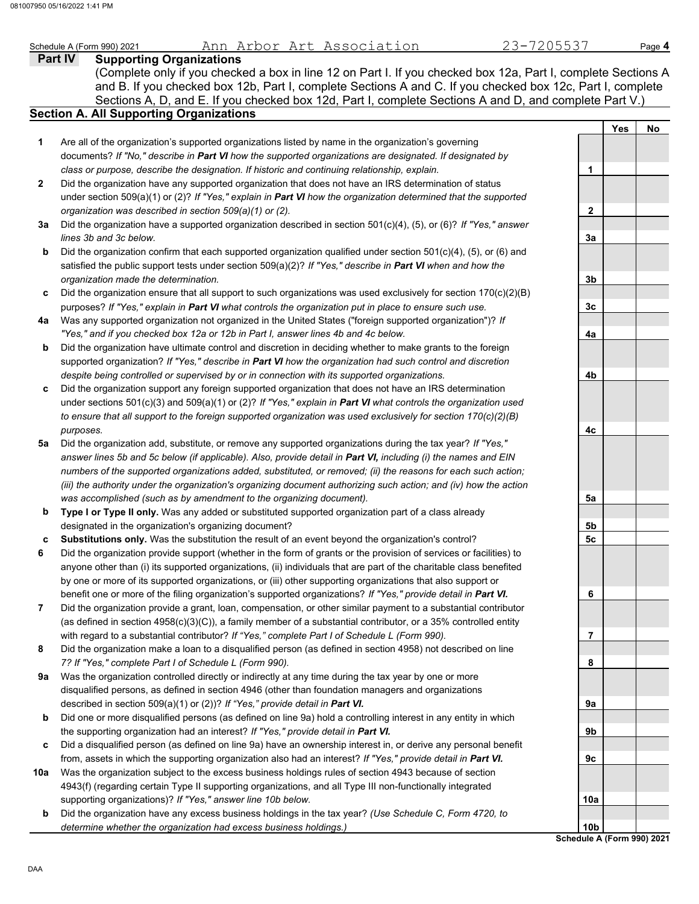|              | 23-7205537<br><u>Ann Arbor Art Association</u><br>Schedule A (Form 990) 2021                                                                                                                                                              |                 |     | Page 4 |
|--------------|-------------------------------------------------------------------------------------------------------------------------------------------------------------------------------------------------------------------------------------------|-----------------|-----|--------|
|              | <b>Supporting Organizations</b><br>Part IV                                                                                                                                                                                                |                 |     |        |
|              | (Complete only if you checked a box in line 12 on Part I. If you checked box 12a, Part I, complete Sections A                                                                                                                             |                 |     |        |
|              | and B. If you checked box 12b, Part I, complete Sections A and C. If you checked box 12c, Part I, complete                                                                                                                                |                 |     |        |
|              | Sections A, D, and E. If you checked box 12d, Part I, complete Sections A and D, and complete Part V.)                                                                                                                                    |                 |     |        |
|              | <b>Section A. All Supporting Organizations</b>                                                                                                                                                                                            |                 |     |        |
| 1            | Are all of the organization's supported organizations listed by name in the organization's governing                                                                                                                                      |                 | Yes | No     |
|              | documents? If "No," describe in Part VI how the supported organizations are designated. If designated by                                                                                                                                  |                 |     |        |
|              | class or purpose, describe the designation. If historic and continuing relationship, explain.                                                                                                                                             | 1               |     |        |
| $\mathbf{2}$ | Did the organization have any supported organization that does not have an IRS determination of status                                                                                                                                    |                 |     |        |
|              | under section 509(a)(1) or (2)? If "Yes," explain in Part VI how the organization determined that the supported                                                                                                                           |                 |     |        |
|              | organization was described in section 509(a)(1) or (2).                                                                                                                                                                                   | $\mathbf 2$     |     |        |
| За           | Did the organization have a supported organization described in section 501(c)(4), (5), or (6)? If "Yes," answer                                                                                                                          |                 |     |        |
|              | lines 3b and 3c below.                                                                                                                                                                                                                    | 3a              |     |        |
| b            | Did the organization confirm that each supported organization qualified under section 501(c)(4), (5), or (6) and                                                                                                                          |                 |     |        |
|              | satisfied the public support tests under section $509(a)(2)?$ If "Yes," describe in Part VI when and how the                                                                                                                              |                 |     |        |
|              | organization made the determination.                                                                                                                                                                                                      | 3 <sub>b</sub>  |     |        |
| c            | Did the organization ensure that all support to such organizations was used exclusively for section 170(c)(2)(B)                                                                                                                          |                 |     |        |
|              | purposes? If "Yes," explain in Part VI what controls the organization put in place to ensure such use.                                                                                                                                    | 3c              |     |        |
| 4a           | Was any supported organization not organized in the United States ("foreign supported organization")? If                                                                                                                                  |                 |     |        |
|              | "Yes," and if you checked box 12a or 12b in Part I, answer lines 4b and 4c below.                                                                                                                                                         | 4a              |     |        |
| b            | Did the organization have ultimate control and discretion in deciding whether to make grants to the foreign<br>supported organization? If "Yes," describe in Part VI how the organization had such control and discretion                 |                 |     |        |
|              | despite being controlled or supervised by or in connection with its supported organizations.                                                                                                                                              | 4b              |     |        |
| c            | Did the organization support any foreign supported organization that does not have an IRS determination                                                                                                                                   |                 |     |        |
|              | under sections $501(c)(3)$ and $509(a)(1)$ or (2)? If "Yes," explain in Part VI what controls the organization used                                                                                                                       |                 |     |        |
|              | to ensure that all support to the foreign supported organization was used exclusively for section 170(c)(2)(B)                                                                                                                            |                 |     |        |
|              | purposes.                                                                                                                                                                                                                                 | 4c              |     |        |
| 5a           | Did the organization add, substitute, or remove any supported organizations during the tax year? If "Yes,"                                                                                                                                |                 |     |        |
|              | answer lines 5b and 5c below (if applicable). Also, provide detail in Part VI, including (i) the names and EIN                                                                                                                            |                 |     |        |
|              | numbers of the supported organizations added, substituted, or removed; (ii) the reasons for each such action;                                                                                                                             |                 |     |        |
|              | (iii) the authority under the organization's organizing document authorizing such action; and (iv) how the action                                                                                                                         |                 |     |        |
|              | was accomplished (such as by amendment to the organizing document).                                                                                                                                                                       | 5a              |     |        |
| b            | Type I or Type II only. Was any added or substituted supported organization part of a class already                                                                                                                                       |                 |     |        |
|              | designated in the organization's organizing document?                                                                                                                                                                                     | 5 <sub>b</sub>  |     |        |
| c            | Substitutions only. Was the substitution the result of an event beyond the organization's control?                                                                                                                                        | 5c              |     |        |
| 6            | Did the organization provide support (whether in the form of grants or the provision of services or facilities) to<br>anyone other than (i) its supported organizations, (ii) individuals that are part of the charitable class benefited |                 |     |        |
|              | by one or more of its supported organizations, or (iii) other supporting organizations that also support or                                                                                                                               |                 |     |        |
|              | benefit one or more of the filing organization's supported organizations? If "Yes," provide detail in Part VI.                                                                                                                            | 6               |     |        |
| 7            | Did the organization provide a grant, loan, compensation, or other similar payment to a substantial contributor                                                                                                                           |                 |     |        |
|              | (as defined in section 4958(c)(3)(C)), a family member of a substantial contributor, or a 35% controlled entity                                                                                                                           |                 |     |        |
|              | with regard to a substantial contributor? If "Yes," complete Part I of Schedule L (Form 990).                                                                                                                                             | 7               |     |        |
| 8            | Did the organization make a loan to a disqualified person (as defined in section 4958) not described on line                                                                                                                              |                 |     |        |
|              | 7? If "Yes," complete Part I of Schedule L (Form 990).                                                                                                                                                                                    | 8               |     |        |
| 9а           | Was the organization controlled directly or indirectly at any time during the tax year by one or more                                                                                                                                     |                 |     |        |
|              | disqualified persons, as defined in section 4946 (other than foundation managers and organizations                                                                                                                                        |                 |     |        |
|              | described in section 509(a)(1) or (2))? If "Yes," provide detail in Part VI.                                                                                                                                                              | 9а              |     |        |
| b            | Did one or more disqualified persons (as defined on line 9a) hold a controlling interest in any entity in which                                                                                                                           |                 |     |        |
| c            | the supporting organization had an interest? If "Yes," provide detail in Part VI.<br>Did a disqualified person (as defined on line 9a) have an ownership interest in, or derive any personal benefit                                      | 9b              |     |        |
|              | from, assets in which the supporting organization also had an interest? If "Yes," provide detail in Part VI.                                                                                                                              | 9c              |     |        |
| 10a          | Was the organization subject to the excess business holdings rules of section 4943 because of section                                                                                                                                     |                 |     |        |
|              | 4943(f) (regarding certain Type II supporting organizations, and all Type III non-functionally integrated                                                                                                                                 |                 |     |        |
|              | supporting organizations)? If "Yes," answer line 10b below.                                                                                                                                                                               | 10a             |     |        |
| b            | Did the organization have any excess business holdings in the tax year? (Use Schedule C, Form 4720, to                                                                                                                                    |                 |     |        |
|              | determine whether the organization had excess business holdings.)                                                                                                                                                                         | 10 <sub>b</sub> |     |        |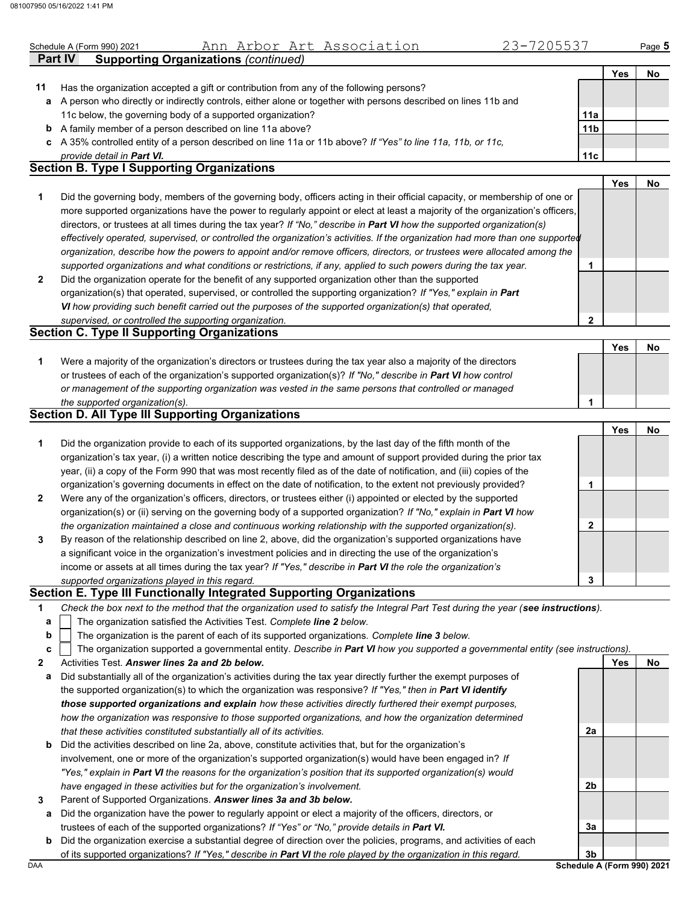|                | <u>Ann Arbor Art Association</u><br>23-7205537<br>Schedule A (Form 990) 2021                                                      |                 |            | Page 5 |
|----------------|-----------------------------------------------------------------------------------------------------------------------------------|-----------------|------------|--------|
| <b>Part IV</b> | <b>Supporting Organizations (continued)</b>                                                                                       |                 |            |        |
|                |                                                                                                                                   |                 | <b>Yes</b> | No     |
| 11             | Has the organization accepted a gift or contribution from any of the following persons?                                           |                 |            |        |
| а              | A person who directly or indirectly controls, either alone or together with persons described on lines 11b and                    |                 |            |        |
|                | 11c below, the governing body of a supported organization?                                                                        | 11a             |            |        |
|                | <b>b</b> A family member of a person described on line 11a above?                                                                 | 11 <sub>b</sub> |            |        |
| c              | A 35% controlled entity of a person described on line 11a or 11b above? If "Yes" to line 11a, 11b, or 11c,                        |                 |            |        |
|                | provide detail in Part VI.                                                                                                        | 11c             |            |        |
|                | <b>Section B. Type I Supporting Organizations</b>                                                                                 |                 |            |        |
| 1              |                                                                                                                                   |                 | <b>Yes</b> | No     |
|                | Did the governing body, members of the governing body, officers acting in their official capacity, or membership of one or        |                 |            |        |
|                | more supported organizations have the power to regularly appoint or elect at least a majority of the organization's officers,     |                 |            |        |
|                | directors, or trustees at all times during the tax year? If "No," describe in Part VI how the supported organization(s)           |                 |            |        |
|                | effectively operated, supervised, or controlled the organization's activities. If the organization had more than one supported    |                 |            |        |
|                | organization, describe how the powers to appoint and/or remove officers, directors, or trustees were allocated among the          |                 |            |        |
|                | supported organizations and what conditions or restrictions, if any, applied to such powers during the tax year.                  | 1               |            |        |
| $\mathbf{2}$   | Did the organization operate for the benefit of any supported organization other than the supported                               |                 |            |        |
|                | organization(s) that operated, supervised, or controlled the supporting organization? If "Yes," explain in Part                   |                 |            |        |
|                | VI how providing such benefit carried out the purposes of the supported organization(s) that operated,                            |                 |            |        |
|                | supervised, or controlled the supporting organization.                                                                            | $\mathbf{2}$    |            |        |
|                | <b>Section C. Type II Supporting Organizations</b>                                                                                |                 |            |        |
|                |                                                                                                                                   |                 | <b>Yes</b> | No     |
| 1              | Were a majority of the organization's directors or trustees during the tax year also a majority of the directors                  |                 |            |        |
|                | or trustees of each of the organization's supported organization(s)? If "No," describe in Part VI how control                     |                 |            |        |
|                | or management of the supporting organization was vested in the same persons that controlled or managed                            |                 |            |        |
|                | the supported organization(s).                                                                                                    | 1               |            |        |
|                | <b>Section D. All Type III Supporting Organizations</b>                                                                           |                 |            |        |
|                |                                                                                                                                   |                 | <b>Yes</b> | No     |
| 1              | Did the organization provide to each of its supported organizations, by the last day of the fifth month of the                    |                 |            |        |
|                | organization's tax year, (i) a written notice describing the type and amount of support provided during the prior tax             |                 |            |        |
|                | year, (ii) a copy of the Form 990 that was most recently filed as of the date of notification, and (iii) copies of the            |                 |            |        |
|                | organization's governing documents in effect on the date of notification, to the extent not previously provided?                  | 1               |            |        |
| $\mathbf{2}$   | Were any of the organization's officers, directors, or trustees either (i) appointed or elected by the supported                  |                 |            |        |
|                | organization(s) or (ii) serving on the governing body of a supported organization? If "No," explain in Part VI how                |                 |            |        |
|                | the organization maintained a close and continuous working relationship with the supported organization(s).                       | $\overline{2}$  |            |        |
| 3              | By reason of the relationship described on line 2, above, did the organization's supported organizations have                     |                 |            |        |
|                | a significant voice in the organization's investment policies and in directing the use of the organization's                      |                 |            |        |
|                | income or assets at all times during the tax year? If "Yes," describe in Part VI the role the organization's                      |                 |            |        |
|                | supported organizations played in this regard.                                                                                    | 3               |            |        |
|                | Section E. Type III Functionally Integrated Supporting Organizations                                                              |                 |            |        |
| 1              | Check the box next to the method that the organization used to satisfy the Integral Part Test during the year (see instructions). |                 |            |        |
| а              | The organization satisfied the Activities Test. Complete line 2 below.                                                            |                 |            |        |
| b              | The organization is the parent of each of its supported organizations. Complete line 3 below.                                     |                 |            |        |
| c              | The organization supported a governmental entity. Describe in Part VI how you supported a governmental entity (see instructions). |                 |            |        |
| 2              | Activities Test. Answer lines 2a and 2b below.                                                                                    |                 | Yes        | No     |
| а              | Did substantially all of the organization's activities during the tax year directly further the exempt purposes of                |                 |            |        |
|                | the supported organization(s) to which the organization was responsive? If "Yes," then in Part VI identify                        |                 |            |        |
|                | those supported organizations and explain how these activities directly furthered their exempt purposes,                          |                 |            |        |
|                | how the organization was responsive to those supported organizations, and how the organization determined                         |                 |            |        |
|                | that these activities constituted substantially all of its activities.                                                            | 2a              |            |        |
|                |                                                                                                                                   |                 |            |        |
|                |                                                                                                                                   |                 |            |        |
| b              | Did the activities described on line 2a, above, constitute activities that, but for the organization's                            |                 |            |        |
|                | involvement, one or more of the organization's supported organization(s) would have been engaged in? If                           |                 |            |        |
|                | "Yes," explain in Part VI the reasons for the organization's position that its supported organization(s) would                    |                 |            |        |
|                | have engaged in these activities but for the organization's involvement.                                                          | 2b              |            |        |
| 3              | Parent of Supported Organizations. Answer lines 3a and 3b below.                                                                  |                 |            |        |

**3a**

**3b**

DAA **Schedule A (Form 990) 2021 b** Did the organization exercise a substantial degree of direction over the policies, programs, and activities of each of its supported organizations? *If "Yes," describe in Part VI the role played by the organization in this regard.*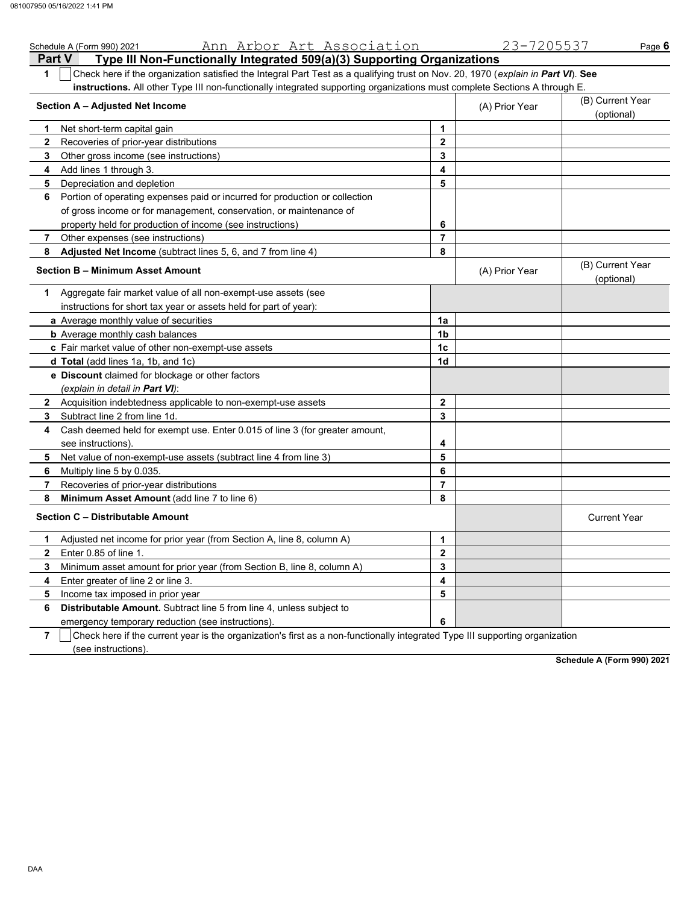|                | <u>Ann Arbor Art Association</u><br>Schedule A (Form 990) 2021                                                                   |                         | 23-7205537     | Page 6                         |
|----------------|----------------------------------------------------------------------------------------------------------------------------------|-------------------------|----------------|--------------------------------|
|                | Type III Non-Functionally Integrated 509(a)(3) Supporting Organizations<br><b>Part V</b>                                         |                         |                |                                |
| 1              | Check here if the organization satisfied the Integral Part Test as a qualifying trust on Nov. 20, 1970 (explain in Part VI). See |                         |                |                                |
|                | instructions. All other Type III non-functionally integrated supporting organizations must complete Sections A through E.        |                         |                |                                |
|                | Section A - Adjusted Net Income                                                                                                  |                         | (A) Prior Year | (B) Current Year<br>(optional) |
| 1.             | Net short-term capital gain                                                                                                      | 1                       |                |                                |
| $\mathbf{2}$   | Recoveries of prior-year distributions                                                                                           | $\mathbf 2$             |                |                                |
| 3              | Other gross income (see instructions)                                                                                            | 3                       |                |                                |
| 4              | Add lines 1 through 3.                                                                                                           | 4                       |                |                                |
| 5              | Depreciation and depletion                                                                                                       | 5                       |                |                                |
| 6              | Portion of operating expenses paid or incurred for production or collection                                                      |                         |                |                                |
|                | of gross income or for management, conservation, or maintenance of                                                               |                         |                |                                |
|                | property held for production of income (see instructions)                                                                        | 6                       |                |                                |
| $\mathbf{7}$   | Other expenses (see instructions)                                                                                                | $\overline{7}$          |                |                                |
| 8              | Adjusted Net Income (subtract lines 5, 6, and 7 from line 4)                                                                     | 8                       |                |                                |
|                | Section B - Minimum Asset Amount                                                                                                 |                         | (A) Prior Year | (B) Current Year<br>(optional) |
| 1.             | Aggregate fair market value of all non-exempt-use assets (see                                                                    |                         |                |                                |
|                | instructions for short tax year or assets held for part of year):                                                                |                         |                |                                |
|                | a Average monthly value of securities                                                                                            | 1a                      |                |                                |
|                | <b>b</b> Average monthly cash balances                                                                                           | 1b                      |                |                                |
|                | c Fair market value of other non-exempt-use assets                                                                               | 1c                      |                |                                |
|                | d Total (add lines 1a, 1b, and 1c)                                                                                               | 1d                      |                |                                |
|                | e Discount claimed for blockage or other factors                                                                                 |                         |                |                                |
|                | (explain in detail in <b>Part VI</b> ):                                                                                          |                         |                |                                |
|                | 2 Acquisition indebtedness applicable to non-exempt-use assets                                                                   | $\mathbf 2$             |                |                                |
| 3              | Subtract line 2 from line 1d.                                                                                                    | 3                       |                |                                |
| 4              | Cash deemed held for exempt use. Enter 0.015 of line 3 (for greater amount,                                                      |                         |                |                                |
|                | see instructions)                                                                                                                | 4                       |                |                                |
| 5              | Net value of non-exempt-use assets (subtract line 4 from line 3)                                                                 | 5                       |                |                                |
| 6              | Multiply line 5 by 0.035.                                                                                                        | 6                       |                |                                |
| 7              | Recoveries of prior-year distributions                                                                                           | 7                       |                |                                |
| 8              | Minimum Asset Amount (add line 7 to line 6)                                                                                      | 8                       |                |                                |
|                | Section C - Distributable Amount                                                                                                 |                         |                | <b>Current Year</b>            |
| 1.             | Adjusted net income for prior year (from Section A, line 8, column A)                                                            | 1                       |                |                                |
|                | Enter 0.85 of line 1.                                                                                                            | $\overline{\mathbf{2}}$ |                |                                |
| 3              | Minimum asset amount for prior year (from Section B, line 8, column A)                                                           | 3                       |                |                                |
| 4              | Enter greater of line 2 or line 3.                                                                                               | 4                       |                |                                |
| 5              | Income tax imposed in prior year                                                                                                 | 5                       |                |                                |
| 6              | Distributable Amount. Subtract line 5 from line 4, unless subject to                                                             |                         |                |                                |
|                | emergency temporary reduction (see instructions).                                                                                | 6                       |                |                                |
| $\overline{7}$ | Check here if the current year is the organization's first as a non-functionally integrated Type III supporting organization     |                         |                |                                |

(see instructions).

**Schedule A (Form 990) 2021**

DAA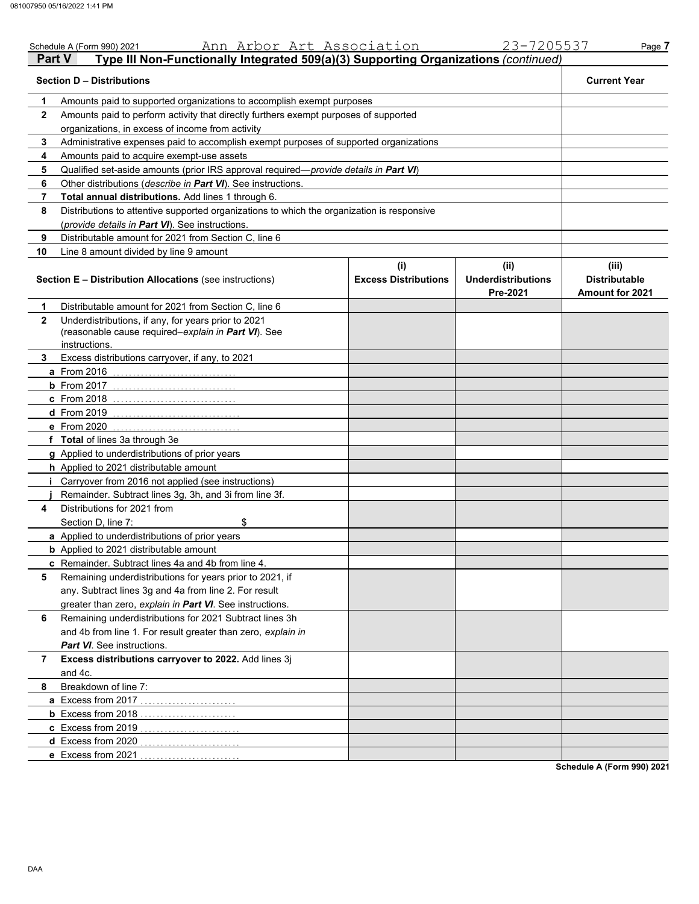| Part V | Ann Arbor Art Association<br>Schedule A (Form 990) 2021<br>Type III Non-Functionally Integrated 509(a)(3) Supporting Organizations (continued) |                             | 23-7205537                            | Page 7                                         |
|--------|------------------------------------------------------------------------------------------------------------------------------------------------|-----------------------------|---------------------------------------|------------------------------------------------|
|        | <b>Section D - Distributions</b>                                                                                                               |                             |                                       | <b>Current Year</b>                            |
| 1      | Amounts paid to supported organizations to accomplish exempt purposes                                                                          |                             |                                       |                                                |
| 2      | Amounts paid to perform activity that directly furthers exempt purposes of supported                                                           |                             |                                       |                                                |
|        | organizations, in excess of income from activity                                                                                               |                             |                                       |                                                |
| 3      |                                                                                                                                                |                             |                                       |                                                |
| 4      | Administrative expenses paid to accomplish exempt purposes of supported organizations<br>Amounts paid to acquire exempt-use assets             |                             |                                       |                                                |
| 5      | Qualified set-aside amounts (prior IRS approval required-provide details in Part VI)                                                           |                             |                                       |                                                |
| 6      | Other distributions (describe in Part VI). See instructions.                                                                                   |                             |                                       |                                                |
| 7      | Total annual distributions. Add lines 1 through 6.                                                                                             |                             |                                       |                                                |
| 8      | Distributions to attentive supported organizations to which the organization is responsive                                                     |                             |                                       |                                                |
|        | (provide details in Part VI). See instructions.                                                                                                |                             |                                       |                                                |
| 9      | Distributable amount for 2021 from Section C, line 6                                                                                           |                             |                                       |                                                |
| 10     | Line 8 amount divided by line 9 amount                                                                                                         |                             |                                       |                                                |
|        |                                                                                                                                                | (i)                         | (ii)                                  | (iii)                                          |
|        | <b>Section E - Distribution Allocations (see instructions)</b>                                                                                 | <b>Excess Distributions</b> | <b>Underdistributions</b><br>Pre-2021 | <b>Distributable</b><br><b>Amount for 2021</b> |
| 1      | Distributable amount for 2021 from Section C, line 6                                                                                           |                             |                                       |                                                |
| 2      | Underdistributions, if any, for years prior to 2021                                                                                            |                             |                                       |                                                |
|        | (reasonable cause required-explain in Part VI). See                                                                                            |                             |                                       |                                                |
|        | instructions.                                                                                                                                  |                             |                                       |                                                |
| 3      | Excess distributions carryover, if any, to 2021                                                                                                |                             |                                       |                                                |
|        | <b>a</b> From 2016                                                                                                                             |                             |                                       |                                                |
|        | <b>b</b> From 2017                                                                                                                             |                             |                                       |                                                |
|        | c From 2018                                                                                                                                    |                             |                                       |                                                |
|        | <b>d</b> From 2019                                                                                                                             |                             |                                       |                                                |
|        | e From 2020                                                                                                                                    |                             |                                       |                                                |
|        | f Total of lines 3a through 3e                                                                                                                 |                             |                                       |                                                |
|        | g Applied to underdistributions of prior years                                                                                                 |                             |                                       |                                                |
|        | h Applied to 2021 distributable amount                                                                                                         |                             |                                       |                                                |
|        | Carryover from 2016 not applied (see instructions)                                                                                             |                             |                                       |                                                |
|        | Remainder. Subtract lines 3g, 3h, and 3i from line 3f.                                                                                         |                             |                                       |                                                |
| 4      | Distributions for 2021 from                                                                                                                    |                             |                                       |                                                |
|        | Section D, line 7:<br>\$                                                                                                                       |                             |                                       |                                                |
|        | <b>a</b> Applied to underdistributions of prior years                                                                                          |                             |                                       |                                                |
|        | <b>b</b> Applied to 2021 distributable amount                                                                                                  |                             |                                       |                                                |
|        | <b>c</b> Remainder. Subtract lines 4a and 4b from line 4.                                                                                      |                             |                                       |                                                |
| 5      | Remaining underdistributions for years prior to 2021, if                                                                                       |                             |                                       |                                                |
|        | any. Subtract lines 3g and 4a from line 2. For result                                                                                          |                             |                                       |                                                |
|        | greater than zero, explain in Part VI. See instructions.                                                                                       |                             |                                       |                                                |
| 6      | Remaining underdistributions for 2021 Subtract lines 3h                                                                                        |                             |                                       |                                                |
|        | and 4b from line 1. For result greater than zero, explain in                                                                                   |                             |                                       |                                                |
|        | <b>Part VI</b> . See instructions.                                                                                                             |                             |                                       |                                                |
| 7      | Excess distributions carryover to 2022. Add lines 3j                                                                                           |                             |                                       |                                                |
|        | and 4c.                                                                                                                                        |                             |                                       |                                                |
| 8      | Breakdown of line 7:                                                                                                                           |                             |                                       |                                                |
|        | a Excess from 2017                                                                                                                             |                             |                                       |                                                |
|        | <b>b</b> Excess from 2018                                                                                                                      |                             |                                       |                                                |
|        | c Excess from 2019                                                                                                                             |                             |                                       |                                                |
|        | d Excess from 2020                                                                                                                             |                             |                                       |                                                |
|        | e Excess from 2021                                                                                                                             |                             |                                       |                                                |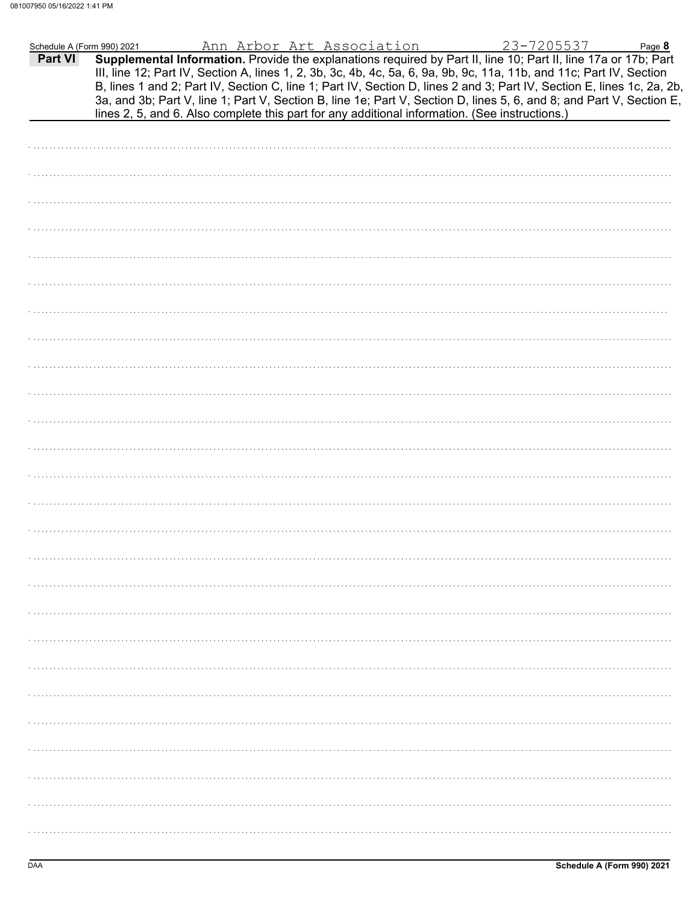| Schedule A (Form 990) 2021 |                                                                                                | Ann Arbor Art Association | 23-7205537                                                                                                                                                                                                                                                                                                                                                                                                                                                                                | Page 8 |
|----------------------------|------------------------------------------------------------------------------------------------|---------------------------|-------------------------------------------------------------------------------------------------------------------------------------------------------------------------------------------------------------------------------------------------------------------------------------------------------------------------------------------------------------------------------------------------------------------------------------------------------------------------------------------|--------|
| <b>Part VI</b>             |                                                                                                |                           | Supplemental Information. Provide the explanations required by Part II, line 10; Part II, line 17a or 17b; Part<br>III, line 12; Part IV, Section A, lines 1, 2, 3b, 3c, 4b, 4c, 5a, 6, 9a, 9b, 9c, 11a, 11b, and 11c; Part IV, Section<br>B, lines 1 and 2; Part IV, Section C, line 1; Part IV, Section D, lines 2 and 3; Part IV, Section E, lines 1c, 2a, 2b,<br>3a, and 3b; Part V, line 1; Part V, Section B, line 1e; Part V, Section D, lines 5, 6, and 8; and Part V, Section E, |        |
|                            | lines 2, 5, and 6. Also complete this part for any additional information. (See instructions.) |                           |                                                                                                                                                                                                                                                                                                                                                                                                                                                                                           |        |
|                            |                                                                                                |                           |                                                                                                                                                                                                                                                                                                                                                                                                                                                                                           |        |
|                            |                                                                                                |                           |                                                                                                                                                                                                                                                                                                                                                                                                                                                                                           |        |
|                            |                                                                                                |                           |                                                                                                                                                                                                                                                                                                                                                                                                                                                                                           |        |
|                            |                                                                                                |                           |                                                                                                                                                                                                                                                                                                                                                                                                                                                                                           |        |
|                            |                                                                                                |                           |                                                                                                                                                                                                                                                                                                                                                                                                                                                                                           |        |
|                            |                                                                                                |                           |                                                                                                                                                                                                                                                                                                                                                                                                                                                                                           |        |
|                            |                                                                                                |                           |                                                                                                                                                                                                                                                                                                                                                                                                                                                                                           |        |
|                            |                                                                                                |                           |                                                                                                                                                                                                                                                                                                                                                                                                                                                                                           |        |
|                            |                                                                                                |                           |                                                                                                                                                                                                                                                                                                                                                                                                                                                                                           |        |
|                            |                                                                                                |                           |                                                                                                                                                                                                                                                                                                                                                                                                                                                                                           |        |
|                            |                                                                                                |                           |                                                                                                                                                                                                                                                                                                                                                                                                                                                                                           |        |
|                            |                                                                                                |                           |                                                                                                                                                                                                                                                                                                                                                                                                                                                                                           |        |
|                            |                                                                                                |                           |                                                                                                                                                                                                                                                                                                                                                                                                                                                                                           |        |
|                            |                                                                                                |                           |                                                                                                                                                                                                                                                                                                                                                                                                                                                                                           |        |
|                            |                                                                                                |                           |                                                                                                                                                                                                                                                                                                                                                                                                                                                                                           |        |
|                            |                                                                                                |                           |                                                                                                                                                                                                                                                                                                                                                                                                                                                                                           |        |
|                            |                                                                                                |                           |                                                                                                                                                                                                                                                                                                                                                                                                                                                                                           |        |
|                            |                                                                                                |                           |                                                                                                                                                                                                                                                                                                                                                                                                                                                                                           |        |
|                            |                                                                                                |                           |                                                                                                                                                                                                                                                                                                                                                                                                                                                                                           |        |
|                            |                                                                                                |                           |                                                                                                                                                                                                                                                                                                                                                                                                                                                                                           |        |
|                            |                                                                                                |                           |                                                                                                                                                                                                                                                                                                                                                                                                                                                                                           |        |
|                            |                                                                                                |                           |                                                                                                                                                                                                                                                                                                                                                                                                                                                                                           |        |
|                            |                                                                                                |                           |                                                                                                                                                                                                                                                                                                                                                                                                                                                                                           |        |
|                            |                                                                                                |                           |                                                                                                                                                                                                                                                                                                                                                                                                                                                                                           |        |
|                            |                                                                                                |                           |                                                                                                                                                                                                                                                                                                                                                                                                                                                                                           |        |
|                            |                                                                                                |                           |                                                                                                                                                                                                                                                                                                                                                                                                                                                                                           |        |
|                            |                                                                                                |                           |                                                                                                                                                                                                                                                                                                                                                                                                                                                                                           |        |
|                            |                                                                                                |                           |                                                                                                                                                                                                                                                                                                                                                                                                                                                                                           |        |
|                            |                                                                                                |                           |                                                                                                                                                                                                                                                                                                                                                                                                                                                                                           |        |
|                            |                                                                                                |                           |                                                                                                                                                                                                                                                                                                                                                                                                                                                                                           |        |
|                            |                                                                                                |                           |                                                                                                                                                                                                                                                                                                                                                                                                                                                                                           |        |
|                            |                                                                                                |                           |                                                                                                                                                                                                                                                                                                                                                                                                                                                                                           |        |
|                            |                                                                                                |                           |                                                                                                                                                                                                                                                                                                                                                                                                                                                                                           |        |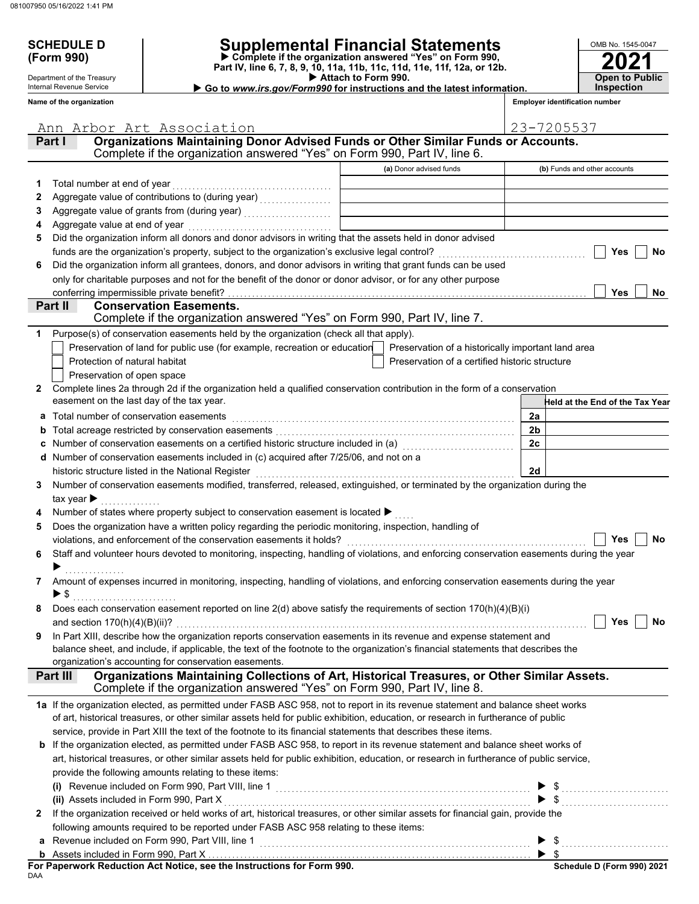Department of the Treasury Internal Revenue Service **Name of the organization**

### **SCHEDULE D Supplemental Financial Statements**

 **Attach to Form 990. (Form 990) Part IV, line 6, 7, 8, 9, 10, 11a, 11b, 11c, 11d, 11e, 11f, 12a, or 12b. Complete if the organization answered "Yes" on Form 990,**

 **Go to** *www.irs.gov/Form990* **for instructions and the latest information.**

**2021** OMB No. 1545-0047 **Open to Public Inspection**

**Employer identification number**

|              | <u>Ann Arbor Art Association</u>                                                                                                                                       |                                                    | 23-7205537                      |
|--------------|------------------------------------------------------------------------------------------------------------------------------------------------------------------------|----------------------------------------------------|---------------------------------|
|              | Organizations Maintaining Donor Advised Funds or Other Similar Funds or Accounts.<br>Part I                                                                            |                                                    |                                 |
|              | Complete if the organization answered "Yes" on Form 990, Part IV, line 6.                                                                                              |                                                    |                                 |
|              |                                                                                                                                                                        | (a) Donor advised funds                            | (b) Funds and other accounts    |
|              |                                                                                                                                                                        |                                                    |                                 |
| 1            | Total number at end of year                                                                                                                                            |                                                    |                                 |
| 2            |                                                                                                                                                                        |                                                    |                                 |
| 3            |                                                                                                                                                                        |                                                    |                                 |
| 4            | Aggregate value at end of year                                                                                                                                         |                                                    |                                 |
| 5            | Did the organization inform all donors and donor advisors in writing that the assets held in donor advised                                                             |                                                    |                                 |
|              |                                                                                                                                                                        |                                                    | Yes<br>No                       |
| 6            | Did the organization inform all grantees, donors, and donor advisors in writing that grant funds can be used                                                           |                                                    |                                 |
|              | only for charitable purposes and not for the benefit of the donor or donor advisor, or for any other purpose                                                           |                                                    |                                 |
|              | Part II<br><b>Conservation Easements.</b>                                                                                                                              |                                                    | Yes<br>No                       |
|              | Complete if the organization answered "Yes" on Form 990, Part IV, line 7.                                                                                              |                                                    |                                 |
|              |                                                                                                                                                                        |                                                    |                                 |
| 1            | Purpose(s) of conservation easements held by the organization (check all that apply).                                                                                  |                                                    |                                 |
|              | Preservation of land for public use (for example, recreation or education                                                                                              | Preservation of a historically important land area |                                 |
|              | Protection of natural habitat                                                                                                                                          | Preservation of a certified historic structure     |                                 |
|              | Preservation of open space                                                                                                                                             |                                                    |                                 |
| $\mathbf{2}$ | Complete lines 2a through 2d if the organization held a qualified conservation contribution in the form of a conservation<br>easement on the last day of the tax year. |                                                    |                                 |
|              |                                                                                                                                                                        |                                                    | Held at the End of the Tax Year |
| a            | Total number of conservation easements                                                                                                                                 |                                                    | 2a                              |
| b            |                                                                                                                                                                        |                                                    | 2 <sub>b</sub>                  |
| с            | Number of conservation easements on a certified historic structure included in (a) [11] Number of conservation                                                         |                                                    | 2c                              |
| d            | Number of conservation easements included in (c) acquired after 7/25/06, and not on a                                                                                  |                                                    |                                 |
|              | historic structure listed in the National Register                                                                                                                     |                                                    | 2d                              |
| 3            | Number of conservation easements modified, transferred, released, extinguished, or terminated by the organization during the                                           |                                                    |                                 |
|              | tax year $\blacktriangleright$                                                                                                                                         |                                                    |                                 |
|              | Number of states where property subject to conservation easement is located ▶                                                                                          |                                                    |                                 |
| 5            | Does the organization have a written policy regarding the periodic monitoring, inspection, handling of                                                                 |                                                    | Yes<br>No                       |
|              | violations, and enforcement of the conservation easements it holds?                                                                                                    |                                                    |                                 |
| 6            | Staff and volunteer hours devoted to monitoring, inspecting, handling of violations, and enforcing conservation easements during the year                              |                                                    |                                 |
|              |                                                                                                                                                                        |                                                    |                                 |
| 7            | Amount of expenses incurred in monitoring, inspecting, handling of violations, and enforcing conservation easements during the year<br>▶ \$                            |                                                    |                                 |
|              |                                                                                                                                                                        |                                                    |                                 |
|              | Does each conservation easement reported on line 2(d) above satisfy the requirements of section 170(h)(4)(B)(i)                                                        |                                                    | Yes<br>No                       |
|              | In Part XIII, describe how the organization reports conservation easements in its revenue and expense statement and                                                    |                                                    |                                 |
| 9            | balance sheet, and include, if applicable, the text of the footnote to the organization's financial statements that describes the                                      |                                                    |                                 |
|              | organization's accounting for conservation easements.                                                                                                                  |                                                    |                                 |
|              | Organizations Maintaining Collections of Art, Historical Treasures, or Other Similar Assets.<br>Part III                                                               |                                                    |                                 |
|              | Complete if the organization answered "Yes" on Form 990, Part IV, line 8.                                                                                              |                                                    |                                 |
|              | 1a If the organization elected, as permitted under FASB ASC 958, not to report in its revenue statement and balance sheet works                                        |                                                    |                                 |
|              | of art, historical treasures, or other similar assets held for public exhibition, education, or research in furtherance of public                                      |                                                    |                                 |
|              | service, provide in Part XIII the text of the footnote to its financial statements that describes these items.                                                         |                                                    |                                 |
|              | b If the organization elected, as permitted under FASB ASC 958, to report in its revenue statement and balance sheet works of                                          |                                                    |                                 |
|              | art, historical treasures, or other similar assets held for public exhibition, education, or research in furtherance of public service,                                |                                                    |                                 |
|              | provide the following amounts relating to these items:                                                                                                                 |                                                    |                                 |
|              | (i)                                                                                                                                                                    |                                                    |                                 |
|              | (ii) Assets included in Form 990, Part X                                                                                                                               |                                                    |                                 |
| $\mathbf{z}$ | If the organization received or held works of art, historical treasures, or other similar assets for financial gain, provide the                                       |                                                    |                                 |
|              | following amounts required to be reported under FASB ASC 958 relating to these items:                                                                                  |                                                    |                                 |
| a            | Revenue included on Form 990, Part VIII, line 1                                                                                                                        |                                                    | $\blacktriangleright$ \$        |
|              | b Assets included in Form 990, Part X  [ CONCORDITION CONTINUES AND ASSETS IN THE RESERVE AND THE RESERVE A                                                            |                                                    | $\blacktriangleright$ \$        |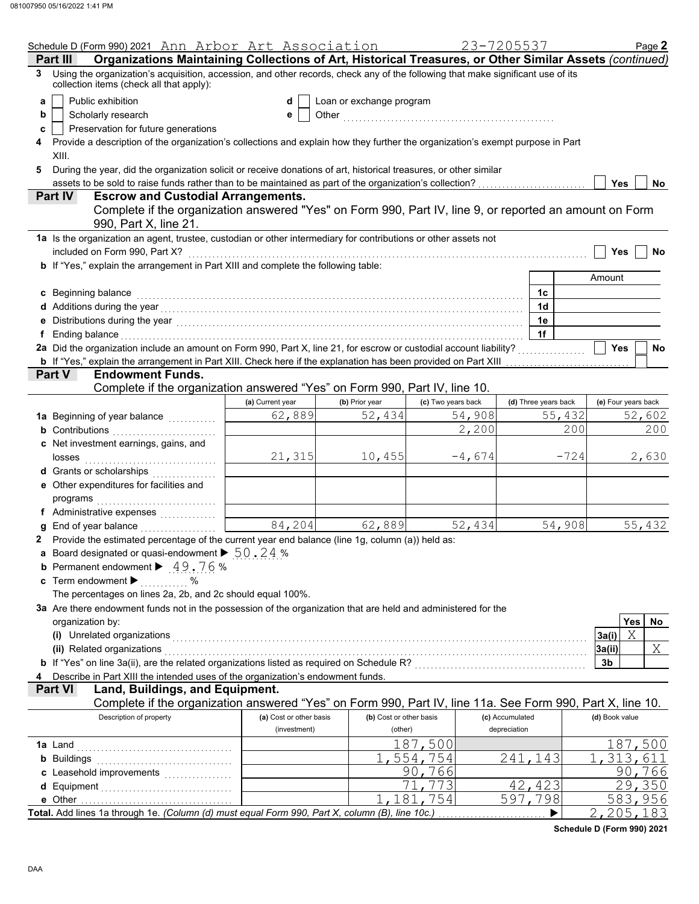|   | Schedule D (Form 990) 2021 Ann Arbor Art Association                                                                                                                        |                         |                          |                    | 23-7205537           | Page 2              |
|---|-----------------------------------------------------------------------------------------------------------------------------------------------------------------------------|-------------------------|--------------------------|--------------------|----------------------|---------------------|
|   | Organizations Maintaining Collections of Art, Historical Treasures, or Other Similar Assets (continued)<br>Part III                                                         |                         |                          |                    |                      |                     |
| 3 | Using the organization's acquisition, accession, and other records, check any of the following that make significant use of its<br>collection items (check all that apply): |                         |                          |                    |                      |                     |
| a | Public exhibition                                                                                                                                                           | d                       | Loan or exchange program |                    |                      |                     |
| b | Scholarly research                                                                                                                                                          | е                       |                          |                    |                      |                     |
| c | Preservation for future generations                                                                                                                                         |                         |                          |                    |                      |                     |
|   | Provide a description of the organization's collections and explain how they further the organization's exempt purpose in Part                                              |                         |                          |                    |                      |                     |
|   | XIII.                                                                                                                                                                       |                         |                          |                    |                      |                     |
| 5 | During the year, did the organization solicit or receive donations of art, historical treasures, or other similar                                                           |                         |                          |                    |                      |                     |
|   | assets to be sold to raise funds rather than to be maintained as part of the organization's collection?                                                                     |                         |                          |                    |                      | No<br><b>Yes</b>    |
|   | <b>Escrow and Custodial Arrangements.</b><br><b>Part IV</b>                                                                                                                 |                         |                          |                    |                      |                     |
|   | Complete if the organization answered "Yes" on Form 990, Part IV, line 9, or reported an amount on Form                                                                     |                         |                          |                    |                      |                     |
|   | 990, Part X, line 21.                                                                                                                                                       |                         |                          |                    |                      |                     |
|   | 1a Is the organization an agent, trustee, custodian or other intermediary for contributions or other assets not                                                             |                         |                          |                    |                      |                     |
|   | included on Form 990, Part X?                                                                                                                                               |                         |                          |                    |                      | Yes<br>No           |
|   | b If "Yes," explain the arrangement in Part XIII and complete the following table:                                                                                          |                         |                          |                    |                      |                     |
|   |                                                                                                                                                                             |                         |                          |                    |                      | Amount              |
|   | c Beginning balance                                                                                                                                                         |                         |                          |                    | 1 <sub>c</sub>       |                     |
|   |                                                                                                                                                                             |                         |                          |                    | 1 <sub>d</sub>       |                     |
|   | d Additions during the year<br>interaction continuous continuous continuous during the year of Additional Contract of Additions during the year                             |                         |                          |                    | 1e                   |                     |
|   | Distributions during the year [1, 1, 2010] [1, 2010] [1, 2010] [1, 2010] [1, 2010] [1, 2010] [1, 2010] [1, 2010<br>Ending balance                                           |                         |                          |                    | 1f                   |                     |
|   | 2a Did the organization include an amount on Form 990, Part X, line 21, for escrow or custodial account liability?                                                          |                         |                          |                    |                      | Yes<br>No           |
|   | <b>b</b> If "Yes," explain the arrangement in Part XIII. Check here if the explanation has been provided on Part XIII                                                       |                         |                          |                    |                      |                     |
|   | Part V<br><b>Endowment Funds.</b>                                                                                                                                           |                         |                          |                    |                      |                     |
|   | Complete if the organization answered "Yes" on Form 990, Part IV, line 10.                                                                                                  |                         |                          |                    |                      |                     |
|   |                                                                                                                                                                             | (a) Current year        | (b) Prior year           | (c) Two years back | (d) Three years back | (e) Four years back |
|   |                                                                                                                                                                             | 62,889                  | 52,434                   | 54,908             | 55,432               | 52,602              |
|   | 1a Beginning of year balance <i>minimizing</i>                                                                                                                              |                         |                          | 2,200              | 200                  | 200                 |
|   | <b>b</b> Contributions                                                                                                                                                      |                         |                          |                    |                      |                     |
|   | c Net investment earnings, gains, and                                                                                                                                       | 21,315                  | 10,455                   |                    | $-724$               | 2,630               |
|   | losses<br>d Grants or scholarships                                                                                                                                          |                         |                          | $-4,674$           |                      |                     |
|   |                                                                                                                                                                             |                         |                          |                    |                      |                     |
|   | e Other expenditures for facilities and                                                                                                                                     |                         |                          |                    |                      |                     |
|   | programs                                                                                                                                                                    |                         |                          |                    |                      |                     |
|   | f Administrative expenses                                                                                                                                                   | 84,204                  | 62,889                   | 52,434             | 54,908               | 55,432              |
|   | End of year balance<br>Provide the estimated percentage of the current year end balance (line 1g, column (a)) held as:                                                      |                         |                          |                    |                      |                     |
|   | Board designated or quasi-endowment $\blacktriangleright$ 50.24 %                                                                                                           |                         |                          |                    |                      |                     |
|   | <b>b</b> Permanent endowment $\blacktriangleright$ 49.76%                                                                                                                   |                         |                          |                    |                      |                     |
|   | c Term endowment $\blacktriangleright$<br>℅                                                                                                                                 |                         |                          |                    |                      |                     |
|   | The percentages on lines 2a, 2b, and 2c should equal 100%.                                                                                                                  |                         |                          |                    |                      |                     |
|   | 3a Are there endowment funds not in the possession of the organization that are held and administered for the                                                               |                         |                          |                    |                      |                     |
|   |                                                                                                                                                                             |                         |                          |                    |                      | <b>Yes</b><br>No    |
|   | organization by:<br>(i) Unrelated organizations                                                                                                                             |                         |                          |                    |                      | Χ<br>3a(i)          |
|   |                                                                                                                                                                             |                         |                          |                    |                      | Χ<br>3a(ii)         |
|   | (ii) Related organizations<br><b>b</b> If "Yes" on line 3a(ii), are the related organizations listed as required on Schedule R?<br><sub>1</sub>                             |                         |                          |                    |                      | 3b                  |
|   |                                                                                                                                                                             |                         |                          |                    |                      |                     |
|   | Describe in Part XIII the intended uses of the organization's endowment funds.<br><b>Part VI</b>                                                                            |                         |                          |                    |                      |                     |
|   | Land, Buildings, and Equipment.                                                                                                                                             |                         |                          |                    |                      |                     |
|   | Complete if the organization answered "Yes" on Form 990, Part IV, line 11a. See Form 990, Part X, line 10.<br>Description of property                                       | (a) Cost or other basis | (b) Cost or other basis  |                    | (c) Accumulated      | (d) Book value      |
|   |                                                                                                                                                                             | (investment)            | (other)                  |                    | depreciation         |                     |
|   |                                                                                                                                                                             |                         |                          |                    |                      |                     |
|   | 1a Land                                                                                                                                                                     |                         |                          | 187,500            |                      | 187,500             |
|   | <b>b</b> Buildings                                                                                                                                                          |                         | 1,554,                   | 754                | 241,143              | 1,313,611           |
|   |                                                                                                                                                                             |                         |                          | 90.<br>766         |                      | 90,766              |
|   | <b>d</b> Equipment                                                                                                                                                          |                         |                          | 773<br>71          | 42,423               | 29,350              |
|   | e Other                                                                                                                                                                     |                         | 1,181,                   | 754                | 597.<br>798          | 583,956             |
|   | Total. Add lines 1a through 1e. (Column (d) must equal Form 990, Part X, column (B), line 10c.)                                                                             |                         |                          |                    |                      | 2,205,183           |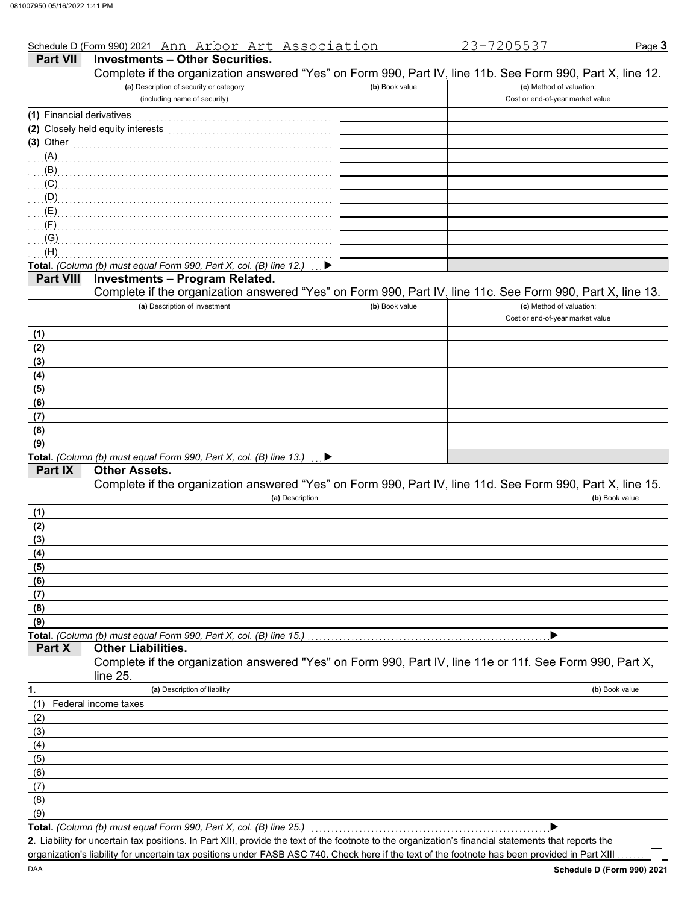|                           | Schedule D (Form 990) 2021 Ann Arbor Art Association                                                       |                | 23-7205537                                                   | Page 3         |
|---------------------------|------------------------------------------------------------------------------------------------------------|----------------|--------------------------------------------------------------|----------------|
| <b>Part VII</b>           | <b>Investments - Other Securities.</b>                                                                     |                |                                                              |                |
|                           | Complete if the organization answered "Yes" on Form 990, Part IV, line 11b. See Form 990, Part X, line 12. |                |                                                              |                |
|                           | (a) Description of security or category                                                                    | (b) Book value | (c) Method of valuation:                                     |                |
|                           | (including name of security)                                                                               |                | Cost or end-of-year market value                             |                |
| (1) Financial derivatives |                                                                                                            |                |                                                              |                |
|                           | (2) Closely held equity interests                                                                          |                |                                                              |                |
| (3) Other                 |                                                                                                            |                |                                                              |                |
| (A)                       |                                                                                                            |                |                                                              |                |
| (B)                       |                                                                                                            |                |                                                              |                |
| (C)                       |                                                                                                            |                |                                                              |                |
| (D)                       |                                                                                                            |                |                                                              |                |
| (E)                       |                                                                                                            |                |                                                              |                |
| (F)                       |                                                                                                            |                |                                                              |                |
| (G)                       |                                                                                                            |                |                                                              |                |
| (H)                       |                                                                                                            |                |                                                              |                |
|                           | Total. (Column (b) must equal Form 990, Part X, col. (B) line 12.)                                         |                |                                                              |                |
| <b>Part VIII</b>          | <b>Investments - Program Related.</b>                                                                      |                |                                                              |                |
|                           | Complete if the organization answered "Yes" on Form 990, Part IV, line 11c. See Form 990, Part X, line 13. |                |                                                              |                |
|                           | (a) Description of investment                                                                              | (b) Book value | (c) Method of valuation:<br>Cost or end-of-year market value |                |
|                           |                                                                                                            |                |                                                              |                |
| (1)                       |                                                                                                            |                |                                                              |                |
| (2)<br>(3)                |                                                                                                            |                |                                                              |                |
|                           |                                                                                                            |                |                                                              |                |
| (4)<br>(5)                |                                                                                                            |                |                                                              |                |
| (6)                       |                                                                                                            |                |                                                              |                |
| (7)                       |                                                                                                            |                |                                                              |                |
| (8)                       |                                                                                                            |                |                                                              |                |
| (9)                       |                                                                                                            |                |                                                              |                |
|                           | Total. (Column (b) must equal Form 990, Part X, col. (B) line 13.)<br>▶                                    |                |                                                              |                |
| Part IX                   | <b>Other Assets.</b>                                                                                       |                |                                                              |                |
|                           | Complete if the organization answered "Yes" on Form 990, Part IV, line 11d. See Form 990, Part X, line 15. |                |                                                              |                |
|                           | (a) Description                                                                                            |                |                                                              | (b) Book value |
| (1)                       |                                                                                                            |                |                                                              |                |
| (2)                       |                                                                                                            |                |                                                              |                |
| (3)                       |                                                                                                            |                |                                                              |                |
| (4)                       |                                                                                                            |                |                                                              |                |
| (5)                       |                                                                                                            |                |                                                              |                |
| (6)                       |                                                                                                            |                |                                                              |                |
| (7)                       |                                                                                                            |                |                                                              |                |
| (8)                       |                                                                                                            |                |                                                              |                |
| (9)                       |                                                                                                            |                |                                                              |                |
|                           | Total. (Column (b) must equal Form 990, Part X, col. (B) line 15.)                                         |                |                                                              |                |
| Part X                    | <b>Other Liabilities.</b>                                                                                  |                |                                                              |                |
|                           | Complete if the organization answered "Yes" on Form 990, Part IV, line 11e or 11f. See Form 990, Part X,   |                |                                                              |                |
|                           | line 25.                                                                                                   |                |                                                              |                |
| $\mathbf{1}$ .            | (a) Description of liability                                                                               |                |                                                              | (b) Book value |
| (1)                       | Federal income taxes                                                                                       |                |                                                              |                |
| (2)                       |                                                                                                            |                |                                                              |                |
| (3)                       |                                                                                                            |                |                                                              |                |
| (4)                       |                                                                                                            |                |                                                              |                |
| (5)                       |                                                                                                            |                |                                                              |                |
| (6)                       |                                                                                                            |                |                                                              |                |

Total. *(Column (b) must equal Form 990, Part X, col. (B) line 25.)*  $(9)$ 

Liability for uncertain tax positions. In Part XIII, provide the text of the footnote to the organization's financial statements that reports the **2.** organization's liability for uncertain tax positions under FASB ASC 740. Check here if the text of the footnote has been provided in Part XIII

 $\blacktriangleright$ 

(8)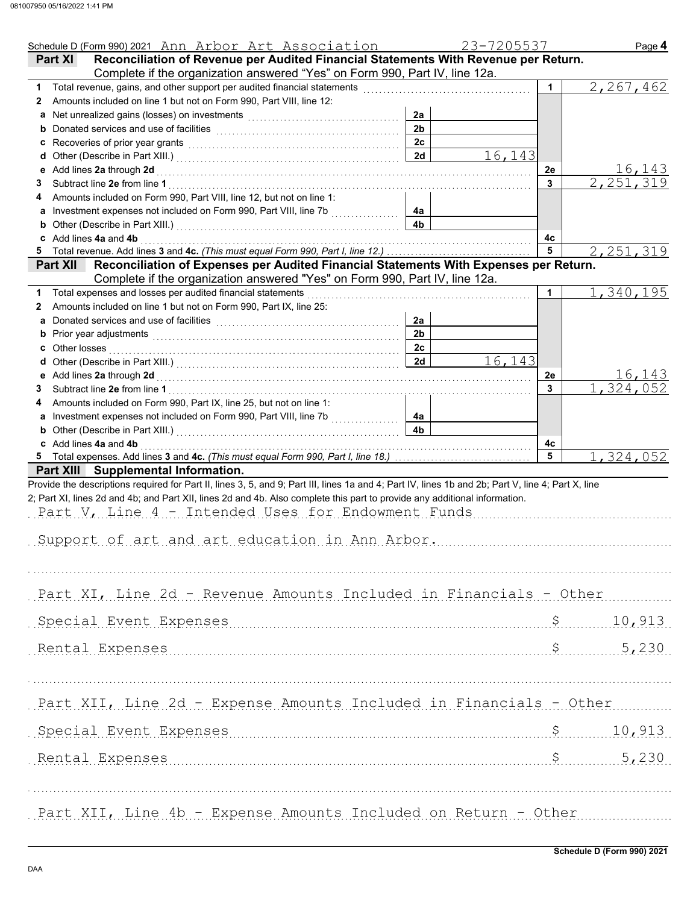| Schedule D (Form 990) 2021 Ann Arbor Art Association                                                                                               | 23-7205537           |         | Page 4                     |
|----------------------------------------------------------------------------------------------------------------------------------------------------|----------------------|---------|----------------------------|
| Reconciliation of Revenue per Audited Financial Statements With Revenue per Return.<br>Part XI                                                     |                      |         |                            |
| Complete if the organization answered "Yes" on Form 990, Part IV, line 12a.                                                                        |                      |         |                            |
| Total revenue, gains, and other support per audited financial statements<br>1                                                                      |                      | 1       | 2, 267, 462                |
| Amounts included on line 1 but not on Form 990, Part VIII, line 12:<br>2                                                                           |                      |         |                            |
| a                                                                                                                                                  | 2a                   |         |                            |
|                                                                                                                                                    | 2 <sub>b</sub><br>2c |         |                            |
|                                                                                                                                                    | 16,143<br>2d         |         |                            |
| Add lines 2a through 2d [[[[[[[[[[[[[[[[[[[[[[[]]]]]]]]]] Add lines 2a through 2d<br>е                                                             |                      | 2e      |                            |
| 3                                                                                                                                                  |                      | 3       | 16,143<br>2,251,319        |
| Amounts included on Form 990, Part VIII, line 12, but not on line 1:<br>4                                                                          |                      |         |                            |
| a Investment expenses not included on Form 990, Part VIII, line 7b [11, 11, 11, 11]                                                                | 4а                   |         |                            |
| <b>b</b> Other (Describe in Part XIII.) <b>CONSIDENT DESCRIPTION DESCRIPTION</b>                                                                   | 4b                   |         |                            |
| c Add lines 4a and 4b                                                                                                                              |                      | 4с      |                            |
|                                                                                                                                                    |                      | 5       | 2, 251, 319                |
| Part XII Reconciliation of Expenses per Audited Financial Statements With Expenses per Return.                                                     |                      |         |                            |
| Complete if the organization answered "Yes" on Form 990, Part IV, line 12a.                                                                        |                      |         | 1,340,195                  |
| Total expenses and losses per audited financial statements<br>1<br>Amounts included on line 1 but not on Form 990, Part IX, line 25:<br>2          |                      | 1       |                            |
| a                                                                                                                                                  | 2a                   |         |                            |
|                                                                                                                                                    | 2 <sub>b</sub>       |         |                            |
|                                                                                                                                                    | 2с                   |         |                            |
|                                                                                                                                                    | 16,143<br>2d         |         |                            |
| Add lines 2a through 2d [[[[[[[[[[[[[[[[[[[[[[[[[]]]]]]]]]] Add lines 2a through 2d                                                                |                      | 2e      | $\frac{16,143}{1,324,052}$ |
| 3                                                                                                                                                  |                      | 3       |                            |
| Amounts included on Form 990, Part IX, line 25, but not on line 1:<br>4                                                                            |                      |         |                            |
|                                                                                                                                                    | 4a                   |         |                            |
| <b>b</b> Other (Describe in Part XIII.) <b>CONVERGENT</b> OF OUR <b>DESCRIPTION</b>                                                                | 4b                   |         |                            |
| c Add lines 4a and 4b                                                                                                                              |                      | 4c<br>5 | 1,324,052                  |
| Part XIII Supplemental Information.                                                                                                                |                      |         |                            |
| Provide the descriptions required for Part II, lines 3, 5, and 9; Part III, lines 1a and 4; Part IV, lines 1b and 2b; Part V, line 4; Part X, line |                      |         |                            |
| 2; Part XI, lines 2d and 4b; and Part XII, lines 2d and 4b. Also complete this part to provide any additional information.                         |                      |         |                            |
| Part V, Line 4 - Intended Uses for Endowment Funds                                                                                                 |                      |         |                            |
|                                                                                                                                                    |                      |         |                            |
| Support of art and art education in Ann Arbor.                                                                                                     |                      |         |                            |
|                                                                                                                                                    |                      |         |                            |
|                                                                                                                                                    |                      |         |                            |
|                                                                                                                                                    |                      |         |                            |
| Part XI, Line 2d - Revenue Amounts Included in Financials - Other                                                                                  |                      |         |                            |
|                                                                                                                                                    |                      |         | 10,913                     |
|                                                                                                                                                    |                      |         |                            |
| $\ddot{\text{S}}$<br>Rental Expenses                                                                                                               |                      |         | 5,230                      |
|                                                                                                                                                    |                      |         |                            |
|                                                                                                                                                    |                      |         |                            |
|                                                                                                                                                    |                      |         |                            |
| Part XII, Line 2d - Expense Amounts Included in Financials - Other                                                                                 |                      |         |                            |
|                                                                                                                                                    |                      |         |                            |
| Special Event Expenses                                                                                                                             |                      |         | 10,913                     |
|                                                                                                                                                    |                      |         |                            |
| Rental Expenses                                                                                                                                    |                      |         | 5,230                      |
|                                                                                                                                                    |                      |         |                            |
|                                                                                                                                                    |                      |         |                            |
| Part XII, Line 4b - Expense Amounts Included on Return - Other                                                                                     |                      |         |                            |
|                                                                                                                                                    |                      |         |                            |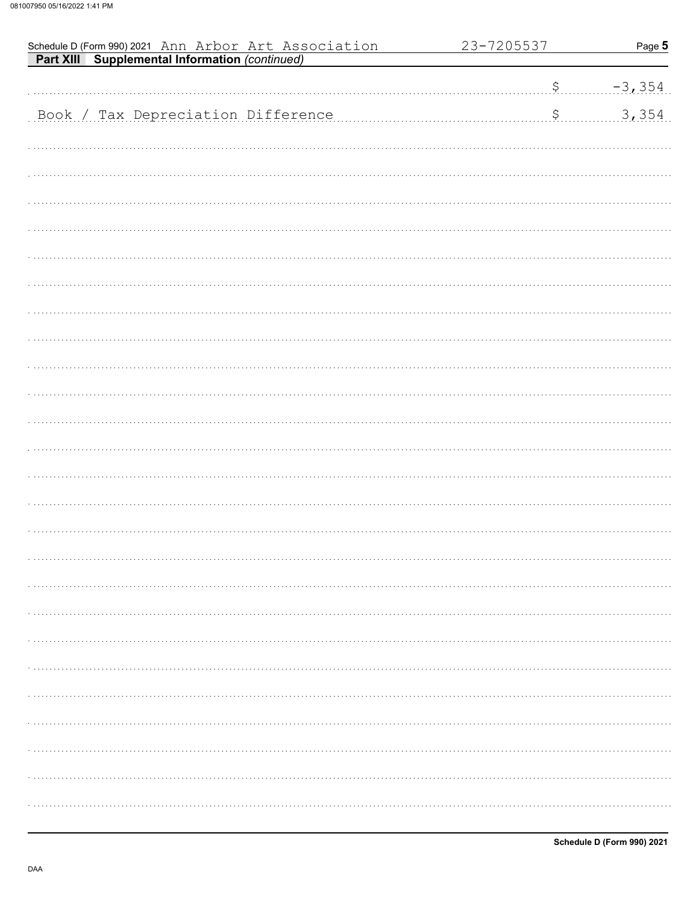| Schedule D (Form 990) 2021 Ann Arbor Art Association<br><b>Part XIII Supplemental Information</b> (continued) | 23-7205537     | Page 5   |
|---------------------------------------------------------------------------------------------------------------|----------------|----------|
|                                                                                                               |                |          |
|                                                                                                               | $\mathfrak{S}$ | $-3,354$ |
| Book / Tax Depreciation Difference                                                                            | \$             | 3,354    |
|                                                                                                               |                |          |
|                                                                                                               |                |          |
|                                                                                                               |                |          |
|                                                                                                               |                |          |
|                                                                                                               |                |          |
|                                                                                                               |                |          |
|                                                                                                               |                |          |
|                                                                                                               |                |          |
|                                                                                                               |                |          |
|                                                                                                               |                |          |
|                                                                                                               |                |          |
|                                                                                                               |                |          |
|                                                                                                               |                |          |
|                                                                                                               |                |          |
|                                                                                                               |                |          |
|                                                                                                               |                |          |
|                                                                                                               |                |          |
|                                                                                                               |                |          |
|                                                                                                               |                |          |
|                                                                                                               |                |          |
|                                                                                                               |                |          |
|                                                                                                               |                |          |
|                                                                                                               |                |          |
|                                                                                                               |                |          |
|                                                                                                               |                |          |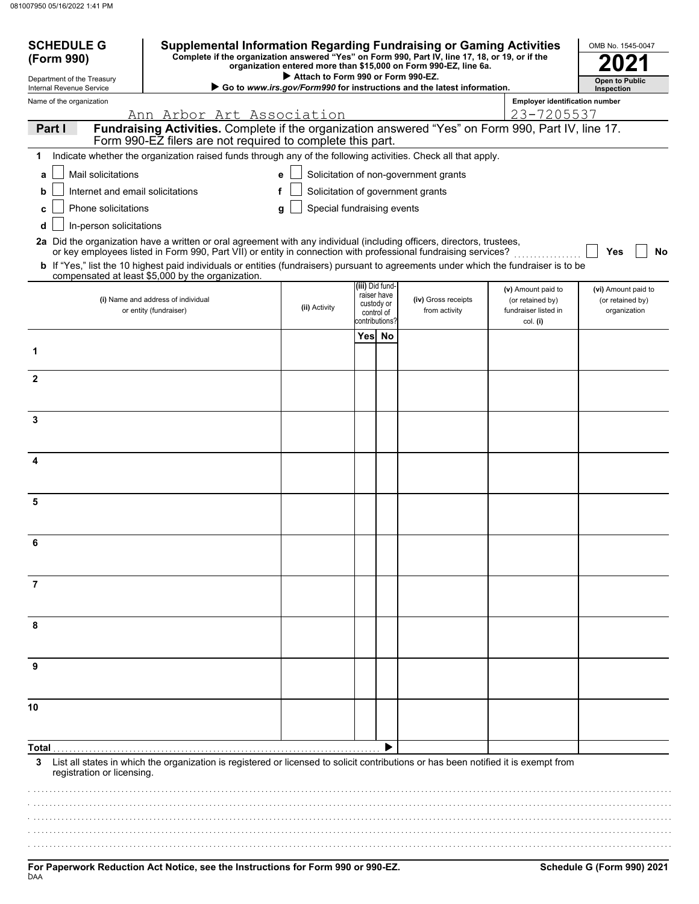| <b>SCHEDULE G</b><br>(Form 990)                        |                                                                                                                                                                                                                                                                |                                 |                                                                                                              | <b>Supplemental Information Regarding Fundraising or Gaming Activities</b><br>Complete if the organization answered "Yes" on Form 990, Part IV, line 17, 18, or 19, or if the<br>organization entered more than \$15,000 on Form 990-EZ, line 6a. |                                       | OMB No. 1545-0047                      |                                         |  |
|--------------------------------------------------------|----------------------------------------------------------------------------------------------------------------------------------------------------------------------------------------------------------------------------------------------------------------|---------------------------------|--------------------------------------------------------------------------------------------------------------|---------------------------------------------------------------------------------------------------------------------------------------------------------------------------------------------------------------------------------------------------|---------------------------------------|----------------------------------------|-----------------------------------------|--|
| Department of the Treasury<br>Internal Revenue Service |                                                                                                                                                                                                                                                                |                                 | Attach to Form 990 or Form 990-EZ.<br>Go to www.irs.gov/Form990 for instructions and the latest information. |                                                                                                                                                                                                                                                   |                                       |                                        |                                         |  |
| Name of the organization                               |                                                                                                                                                                                                                                                                |                                 |                                                                                                              |                                                                                                                                                                                                                                                   |                                       | <b>Employer identification number</b>  | Inspection                              |  |
|                                                        | Ann Arbor Art Association                                                                                                                                                                                                                                      |                                 |                                                                                                              |                                                                                                                                                                                                                                                   |                                       | 23-7205537                             |                                         |  |
| Part I                                                 | Fundraising Activities. Complete if the organization answered "Yes" on Form 990, Part IV, line 17.<br>Form 990-EZ filers are not required to complete this part.                                                                                               |                                 |                                                                                                              |                                                                                                                                                                                                                                                   |                                       |                                        |                                         |  |
| 1                                                      | Indicate whether the organization raised funds through any of the following activities. Check all that apply.                                                                                                                                                  |                                 |                                                                                                              |                                                                                                                                                                                                                                                   |                                       |                                        |                                         |  |
| Mail solicitations<br>a                                |                                                                                                                                                                                                                                                                |                                 |                                                                                                              |                                                                                                                                                                                                                                                   | Solicitation of non-government grants |                                        |                                         |  |
| Internet and email solicitations<br>b                  | f                                                                                                                                                                                                                                                              |                                 |                                                                                                              |                                                                                                                                                                                                                                                   | Solicitation of government grants     |                                        |                                         |  |
| Phone solicitations<br>c                               |                                                                                                                                                                                                                                                                | Special fundraising events<br>g |                                                                                                              |                                                                                                                                                                                                                                                   |                                       |                                        |                                         |  |
| In-person solicitations<br>d                           |                                                                                                                                                                                                                                                                |                                 |                                                                                                              |                                                                                                                                                                                                                                                   |                                       |                                        |                                         |  |
|                                                        | 2a Did the organization have a written or oral agreement with any individual (including officers, directors, trustees,                                                                                                                                         |                                 |                                                                                                              |                                                                                                                                                                                                                                                   |                                       |                                        |                                         |  |
|                                                        | or key employees listed in Form 990, Part VII) or entity in connection with professional fundraising services?<br><b>b</b> If "Yes," list the 10 highest paid individuals or entities (fundraisers) pursuant to agreements under which the fundraiser is to be |                                 |                                                                                                              |                                                                                                                                                                                                                                                   |                                       |                                        | <b>No</b><br>Yes                        |  |
|                                                        | compensated at least \$5,000 by the organization.                                                                                                                                                                                                              |                                 |                                                                                                              |                                                                                                                                                                                                                                                   |                                       |                                        |                                         |  |
|                                                        | (i) Name and address of individual                                                                                                                                                                                                                             |                                 |                                                                                                              | (iii) Did fund-<br>raiser have                                                                                                                                                                                                                    | (iv) Gross receipts                   | (v) Amount paid to<br>(or retained by) | (vi) Amount paid to<br>(or retained by) |  |
|                                                        | or entity (fundraiser)                                                                                                                                                                                                                                         | (ii) Activity                   |                                                                                                              | custody or<br>control of                                                                                                                                                                                                                          | from activity                         | fundraiser listed in                   | organization                            |  |
|                                                        |                                                                                                                                                                                                                                                                |                                 |                                                                                                              | contributions?<br>Yes No                                                                                                                                                                                                                          |                                       | col. (i)                               |                                         |  |
| 1                                                      |                                                                                                                                                                                                                                                                |                                 |                                                                                                              |                                                                                                                                                                                                                                                   |                                       |                                        |                                         |  |
|                                                        |                                                                                                                                                                                                                                                                |                                 |                                                                                                              |                                                                                                                                                                                                                                                   |                                       |                                        |                                         |  |
| $\mathbf{2}$                                           |                                                                                                                                                                                                                                                                |                                 |                                                                                                              |                                                                                                                                                                                                                                                   |                                       |                                        |                                         |  |
|                                                        |                                                                                                                                                                                                                                                                |                                 |                                                                                                              |                                                                                                                                                                                                                                                   |                                       |                                        |                                         |  |
| 3                                                      |                                                                                                                                                                                                                                                                |                                 |                                                                                                              |                                                                                                                                                                                                                                                   |                                       |                                        |                                         |  |
|                                                        |                                                                                                                                                                                                                                                                |                                 |                                                                                                              |                                                                                                                                                                                                                                                   |                                       |                                        |                                         |  |
| 4                                                      |                                                                                                                                                                                                                                                                |                                 |                                                                                                              |                                                                                                                                                                                                                                                   |                                       |                                        |                                         |  |
|                                                        |                                                                                                                                                                                                                                                                |                                 |                                                                                                              |                                                                                                                                                                                                                                                   |                                       |                                        |                                         |  |
| 5                                                      |                                                                                                                                                                                                                                                                |                                 |                                                                                                              |                                                                                                                                                                                                                                                   |                                       |                                        |                                         |  |
|                                                        |                                                                                                                                                                                                                                                                |                                 |                                                                                                              |                                                                                                                                                                                                                                                   |                                       |                                        |                                         |  |
|                                                        |                                                                                                                                                                                                                                                                |                                 |                                                                                                              |                                                                                                                                                                                                                                                   |                                       |                                        |                                         |  |
| 6                                                      |                                                                                                                                                                                                                                                                |                                 |                                                                                                              |                                                                                                                                                                                                                                                   |                                       |                                        |                                         |  |
|                                                        |                                                                                                                                                                                                                                                                |                                 |                                                                                                              |                                                                                                                                                                                                                                                   |                                       |                                        |                                         |  |
| 7                                                      |                                                                                                                                                                                                                                                                |                                 |                                                                                                              |                                                                                                                                                                                                                                                   |                                       |                                        |                                         |  |
|                                                        |                                                                                                                                                                                                                                                                |                                 |                                                                                                              |                                                                                                                                                                                                                                                   |                                       |                                        |                                         |  |
| 8                                                      |                                                                                                                                                                                                                                                                |                                 |                                                                                                              |                                                                                                                                                                                                                                                   |                                       |                                        |                                         |  |
|                                                        |                                                                                                                                                                                                                                                                |                                 |                                                                                                              |                                                                                                                                                                                                                                                   |                                       |                                        |                                         |  |
| 9                                                      |                                                                                                                                                                                                                                                                |                                 |                                                                                                              |                                                                                                                                                                                                                                                   |                                       |                                        |                                         |  |
|                                                        |                                                                                                                                                                                                                                                                |                                 |                                                                                                              |                                                                                                                                                                                                                                                   |                                       |                                        |                                         |  |
|                                                        |                                                                                                                                                                                                                                                                |                                 |                                                                                                              |                                                                                                                                                                                                                                                   |                                       |                                        |                                         |  |
| 10                                                     |                                                                                                                                                                                                                                                                |                                 |                                                                                                              |                                                                                                                                                                                                                                                   |                                       |                                        |                                         |  |
|                                                        |                                                                                                                                                                                                                                                                |                                 |                                                                                                              |                                                                                                                                                                                                                                                   |                                       |                                        |                                         |  |
| Total                                                  |                                                                                                                                                                                                                                                                |                                 |                                                                                                              |                                                                                                                                                                                                                                                   |                                       |                                        |                                         |  |
| 3<br>registration or licensing.                        | List all states in which the organization is registered or licensed to solicit contributions or has been notified it is exempt from                                                                                                                            |                                 |                                                                                                              |                                                                                                                                                                                                                                                   |                                       |                                        |                                         |  |
|                                                        |                                                                                                                                                                                                                                                                |                                 |                                                                                                              |                                                                                                                                                                                                                                                   |                                       |                                        |                                         |  |
|                                                        |                                                                                                                                                                                                                                                                |                                 |                                                                                                              |                                                                                                                                                                                                                                                   |                                       |                                        |                                         |  |
|                                                        |                                                                                                                                                                                                                                                                |                                 |                                                                                                              |                                                                                                                                                                                                                                                   |                                       |                                        |                                         |  |
|                                                        |                                                                                                                                                                                                                                                                |                                 |                                                                                                              |                                                                                                                                                                                                                                                   |                                       |                                        |                                         |  |
|                                                        |                                                                                                                                                                                                                                                                |                                 |                                                                                                              |                                                                                                                                                                                                                                                   |                                       |                                        |                                         |  |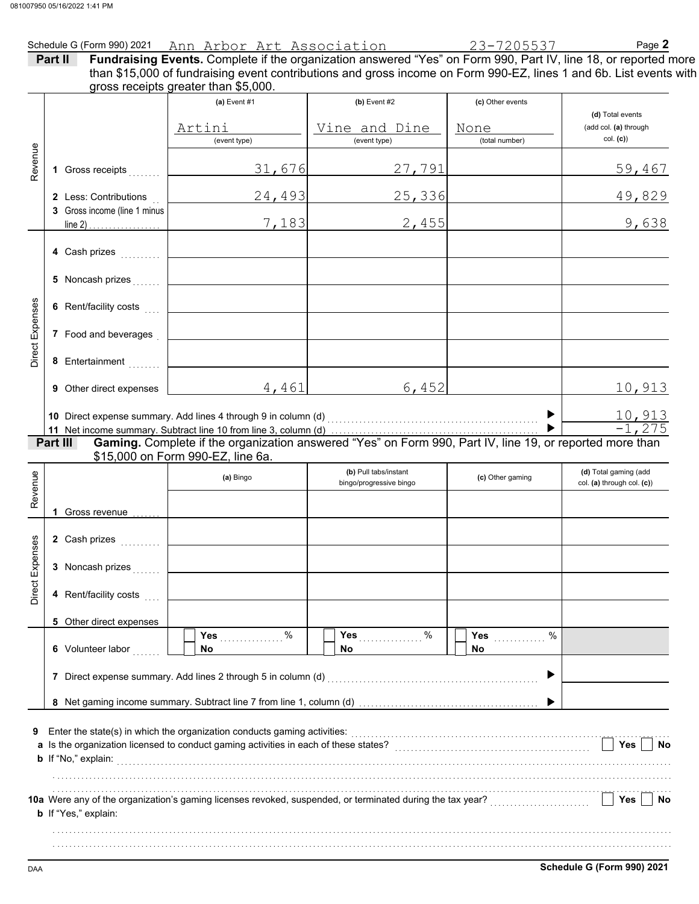|                        |                                                       | gross receipts greater than \$5,000.                                     | Schedule G (Form 990) 2021 Ann Arbor Art Association 23-7205537 Page 2<br><b>Part II</b> Fundraising Events. Complete if the organization answered "Yes" on Form 990, Part IV, line 18, or reported more<br>than \$15,000 of fundraising event contributions and gross income on Form 990-EZ, lines 1 and 6b. List events with                              |                                            |                                                       |
|------------------------|-------------------------------------------------------|--------------------------------------------------------------------------|-------------------------------------------------------------------------------------------------------------------------------------------------------------------------------------------------------------------------------------------------------------------------------------------------------------------------------------------------------------|--------------------------------------------|-------------------------------------------------------|
|                        |                                                       | (a) Event $#1$<br>Artini<br>(event type)                                 | (b) Event $#2$<br>Vine and Dine<br>(event type)                                                                                                                                                                                                                                                                                                             | (c) Other events<br>None<br>(total number) | (d) Total events<br>(add col. (a) through<br>col. (c) |
| Revenue                | 1 Gross receipts                                      | 31,676                                                                   | 27,791                                                                                                                                                                                                                                                                                                                                                      |                                            | 59,467                                                |
|                        | 2 Less: Contributions<br>3 Gross income (line 1 minus | 24,493                                                                   | 25,336                                                                                                                                                                                                                                                                                                                                                      |                                            | 49,829                                                |
|                        |                                                       | 7,183                                                                    | 2,455                                                                                                                                                                                                                                                                                                                                                       |                                            | 9,638                                                 |
|                        | 4 Cash prizes                                         |                                                                          |                                                                                                                                                                                                                                                                                                                                                             |                                            |                                                       |
| <b>Direct Expenses</b> | 5 Noncash prizes                                      |                                                                          |                                                                                                                                                                                                                                                                                                                                                             |                                            |                                                       |
|                        | 6 Rent/facility costs                                 |                                                                          |                                                                                                                                                                                                                                                                                                                                                             |                                            |                                                       |
|                        | 7 Food and beverages                                  | the contract of the contract of the contract of                          |                                                                                                                                                                                                                                                                                                                                                             |                                            |                                                       |
|                        | 8 Entertainment                                       |                                                                          |                                                                                                                                                                                                                                                                                                                                                             |                                            |                                                       |
|                        | <b>9</b> Other direct expenses                        | 4,461                                                                    | 6,452                                                                                                                                                                                                                                                                                                                                                       |                                            | 10,913                                                |
|                        | Part III                                              | \$15,000 on Form 990-EZ, line 6a.                                        |                                                                                                                                                                                                                                                                                                                                                             | $\blacktriangleright$                      | $\frac{10,913}{-1,275}$                               |
| Revenue                |                                                       | (a) Bingo                                                                | (b) Pull tabs/instant<br>bingo/progressive bingo                                                                                                                                                                                                                                                                                                            | (c) Other gaming                           | (d) Total gaming (add<br>col. (a) through col. (c))   |
|                        | 1 Gross revenue                                       |                                                                          |                                                                                                                                                                                                                                                                                                                                                             |                                            |                                                       |
|                        | 2 Cash prizes                                         |                                                                          |                                                                                                                                                                                                                                                                                                                                                             |                                            |                                                       |
| Direct Expenses        | 3 Noncash prizes                                      |                                                                          |                                                                                                                                                                                                                                                                                                                                                             |                                            |                                                       |
|                        | 4 Rent/facility costs                                 |                                                                          |                                                                                                                                                                                                                                                                                                                                                             |                                            |                                                       |
|                        | 5 Other direct expenses                               |                                                                          |                                                                                                                                                                                                                                                                                                                                                             |                                            |                                                       |
|                        | 6 Volunteer labor                                     | %<br>Yes<br>No.                                                          | Yes<br>%<br>No.                                                                                                                                                                                                                                                                                                                                             | Yes<br>%<br>No.                            |                                                       |
|                        |                                                       |                                                                          |                                                                                                                                                                                                                                                                                                                                                             |                                            |                                                       |
|                        |                                                       | 7 Direct expense summary. Add lines 2 through 5 in column (d)            |                                                                                                                                                                                                                                                                                                                                                             |                                            |                                                       |
|                        |                                                       |                                                                          |                                                                                                                                                                                                                                                                                                                                                             |                                            |                                                       |
| 9                      |                                                       | Enter the state(s) in which the organization conducts gaming activities: | a Is the organization licensed to conduct gaming activities in each of these states? [[[[[[[[[[[[[[[[[[[[[[[[[<br><b>b</b> If "No," explain: <b>All any constant of the Constant of the Constant of the Constant of the Constant of the Constant of the Constant of the Constant of the Constant of the Constant of the Constant of the Constant of the</b> |                                            | Yes<br>No                                             |
|                        | <b>b</b> If "Yes," explain:                           |                                                                          | 10a Were any of the organization's gaming licenses revoked, suspended, or terminated during the tax year?                                                                                                                                                                                                                                                   |                                            | Yes<br>No                                             |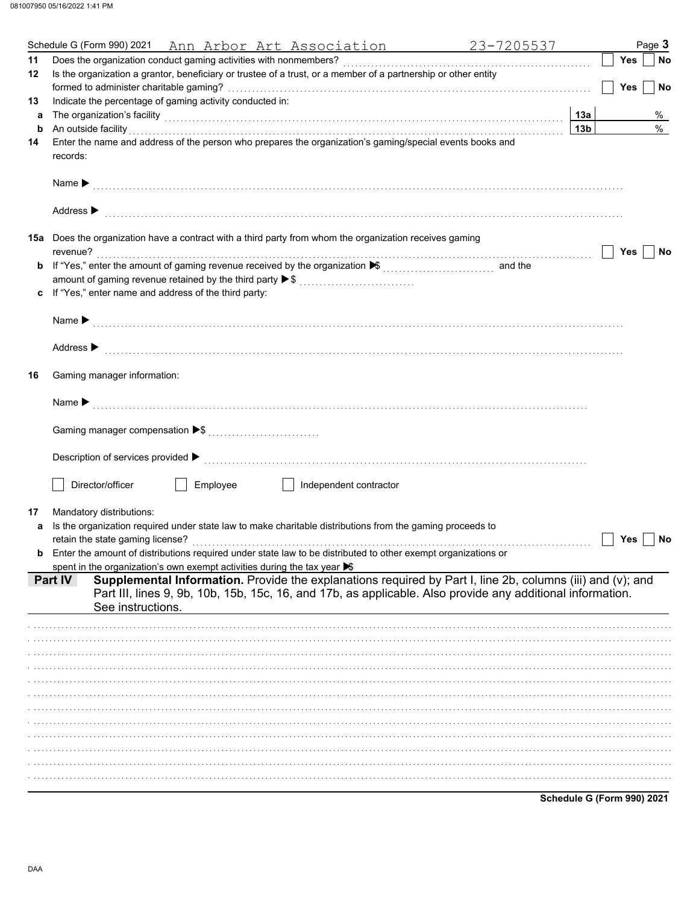|    | Schedule G (Form 990) 2021 Ann Arbor Art Association 23-7205537                                                                                                                                                                            |                 |            | Page 3        |
|----|--------------------------------------------------------------------------------------------------------------------------------------------------------------------------------------------------------------------------------------------|-----------------|------------|---------------|
| 11 |                                                                                                                                                                                                                                            |                 | <b>Yes</b> | <b>No</b>     |
| 12 | Is the organization a grantor, beneficiary or trustee of a trust, or a member of a partnership or other entity                                                                                                                             |                 |            |               |
|    |                                                                                                                                                                                                                                            |                 | <b>Yes</b> | <b>No</b>     |
| 13 | Indicate the percentage of gaming activity conducted in:                                                                                                                                                                                   |                 |            |               |
| a  | The organization's facility encourance and contained a state of the organization's facility entries and contained a state of the organization's facility                                                                                   | 13a             |            | %             |
| b  | An outside facility with an account of the set of a control of the set of the set of the set of the set of the                                                                                                                             | 13 <sub>b</sub> |            | $\frac{0}{0}$ |
| 14 | Enter the name and address of the person who prepares the organization's gaming/special events books and<br>records:                                                                                                                       |                 |            |               |
|    |                                                                                                                                                                                                                                            |                 |            |               |
|    | Address $\blacktriangleright$                                                                                                                                                                                                              |                 |            |               |
|    | 15a Does the organization have a contract with a third party from whom the organization receives gaming                                                                                                                                    |                 |            |               |
|    | If "Yes," enter the amount of gaming revenue received by the organization ▶ (\\times\) \\times," enter the amount of gaming revenue received by the organization ▶ (\\times\)                                                              |                 | Yes        | No            |
| b  | amount of gaming revenue retained by the third party ▶ \$                                                                                                                                                                                  |                 |            |               |
| c  | If "Yes," enter name and address of the third party:                                                                                                                                                                                       |                 |            |               |
|    |                                                                                                                                                                                                                                            |                 |            |               |
|    |                                                                                                                                                                                                                                            |                 |            |               |
|    | Address $\blacktriangleright$                                                                                                                                                                                                              |                 |            |               |
| 16 | Gaming manager information:                                                                                                                                                                                                                |                 |            |               |
|    | Name $\blacktriangleright$                                                                                                                                                                                                                 |                 |            |               |
|    |                                                                                                                                                                                                                                            |                 |            |               |
|    |                                                                                                                                                                                                                                            |                 |            |               |
|    | Director/officer<br>Employee<br>Independent contractor                                                                                                                                                                                     |                 |            |               |
| 17 | Mandatory distributions:                                                                                                                                                                                                                   |                 |            |               |
|    | Is the organization required under state law to make charitable distributions from the gaming proceeds to                                                                                                                                  |                 |            |               |
|    |                                                                                                                                                                                                                                            |                 | Yes        | No            |
| b  | Enter the amount of distributions required under state law to be distributed to other exempt organizations or                                                                                                                              |                 |            |               |
|    | spent in the organization's own exempt activities during the tax year $\blacktriangleright$                                                                                                                                                |                 |            |               |
|    | Supplemental Information. Provide the explanations required by Part I, line 2b, columns (iii) and (v); and<br><b>Part IV</b><br>Part III, lines 9, 9b, 10b, 15b, 15c, 16, and 17b, as applicable. Also provide any additional information. |                 |            |               |
|    | See instructions.                                                                                                                                                                                                                          |                 |            |               |
|    |                                                                                                                                                                                                                                            |                 |            |               |
|    |                                                                                                                                                                                                                                            |                 |            |               |
|    |                                                                                                                                                                                                                                            |                 |            |               |
|    |                                                                                                                                                                                                                                            |                 |            |               |
|    |                                                                                                                                                                                                                                            |                 |            |               |
|    |                                                                                                                                                                                                                                            |                 |            |               |
|    |                                                                                                                                                                                                                                            |                 |            |               |
|    |                                                                                                                                                                                                                                            |                 |            |               |
|    |                                                                                                                                                                                                                                            |                 |            |               |
|    |                                                                                                                                                                                                                                            |                 |            |               |
|    |                                                                                                                                                                                                                                            |                 |            |               |
|    |                                                                                                                                                                                                                                            |                 |            |               |
|    | Schedule G (Form 990) 2021                                                                                                                                                                                                                 |                 |            |               |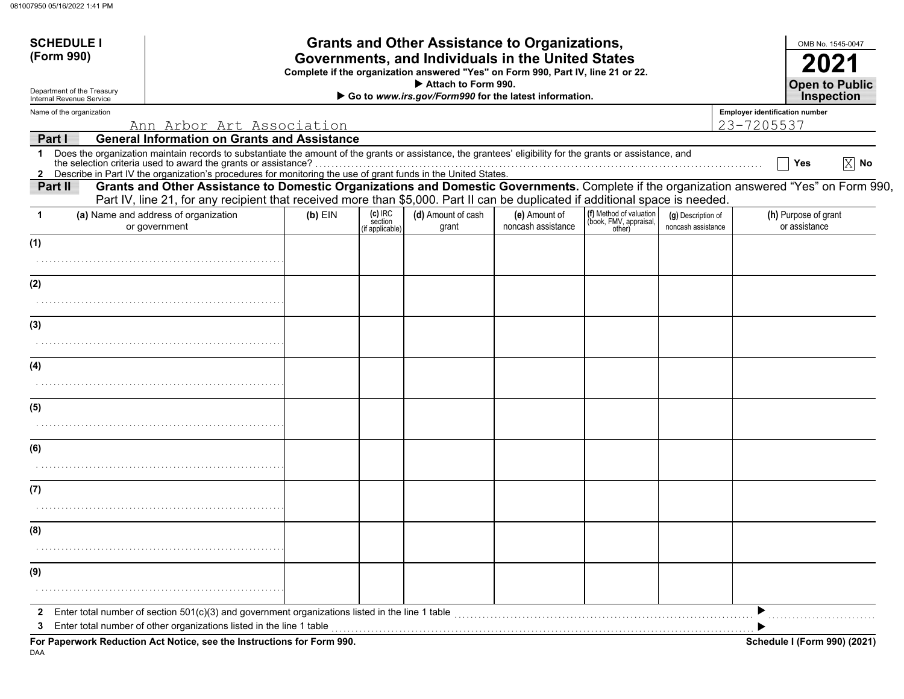| <b>SCHEDULE I</b>                                      |                                                                                                                                                                                                                                                                           |           | <b>Grants and Other Assistance to Organizations,</b>                                                                                  |                                                                              |                                     |                                                             |                                          | OMB No. 1545-0047                     |                                            |  |
|--------------------------------------------------------|---------------------------------------------------------------------------------------------------------------------------------------------------------------------------------------------------------------------------------------------------------------------------|-----------|---------------------------------------------------------------------------------------------------------------------------------------|------------------------------------------------------------------------------|-------------------------------------|-------------------------------------------------------------|------------------------------------------|---------------------------------------|--------------------------------------------|--|
| (Form 990)                                             |                                                                                                                                                                                                                                                                           |           | Governments, and Individuals in the United States<br>Complete if the organization answered "Yes" on Form 990, Part IV, line 21 or 22. |                                                                              |                                     |                                                             |                                          |                                       |                                            |  |
| Department of the Treasury<br>Internal Revenue Service |                                                                                                                                                                                                                                                                           |           |                                                                                                                                       | Attach to Form 990.<br>Go to www.irs.gov/Form990 for the latest information. |                                     |                                                             |                                          |                                       | <b>Open to Public</b><br><b>Inspection</b> |  |
| Name of the organization                               |                                                                                                                                                                                                                                                                           |           |                                                                                                                                       |                                                                              |                                     |                                                             |                                          | <b>Employer identification number</b> |                                            |  |
|                                                        | <u>Ann Arbor Art Association</u>                                                                                                                                                                                                                                          |           |                                                                                                                                       |                                                                              |                                     |                                                             |                                          | 23-7205537                            |                                            |  |
| Part I                                                 | <b>General Information on Grants and Assistance</b><br>Does the organization maintain records to substantiate the amount of the grants or assistance, the grantees' eligibility for the grants or assistance, and                                                         |           |                                                                                                                                       |                                                                              |                                     |                                                             |                                          |                                       |                                            |  |
| $\mathbf 1$                                            | the selection criteria used to award the grants or assistance?                                                                                                                                                                                                            |           |                                                                                                                                       |                                                                              |                                     |                                                             |                                          |                                       | $ X $ No<br>Yes                            |  |
|                                                        | 2 Describe in Part IV the organization's procedures for monitoring the use of grant funds in the United States.                                                                                                                                                           |           |                                                                                                                                       |                                                                              |                                     |                                                             |                                          |                                       |                                            |  |
| Part II                                                | Grants and Other Assistance to Domestic Organizations and Domestic Governments. Complete if the organization answered "Yes" on Form 990,<br>Part IV, line 21, for any recipient that received more than \$5,000. Part II can be duplicated if additional space is needed. |           |                                                                                                                                       |                                                                              |                                     |                                                             |                                          |                                       |                                            |  |
| 1                                                      | (a) Name and address of organization<br>or government                                                                                                                                                                                                                     | $(b)$ EIN | $(c)$ IRC<br>section<br>(if applicable)                                                                                               | (d) Amount of cash<br>grant                                                  | (e) Amount of<br>noncash assistance | (f) Method of valuation<br>(book, FMV, appraisal,<br>other) | (g) Description of<br>noncash assistance |                                       | (h) Purpose of grant<br>or assistance      |  |
| (1)                                                    |                                                                                                                                                                                                                                                                           |           |                                                                                                                                       |                                                                              |                                     |                                                             |                                          |                                       |                                            |  |
|                                                        |                                                                                                                                                                                                                                                                           |           |                                                                                                                                       |                                                                              |                                     |                                                             |                                          |                                       |                                            |  |
| (2)                                                    |                                                                                                                                                                                                                                                                           |           |                                                                                                                                       |                                                                              |                                     |                                                             |                                          |                                       |                                            |  |
|                                                        |                                                                                                                                                                                                                                                                           |           |                                                                                                                                       |                                                                              |                                     |                                                             |                                          |                                       |                                            |  |
| (3)                                                    |                                                                                                                                                                                                                                                                           |           |                                                                                                                                       |                                                                              |                                     |                                                             |                                          |                                       |                                            |  |
|                                                        |                                                                                                                                                                                                                                                                           |           |                                                                                                                                       |                                                                              |                                     |                                                             |                                          |                                       |                                            |  |
| (4)                                                    |                                                                                                                                                                                                                                                                           |           |                                                                                                                                       |                                                                              |                                     |                                                             |                                          |                                       |                                            |  |
|                                                        |                                                                                                                                                                                                                                                                           |           |                                                                                                                                       |                                                                              |                                     |                                                             |                                          |                                       |                                            |  |
| (5)                                                    |                                                                                                                                                                                                                                                                           |           |                                                                                                                                       |                                                                              |                                     |                                                             |                                          |                                       |                                            |  |
|                                                        |                                                                                                                                                                                                                                                                           |           |                                                                                                                                       |                                                                              |                                     |                                                             |                                          |                                       |                                            |  |
| (6)                                                    |                                                                                                                                                                                                                                                                           |           |                                                                                                                                       |                                                                              |                                     |                                                             |                                          |                                       |                                            |  |
|                                                        |                                                                                                                                                                                                                                                                           |           |                                                                                                                                       |                                                                              |                                     |                                                             |                                          |                                       |                                            |  |
| (7)                                                    |                                                                                                                                                                                                                                                                           |           |                                                                                                                                       |                                                                              |                                     |                                                             |                                          |                                       |                                            |  |
|                                                        |                                                                                                                                                                                                                                                                           |           |                                                                                                                                       |                                                                              |                                     |                                                             |                                          |                                       |                                            |  |
| (8)                                                    |                                                                                                                                                                                                                                                                           |           |                                                                                                                                       |                                                                              |                                     |                                                             |                                          |                                       |                                            |  |
|                                                        |                                                                                                                                                                                                                                                                           |           |                                                                                                                                       |                                                                              |                                     |                                                             |                                          |                                       |                                            |  |
| (9)                                                    |                                                                                                                                                                                                                                                                           |           |                                                                                                                                       |                                                                              |                                     |                                                             |                                          |                                       |                                            |  |
|                                                        |                                                                                                                                                                                                                                                                           |           |                                                                                                                                       |                                                                              |                                     |                                                             |                                          |                                       |                                            |  |
|                                                        | Enter total number of section 501(c)(3) and government organizations listed in the line 1 table                                                                                                                                                                           |           |                                                                                                                                       |                                                                              |                                     |                                                             |                                          |                                       |                                            |  |
| 3                                                      | Enter total number of other organizations listed in the line 1 table<br>For Paperwork Reduction Act Notice, see the Instructions for Form 990.                                                                                                                            |           |                                                                                                                                       |                                                                              |                                     |                                                             |                                          |                                       | Schedule I (Form 990) (2021)               |  |

DAA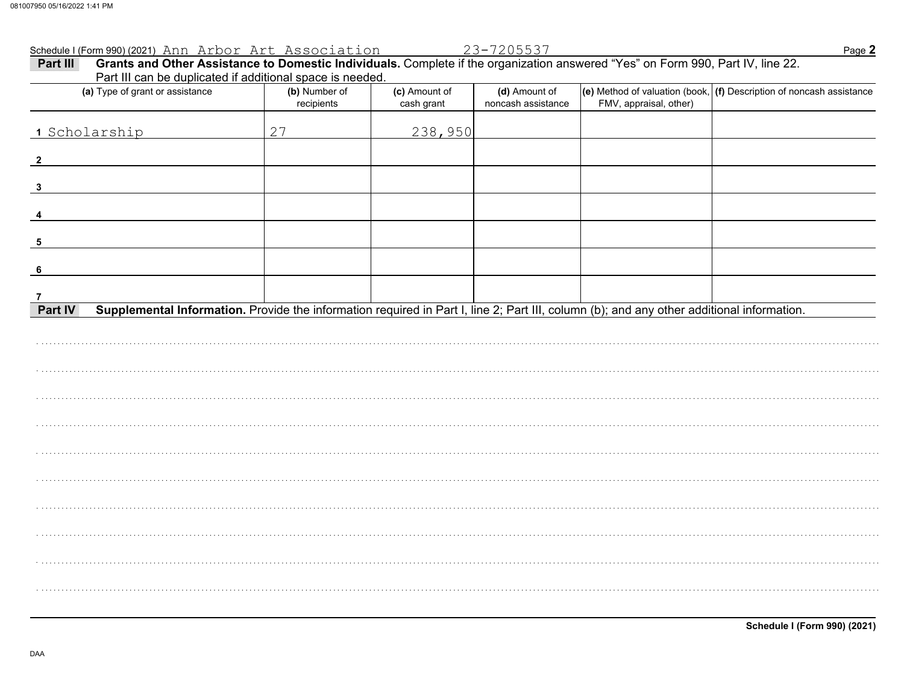|                         | Schedule I (Form 990) (2021) Ann Arbor Art Association                                                                                                                                       |                             |                             | 23-7205537                          |                        | Page 2                                                                               |  |  |
|-------------------------|----------------------------------------------------------------------------------------------------------------------------------------------------------------------------------------------|-----------------------------|-----------------------------|-------------------------------------|------------------------|--------------------------------------------------------------------------------------|--|--|
| Part III                | Grants and Other Assistance to Domestic Individuals. Complete if the organization answered "Yes" on Form 990, Part IV, line 22.<br>Part III can be duplicated if additional space is needed. |                             |                             |                                     |                        |                                                                                      |  |  |
|                         | (a) Type of grant or assistance                                                                                                                                                              | (b) Number of<br>recipients | (c) Amount of<br>cash grant | (d) Amount of<br>noncash assistance | FMV, appraisal, other) | $\vert$ (e) Method of valuation (book, $\vert$ (f) Description of noncash assistance |  |  |
|                         | 1 Scholarship                                                                                                                                                                                | 27                          | 238,950                     |                                     |                        |                                                                                      |  |  |
| $\overline{\mathbf{2}}$ |                                                                                                                                                                                              |                             |                             |                                     |                        |                                                                                      |  |  |
| $\mathbf{3}$            |                                                                                                                                                                                              |                             |                             |                                     |                        |                                                                                      |  |  |
|                         |                                                                                                                                                                                              |                             |                             |                                     |                        |                                                                                      |  |  |
| 5                       |                                                                                                                                                                                              |                             |                             |                                     |                        |                                                                                      |  |  |
| 6                       |                                                                                                                                                                                              |                             |                             |                                     |                        |                                                                                      |  |  |
|                         |                                                                                                                                                                                              |                             |                             |                                     |                        |                                                                                      |  |  |
| Part IV                 | Supplemental Information. Provide the information required in Part I, line 2; Part III, column (b); and any other additional information.                                                    |                             |                             |                                     |                        |                                                                                      |  |  |
|                         |                                                                                                                                                                                              |                             |                             |                                     |                        |                                                                                      |  |  |
|                         |                                                                                                                                                                                              |                             |                             |                                     |                        |                                                                                      |  |  |
|                         |                                                                                                                                                                                              |                             |                             |                                     |                        |                                                                                      |  |  |
|                         |                                                                                                                                                                                              |                             |                             |                                     |                        |                                                                                      |  |  |
|                         |                                                                                                                                                                                              |                             |                             |                                     |                        |                                                                                      |  |  |
|                         |                                                                                                                                                                                              |                             |                             |                                     |                        |                                                                                      |  |  |
|                         |                                                                                                                                                                                              |                             |                             |                                     |                        |                                                                                      |  |  |
|                         |                                                                                                                                                                                              |                             |                             |                                     |                        |                                                                                      |  |  |
|                         |                                                                                                                                                                                              |                             |                             |                                     |                        |                                                                                      |  |  |
|                         |                                                                                                                                                                                              |                             |                             |                                     |                        |                                                                                      |  |  |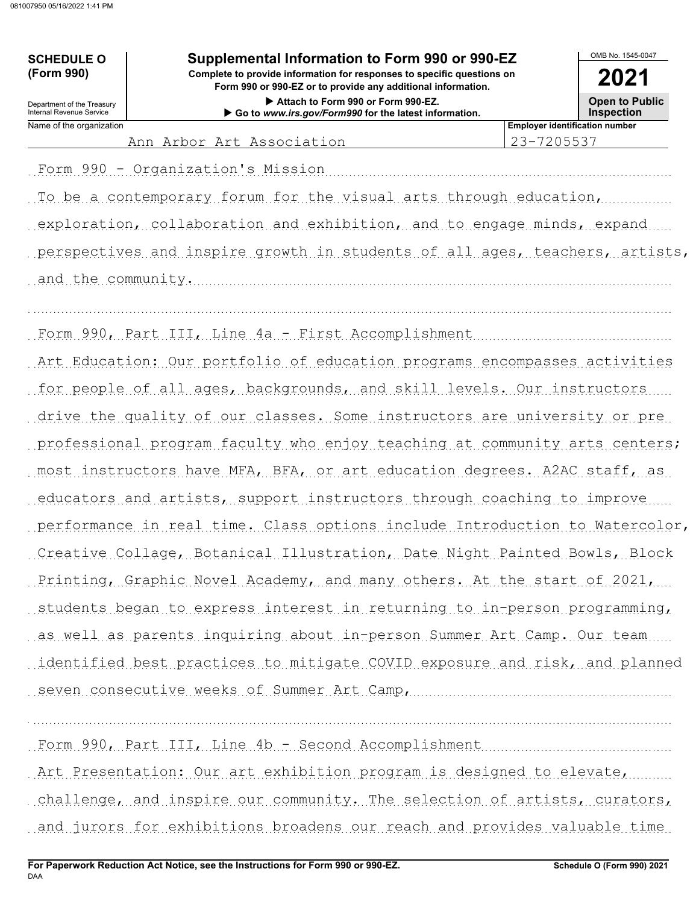**SCHEDULE O** (Form 990)

Department of the Treasury Internal Revenue Service

Name of the organization

#### Supplemental Information to Form 990 or 990-EZ

Complete to provide information for responses to specific questions on Form 990 or 990-EZ or to provide any additional information.

> Attach to Form 990 or Form 990-EZ. Go to www.irs.gov/Form990 for the latest information.

**Open to Public Inspection** 

**Employer identification number** 23-7205537

Form 990 - Organization's Mission

To be a contemporary forum for the visual arts through education,

exploration, collaboration and exhibition, and to engage minds, expand perspectives and inspire growth in students of all ages, teachers, artists, 

Form 990, Part III, Line 4a - First Accomplishment

Ann Arbor Art Association

Art Education: Our portfolio of education programs encompasses activities for people of all ages, backgrounds, and skill levels. Our instructors drive the quality of our classes. Some instructors are university or pre professional program faculty who enjoy teaching at community arts centers; most instructors have MFA, BFA, or art education degrees. A2AC staff, as educators and artists, support instructors through coaching to improve performance in real time. Class options include Introduction to Watercolor, Creative Collage, Botanical Illustration, Date Night Painted Bowls, Block Printing, Graphic Novel Academy, and many others. At the start of 2021, students began to express interest in returning to in-person programming, as well as parents inquiring about in-person Summer Art Camp. Our team identified best practices to mitigate COVID exposure and risk, and planned seven consecutive weeks of Summer Art Camp,

Form 990, Part III, Line 4b - Second Accomplishment

Art Presentation: Our art exhibition program is designed to elevate, challenge, and inspire our community. The selection of artists, curators, and jurors for exhibitions broadens our reach and provides valuable time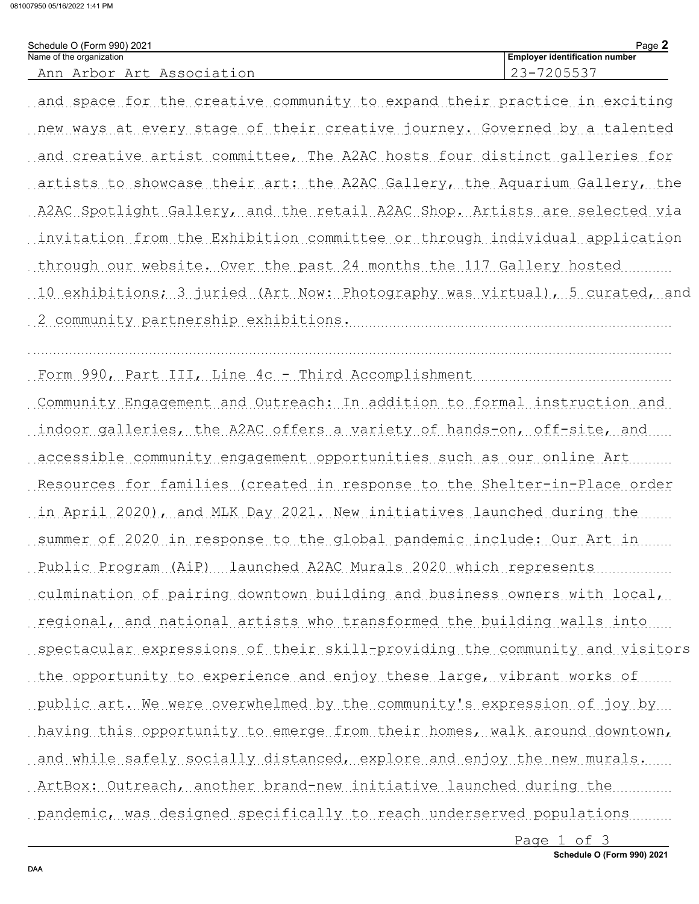081007950 05/16/2022 1:41 PM

| ว (Form 990) 2021<br>3chedule (               | Page                                  |
|-----------------------------------------------|---------------------------------------|
| Name of the organization                      | <b>Employer identification number</b> |
| ASSOC1<br>on<br>Art<br>rati<br>Arhor<br>AIIII | <u>_ _</u><br>. —<br>--               |

and space for the creative community to expand their practice in exciting new ways at every stage of their creative journey. Governed by a talented and creative artist committee, The A2AC hosts four distinct galleries for artists to showcase their art: the A2AC Gallery, the Aquarium Gallery, the A2AC Spotlight Gallery, and the retail A2AC Shop. Artists are selected via invitation from the Exhibition committee or through individual application through our website. Over the past 24 months the 117 Gallery hosted 10 exhibitions; 3 juried (Art Now: Photography was virtual), 5 curated, and 2 community partnership exhibitions.

Form 990, Part III, Line 4c - Third Accomplishment

Community Engagement and Outreach: In addition to formal instruction and indoor galleries, the A2AC offers a variety of hands-on, off-site, and accessible community engagement opportunities such as our online Art Resources for families (created in response to the Shelter-in-Place order in April 2020), and MLK Day 2021. New initiatives launched during the summer of 2020 in response to the global pandemic include: Our Art in Public Program (AiP) launched A2AC Murals 2020 which represents culmination of pairing downtown building and business owners with local, regional, and national artists who transformed the building walls into spectacular expressions of their skill-providing the community and visitors the opportunity to experience and enjoy these large, vibrant works of public art. We were overwhelmed by the community's expression of joy by having this opportunity to emerge from their homes, walk around downtown, and while safely socially distanced, explore and enjoy the new murals. ArtBox: Outreach, another brand-new initiative launched during the pandemic, was designed specifically to reach underserved populations

Page 1 of 3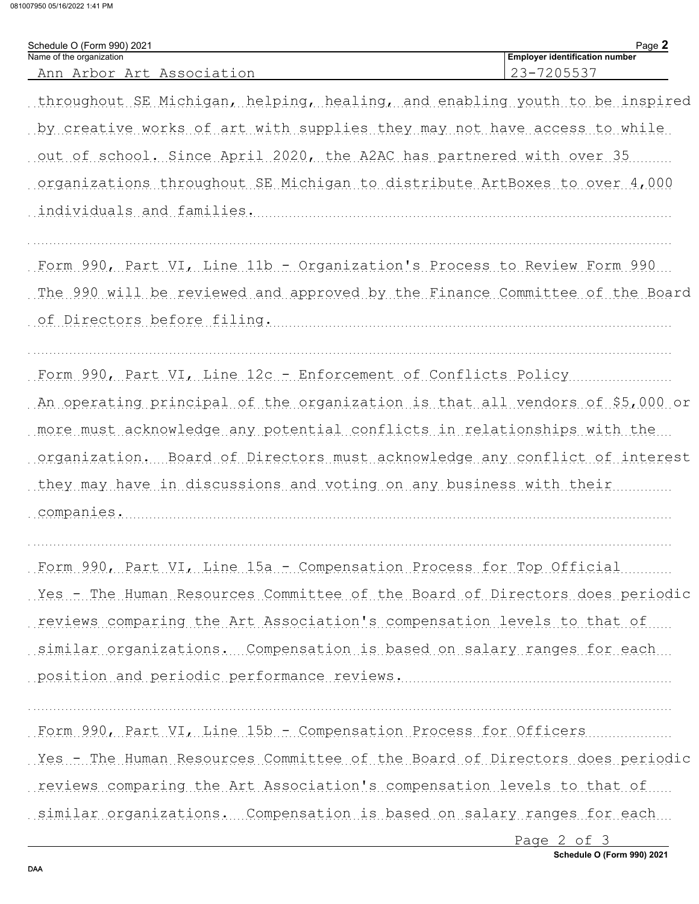081007950 05/16/2022 1:41 PM

| Schedule O (Form 990) 2021                                                   | Page 2                                              |
|------------------------------------------------------------------------------|-----------------------------------------------------|
| Name of the organization<br><u>Ann Arbor Art Association</u>                 | <b>Employer identification number</b><br>23-7205537 |
| throughout SE Michigan, helping, healing, and enabling youth to be inspired  |                                                     |
| by creative works of art with supplies they may not have access to while     |                                                     |
| out of school. Since April 2020, the A2AC has partnered with over 35         |                                                     |
| organizations throughout SE Michigan to distribute ArtBoxes to over 4,000    |                                                     |
| individuals and families.                                                    |                                                     |
|                                                                              |                                                     |
| Form 990, Part VI, Line 11b - Organization's Process to Review Form 990      |                                                     |
| The 990 will be reviewed and approved by the Finance Committee of the Board  |                                                     |
| of Directors before filing.                                                  |                                                     |
|                                                                              |                                                     |
| Form 990, Part VI, Line 12c - Enforcement of Conflicts Policy                |                                                     |
| An operating principal of the organization is that all vendors of \$5,000 or |                                                     |
| more must acknowledge any potential conflicts in relationships with the      |                                                     |
| organization. Board of Directors must acknowledge any conflict of interest   |                                                     |
| they may have in discussions and voting on any business with their           |                                                     |
| companies.                                                                   |                                                     |
|                                                                              |                                                     |
| Form 990, Part VI, Line 15a - Compensation Process for Top Official          |                                                     |
| Yes - The Human Resources Committee of the Board of Directors does periodic  |                                                     |
| reviews comparing the Art Association's compensation levels to that of       |                                                     |
| similar organizations. Compensation is based on salary ranges for each       |                                                     |
| position and periodic performance reviews.                                   |                                                     |
|                                                                              |                                                     |
| Form 990, Part VI, Line 15b - Compensation Process for Officers              |                                                     |
| Yes - The Human Resources Committee of the Board of Directors does periodic  |                                                     |
| reviews comparing the Art Association's compensation levels to that of       |                                                     |
| similar organizations. Compensation is based on salary ranges for each       |                                                     |
|                                                                              | Page 2 of 3                                         |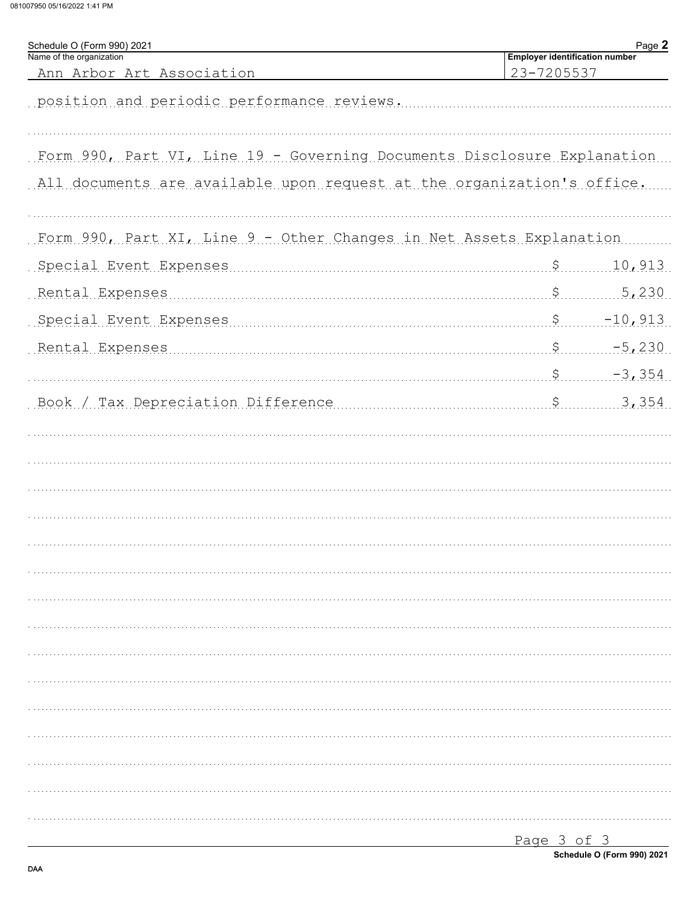| Schedule O (Form 990) 2021<br>Name of the organization                  | Page 2<br><b>Employer identification number</b> |
|-------------------------------------------------------------------------|-------------------------------------------------|
| Ann Arbor Art Association                                               | 23-7205537                                      |
| position and periodic performance reviews.                              |                                                 |
| Form 990, Part VI, Line 19 - Governing Documents Disclosure Explanation |                                                 |
| All documents are available upon request at the organization's office.  |                                                 |
| Form 990, Part XI, Line 9 - Other Changes in Net Assets Explanation     |                                                 |
| Special Event Expenses                                                  | 10,913<br>5.                                    |
| Rental Expenses                                                         | $\mathsf{S}$<br>5,230                           |
| Special Event Expenses                                                  | $\mathsf{S}$<br>$-10,913$                       |
| Rental Expenses                                                         | $\varsigma$<br>$-5,230$                         |
|                                                                         | $\varsigma$<br>$-3,354$                         |
| Book / Tax Depreciation Difference                                      | $\mathsf{S}$<br>3,354                           |
|                                                                         |                                                 |
|                                                                         |                                                 |
|                                                                         |                                                 |
|                                                                         |                                                 |
|                                                                         |                                                 |
|                                                                         |                                                 |
|                                                                         |                                                 |
|                                                                         |                                                 |
|                                                                         |                                                 |
|                                                                         |                                                 |
|                                                                         |                                                 |
|                                                                         |                                                 |
|                                                                         |                                                 |
|                                                                         |                                                 |
|                                                                         |                                                 |
|                                                                         |                                                 |

Page 3 of 3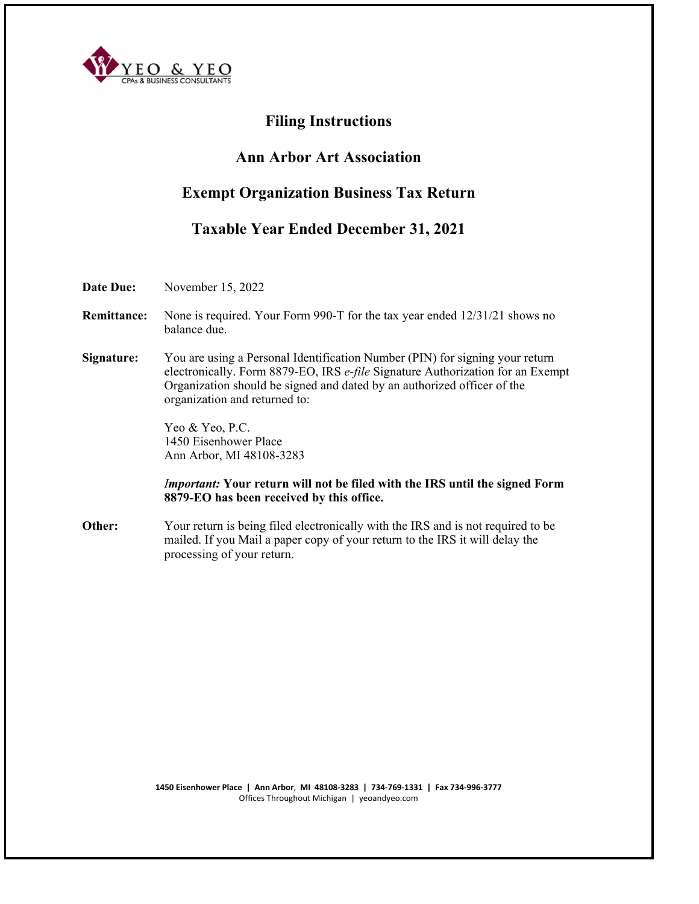

#### **Filing Instructions**

#### **Ann Arbor Art Association**

#### **Exempt Organization Business Tax Return**

#### **Taxable Year Ended December 31, 2021**

- **Date Due:** November 15, 2022
- **Remittance:** None is required. Your Form 990-T for the tax year ended  $12/31/21$  shows no balance due.
- **Signature:** You are using a Personal Identification Number (PIN) for signing your return electronically. Form 8879-EO, IRS *e-file* Signature Authorization for an Exempt Organization should be signed and dated by an authorized officer of the organization and returned to:

Yeo & Yeo, P.C. 1450 Eisenhower Place Ann Arbor, MI 48108-3283

*Important:* **Your return will not be filed with the IRS until the signed Form 8879-EO has been received by this office.**

**Other:** Your return is being filed electronically with the IRS and is not required to be mailed. If you Mail a paper copy of your return to the IRS it will delay the processing of your return.

> 1450 Eisenhower Place | Ann Arbor, MI 48108-3283 | 734-769-1331 | Fax 734-996-3777 Offices Throughout Michigan | yeoandyeo.com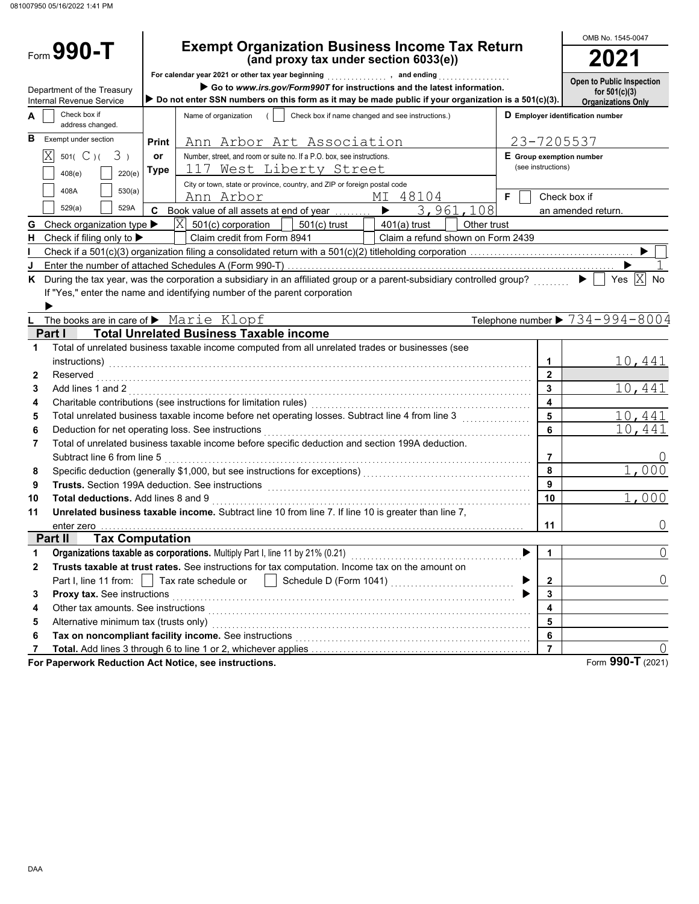|              |                                                       |              | OMB No. 1545-0047                                                                                                                                                                                                              |                          |                                                |
|--------------|-------------------------------------------------------|--------------|--------------------------------------------------------------------------------------------------------------------------------------------------------------------------------------------------------------------------------|--------------------------|------------------------------------------------|
|              | Form 990-T                                            |              | 2021                                                                                                                                                                                                                           |                          |                                                |
|              |                                                       |              | For calendar year 2021 or other tax year beginning [1] [1] The calending [1] [1] and ending [1] [1] The calendary parameter and the calendary parameter and the calendary parameter and the calendary parameter and the calend |                          | <b>Open to Public Inspection</b>               |
|              | Department of the Treasury                            |              | Go to www.irs.gov/Form990T for instructions and the latest information.                                                                                                                                                        |                          | for $501(c)(3)$                                |
|              | Internal Revenue Service                              |              | Do not enter SSN numbers on this form as it may be made public if your organization is a 501(c)(3).                                                                                                                            |                          | <b>Organizations Only</b>                      |
| A            | Check box if<br>address changed.                      |              | Check box if name changed and see instructions.)<br>Name of organization                                                                                                                                                       |                          | D Employer identification number               |
| в            | Exempt under section                                  | <b>Print</b> | Ann Arbor Art Association                                                                                                                                                                                                      | 23-7205537               |                                                |
|              | $ \mathrm{X} $<br>3 <sub>1</sub><br>501( $\circ$ )(   | or           | Number, street, and room or suite no. If a P.O. box, see instructions.                                                                                                                                                         | E Group exemption number |                                                |
|              | 220(e)<br>408(e)                                      | <b>Type</b>  | 117 West Liberty Street                                                                                                                                                                                                        | (see instructions)       |                                                |
|              |                                                       |              | City or town, state or province, country, and ZIP or foreign postal code                                                                                                                                                       |                          |                                                |
|              | 408A<br>530(a)                                        |              | MI 48104<br>Ann Arbor                                                                                                                                                                                                          | F.                       | Check box if                                   |
|              | 529(a)<br>529A                                        | C.           | 3,961,108<br>Book value of all assets at end of year <i></i> ▶                                                                                                                                                                 |                          | an amended return.                             |
| G            | Check organization type >                             |              | $ \overline{X} $ 501(c) corporation  <br>501(c) trust<br>401(a) trust<br>Other trust                                                                                                                                           |                          |                                                |
| н.           | Check if filing only to ▶                             |              | and the property<br>Claim credit from Form 8941<br>Claim a refund shown on Form 2439                                                                                                                                           |                          |                                                |
|              |                                                       |              | Check if a 501(c)(3) organization filing a consolidated return with a 501(c)(2) titleholding corporation $\Box$ $\Box$                                                                                                         |                          |                                                |
| J            |                                                       |              |                                                                                                                                                                                                                                |                          |                                                |
| Κ            |                                                       |              | During the tax year, was the corporation a subsidiary in an affiliated group or a parent-subsidiary controlled group?                                                                                                          |                          | Yes $X$<br>▶<br>No                             |
|              |                                                       |              | If "Yes," enter the name and identifying number of the parent corporation                                                                                                                                                      |                          |                                                |
|              |                                                       |              |                                                                                                                                                                                                                                |                          |                                                |
|              | The books are in care of ▶ Marie Klopf                |              |                                                                                                                                                                                                                                |                          | Telephone number $\triangleright$ 734-994-8004 |
|              | Part I                                                |              | <b>Total Unrelated Business Taxable income</b>                                                                                                                                                                                 |                          |                                                |
| 1            |                                                       |              | Total of unrelated business taxable income computed from all unrelated trades or businesses (see                                                                                                                               |                          |                                                |
|              |                                                       |              |                                                                                                                                                                                                                                | $\mathbf{1}$             | <u>10,441</u>                                  |
| 2            | Reserved                                              |              |                                                                                                                                                                                                                                | $\mathbf{2}$             |                                                |
| 3            |                                                       |              |                                                                                                                                                                                                                                | 3                        | 10,441                                         |
| 4            |                                                       |              | Charitable contributions (see instructions for limitation rules) [11] content to contract the contributions (see instructions for limitation rules) [11] content to content the content of the content of the content of the c | 4                        |                                                |
| 5            |                                                       |              | Total unrelated business taxable income before net operating losses. Subtract line 4 from line 3                                                                                                                               | 5                        | 10,441                                         |
| 6            | Deduction for net operating loss. See instructions    |              |                                                                                                                                                                                                                                | 6                        | 10,441                                         |
| 7            |                                                       |              | Total of unrelated business taxable income before specific deduction and section 199A deduction.                                                                                                                               |                          |                                                |
|              | Subtract line 6 from line 5                           |              |                                                                                                                                                                                                                                | 7<br>8                   | 1,000                                          |
| 8            |                                                       |              | Specific deduction (generally \$1,000, but see instructions for exceptions) [[[[[[[[[[[[[[[[[[[[[[[[[[[[[[[[[[                                                                                                                 | 9                        |                                                |
| 9            |                                                       |              |                                                                                                                                                                                                                                | 10                       | 1,000                                          |
| 10<br>11     | Total deductions. Add lines 8 and 9                   |              | Unrelated business taxable income. Subtract line 10 from line 7. If line 10 is greater than line 7.                                                                                                                            |                          |                                                |
|              |                                                       |              |                                                                                                                                                                                                                                | 11                       |                                                |
|              | enter zero<br>Part II<br><b>Tax Computation</b>       |              |                                                                                                                                                                                                                                |                          |                                                |
| 1            |                                                       |              | Organizations taxable as corporations. Multiply Part I, line 11 by 21% (0.21)                                                                                                                                                  | ▶<br>1                   | 0                                              |
| $\mathbf{2}$ |                                                       |              | Trusts taxable at trust rates. See instructions for tax computation. Income tax on the amount on                                                                                                                               |                          |                                                |
|              | Part I, line 11 from: $\vert \ \vert$                 |              | Tax rate schedule or                                                                                                                                                                                                           | 2                        |                                                |
| 3            | Proxy tax. See instructions                           |              |                                                                                                                                                                                                                                | 3                        |                                                |
| 4            |                                                       |              |                                                                                                                                                                                                                                | 4                        |                                                |
| 5            | Alternative minimum tax (trusts only)                 |              |                                                                                                                                                                                                                                | 5                        |                                                |
| 6            |                                                       |              |                                                                                                                                                                                                                                | 6                        |                                                |
| 7            |                                                       |              |                                                                                                                                                                                                                                | $\overline{7}$           |                                                |
|              | For Paperwork Reduction Act Notice, see instructions. |              |                                                                                                                                                                                                                                |                          | Form 990-T (2021)                              |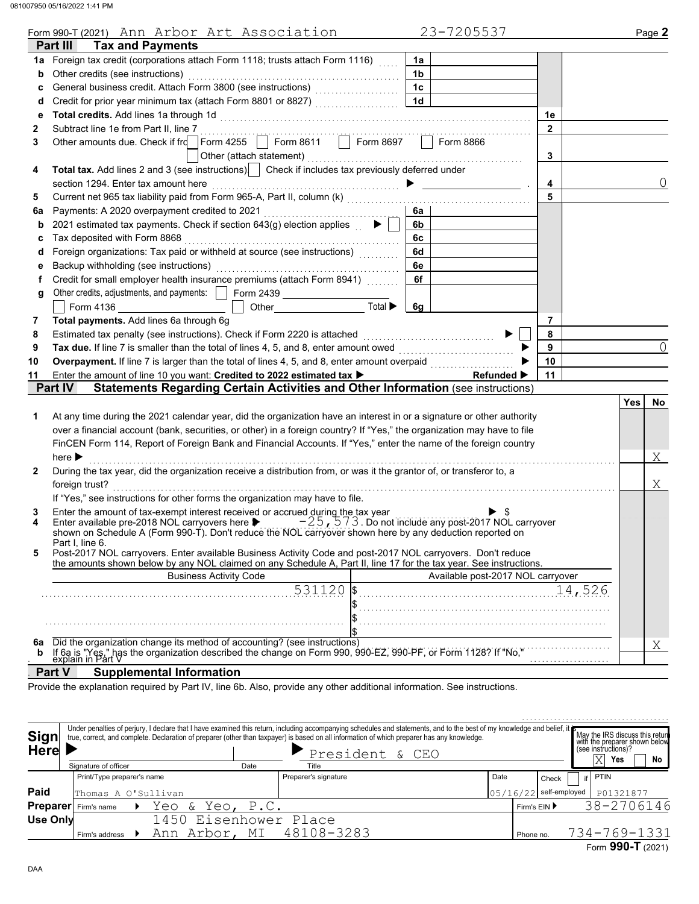| Form 990-T (2021) Ann Arbor Art Association                                                                                                                                                                                                                                                          | 23-7205537                                              | Page 2           |
|------------------------------------------------------------------------------------------------------------------------------------------------------------------------------------------------------------------------------------------------------------------------------------------------------|---------------------------------------------------------|------------------|
| <b>Tax and Payments</b><br>Part III                                                                                                                                                                                                                                                                  |                                                         |                  |
| Foreign tax credit (corporations attach Form 1118; trusts attach Form 1116)<br>1a                                                                                                                                                                                                                    | 1a                                                      |                  |
| Other credits (see instructions)<br>b                                                                                                                                                                                                                                                                | 1 <sub>b</sub>                                          |                  |
| General business credit. Attach Form 3800 (see instructions) [[[[[[[[[[[[[[[[[[[[[[]]]]]]]]]<br>c                                                                                                                                                                                                    | 1 <sub>c</sub>                                          |                  |
| d                                                                                                                                                                                                                                                                                                    | 1 <sub>d</sub>                                          |                  |
| Total credits. Add lines 1a through 1d<br>е                                                                                                                                                                                                                                                          |                                                         | 1е               |
| Subtract line 1e from Part II, line 7<br>2                                                                                                                                                                                                                                                           |                                                         | $\mathbf{2}$     |
| Form 8697<br>Form 8611<br>Other amounts due. Check if fro Form 4255<br>3<br>Other (attach statement)                                                                                                                                                                                                 | Form 8866                                               | 3                |
| Total tax. Add lines 2 and 3 (see instructions) Check if includes tax previously deferred under<br>4                                                                                                                                                                                                 |                                                         |                  |
| section 1294. Enter tax amount here                                                                                                                                                                                                                                                                  |                                                         | 4                |
| 5                                                                                                                                                                                                                                                                                                    |                                                         | 5                |
| Payments: A 2020 overpayment credited to 2021<br>6a                                                                                                                                                                                                                                                  | 6a                                                      |                  |
| 2021 estimated tax payments. Check if section 643(g) election applies                                                                                                                                                                                                                                | 6b                                                      |                  |
| Tax deposited with Form 8868                                                                                                                                                                                                                                                                         | 6c                                                      |                  |
| Foreign organizations: Tax paid or withheld at source (see instructions)<br>d                                                                                                                                                                                                                        | 6d                                                      |                  |
| Backup withholding (see instructions)                                                                                                                                                                                                                                                                | 6e                                                      |                  |
| Credit for small employer health insurance premiums (attach Form 8941)                                                                                                                                                                                                                               | 6f                                                      |                  |
| Other credits, adjustments, and payments:<br>g                                                                                                                                                                                                                                                       |                                                         |                  |
| $\overline{\text{Total}}$<br>Other<br>Form 4136                                                                                                                                                                                                                                                      | 6g                                                      |                  |
| Total payments. Add lines 6a through 6g<br>7                                                                                                                                                                                                                                                         |                                                         | 7                |
| Estimated tax penalty (see instructions). Check if Form 2220 is attached<br>8                                                                                                                                                                                                                        |                                                         | 8                |
| Tax due. If line 7 is smaller than the total of lines 4, 5, and 8, enter amount owed<br>9                                                                                                                                                                                                            |                                                         | 9<br>O           |
| 10                                                                                                                                                                                                                                                                                                   |                                                         | 10               |
| Enter the amount of line 10 you want: Credited to 2022 estimated tax ><br>11                                                                                                                                                                                                                         | <b>Refunded</b> ▶                                       | 11               |
| Statements Regarding Certain Activities and Other Information (see instructions)<br><b>Part IV</b>                                                                                                                                                                                                   |                                                         |                  |
|                                                                                                                                                                                                                                                                                                      |                                                         | No<br><b>Yes</b> |
| At any time during the 2021 calendar year, did the organization have an interest in or a signature or other authority<br>1                                                                                                                                                                           |                                                         |                  |
| over a financial account (bank, securities, or other) in a foreign country? If "Yes," the organization may have to file                                                                                                                                                                              |                                                         |                  |
| FinCEN Form 114, Report of Foreign Bank and Financial Accounts. If "Yes," enter the name of the foreign country                                                                                                                                                                                      |                                                         |                  |
| here $\blacktriangleright$                                                                                                                                                                                                                                                                           |                                                         | Χ                |
| During the tax year, did the organization receive a distribution from, or was it the grantor of, or transferor to, a<br>$\mathbf{2}$                                                                                                                                                                 |                                                         |                  |
| foreign trust?                                                                                                                                                                                                                                                                                       |                                                         | Χ                |
| If "Yes," see instructions for other forms the organization may have to file.                                                                                                                                                                                                                        |                                                         |                  |
| Enter the amount of tax-exempt interest received or accrued during the tax year<br>3                                                                                                                                                                                                                 |                                                         |                  |
| Enter available pre-2018 NOL carryovers here ▶<br>Enter available pre-2018 NOL carryovers here $\bullet$ $-25$ , $573$ . Do not include any post-2017 NOL carryover shown on Schedule A (Form 990-T). Don't reduce the NOL carryover shown here by any deduction reported on<br>4<br>Part I, line 6. | $-25$ , 573. Do not include any post-2017 NOL carryover |                  |
| Post-2017 NOL carryovers. Enter available Business Activity Code and post-2017 NOL carryovers. Don't reduce<br>5<br>the amounts shown below by any NOL claimed on any Schedule A, Part II, line 17 for the tax year. See instructions.                                                               |                                                         |                  |
| <b>Business Activity Code</b>                                                                                                                                                                                                                                                                        | Available post-2017 NOL carryover                       |                  |
| 531120                                                                                                                                                                                                                                                                                               |                                                         | 14,526           |
|                                                                                                                                                                                                                                                                                                      |                                                         |                  |
|                                                                                                                                                                                                                                                                                                      |                                                         |                  |
|                                                                                                                                                                                                                                                                                                      |                                                         |                  |
| Did the organization change its method of accounting? (see instructions)<br>6a<br>If 6a is "Yes," has the organization described the change on Form 990, 990-EZ, 990-PF, or Form 1128? If "No,"<br>explain in Part V<br>b                                                                            |                                                         | Χ                |
| <b>Part V</b><br><b>Supplemental Information</b>                                                                                                                                                                                                                                                     |                                                         |                  |

Provide the explanation required by Part IV, line 6b. Also, provide any other additional information. See instructions.

| Sign<br><b>Here</b> |                                      |                       |      | Under penalties of perjury, I declare that I have examined this return, including accompanying schedules and statements, and to the best of my knowledge and belief, it<br>true, correct, and complete. Declaration of preparer (other than taxpayer) is based on all information of which preparer has any knowledge.<br>President & CEO |      |              |                          | (see instructions)?<br>ΙX<br>Yes | May the IRS discuss this returb<br>with the preparer shown below<br>No                                                                                                                                                                                                                                                                                                               |
|---------------------|--------------------------------------|-----------------------|------|-------------------------------------------------------------------------------------------------------------------------------------------------------------------------------------------------------------------------------------------------------------------------------------------------------------------------------------------|------|--------------|--------------------------|----------------------------------|--------------------------------------------------------------------------------------------------------------------------------------------------------------------------------------------------------------------------------------------------------------------------------------------------------------------------------------------------------------------------------------|
|                     | Signature of officer                 |                       | Date | Title                                                                                                                                                                                                                                                                                                                                     |      |              |                          |                                  |                                                                                                                                                                                                                                                                                                                                                                                      |
|                     | Print/Type preparer's name           |                       |      | Preparer's signature                                                                                                                                                                                                                                                                                                                      | Date |              | Check                    | PTIN                             |                                                                                                                                                                                                                                                                                                                                                                                      |
| Paid                | Thomas A O'Sullivan                  |                       |      |                                                                                                                                                                                                                                                                                                                                           |      |              | $05/16/22$ self-employed | P01321877                        |                                                                                                                                                                                                                                                                                                                                                                                      |
| <b>Preparer</b>     | Firm's name                          | Yeo & Yeo, P.C.       |      |                                                                                                                                                                                                                                                                                                                                           |      | Firm's $EIN$ |                          |                                  | 38-2706146                                                                                                                                                                                                                                                                                                                                                                           |
| <b>Use Only</b>     |                                      | 1450 Eisenhower Place |      |                                                                                                                                                                                                                                                                                                                                           |      |              |                          |                                  |                                                                                                                                                                                                                                                                                                                                                                                      |
|                     | Firm's address $\blacktriangleright$ |                       |      | Ann Arbor, MI 48108-3283                                                                                                                                                                                                                                                                                                                  |      | Phone no.    |                          |                                  | 734-769-1331                                                                                                                                                                                                                                                                                                                                                                         |
|                     |                                      |                       |      |                                                                                                                                                                                                                                                                                                                                           |      |              |                          |                                  | $\overline{a}$ $\overline{a}$ $\overline{b}$ $\overline{c}$ $\overline{c}$ $\overline{c}$ $\overline{c}$ $\overline{c}$ $\overline{c}$ $\overline{c}$ $\overline{c}$ $\overline{c}$ $\overline{c}$ $\overline{c}$ $\overline{c}$ $\overline{c}$ $\overline{c}$ $\overline{c}$ $\overline{c}$ $\overline{c}$ $\overline{c}$ $\overline{c}$ $\overline{c}$ $\overline{c}$ $\overline{$ |

Form **990-T** (2021)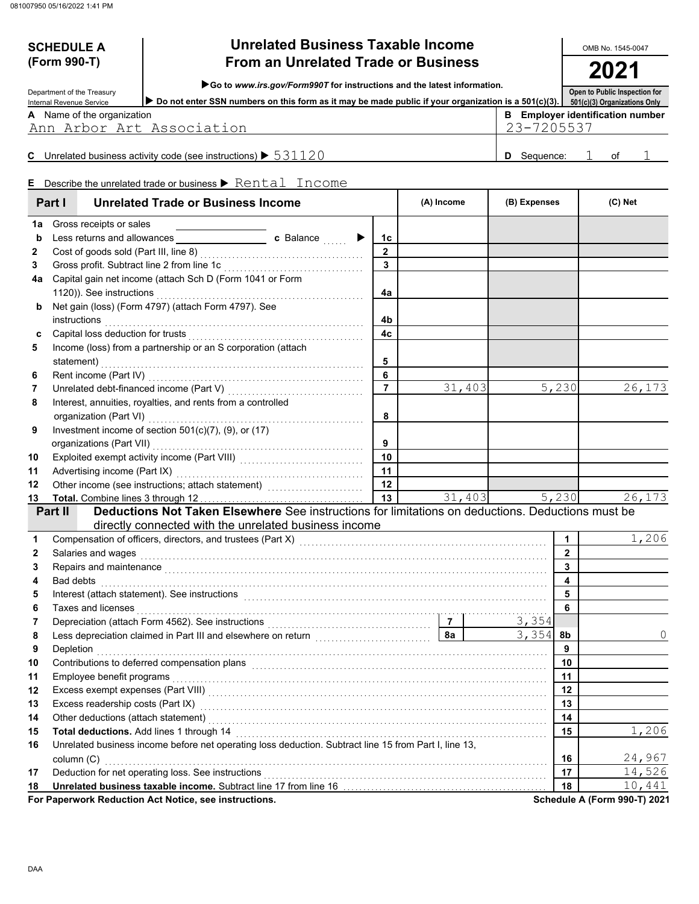# **(Form 990-T)**

#### **SCHEDULE A CONTRES ASSESS TO A CONTRES INCOMP AND A CONSUM ROLL OMB No. 1545-0047 From an Unrelated Trade or Business**

**Go to** *www.irs.gov/Form990T* **for instructions and the latest information.**

| 7<br>۰.<br>$\frac{1}{2}$ |  |
|--------------------------|--|
|--------------------------|--|

| Department of the Treasury<br>Internal Revenue Service | <b>P</b> GO to <i>www.irs.gov/Formasol</i> for instructions and the latest imormation.<br>Do not enter SSN numbers on this form as it may be made public if your organization is a 501(c)(3). |    |                                       | Open to Public Inspection for<br>501(c)(3) Organizations Only |    |  |
|--------------------------------------------------------|-----------------------------------------------------------------------------------------------------------------------------------------------------------------------------------------------|----|---------------------------------------|---------------------------------------------------------------|----|--|
| <b>A</b> Name of the organization                      |                                                                                                                                                                                               | в. | <b>Employer identification number</b> |                                                               |    |  |
| Ann Arbor Art Association                              |                                                                                                                                                                                               |    | 23-7205537                            |                                                               |    |  |
|                                                        | <b>C</b> Unrelated business activity code (see instructions) $\triangleright$ 531120                                                                                                          |    | Sequence:                             |                                                               | nf |  |

Unrelated business activity code (see instructions) **C**

#### **E** Describe the unrelated trade or business ▶ Rental Income

|              | Part I<br><b>Unrelated Trade or Business Income</b>                                                                                                                                                                            |                         | (A) Income                                                                                                             | (B) Expenses |                         | (C) Net                      |
|--------------|--------------------------------------------------------------------------------------------------------------------------------------------------------------------------------------------------------------------------------|-------------------------|------------------------------------------------------------------------------------------------------------------------|--------------|-------------------------|------------------------------|
| 1a           | Gross receipts or sales                                                                                                                                                                                                        |                         |                                                                                                                        |              |                         |                              |
| b            |                                                                                                                                                                                                                                | 1 <sub>c</sub>          |                                                                                                                        |              |                         |                              |
| 2            |                                                                                                                                                                                                                                | $\overline{2}$          |                                                                                                                        |              |                         |                              |
| 3            |                                                                                                                                                                                                                                | $\overline{\mathbf{3}}$ |                                                                                                                        |              |                         |                              |
| 4a           | Capital gain net income (attach Sch D (Form 1041 or Form                                                                                                                                                                       |                         |                                                                                                                        |              |                         |                              |
|              | 1120)). See instructions                                                                                                                                                                                                       | 4a                      |                                                                                                                        |              |                         |                              |
| b            | Net gain (loss) (Form 4797) (attach Form 4797). See                                                                                                                                                                            |                         |                                                                                                                        |              |                         |                              |
|              | instructions                                                                                                                                                                                                                   | 4b                      |                                                                                                                        |              |                         |                              |
| c            | Capital loss deduction for trusts                                                                                                                                                                                              | 4c                      |                                                                                                                        |              |                         |                              |
| 5            | Income (loss) from a partnership or an S corporation (attach                                                                                                                                                                   |                         |                                                                                                                        |              |                         |                              |
|              | statement)                                                                                                                                                                                                                     | 5                       |                                                                                                                        |              |                         |                              |
| 6            | Rent income (Part IV)                                                                                                                                                                                                          | $6\phantom{a}$          |                                                                                                                        |              |                         |                              |
| 7            |                                                                                                                                                                                                                                | $\overline{7}$          | 31,403                                                                                                                 |              | 5,230                   | 26,173                       |
| 8            | Interest, annuities, royalties, and rents from a controlled                                                                                                                                                                    |                         |                                                                                                                        |              |                         |                              |
|              | organization (Part VI)                                                                                                                                                                                                         | 8                       |                                                                                                                        |              |                         |                              |
| 9            | Investment income of section $501(c)(7)$ , (9), or (17)                                                                                                                                                                        |                         |                                                                                                                        |              |                         |                              |
|              | organizations (Part VII)                                                                                                                                                                                                       | 9                       |                                                                                                                        |              |                         |                              |
| 10           |                                                                                                                                                                                                                                | 10                      |                                                                                                                        |              |                         |                              |
| 11           | Advertising income (Part IX)                                                                                                                                                                                                   | $\overline{11}$         |                                                                                                                        |              |                         |                              |
| 12           | Other income (see instructions; attach statement)                                                                                                                                                                              | $\overline{12}$         |                                                                                                                        |              |                         |                              |
| 13           |                                                                                                                                                                                                                                | $\overline{13}$         | 31,403                                                                                                                 |              | 5,230                   | 26,173                       |
|              | Deductions Not Taken Elsewhere See instructions for limitations on deductions. Deductions must be<br>Part II                                                                                                                   |                         |                                                                                                                        |              |                         |                              |
|              | directly connected with the unrelated business income                                                                                                                                                                          |                         | <u> 1989 - Johann John Stone, mars et al. 1989 - John Stone, mars et al. 1989 - John Stone, mars et al. 1989 - Joh</u> |              |                         |                              |
| 1            | Compensation of officers, directors, and trustees (Part X) [11] Compensation of officers, directors, and trustees (Part X) [11] Compensation of officers, directors and trustees (Part X) [11] Compensation of the state of th |                         |                                                                                                                        |              | $\mathbf{1}$            | 1,206                        |
| $\mathbf{2}$ | Salaries and wages                                                                                                                                                                                                             |                         |                                                                                                                        |              | $\overline{2}$          |                              |
| 3            | Repairs and maintenance <i>communications</i> and maintenance and maintenance and maintenance and maintenance and maintenance                                                                                                  |                         |                                                                                                                        |              | $\overline{3}$          |                              |
| 4            | Bad debts                                                                                                                                                                                                                      |                         |                                                                                                                        |              | $\overline{\mathbf{4}}$ |                              |
| 5            | Interest (attach statement). See instructions [11] material content of the statement of the statement of the statement of the statement of the statement of the statement of the statement of the statement of the statement o |                         |                                                                                                                        |              | 5                       |                              |
| 6            | Taxes and licenses                                                                                                                                                                                                             |                         |                                                                                                                        |              | 6                       |                              |
| 7            |                                                                                                                                                                                                                                |                         |                                                                                                                        | 3,354        |                         |                              |
| 8            |                                                                                                                                                                                                                                |                         |                                                                                                                        | 3,354        | 8b                      | 0                            |
| 9            | Depletion                                                                                                                                                                                                                      |                         |                                                                                                                        |              | 9                       |                              |
| 10           | Contributions to deferred compensation plans entertainment control of the contributions to deferred compensation plans                                                                                                         |                         |                                                                                                                        |              | 10                      |                              |
| 11           | Employee benefit programs                                                                                                                                                                                                      |                         |                                                                                                                        |              | 11                      |                              |
| 12           | Excess exempt expenses (Part VIII) Mathematic and Constant and Constant and Constant and Constant and Constant and Constant and Constant and Constant and Constant and Constant and Constant and Constant and Constant and Con |                         |                                                                                                                        |              | 12                      |                              |
| 13           | Excess readership costs (Part IX)                                                                                                                                                                                              |                         |                                                                                                                        |              | 13                      |                              |
| 14           | Other deductions (attach statement)                                                                                                                                                                                            |                         |                                                                                                                        |              | 14                      |                              |
| 15           | Total deductions. Add lines 1 through 14                                                                                                                                                                                       |                         |                                                                                                                        |              | 15                      | 1,206                        |
| 16           | Unrelated business income before net operating loss deduction. Subtract line 15 from Part I, line 13,                                                                                                                          |                         |                                                                                                                        |              |                         |                              |
|              | column (C)                                                                                                                                                                                                                     |                         |                                                                                                                        |              | 16                      | 24,967                       |
| 17           | Deduction for net operating loss. See instructions                                                                                                                                                                             |                         |                                                                                                                        |              | 17                      | 14,526                       |
| 18           | Unrelated business taxable income. Subtract line 17 from line 16                                                                                                                                                               |                         |                                                                                                                        |              | 18                      | 10,441                       |
|              | For Paperwork Reduction Act Notice, see instructions.                                                                                                                                                                          |                         |                                                                                                                        |              |                         | Schedule A (Form 990-T) 2021 |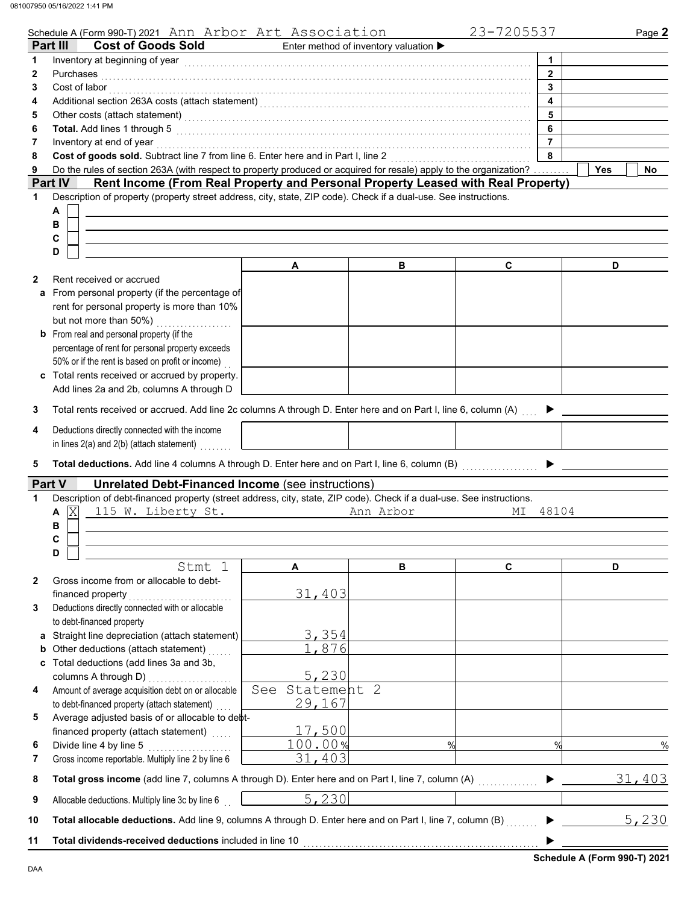081007950 05/16/2022 1:41 PM

|              | Schedule A (Form 990-T) 2021 Ann Arbor Art Association                                                                                                                                                                         |                    |                                                           | 23-7205537              | Page 2                         |
|--------------|--------------------------------------------------------------------------------------------------------------------------------------------------------------------------------------------------------------------------------|--------------------|-----------------------------------------------------------|-------------------------|--------------------------------|
|              | <b>Cost of Goods Sold Cost of Goods Sold</b><br>Part III                                                                                                                                                                       |                    | Enter method of inventory valuation $\blacktriangleright$ |                         |                                |
| 1            | Inventory at beginning of year with the control of the control of the control of the control of the control of                                                                                                                 |                    |                                                           | 1                       |                                |
| 2            | Purchases                                                                                                                                                                                                                      |                    |                                                           | $\overline{2}$          |                                |
| 3            | Cost of labor with a series of the contract of the cost of labor with the cost of labor with the cost of labor with the cost of labor with the cost of labor with the cost of labor with the cost of labor with the cost of la |                    |                                                           | 3                       |                                |
| 4            | Additional section 263A costs (attach statement) [11] Additional section of the section of the section 263A costs (attach statement) [11] Additional section 263A costs (attach statement) [11] Additional section of the sect |                    |                                                           | $\overline{\mathbf{4}}$ |                                |
| 5            |                                                                                                                                                                                                                                |                    |                                                           | 5                       |                                |
| 6            | Total. Add lines 1 through 5 <b>Manual</b> Manual Manual Manual Manual Manual Manual Manual Manual Manual Manual Manual                                                                                                        |                    |                                                           | 6                       |                                |
| 7            | Inventory at end of year                                                                                                                                                                                                       |                    |                                                           | $\overline{7}$          |                                |
| 8            | Cost of goods sold. Subtract line 7 from line 6. Enter here and in Part I, line 2                                                                                                                                              |                    |                                                           | 8                       |                                |
| 9            | Do the rules of section 263A (with respect to property produced or acquired for resale) apply to the organization?                                                                                                             |                    |                                                           |                         | <b>Yes</b><br>No.              |
|              | Rent Income (From Real Property and Personal Property Leased with Real Property)<br><b>Part IV</b>                                                                                                                             |                    |                                                           |                         |                                |
| 1            | Description of property (property street address, city, state, ZIP code). Check if a dual-use. See instructions.                                                                                                               |                    |                                                           |                         |                                |
|              | A                                                                                                                                                                                                                              |                    |                                                           |                         |                                |
|              | в                                                                                                                                                                                                                              |                    |                                                           |                         |                                |
|              | C<br>D                                                                                                                                                                                                                         |                    |                                                           |                         |                                |
|              |                                                                                                                                                                                                                                | $\mathbf{A}$       | в                                                         | C                       | D                              |
| 2            | Rent received or accrued                                                                                                                                                                                                       |                    |                                                           |                         |                                |
| a            | From personal property (if the percentage of                                                                                                                                                                                   |                    |                                                           |                         |                                |
|              | rent for personal property is more than 10%                                                                                                                                                                                    |                    |                                                           |                         |                                |
|              | but not more than 50%)                                                                                                                                                                                                         |                    |                                                           |                         |                                |
|              | <b>b</b> From real and personal property (if the                                                                                                                                                                               |                    |                                                           |                         |                                |
|              | percentage of rent for personal property exceeds                                                                                                                                                                               |                    |                                                           |                         |                                |
|              | 50% or if the rent is based on profit or income)                                                                                                                                                                               |                    |                                                           |                         |                                |
|              | c Total rents received or accrued by property.                                                                                                                                                                                 |                    |                                                           |                         |                                |
|              | Add lines 2a and 2b, columns A through D                                                                                                                                                                                       |                    |                                                           |                         |                                |
|              |                                                                                                                                                                                                                                |                    |                                                           |                         |                                |
| 3            | Total rents received or accrued. Add line 2c columns A through D. Enter here and on Part I, line 6, column (A)                                                                                                                 |                    |                                                           |                         |                                |
| 4            | Deductions directly connected with the income                                                                                                                                                                                  |                    |                                                           |                         |                                |
|              | in lines 2(a) and 2(b) (attach statement)                                                                                                                                                                                      |                    |                                                           |                         |                                |
| 5            | Total deductions. Add line 4 columns A through D. Enter here and on Part I, line 6, column (B)                                                                                                                                 |                    |                                                           |                         |                                |
|              |                                                                                                                                                                                                                                |                    |                                                           |                         |                                |
|              | <b>Unrelated Debt-Financed Income (see instructions)</b><br><b>Part V</b>                                                                                                                                                      |                    |                                                           |                         |                                |
| 1            | Description of debt-financed property (street address, city, state, ZIP code). Check if a dual-use. See instructions.                                                                                                          |                    |                                                           |                         |                                |
|              | X<br>115 W. Liberty St.<br>A                                                                                                                                                                                                   | ann Arbor          |                                                           | МI                      | 48104                          |
|              | в                                                                                                                                                                                                                              |                    |                                                           |                         |                                |
|              | C                                                                                                                                                                                                                              |                    |                                                           |                         |                                |
|              | D                                                                                                                                                                                                                              |                    |                                                           |                         |                                |
|              | Stmt 1                                                                                                                                                                                                                         | A                  | B                                                         | C                       | D                              |
| $\mathbf{2}$ | Gross income from or allocable to debt-                                                                                                                                                                                        |                    |                                                           |                         |                                |
|              | financed property                                                                                                                                                                                                              | 31,403             |                                                           |                         |                                |
| 3            | Deductions directly connected with or allocable                                                                                                                                                                                |                    |                                                           |                         |                                |
|              | to debt-financed property<br>a Straight line depreciation (attach statement)                                                                                                                                                   | 3,354              |                                                           |                         |                                |
| b            | Other deductions (attach statement)                                                                                                                                                                                            | 1,876              |                                                           |                         |                                |
| c            | Total deductions (add lines 3a and 3b,                                                                                                                                                                                         |                    |                                                           |                         |                                |
|              | columns A through D)                                                                                                                                                                                                           | 5,230              |                                                           |                         |                                |
| 4            | Amount of average acquisition debt on or allocable                                                                                                                                                                             | Statement 2<br>See |                                                           |                         |                                |
|              | to debt-financed property (attach statement)                                                                                                                                                                                   | 29,167             |                                                           |                         |                                |
| 5            | Average adjusted basis of or allocable to debt-                                                                                                                                                                                |                    |                                                           |                         |                                |
|              | financed property (attach statement)                                                                                                                                                                                           | 17,500             |                                                           |                         |                                |
| 6            | Divide line 4 by line 5                                                                                                                                                                                                        | 100.00%            |                                                           | $\frac{0}{0}$           | $\frac{0}{0}$<br>$\frac{0}{0}$ |
| 7            | Gross income reportable. Multiply line 2 by line 6                                                                                                                                                                             | 31<br>,403         |                                                           |                         |                                |
|              |                                                                                                                                                                                                                                |                    |                                                           |                         |                                |
| 8            | Total gross income (add line 7, columns A through D). Enter here and on Part I, line 7, column (A)                                                                                                                             |                    |                                                           |                         | 31,403                         |
| 9            | Allocable deductions. Multiply line 3c by line 6                                                                                                                                                                               | 5,230              |                                                           |                         |                                |
|              |                                                                                                                                                                                                                                |                    |                                                           |                         |                                |
| 10           | Total allocable deductions. Add line 9, columns A through D. Enter here and on Part I, line 7, column (B)                                                                                                                      |                    |                                                           |                         | 5,230                          |
| 11           | Total dividends-received deductions included in line 10                                                                                                                                                                        |                    |                                                           |                         |                                |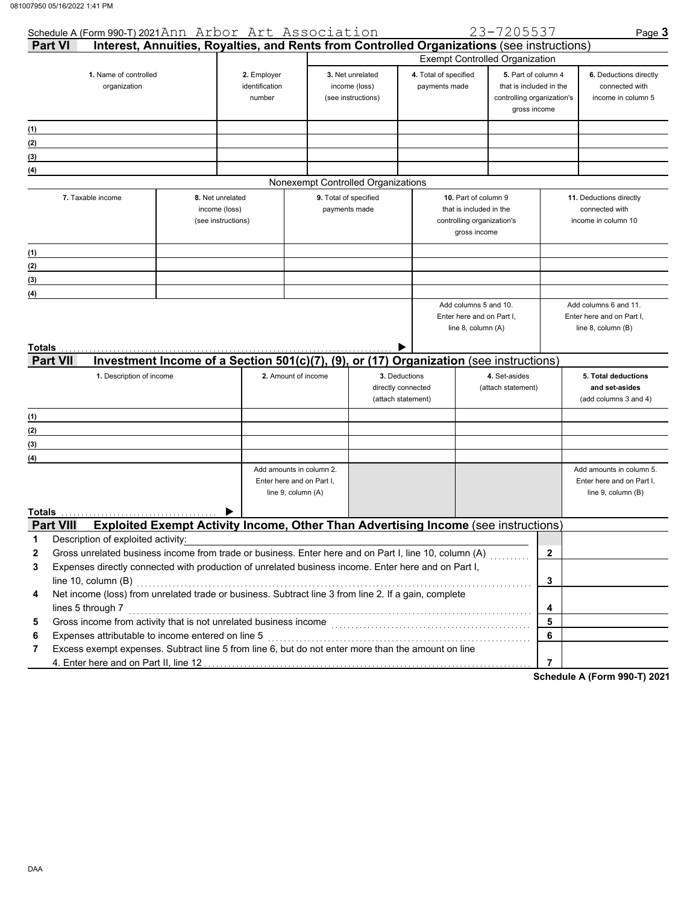|        | Schedule A (Form 990-T) 2021 Ann Arbor Art Association                                                                                                                    |                                                                                            |                                         |                                    |                                                         |                                        |                                            | 23-7205537                                                                                   |                | Page 3                                                         |
|--------|---------------------------------------------------------------------------------------------------------------------------------------------------------------------------|--------------------------------------------------------------------------------------------|-----------------------------------------|------------------------------------|---------------------------------------------------------|----------------------------------------|--------------------------------------------|----------------------------------------------------------------------------------------------|----------------|----------------------------------------------------------------|
|        | <b>Part VI</b>                                                                                                                                                            | Interest, Annuities, Royalties, and Rents from Controlled Organizations (see instructions) |                                         |                                    |                                                         |                                        |                                            |                                                                                              |                |                                                                |
|        |                                                                                                                                                                           |                                                                                            |                                         |                                    |                                                         |                                        |                                            | <b>Exempt Controlled Organization</b>                                                        |                |                                                                |
|        | 1. Name of controlled<br>organization                                                                                                                                     |                                                                                            | 2. Employer<br>identification<br>number |                                    | 3. Net unrelated<br>income (loss)<br>(see instructions) | 4. Total of specified<br>payments made |                                            | 5. Part of column 4<br>that is included in the<br>controlling organization's<br>gross income |                | 6. Deductions directly<br>connected with<br>income in column 5 |
| (1)    |                                                                                                                                                                           |                                                                                            |                                         |                                    |                                                         |                                        |                                            |                                                                                              |                |                                                                |
| (2)    |                                                                                                                                                                           |                                                                                            |                                         |                                    |                                                         |                                        |                                            |                                                                                              |                |                                                                |
| (3)    |                                                                                                                                                                           |                                                                                            |                                         |                                    |                                                         |                                        |                                            |                                                                                              |                |                                                                |
| (4)    |                                                                                                                                                                           |                                                                                            |                                         |                                    |                                                         |                                        |                                            |                                                                                              |                |                                                                |
|        |                                                                                                                                                                           |                                                                                            |                                         | Nonexempt Controlled Organizations |                                                         |                                        |                                            |                                                                                              |                |                                                                |
|        | 7. Taxable income                                                                                                                                                         | 8. Net unrelated                                                                           |                                         |                                    | 9. Total of specified                                   |                                        | 10. Part of column 9                       |                                                                                              |                | 11. Deductions directly                                        |
|        |                                                                                                                                                                           | income (loss)                                                                              |                                         |                                    | payments made                                           |                                        | that is included in the                    |                                                                                              |                | connected with                                                 |
|        |                                                                                                                                                                           | (see instructions)                                                                         |                                         |                                    |                                                         |                                        | controlling organization's<br>gross income |                                                                                              |                | income in column 10                                            |
| (1)    |                                                                                                                                                                           |                                                                                            |                                         |                                    |                                                         |                                        |                                            |                                                                                              |                |                                                                |
| (2)    |                                                                                                                                                                           |                                                                                            |                                         |                                    |                                                         |                                        |                                            |                                                                                              |                |                                                                |
| (3)    |                                                                                                                                                                           |                                                                                            |                                         |                                    |                                                         |                                        |                                            |                                                                                              |                |                                                                |
| (4)    |                                                                                                                                                                           |                                                                                            |                                         |                                    |                                                         |                                        |                                            |                                                                                              |                |                                                                |
|        |                                                                                                                                                                           |                                                                                            |                                         |                                    |                                                         |                                        | Add columns 5 and 10.                      |                                                                                              |                | Add columns 6 and 11.                                          |
|        |                                                                                                                                                                           |                                                                                            |                                         |                                    |                                                         |                                        | Enter here and on Part I,                  |                                                                                              |                | Enter here and on Part I,                                      |
|        |                                                                                                                                                                           |                                                                                            |                                         |                                    |                                                         |                                        | line 8, column (A)                         |                                                                                              |                | line $8$ , column $(B)$                                        |
| Totals |                                                                                                                                                                           |                                                                                            |                                         |                                    |                                                         |                                        |                                            |                                                                                              |                |                                                                |
|        | <b>Part VII</b>                                                                                                                                                           | Investment Income of a Section 501(c)(7), (9),                                             |                                         |                                    | or (17)                                                 | Organization (see instructions)        |                                            |                                                                                              |                |                                                                |
|        | 1. Description of income                                                                                                                                                  |                                                                                            |                                         | 2. Amount of income                |                                                         | 3. Deductions                          |                                            | 4. Set-asides                                                                                |                | 5. Total deductions                                            |
|        |                                                                                                                                                                           |                                                                                            |                                         |                                    |                                                         | directly connected                     |                                            | (attach statement)                                                                           |                | and set-asides                                                 |
|        |                                                                                                                                                                           |                                                                                            |                                         |                                    |                                                         | (attach statement)                     |                                            |                                                                                              |                | (add columns 3 and 4)                                          |
| (1)    |                                                                                                                                                                           |                                                                                            |                                         |                                    |                                                         |                                        |                                            |                                                                                              |                |                                                                |
| (2)    |                                                                                                                                                                           |                                                                                            |                                         |                                    |                                                         |                                        |                                            |                                                                                              |                |                                                                |
| (3)    |                                                                                                                                                                           |                                                                                            |                                         |                                    |                                                         |                                        |                                            |                                                                                              |                |                                                                |
| (4)    |                                                                                                                                                                           |                                                                                            |                                         |                                    |                                                         |                                        |                                            |                                                                                              |                |                                                                |
|        |                                                                                                                                                                           |                                                                                            |                                         | Add amounts in column 2.           |                                                         |                                        |                                            |                                                                                              |                | Add amounts in column 5.                                       |
|        |                                                                                                                                                                           |                                                                                            |                                         | Enter here and on Part I,          |                                                         |                                        |                                            |                                                                                              |                | Enter here and on Part I.                                      |
|        |                                                                                                                                                                           |                                                                                            |                                         | line $9$ , column $(A)$            |                                                         |                                        |                                            |                                                                                              |                | line 9, column (B)                                             |
| Totals |                                                                                                                                                                           |                                                                                            |                                         |                                    |                                                         |                                        |                                            |                                                                                              |                |                                                                |
|        | <b>Part VIII</b>                                                                                                                                                          | Exploited Exempt Activity Income, Other Than Advertising Income (see instructions)         |                                         |                                    |                                                         |                                        |                                            |                                                                                              |                |                                                                |
| 1      | Description of exploited activity:                                                                                                                                        |                                                                                            |                                         |                                    |                                                         |                                        |                                            |                                                                                              |                |                                                                |
| 2      | Gross unrelated business income from trade or business. Enter here and on Part I, line 10, column (A)                                                                     |                                                                                            |                                         |                                    |                                                         |                                        |                                            |                                                                                              | $\mathbf{2}$   |                                                                |
| 3      | Expenses directly connected with production of unrelated business income. Enter here and on Part I,                                                                       |                                                                                            |                                         |                                    |                                                         |                                        |                                            |                                                                                              |                |                                                                |
|        | line 10, column (B)                                                                                                                                                       |                                                                                            |                                         |                                    |                                                         |                                        |                                            |                                                                                              | 3              |                                                                |
| 4      | Net income (loss) from unrelated trade or business. Subtract line 3 from line 2. If a gain, complete                                                                      |                                                                                            |                                         |                                    |                                                         |                                        |                                            |                                                                                              |                |                                                                |
|        | lines 5 through 7                                                                                                                                                         |                                                                                            |                                         |                                    |                                                         |                                        |                                            |                                                                                              | 4              |                                                                |
| 5      | Gross income from activity that is not unrelated business income [[11][11] Cross income [11] Cross income from activity that is not unrelated business income [11] $\sim$ |                                                                                            |                                         |                                    |                                                         |                                        |                                            |                                                                                              | 5              |                                                                |
| 6      | Expenses attributable to income entered on line 5                                                                                                                         |                                                                                            |                                         |                                    |                                                         |                                        |                                            |                                                                                              | 6              |                                                                |
| 7      | Excess exempt expenses. Subtract line 5 from line 6, but do not enter more than the amount on line                                                                        |                                                                                            |                                         |                                    |                                                         |                                        |                                            |                                                                                              |                |                                                                |
|        |                                                                                                                                                                           |                                                                                            |                                         |                                    |                                                         |                                        |                                            |                                                                                              | $\overline{7}$ |                                                                |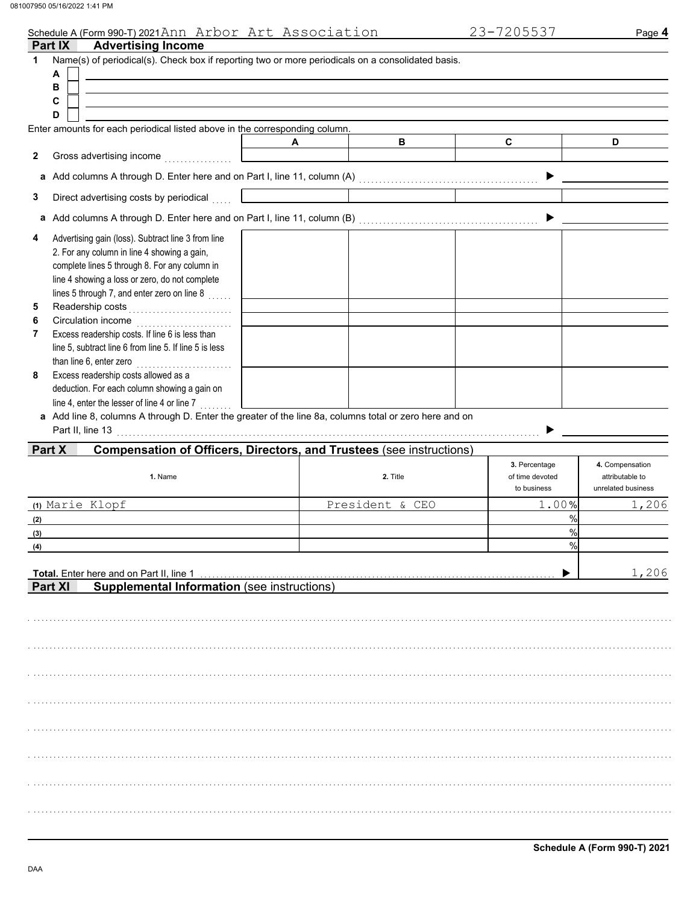| Schedule A (Form 990-T) 2021 Ann Arbor Art Association                                                                                                 |                 | 23-7205537                     | Page 4                                |
|--------------------------------------------------------------------------------------------------------------------------------------------------------|-----------------|--------------------------------|---------------------------------------|
| Part IX<br><b>Advertising Income</b>                                                                                                                   |                 |                                |                                       |
| Name(s) of periodical(s). Check box if reporting two or more periodicals on a consolidated basis.<br>1                                                 |                 |                                |                                       |
| A<br>в                                                                                                                                                 |                 |                                |                                       |
| C                                                                                                                                                      |                 |                                |                                       |
| D                                                                                                                                                      |                 |                                |                                       |
| Enter amounts for each periodical listed above in the corresponding column.                                                                            |                 |                                |                                       |
|                                                                                                                                                        | в               | C                              | D                                     |
| $\mathbf{2}$                                                                                                                                           |                 |                                |                                       |
|                                                                                                                                                        |                 |                                |                                       |
| Direct advertising costs by periodical<br>3                                                                                                            |                 |                                |                                       |
|                                                                                                                                                        |                 |                                |                                       |
|                                                                                                                                                        |                 |                                |                                       |
| Advertising gain (loss). Subtract line 3 from line<br>4                                                                                                |                 |                                |                                       |
| 2. For any column in line 4 showing a gain,                                                                                                            |                 |                                |                                       |
| complete lines 5 through 8. For any column in<br>line 4 showing a loss or zero, do not complete                                                        |                 |                                |                                       |
| lines 5 through 7, and enter zero on line $8$                                                                                                          |                 |                                |                                       |
| 5                                                                                                                                                      |                 |                                |                                       |
| 6<br>Circulation income                                                                                                                                |                 |                                |                                       |
| 7<br>Excess readership costs. If line 6 is less than                                                                                                   |                 |                                |                                       |
| line 5, subtract line 6 from line 5. If line 5 is less                                                                                                 |                 |                                |                                       |
| than line 6, enter zero                                                                                                                                |                 |                                |                                       |
| Excess readership costs allowed as a<br>8                                                                                                              |                 |                                |                                       |
| deduction. For each column showing a gain on                                                                                                           |                 |                                |                                       |
| line 4, enter the lesser of line 4 or line 7<br>a Add line 8, columns A through D. Enter the greater of the line 8a, columns total or zero here and on |                 |                                |                                       |
| Part II, line 13 <b>Part II, line 13</b>                                                                                                               |                 |                                |                                       |
| Part X                                                                                                                                                 |                 |                                |                                       |
| <b>Compensation of Officers, Directors, and Trustees (see instructions)</b>                                                                            |                 | 3. Percentage                  | 4. Compensation                       |
| 1. Name                                                                                                                                                | 2. Title        | of time devoted<br>to business | attributable to<br>unrelated business |
| (1) Marie Klopf                                                                                                                                        | President & CEO | 1.00%                          | 1,206                                 |
| (2)                                                                                                                                                    |                 |                                | $\%$                                  |
| (3)                                                                                                                                                    |                 |                                | $\%$                                  |
| (4)                                                                                                                                                    |                 |                                | %                                     |
| Total. Enter here and on Part II, line 1                                                                                                               |                 |                                | 1,206                                 |
| <b>Supplemental Information (see instructions)</b><br>Part XI                                                                                          |                 |                                |                                       |
|                                                                                                                                                        |                 |                                |                                       |
|                                                                                                                                                        |                 |                                |                                       |
|                                                                                                                                                        |                 |                                |                                       |
|                                                                                                                                                        |                 |                                |                                       |
|                                                                                                                                                        |                 |                                |                                       |
|                                                                                                                                                        |                 |                                |                                       |
|                                                                                                                                                        |                 |                                |                                       |
|                                                                                                                                                        |                 |                                |                                       |
|                                                                                                                                                        |                 |                                |                                       |
|                                                                                                                                                        |                 |                                |                                       |
|                                                                                                                                                        |                 |                                |                                       |
|                                                                                                                                                        |                 |                                |                                       |
|                                                                                                                                                        |                 |                                |                                       |
|                                                                                                                                                        |                 |                                |                                       |
|                                                                                                                                                        |                 |                                |                                       |
|                                                                                                                                                        |                 |                                |                                       |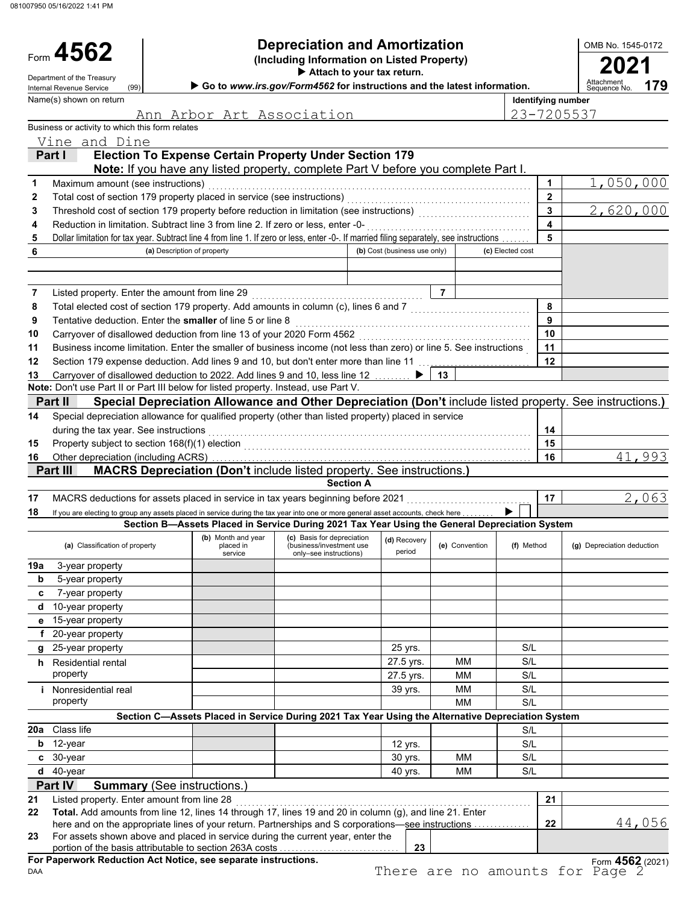Form 4562

(99)

## **Depreciation and Amortization**  $4562$  Depreciation and Amortization<br>(Including Information on Listed Property)  $\overline{\hspace{1cm}}$  2021<br>**2021**

**(Including Information on Listed Property)**

 **Attach to your tax return.**

Department of the Treasury (99) **Department of the Treasury Properties of the Section Conduct Conduct Conduct Conductions and the latest information.** 

OMB No. 1545-0172

**179**

|     | Name(s) shown on return                                                                                                                                                               |                                            |                                                                                                   |                              |                |                  |          | Identifying number                                                                                       |
|-----|---------------------------------------------------------------------------------------------------------------------------------------------------------------------------------------|--------------------------------------------|---------------------------------------------------------------------------------------------------|------------------------------|----------------|------------------|----------|----------------------------------------------------------------------------------------------------------|
|     |                                                                                                                                                                                       | Ann Arbor Art Association                  |                                                                                                   |                              |                |                  |          | 23-7205537                                                                                               |
|     | Business or activity to which this form relates                                                                                                                                       |                                            |                                                                                                   |                              |                |                  |          |                                                                                                          |
|     | Vine and Dine                                                                                                                                                                         |                                            |                                                                                                   |                              |                |                  |          |                                                                                                          |
|     | Part I                                                                                                                                                                                |                                            | <b>Election To Expense Certain Property Under Section 179</b>                                     |                              |                |                  |          |                                                                                                          |
|     |                                                                                                                                                                                       |                                            | Note: If you have any listed property, complete Part V before you complete Part I.                |                              |                |                  |          |                                                                                                          |
| 1   | Maximum amount (see instructions)                                                                                                                                                     |                                            |                                                                                                   |                              |                |                  | 1        | 1,050,000                                                                                                |
| 2   | Total cost of section 179 property placed in service (see instructions)                                                                                                               |                                            |                                                                                                   |                              |                |                  | 2        |                                                                                                          |
| 3   |                                                                                                                                                                                       |                                            |                                                                                                   |                              |                |                  | 3        | 2,620,000                                                                                                |
| 4   | Reduction in limitation. Subtract line 3 from line 2. If zero or less, enter -0-                                                                                                      |                                            |                                                                                                   |                              |                |                  | 4        |                                                                                                          |
| 5   | Dollar limitation for tax year. Subtract line 4 from line 1. If zero or less, enter -0-. If married filing separately, see instructions                                               |                                            |                                                                                                   |                              |                |                  | 5        |                                                                                                          |
| 6   |                                                                                                                                                                                       | (a) Description of property                |                                                                                                   | (b) Cost (business use only) |                | (c) Elected cost |          |                                                                                                          |
|     |                                                                                                                                                                                       |                                            |                                                                                                   |                              |                |                  |          |                                                                                                          |
|     |                                                                                                                                                                                       |                                            |                                                                                                   |                              |                |                  |          |                                                                                                          |
| 7   | Listed property. Enter the amount from line 29                                                                                                                                        |                                            |                                                                                                   |                              | $\overline{7}$ |                  |          |                                                                                                          |
| 8   | Total elected cost of section 179 property. Add amounts in column (c), lines 6 and 7 [[[[[[[[[[[[[[[[[[[[[[[[                                                                         |                                            |                                                                                                   |                              |                |                  | 8        |                                                                                                          |
| 9   | Tentative deduction. Enter the smaller of line 5 or line 8                                                                                                                            |                                            |                                                                                                   |                              |                |                  | 9        |                                                                                                          |
| 10  | Carryover of disallowed deduction from line 13 of your 2020 Form 4562                                                                                                                 |                                            |                                                                                                   |                              |                |                  | 10       |                                                                                                          |
| 11  | Business income limitation. Enter the smaller of business income (not less than zero) or line 5. See instructions                                                                     |                                            |                                                                                                   |                              |                |                  | 11       |                                                                                                          |
| 12  |                                                                                                                                                                                       |                                            |                                                                                                   |                              |                |                  | 12       |                                                                                                          |
| 13  | Carryover of disallowed deduction to 2022. Add lines 9 and 10, less line 12<br>Note: Don't use Part II or Part III below for listed property. Instead, use Part V.                    |                                            |                                                                                                   | ▶                            | 13             |                  |          |                                                                                                          |
|     | Part II                                                                                                                                                                               |                                            |                                                                                                   |                              |                |                  |          | Special Depreciation Allowance and Other Depreciation (Don't include listed property. See instructions.) |
|     | Special depreciation allowance for qualified property (other than listed property) placed in service                                                                                  |                                            |                                                                                                   |                              |                |                  |          |                                                                                                          |
| 14  | during the tax year. See instructions                                                                                                                                                 |                                            |                                                                                                   |                              |                |                  |          |                                                                                                          |
|     | Property subject to section 168(f)(1) election                                                                                                                                        |                                            |                                                                                                   |                              |                |                  | 14<br>15 |                                                                                                          |
| 15  |                                                                                                                                                                                       |                                            |                                                                                                   |                              |                |                  | 16       | 41,993                                                                                                   |
| 16  | Part III                                                                                                                                                                              |                                            | <b>MACRS Depreciation (Don't include listed property. See instructions.)</b>                      |                              |                |                  |          |                                                                                                          |
|     |                                                                                                                                                                                       |                                            | <b>Section A</b>                                                                                  |                              |                |                  |          |                                                                                                          |
| 17  | MACRS deductions for assets placed in service in tax years beginning before 2021                                                                                                      |                                            |                                                                                                   |                              |                |                  | 17       | 2,063                                                                                                    |
| 18  | If you are electing to group any assets placed in service during the tax year into one or more general asset accounts, check here                                                     |                                            |                                                                                                   |                              |                |                  |          |                                                                                                          |
|     |                                                                                                                                                                                       |                                            | Section B-Assets Placed in Service During 2021 Tax Year Using the General Depreciation System     |                              |                |                  |          |                                                                                                          |
|     | (a) Classification of property                                                                                                                                                        | (b) Month and year<br>placed in<br>service | (c) Basis for depreciation<br>(business/investment use<br>only-see instructions)                  | (d) Recovery<br>period       | (e) Convention | (f) Method       |          | (g) Depreciation deduction                                                                               |
| 19a | 3-year property                                                                                                                                                                       |                                            |                                                                                                   |                              |                |                  |          |                                                                                                          |
| b   | 5-year property                                                                                                                                                                       |                                            |                                                                                                   |                              |                |                  |          |                                                                                                          |
| c   | 7-year property                                                                                                                                                                       |                                            |                                                                                                   |                              |                |                  |          |                                                                                                          |
| d   | 10-year property                                                                                                                                                                      |                                            |                                                                                                   |                              |                |                  |          |                                                                                                          |
|     | e 15-year property                                                                                                                                                                    |                                            |                                                                                                   |                              |                |                  |          |                                                                                                          |
| f   | 20-year property                                                                                                                                                                      |                                            |                                                                                                   |                              |                |                  |          |                                                                                                          |
| g   | 25-year property                                                                                                                                                                      |                                            |                                                                                                   | 25 yrs.                      |                | S/L              |          |                                                                                                          |
| h.  | <b>Residential rental</b>                                                                                                                                                             |                                            |                                                                                                   | 27.5 yrs.                    | MM             | S/L              |          |                                                                                                          |
|     | property                                                                                                                                                                              |                                            |                                                                                                   | 27.5 yrs.                    | <b>MM</b>      | S/L              |          |                                                                                                          |
|     | <i>i</i> Nonresidential real                                                                                                                                                          |                                            |                                                                                                   | 39 yrs.                      | МM             | S/L              |          |                                                                                                          |
|     | property                                                                                                                                                                              |                                            |                                                                                                   |                              | <b>MM</b>      | S/L              |          |                                                                                                          |
|     |                                                                                                                                                                                       |                                            | Section C-Assets Placed in Service During 2021 Tax Year Using the Alternative Depreciation System |                              |                |                  |          |                                                                                                          |
| 20a | Class life                                                                                                                                                                            |                                            |                                                                                                   |                              |                | S/L              |          |                                                                                                          |
| b   | 12-year                                                                                                                                                                               |                                            |                                                                                                   | 12 yrs.                      |                | S/L              |          |                                                                                                          |
|     | c 30-year                                                                                                                                                                             |                                            |                                                                                                   | 30 yrs.                      | МM             | S/L              |          |                                                                                                          |
| d   | 40-year                                                                                                                                                                               |                                            |                                                                                                   | 40 yrs.                      | МM             | S/L              |          |                                                                                                          |
|     | <b>Part IV</b><br><b>Summary</b> (See instructions.)                                                                                                                                  |                                            |                                                                                                   |                              |                |                  |          |                                                                                                          |
| 21  | Listed property. Enter amount from line 28                                                                                                                                            |                                            |                                                                                                   |                              |                |                  | 21       |                                                                                                          |
| 22  | Total. Add amounts from line 12, lines 14 through 17, lines 19 and 20 in column (g), and line 21. Enter                                                                               |                                            |                                                                                                   |                              |                |                  |          |                                                                                                          |
| 23  | here and on the appropriate lines of your return. Partnerships and S corporations—see instructions<br>For assets shown above and placed in service during the current year, enter the |                                            |                                                                                                   |                              |                |                  | 22       | 44,056                                                                                                   |
|     |                                                                                                                                                                                       |                                            |                                                                                                   |                              |                |                  |          |                                                                                                          |

portion of the basis attributable to section 263A costs

**23**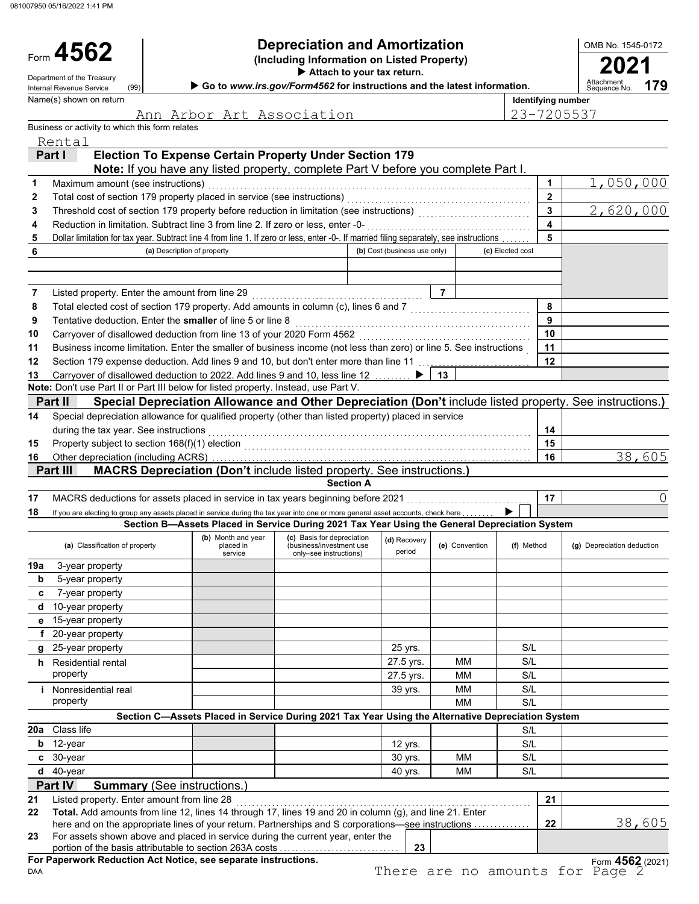Form 4562

## **Depreciation and Amortization**  $4562$  Depreciation and Amortization<br>(Including Information on Listed Property)  $\overline{\hspace{1cm}}$  2021<br>**2021**

**(Including Information on Listed Property)**

 **Attach to your tax return.**

Department of the Treasury (99) **Department of the Treasury Properties of the Section Conduct Conduct Conduct Conductions and the latest information.** 

**179**

OMB No. 1545-0172

|     | (99)<br>Internal Revenue Service                                                                                                                                                                              |                                                                                                   | Go to www.irs.gov/Form4562 for instructions and the latest information.          |                              |                |                  |             | Allachment<br>179<br>Sequence No.                                                                        |
|-----|---------------------------------------------------------------------------------------------------------------------------------------------------------------------------------------------------------------|---------------------------------------------------------------------------------------------------|----------------------------------------------------------------------------------|------------------------------|----------------|------------------|-------------|----------------------------------------------------------------------------------------------------------|
|     | Name(s) shown on return                                                                                                                                                                                       |                                                                                                   |                                                                                  |                              |                |                  |             | <b>Identifying number</b>                                                                                |
|     |                                                                                                                                                                                                               | Ann Arbor Art Association                                                                         |                                                                                  |                              |                |                  |             | 23-7205537                                                                                               |
|     | Business or activity to which this form relates                                                                                                                                                               |                                                                                                   |                                                                                  |                              |                |                  |             |                                                                                                          |
|     | Rental                                                                                                                                                                                                        |                                                                                                   |                                                                                  |                              |                |                  |             |                                                                                                          |
|     | Part I                                                                                                                                                                                                        | <b>Election To Expense Certain Property Under Section 179</b>                                     |                                                                                  |                              |                |                  |             |                                                                                                          |
|     |                                                                                                                                                                                                               | Note: If you have any listed property, complete Part V before you complete Part I.                |                                                                                  |                              |                |                  |             |                                                                                                          |
| 1   | Maximum amount (see instructions)                                                                                                                                                                             |                                                                                                   |                                                                                  |                              |                |                  | 1           | 1,050,000                                                                                                |
| 2   | Total cost of section 179 property placed in service (see instructions)                                                                                                                                       |                                                                                                   |                                                                                  |                              |                |                  | $\mathbf 2$ |                                                                                                          |
| 3   |                                                                                                                                                                                                               |                                                                                                   |                                                                                  |                              |                |                  | 3           | 2,620,000                                                                                                |
| 4   | Reduction in limitation. Subtract line 3 from line 2. If zero or less, enter -0-                                                                                                                              |                                                                                                   |                                                                                  |                              |                |                  | 4           |                                                                                                          |
| 5   | Dollar limitation for tax year. Subtract line 4 from line 1. If zero or less, enter -0-. If married filing separately, see instructions                                                                       |                                                                                                   |                                                                                  |                              |                |                  | 5           |                                                                                                          |
| 6   |                                                                                                                                                                                                               | (a) Description of property                                                                       |                                                                                  | (b) Cost (business use only) |                | (c) Elected cost |             |                                                                                                          |
|     |                                                                                                                                                                                                               |                                                                                                   |                                                                                  |                              |                |                  |             |                                                                                                          |
|     |                                                                                                                                                                                                               |                                                                                                   |                                                                                  |                              |                |                  |             |                                                                                                          |
| 7   | Listed property. Enter the amount from line 29                                                                                                                                                                |                                                                                                   |                                                                                  |                              | $\overline{7}$ |                  |             |                                                                                                          |
| 8   | Total elected cost of section 179 property. Add amounts in column (c), lines 6 and 7 [[[[[[[[[[[[[[[[[[[[[[[[                                                                                                 |                                                                                                   |                                                                                  |                              |                |                  | 8           |                                                                                                          |
| 9   | Tentative deduction. Enter the smaller of line 5 or line 8                                                                                                                                                    |                                                                                                   |                                                                                  |                              |                |                  | 9           |                                                                                                          |
| 10  | Carryover of disallowed deduction from line 13 of your 2020 Form 4562                                                                                                                                         |                                                                                                   |                                                                                  |                              |                |                  | 10          |                                                                                                          |
| 11  | Business income limitation. Enter the smaller of business income (not less than zero) or line 5. See instructions                                                                                             |                                                                                                   |                                                                                  |                              |                |                  | 11          |                                                                                                          |
| 12  | Section 179 expense deduction. Add lines 9 and 10, but don't enter more than line 11                                                                                                                          |                                                                                                   |                                                                                  |                              |                |                  | 12          |                                                                                                          |
| 13  | Carryover of disallowed deduction to 2022. Add lines 9 and 10, less line 12<br>Note: Don't use Part II or Part III below for listed property. Instead, use Part V.                                            |                                                                                                   |                                                                                  |                              | 13             |                  |             |                                                                                                          |
|     | Part II                                                                                                                                                                                                       |                                                                                                   |                                                                                  |                              |                |                  |             | Special Depreciation Allowance and Other Depreciation (Don't include listed property. See instructions.) |
| 14  | Special depreciation allowance for qualified property (other than listed property) placed in service                                                                                                          |                                                                                                   |                                                                                  |                              |                |                  |             |                                                                                                          |
|     | during the tax year. See instructions                                                                                                                                                                         |                                                                                                   |                                                                                  |                              |                |                  | 14          |                                                                                                          |
| 15  |                                                                                                                                                                                                               |                                                                                                   |                                                                                  |                              |                |                  | 15          |                                                                                                          |
| 16  |                                                                                                                                                                                                               |                                                                                                   |                                                                                  |                              |                |                  | 16          | 38,605                                                                                                   |
|     | Part III                                                                                                                                                                                                      | MACRS Depreciation (Don't include listed property. See instructions.)                             |                                                                                  |                              |                |                  |             |                                                                                                          |
|     |                                                                                                                                                                                                               |                                                                                                   | <b>Section A</b>                                                                 |                              |                |                  |             |                                                                                                          |
| 17  | MACRS deductions for assets placed in service in tax years beginning before 2021                                                                                                                              |                                                                                                   |                                                                                  |                              |                |                  | 17          | 0                                                                                                        |
| 18  | If you are electing to group any assets placed in service during the tax year into one or more general asset accounts, check here                                                                             |                                                                                                   |                                                                                  |                              |                |                  |             |                                                                                                          |
|     |                                                                                                                                                                                                               | Section B-Assets Placed in Service During 2021 Tax Year Using the General Depreciation System     |                                                                                  |                              |                |                  |             |                                                                                                          |
|     | (a) Classification of property                                                                                                                                                                                | (b) Month and year<br>placed in<br>service                                                        | (c) Basis for depreciation<br>(business/investment use<br>only-see instructions) | (d) Recovery<br>period       | (e) Convention | (f) Method       |             | (g) Depreciation deduction                                                                               |
| 19a | 3-year property                                                                                                                                                                                               |                                                                                                   |                                                                                  |                              |                |                  |             |                                                                                                          |
| b   | 5-year property                                                                                                                                                                                               |                                                                                                   |                                                                                  |                              |                |                  |             |                                                                                                          |
|     | 7-year property                                                                                                                                                                                               |                                                                                                   |                                                                                  |                              |                |                  |             |                                                                                                          |
| d   | 10-year property                                                                                                                                                                                              |                                                                                                   |                                                                                  |                              |                |                  |             |                                                                                                          |
| е   | 15-year property                                                                                                                                                                                              |                                                                                                   |                                                                                  |                              |                |                  |             |                                                                                                          |
| f   | 20-year property                                                                                                                                                                                              |                                                                                                   |                                                                                  |                              |                |                  |             |                                                                                                          |
| g   | 25-year property                                                                                                                                                                                              |                                                                                                   |                                                                                  | 25 yrs.                      |                | S/L              |             |                                                                                                          |
|     | h Residential rental                                                                                                                                                                                          |                                                                                                   |                                                                                  | 27.5 yrs.                    | <b>MM</b>      | S/L              |             |                                                                                                          |
|     | property                                                                                                                                                                                                      |                                                                                                   |                                                                                  | 27.5 yrs.                    | MМ             | S/L              |             |                                                                                                          |
| i.  | Nonresidential real                                                                                                                                                                                           |                                                                                                   |                                                                                  | 39 yrs.                      | MM             | S/L              |             |                                                                                                          |
|     | property                                                                                                                                                                                                      |                                                                                                   |                                                                                  |                              | <b>MM</b>      | S/L              |             |                                                                                                          |
|     |                                                                                                                                                                                                               | Section C-Assets Placed in Service During 2021 Tax Year Using the Alternative Depreciation System |                                                                                  |                              |                |                  |             |                                                                                                          |
| 20a | Class life                                                                                                                                                                                                    |                                                                                                   |                                                                                  |                              |                | S/L              |             |                                                                                                          |
| b   | 12-year                                                                                                                                                                                                       |                                                                                                   |                                                                                  | 12 yrs.                      |                | S/L              |             |                                                                                                          |
| c   | 30-year                                                                                                                                                                                                       |                                                                                                   |                                                                                  | 30 yrs.                      | МM             | S/L              |             |                                                                                                          |
|     | d 40-year                                                                                                                                                                                                     |                                                                                                   |                                                                                  | 40 yrs.                      | МM             | S/L              |             |                                                                                                          |
|     | Part IV<br><b>Summary (See instructions.)</b>                                                                                                                                                                 |                                                                                                   |                                                                                  |                              |                |                  |             |                                                                                                          |
| 21  | Listed property. Enter amount from line 28                                                                                                                                                                    |                                                                                                   |                                                                                  |                              |                |                  | 21          |                                                                                                          |
| 22  | Total. Add amounts from line 12, lines 14 through 17, lines 19 and 20 in column (g), and line 21. Enter<br>here and on the appropriate lines of your return. Partnerships and S corporations-see instructions |                                                                                                   |                                                                                  |                              |                |                  | 22          | 38,605                                                                                                   |
| 23  | For assets shown above and placed in service during the current year, enter the                                                                                                                               |                                                                                                   |                                                                                  |                              |                |                  |             |                                                                                                          |
|     | portion of the basis attributable to section 263A costs                                                                                                                                                       |                                                                                                   |                                                                                  | 23                           |                |                  |             |                                                                                                          |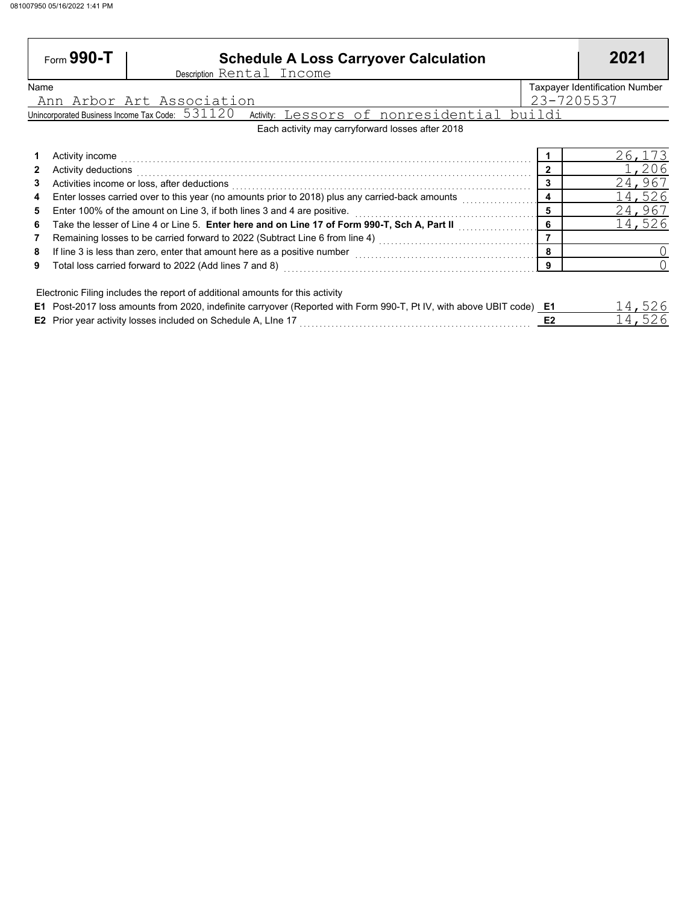| Name<br>Ann Arbor Art Association                                                                                                              | 23-7205537<br>buildi | <b>Taxpayer Identification Number</b> |
|------------------------------------------------------------------------------------------------------------------------------------------------|----------------------|---------------------------------------|
|                                                                                                                                                |                      |                                       |
|                                                                                                                                                |                      |                                       |
| Unincorporated Business Income Tax Code: $531120$<br>Activity: Lessors of nonresidential                                                       |                      |                                       |
| Each activity may carryforward losses after 2018                                                                                               |                      |                                       |
|                                                                                                                                                |                      |                                       |
| Activity income                                                                                                                                |                      | 26,173                                |
| Activity deductions<br>2                                                                                                                       | $\overline{2}$       | 1,206                                 |
| Activities income or loss, after deductions<br>3                                                                                               | 3                    | 24,967                                |
| Enter losses carried over to this year (no amounts prior to 2018) plus any carried-back amounts<br>4                                           | 4                    | 14,526                                |
| Enter 100% of the amount on Line 3, if both lines 3 and 4 are positive.<br>5                                                                   | 5                    | 24,967                                |
| Take the lesser of Line 4 or Line 5. E <mark>nter here and on Line 17 of Form 990-T, Sch A, Part II</mark> [ <i>[[[[[[[[[[[[[[[[[]]]]</i><br>6 | 6                    | 14,526                                |
| Remaining losses to be carried forward to 2022 (Subtract Line 6 from line 4) [11] content content content content                              |                      |                                       |
| 8                                                                                                                                              | 8                    | 0                                     |
| 9                                                                                                                                              | 9                    |                                       |
|                                                                                                                                                |                      |                                       |
| Electronic Filing includes the report of additional amounts for this activity                                                                  |                      |                                       |
| Post-2017 loss amounts from 2020, indefinite carryover (Reported with Form 990-T, Pt IV, with above UBIT code) E1<br>E1.                       |                      | 14,526                                |
| <b>E2</b> Prior year activity losses included on Schedule A, Line 17                                                                           | E <sub>2</sub>       | 14,526                                |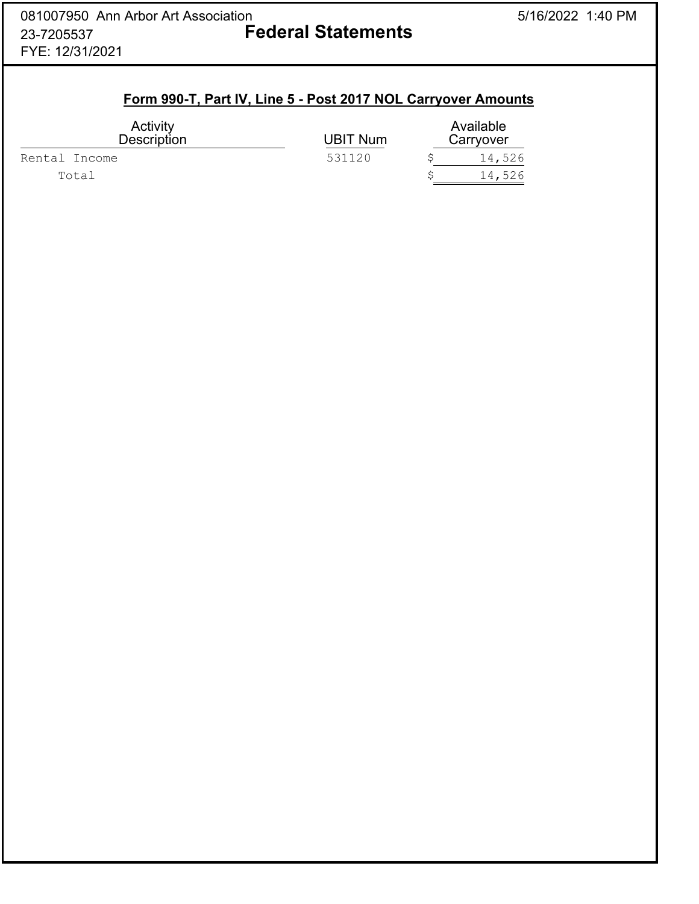#### **Form 990-T, Part IV, Line 5 - Post 2017 NOL Carryover Amounts**

| Activity<br><b>Description</b> | UBIT Num | Available<br>Carryover |
|--------------------------------|----------|------------------------|
| Rental Income                  | 531120   | 14,526                 |
| Total                          |          | 14,526                 |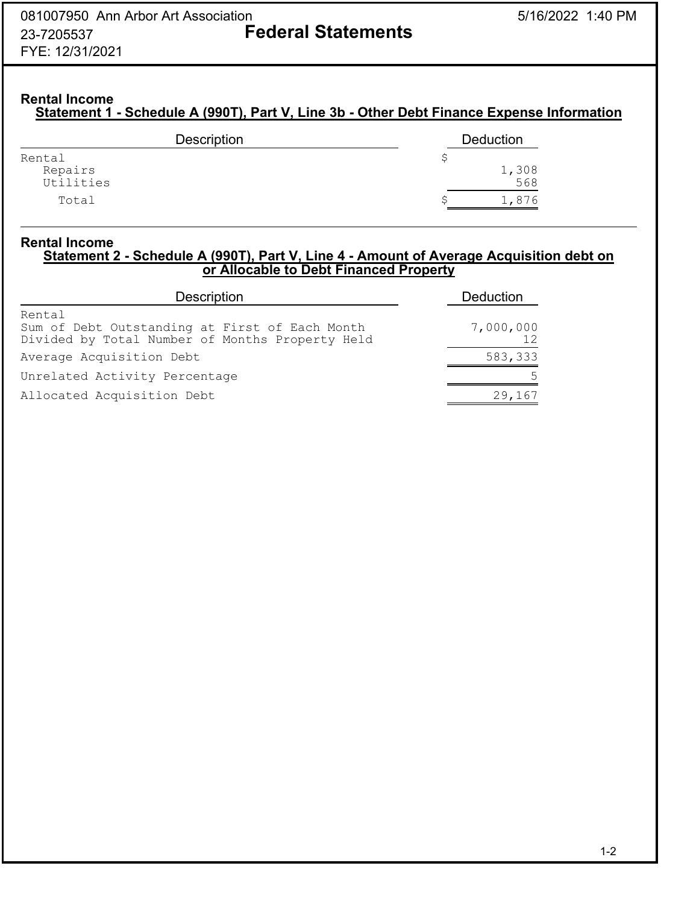#### **Rental Income**

#### **Statement 1 - Schedule A (990T), Part V, Line 3b - Other Debt Finance Expense Information**

| <b>Description</b>             |  | <b>Deduction</b> |              |  |  |  |
|--------------------------------|--|------------------|--------------|--|--|--|
| Rental<br>Repairs<br>Utilities |  |                  | 1,308<br>568 |  |  |  |
| Total                          |  |                  | 1,876        |  |  |  |

#### **Rental Income**

#### **Statement 2 - Schedule A (990T), Part V, Line 4 - Amount of Average Acquisition debt on or Allocable to Debt Financed Property**

| <b>Description</b>                                                                                          | Deduction |
|-------------------------------------------------------------------------------------------------------------|-----------|
| Rental<br>Sum of Debt Outstanding at First of Each Month<br>Divided by Total Number of Months Property Held | 7,000,000 |
| Average Acquisition Debt                                                                                    | 583,333   |
| Unrelated Activity Percentage                                                                               |           |
| Allocated Acquisition Debt                                                                                  | 29,167    |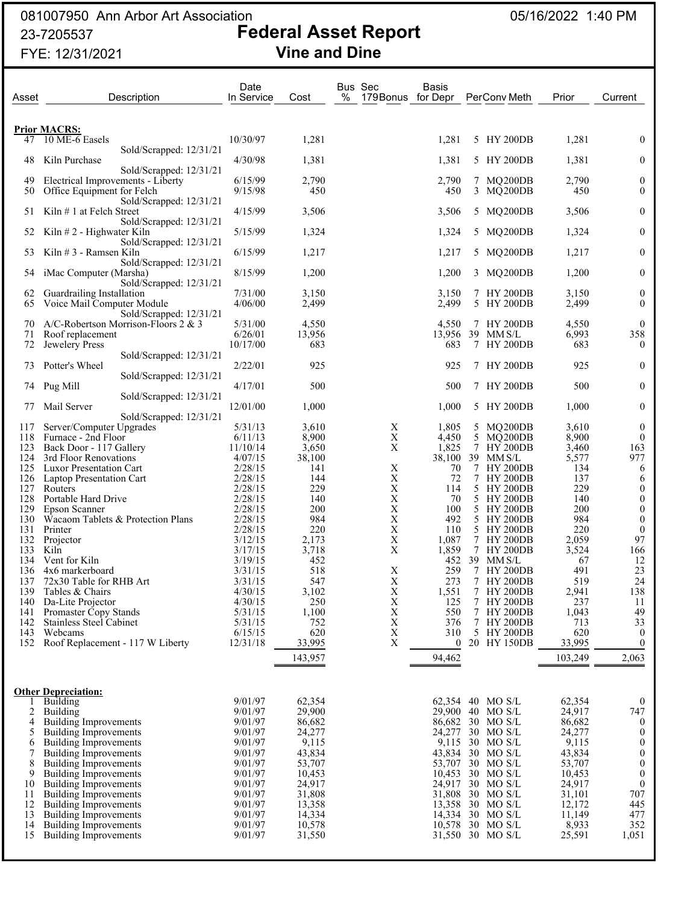### 081007950 Ann Arbor Art Association 06/16/2022 1:40 PM 23-7205537 **Federal Asset Report**<br>FYE: 12/31/2021 **FYE: 12/31/2021** FYE: 12/31/2021

| Asset      | Description                                                     | Date<br>In Service  | Cost             | Bus Sec<br>%<br>179 Bonus  | Basis<br>for Depr | PerConv Meth                                 | Prior            | Current                              |
|------------|-----------------------------------------------------------------|---------------------|------------------|----------------------------|-------------------|----------------------------------------------|------------------|--------------------------------------|
|            | <b>Prior MACRS:</b>                                             |                     |                  |                            |                   |                                              |                  |                                      |
| 47         | 10 ME-6 Easels                                                  | 10/30/97            | 1,281            |                            | 1,281             | 5 HY 200DB                                   | 1,281            | $\bf{0}$                             |
| 48         | Sold/Scrapped: 12/31/21<br>Kiln Purchase                        | 4/30/98             | 1,381            |                            | 1,381             | 5 HY 200DB                                   | 1,381            | $\boldsymbol{0}$                     |
|            | Sold/Scrapped: 12/31/21                                         |                     |                  |                            |                   |                                              |                  |                                      |
| 49<br>50   | Electrical Improvements - Liberty<br>Office Equipment for Felch | 6/15/99<br>9/15/98  | 2,790<br>450     |                            | 2,790<br>450      | 7 MQ200DB<br>3 MQ200DB                       | 2,790<br>450     | $\boldsymbol{0}$<br>$\boldsymbol{0}$ |
|            | Sold/Scrapped: 12/31/21                                         |                     |                  |                            |                   |                                              |                  |                                      |
| 51         | Kiln $# 1$ at Felch Street                                      | 4/15/99             | 3,506            |                            | 3,506             | 5 MQ200DB                                    | 3,506            | $\boldsymbol{0}$                     |
| 52         | Sold/Scrapped: 12/31/21<br>Kiln $# 2$ - Highwater Kiln          | 5/15/99             | 1,324            |                            | 1,324             | 5 MQ200DB                                    | 1,324            | $\boldsymbol{0}$                     |
|            | Sold/Scrapped: 12/31/21                                         |                     |                  |                            |                   |                                              |                  |                                      |
| 53         | Kiln # 3 - Ramsen Kiln<br>Sold/Scrapped: 12/31/21               | 6/15/99             | 1,217            |                            | 1,217             | 5 MQ200DB                                    | 1,217            | $\boldsymbol{0}$                     |
| 54         | iMac Computer (Marsha)                                          | 8/15/99             | 1,200            |                            | 1,200             | 3 MQ200DB                                    | 1,200            | $\boldsymbol{0}$                     |
|            | Sold/Scrapped: 12/31/21                                         | 7/31/00             | 3,150            |                            | 3,150             | 7 HY 200DB                                   | 3,150            |                                      |
| 62<br>65   | Guardrailing Installation<br>Voice Mail Computer Module         | 4/06/00             | 2,499            |                            | 2,499             | 5 HY 200DB                                   | 2,499            | $\boldsymbol{0}$<br>$\boldsymbol{0}$ |
|            | Sold/Scrapped: 12/31/21                                         |                     |                  |                            |                   |                                              |                  |                                      |
| 70<br>71   | $A/C-Robertson Morrison-Floors 2 & 3$<br>Roof replacement       | 5/31/00<br>6/26/01  | 4,550<br>13,956  |                            | 4,550<br>13,956   | 7 HY 200DB<br>39 MMS/L                       | 4,550<br>6,993   | $\mathbf{0}$<br>358                  |
| 72         | Jewelery Press                                                  | 10/17/00            | 683              |                            | 683               | 7 HY 200DB                                   | 683              | $\theta$                             |
|            | Sold/Scrapped: 12/31/21                                         |                     |                  |                            |                   |                                              |                  |                                      |
| 73         | Potter's Wheel<br>Sold/Scrapped: 12/31/21                       | 2/22/01             | 925              |                            | 925               | 7 HY 200DB                                   | 925              | $\mathbf{0}$                         |
| 74         | Pug Mill                                                        | 4/17/01             | 500              |                            | 500               | 7 HY 200DB                                   | 500              | $\boldsymbol{0}$                     |
| 77         | Sold/Scrapped: 12/31/21<br>Mail Server                          | 12/01/00            | 1,000            |                            | 1,000             | 5 HY 200DB                                   | 1,000            | $\boldsymbol{0}$                     |
|            | Sold/Scrapped: 12/31/21                                         |                     |                  |                            |                   |                                              |                  |                                      |
| 117        | Server/Computer Upgrades                                        | 5/31/13             | 3,610            | Χ                          | 1,805             | 5 MQ200DB                                    | 3,610            | $\boldsymbol{0}$                     |
| 118<br>123 | Furnace - 2nd Floor<br>Back Door - 117 Gallery                  | 6/11/13<br>11/10/14 | 8,900<br>3,650   | $\mathbf X$<br>$\mathbf X$ | 4,450<br>1,825    | 5<br>MQ200DB<br>7 HY 200DB                   | 8,900<br>3,460   | $\bf{0}$<br>163                      |
| 124        | 3rd Floor Renovations                                           | 4/07/15             | 38,100           |                            | 38,100            | 39 MM S/L                                    | 5,577            | 977                                  |
| 125        | Luxor Presentation Cart                                         | 2/28/15             | 141              | X                          | 70                | <b>HY 200DB</b><br>7                         | 134              | 6                                    |
| 126<br>127 | Laptop Presentation Cart<br>Routers                             | 2/28/15<br>2/28/15  | 144<br>229       | $\mathbf X$<br>$\mathbf X$ | 72<br>114         | 7<br><b>HY 200DB</b><br>5 HY 200DB           | 137<br>229       | 6<br>$\boldsymbol{0}$                |
| 128        | Portable Hard Drive                                             | 2/28/15             | 140              | $\mathbf X$                | 70                | 5<br><b>HY 200DB</b>                         | 140              | $\boldsymbol{0}$                     |
| 129        | Epson Scanner                                                   | 2/28/15             | 200              | $\mathbf X$                | 100               | 5<br><b>HY 200DB</b>                         | 200              | $\boldsymbol{0}$                     |
| 130        | Wacaom Tablets & Protection Plans                               | 2/28/15             | 984              | $\mathbf X$                | 492               | 5<br><b>HY 200DB</b>                         | 984              | $\boldsymbol{0}$                     |
| 131<br>132 | Printer<br>Projector                                            | 2/28/15<br>3/12/15  | 220<br>2,173     | $\mathbf X$<br>$\mathbf X$ | 110<br>1,087      | 5<br><b>HY 200DB</b><br>7<br><b>HY 200DB</b> | 220<br>2,059     | $\boldsymbol{0}$<br>97               |
| 133        | Kiln                                                            | 3/17/15             | 3,718            | $\mathbf X$                | 1,859             | 7 HY 200DB                                   | 3,524            | 166                                  |
| 134        | Vent for Kiln                                                   | 3/19/15             | 452              |                            | 452               | 39 MM S/L                                    | 67               | 12                                   |
| 136<br>137 | 4x6 markerboard                                                 | 3/31/15<br>3/31/15  | 518<br>547       | X<br>$\mathbf X$           | 259<br>273        | 7 HY 200DB<br>7<br><b>HY 200DB</b>           | 491<br>519       | 23<br>24                             |
| 139        | 72x30 Table for RHB Art<br>Tables & Chairs                      | 4/30/15             | 3,102            | X                          | 1,551             | 7 HY 200DB                                   | 2,941            | 138                                  |
| 140        | Da-Lite Projector                                               | 4/30/15             | 250              | X                          | 125               | 7<br><b>HY 200DB</b>                         | 237              | 11                                   |
| 141        | Promaster Copy Stands                                           | 5/31/15             | 1,100            | $\mathbf X$                | 550               | 7<br><b>HY 200DB</b>                         | 1,043            | 49                                   |
| 142<br>143 | <b>Stainless Steel Cabinet</b><br>Webcams                       | 5/31/15<br>6/15/15  | 752<br>620       | $\mathbf X$<br>$\mathbf X$ | 376<br>310        | 7<br><b>HY 200DB</b><br>5 HY 200DB           | 713<br>620       | 33<br>$\boldsymbol{0}$               |
| 152        | Roof Replacement - 117 W Liberty                                | 12/31/18            | 33,995           | $\mathbf X$                | $\bf{0}$          | 20 HY 150DB                                  | 33,995           | $\boldsymbol{0}$                     |
|            |                                                                 |                     | 143,957          |                            | 94,462            |                                              | 103,249          | 2,063                                |
|            |                                                                 |                     |                  |                            |                   |                                              |                  |                                      |
|            | <b>Other Depreciation:</b>                                      |                     |                  |                            |                   |                                              |                  |                                      |
|            | <b>Building</b>                                                 | 9/01/97             | 62,354           |                            | 62,354            | 40 MO S/L                                    | 62,354           | $\boldsymbol{0}$                     |
| 2<br>4     | <b>Building</b><br><b>Building Improvements</b>                 | 9/01/97<br>9/01/97  | 29,900<br>86,682 |                            | 86,682            | 29,900 40 MO S/L<br>$30$ MO S/L              | 24,917<br>86,682 | 747<br>$\boldsymbol{0}$              |
| 5          | <b>Building Improvements</b>                                    | 9/01/97             | 24,277           |                            | 24,277            | 30 MO S/L                                    | 24,277           | $\boldsymbol{0}$                     |
| 6          | <b>Building Improvements</b>                                    | 9/01/97             | 9,115            |                            |                   | 9,115 30 MO S/L                              | 9,115            | $\boldsymbol{0}$                     |
| 7<br>8     | <b>Building Improvements</b>                                    | 9/01/97<br>9/01/97  | 43,834           |                            |                   | 43,834 30 MO S/L<br>53,707 30 MO S/L         | 43,834<br>53,707 | $\boldsymbol{0}$<br>$\boldsymbol{0}$ |
| 9          | <b>Building Improvements</b><br><b>Building Improvements</b>    | 9/01/97             | 53,707<br>10,453 |                            | 10,453            | $30$ MO S/L                                  | 10,453           | $\boldsymbol{0}$                     |
| 10         | <b>Building Improvements</b>                                    | 9/01/97             | 24,917           |                            |                   | 24,917 30 MO S/L                             | 24,917           | $\boldsymbol{0}$                     |
| 11         | <b>Building Improvements</b>                                    | 9/01/97             | 31,808           |                            |                   | 31,808 30 MO S/L                             | 31,101           | 707                                  |
| 12<br>13   | <b>Building Improvements</b><br><b>Building Improvements</b>    | 9/01/97<br>9/01/97  | 13,358<br>14,334 |                            |                   | 13,358 30 MO S/L<br>14,334 30 MO S/L         | 12,172<br>11,149 | 445<br>477                           |
| 14         | <b>Building Improvements</b>                                    | 9/01/97             | 10,578           |                            |                   | 10,578 30 MO S/L                             | 8,933            | 352                                  |
| 15         | Building Improvements                                           | 9/01/97             | 31,550           |                            |                   | 31,550 30 MO S/L                             | 25,591           | 1,051                                |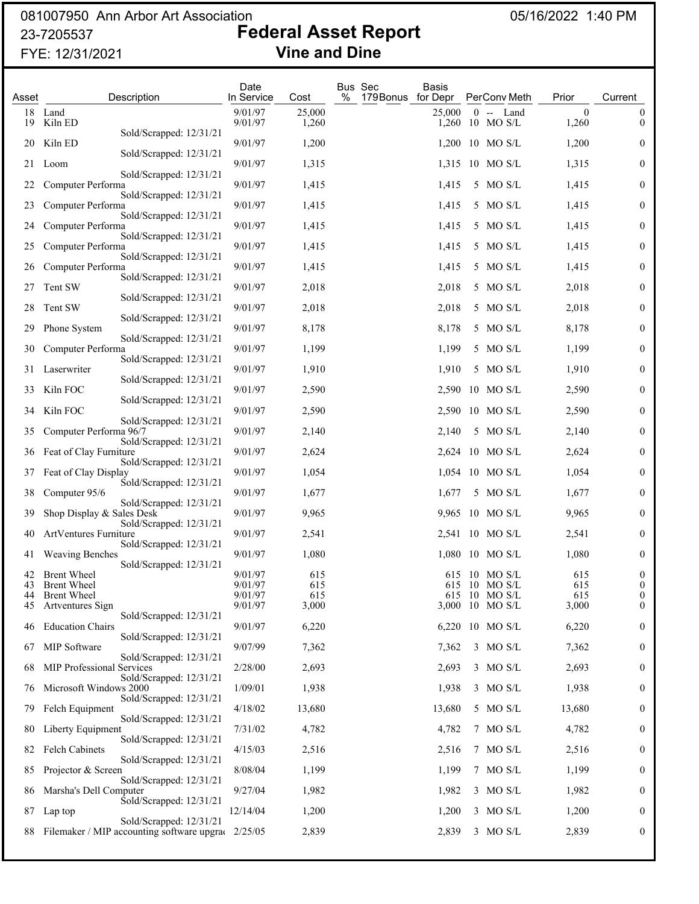### 081007950 Ann Arbor Art Association **05/16/2022** 1:40 PM 23-7205537 **Federal Asset Report**<br>FYE: 12/31/2021 **FYE: 12/31/2021** FYE: 12/31/2021

| Asset    | <b>Description</b>                                                      | Date<br>In Service | Cost            | Bus Sec<br>179Bonus for Depr<br>% | Basis  | PerConv Meth                    | Prior                 | Current                            |
|----------|-------------------------------------------------------------------------|--------------------|-----------------|-----------------------------------|--------|---------------------------------|-----------------------|------------------------------------|
| 19       | 18 Land<br>Kiln ED                                                      | 9/01/97<br>9/01/97 | 25,000<br>1,260 |                                   | 25,000 | $0 -$ Land<br>$1,260$ 10 MO S/L | $\mathbf{0}$<br>1,260 | $\overline{0}$<br>$\overline{0}$   |
| 20       | Sold/Scrapped: 12/31/21<br>Kiln ED                                      | 9/01/97            | 1,200           |                                   |        | 1,200 10 MO S/L                 | 1,200                 | $\mathbf{0}$                       |
| 21       | Sold/Scrapped: 12/31/21<br>Loom                                         | 9/01/97            | 1,315           |                                   |        | 1,315 10 MO S/L                 | 1,315                 | $\theta$                           |
| 22       | Sold/Scrapped: 12/31/21<br>Computer Performa                            | 9/01/97            | 1,415           |                                   | 1,415  | 5 MO S/L                        | 1,415                 | $\overline{0}$                     |
| 23       | Sold/Scrapped: 12/31/21<br>Computer Performa                            | 9/01/97            | 1,415           |                                   | 1,415  | 5 MO S/L                        | 1,415                 | $\theta$                           |
| 24       | Sold/Scrapped: 12/31/21<br>Computer Performa                            | 9/01/97            | 1,415           |                                   | 1,415  | 5 MO S/L                        | 1,415                 | $\overline{0}$                     |
| 25       | Sold/Scrapped: 12/31/21<br>Computer Performa<br>Sold/Scrapped: 12/31/21 | 9/01/97            | 1,415           |                                   | 1,415  | 5 MO S/L                        | 1,415                 | $\overline{0}$                     |
| 26       | Computer Performa                                                       | 9/01/97            | 1,415           |                                   | 1,415  | 5 MO S/L                        | 1,415                 | $\overline{0}$                     |
| 27       | Sold/Scrapped: 12/31/21<br>Tent SW                                      | 9/01/97            | 2,018           |                                   | 2,018  | 5 MO S/L                        | 2,018                 | $\overline{0}$                     |
| 28       | Sold/Scrapped: 12/31/21<br>Tent SW                                      | 9/01/97            | 2,018           |                                   | 2,018  | 5 MO S/L                        | 2,018                 | $\overline{0}$                     |
| 29       | Sold/Scrapped: 12/31/21<br>Phone System<br>Sold/Scrapped: 12/31/21      | 9/01/97            | 8,178           |                                   | 8,178  | 5 MO S/L                        | 8,178                 | $\overline{0}$                     |
| 30       | Computer Performa<br>Sold/Scrapped: 12/31/21                            | 9/01/97            | 1,199           |                                   | 1,199  | 5 MO S/L                        | 1,199                 | $\overline{0}$                     |
| 31       | Laserwriter<br>Sold/Scrapped: 12/31/21                                  | 9/01/97            | 1,910           |                                   | 1,910  | 5 MO S/L                        | 1,910                 | $\overline{0}$                     |
| 33       | Kiln FOC<br>Sold/Scrapped: 12/31/21                                     | 9/01/97            | 2,590           |                                   |        | 2,590 10 MO S/L                 | 2,590                 | $\overline{0}$                     |
| 34       | Kiln FOC<br>Sold/Scrapped: 12/31/21                                     | 9/01/97            | 2,590           |                                   |        | 2,590 10 MO S/L                 | 2,590                 | $\overline{0}$                     |
| 35       | Computer Performa 96/7<br>Sold/Scrapped: 12/31/21                       | 9/01/97            | 2,140           |                                   | 2,140  | 5 MO S/L                        | 2,140                 | $\overline{0}$                     |
| 36       | Feat of Clay Furniture<br>Sold/Scrapped: 12/31/21                       | 9/01/97            | 2,624           |                                   |        | 2,624 10 MO S/L                 | 2,624                 | $\overline{0}$                     |
| 37       | Feat of Clay Display<br>Sold/Scrapped: 12/31/21                         | 9/01/97            | 1,054           |                                   |        | 1,054 10 MO S/L                 | 1,054                 | $\overline{0}$                     |
| 38       | Computer 95/6<br>Sold/Scrapped: 12/31/21                                | 9/01/97            | 1,677           |                                   | 1,677  | 5 MO S/L                        | 1,677                 | $\overline{0}$                     |
| 39       | Shop Display & Sales Desk<br>Sold/Scrapped: 12/31/21                    | 9/01/97            | 9,965           |                                   |        | 9,965 10 MO S/L                 | 9,965                 | $\overline{0}$                     |
| 40       | ArtVentures Furniture<br>Sold/Scrapped: 12/31/21                        | 9/01/97            | 2,541           |                                   |        | 2,541 10 MO S/L                 | 2,541                 | $\overline{0}$                     |
| 41       | <b>Weaving Benches</b><br>Sold/Scrapped: 12/31/21                       | 9/01/97            | 1,080           |                                   |        | 1,080 10 MO S/L                 | 1,080                 | $\overline{0}$                     |
| 42<br>43 | <b>Brent Wheel</b><br><b>Brent Wheel</b>                                | 9/01/97<br>9/01/97 | 615<br>615      |                                   | 615    | $10$ MO S/L<br>615 10 MO S/L    | 615<br>615            | $\boldsymbol{0}$<br>$\overline{0}$ |
| 44       | <b>Brent Wheel</b>                                                      | 9/01/97            | 615             |                                   |        | 615 10 MO S/L                   | 615                   | $\boldsymbol{0}$                   |
| 45       | Artventures Sign<br>Sold/Scrapped: 12/31/21                             | 9/01/97            | 3,000           |                                   |        | 3,000 10 MO S/L                 | 3,000                 | $\overline{0}$                     |
| 46       | <b>Education Chairs</b><br>Sold/Scrapped: 12/31/21                      | 9/01/97            | 6,220           |                                   |        | 6,220 10 MO S/L                 | 6,220                 | $\boldsymbol{0}$                   |
| 67       | MIP Software<br>Sold/Scrapped: 12/31/21                                 | 9/07/99            | 7,362           |                                   | 7,362  | 3 MO S/L                        | 7,362                 | $\boldsymbol{0}$                   |
| 68       | <b>MIP Professional Services</b><br>Sold/Scrapped: 12/31/21             | 2/28/00            | 2,693           |                                   | 2,693  | $3$ MO S/L                      | 2,693                 | $\boldsymbol{0}$                   |
| 76       | Microsoft Windows 2000<br>Sold/Scrapped: 12/31/21                       | 1/09/01            | 1,938           |                                   | 1,938  | $3$ MO S/L                      | 1,938                 | $\boldsymbol{0}$                   |
| 79       | Felch Equipment<br>Sold/Scrapped: 12/31/21                              | 4/18/02            | 13,680          |                                   | 13,680 | 5 MO S/L                        | 13,680                | $\bf{0}$                           |
| 80       | Liberty Equipment<br>Sold/Scrapped: 12/31/21                            | 7/31/02            | 4,782           |                                   | 4,782  | 7 MO S/L                        | 4,782                 | $\boldsymbol{0}$                   |
| 82       | Felch Cabinets<br>Sold/Scrapped: 12/31/21                               | 4/15/03            | 2,516           |                                   | 2,516  | 7 MO S/L                        | 2,516                 | $\bf{0}$                           |
| 85       | Projector & Screen<br>Sold/Scrapped: 12/31/21                           | 8/08/04            | 1,199           |                                   | 1,199  | 7 MO S/L                        | 1,199                 | $\boldsymbol{0}$                   |
| 86       | Marsha's Dell Computer<br>Sold/Scrapped: 12/31/21                       | 9/27/04            | 1,982           |                                   | 1,982  | $3$ MO S/L                      | 1,982                 | $\bf{0}$                           |
| 87       | Lap top<br>Sold/Scrapped: 12/31/21                                      | 12/14/04           | 1,200           |                                   | 1,200  | $3$ MO S/L                      | 1,200                 | $\boldsymbol{0}$                   |
| 88       | Filemaker / MIP accounting software upgrac 2/25/05                      |                    | 2,839           |                                   | 2,839  | $3$ MO S/L                      | 2,839                 | $\overline{0}$                     |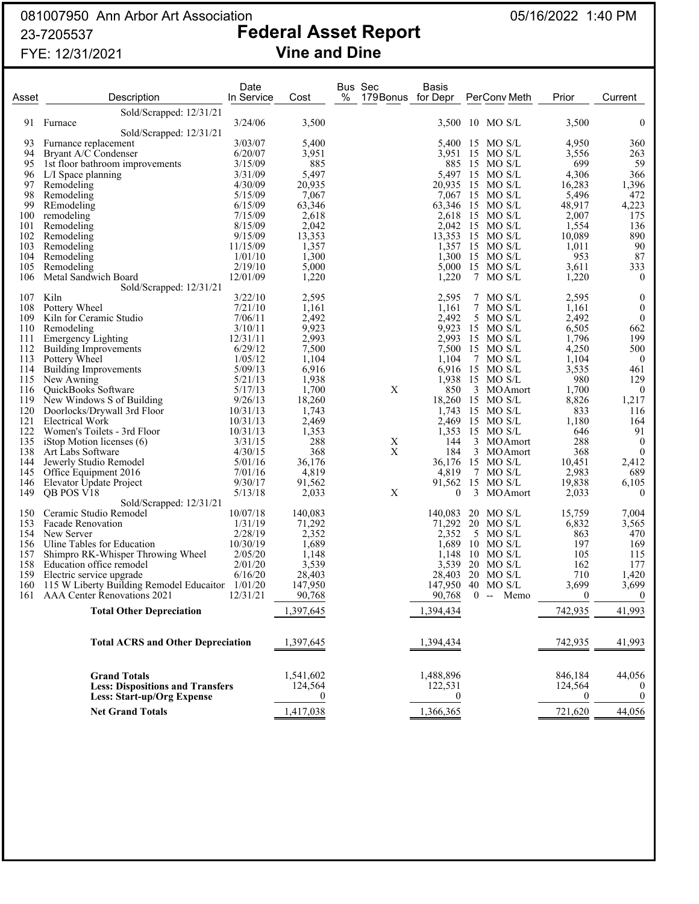#### 081007950 Ann Arbor Art Association 05/16/2022 1:40 PM 23-7205537 **Federal Asset Report** FYE: 12/31/2021 **Vine and Dine**

| Asset      | Description                                    | Date<br>In Service   | Cost              | <b>Bus Sec</b><br>% | 179Bonus for Depr | Basis             |                 | PerConv Meth                 | Prior            | Current              |
|------------|------------------------------------------------|----------------------|-------------------|---------------------|-------------------|-------------------|-----------------|------------------------------|------------------|----------------------|
|            | Sold/Scrapped: 12/31/21                        |                      |                   |                     |                   |                   |                 |                              |                  |                      |
| 91         | Furnace<br>Sold/Scrapped: 12/31/21             | 3/24/06              | 3,500             |                     |                   | 3,500             |                 | $10$ MO S/L                  | 3,500            | $\boldsymbol{0}$     |
| 93         | Furnance replacement                           | 3/03/07              | 5,400             |                     |                   | 5,400             |                 | 15 MO S/L                    | 4,950            | 360                  |
| 94         | Bryant A/C Condenser                           | 6/20/07              | 3,951             |                     |                   | 3,951             | 15              | MO S/L                       | 3,556            | 263                  |
| 95         | 1st floor bathroom improvements                | 3/15/09              | 885               |                     |                   | 885               | -15             | MO S/L                       | 699              | 59                   |
| 96         | L/I Space planning                             | 3/31/09              | 5,497             |                     |                   | 5,497             |                 | $15$ MO S/L                  | 4,306            | 366                  |
| 97<br>98   | Remodeling<br>Remodeling                       | 4/30/09<br>5/15/09   | 20,935<br>7,067   |                     |                   | 20,935            |                 | 15 MO S/L<br>7,067 15 MO S/L | 16,283           | 1,396<br>472         |
| 99         | REmodeling                                     | 6/15/09              | 63,346            |                     |                   | 63,346            |                 | 15 MO S/L                    | 5,496<br>48,917  | 4,223                |
| 100        | remodeling                                     | 7/15/09              | 2,618             |                     |                   | 2,618             |                 | 15 MO S/L                    | 2,007            | 175                  |
| 101        | Remodeling                                     | 8/15/09              | 2,042             |                     |                   | 2,042 15          |                 | MO S/L                       | 1,554            | 136                  |
| 102        | Remodeling                                     | 9/15/09              | 13,353            |                     |                   | 13,353            |                 | 15 MO S/L                    | 10,089           | 890                  |
| 103        | Remodeling                                     | 11/15/09             | 1,357             |                     |                   |                   |                 | 1,357 15 MO S/L              | 1,011            | 90                   |
| 104        | Remodeling                                     | 1/01/10              | 1,300             |                     |                   |                   |                 | 1,300 15 MO S/L              | 953              | 87                   |
| 105        | Remodeling                                     | 2/19/10              | 5,000             |                     |                   | 5,000             | 15              | MO S/L                       | 3,611            | 333                  |
| 106        | Metal Sandwich Board                           | 12/01/09             | 1,220             |                     |                   | 1,220             |                 | 7 MO S/L                     | 1,220            | $\overline{0}$       |
|            | Sold/Scrapped: 12/31/21                        |                      |                   |                     |                   |                   |                 |                              |                  |                      |
| 107<br>108 | Kiln<br>Pottery Wheel                          | 3/22/10<br>7/21/10   | 2,595<br>1,161    |                     |                   | 2,595<br>1,161    | 7<br>$\tau$     | MO S/L<br>MO S/L             | 2,595<br>1,161   | $\theta$<br>$\bf{0}$ |
| 109        | Kiln for Ceramic Studio                        | 7/06/11              | 2,492             |                     |                   | 2,492             |                 | 5 MO S/L                     | 2,492            | $\overline{0}$       |
| 110        | Remodeling                                     | 3/10/11              | 9,923             |                     |                   | 9,923             |                 | 15 MO S/L                    | 6,505            | 662                  |
| 111        | <b>Emergency Lighting</b>                      | 12/31/11             | 2,993             |                     |                   | 2,993             |                 | 15 MO S/L                    | 1,796            | 199                  |
| 112        | Building Improvements                          | 6/29/12              | 7,500             |                     |                   |                   |                 | 7,500 15 MO S/L              | 4,250            | 500                  |
| 113        | Pottery Wheel                                  | 1/05/12              | 1,104             |                     |                   | 1,104             | 7               | MO S/L                       | 1,104            | $\overline{0}$       |
| 114        | <b>Building Improvements</b>                   | 5/09/13              | 6,916             |                     |                   | 6,916             | 15              | MO S/L                       | 3,535            | 461                  |
| 115        | New Awning                                     | 5/21/13              | 1,938             |                     |                   | 1,938 15          |                 | MO S/L                       | 980              | 129                  |
| 116        | QuickBooks Software                            | 5/17/13              | 1,700             |                     | X                 | 850               |                 | 3 MOAmort                    | 1,700            | $\mathbf{0}$         |
| 119        | New Windows S of Building                      | 9/26/13              | 18,260            |                     |                   | 18,260<br>1,743   |                 | 15 MO S/L<br>15 MO S/L       | 8,826            | 1,217                |
| 120<br>121 | Doorlocks/Drywall 3rd Floor<br>Electrical Work | 10/31/13<br>10/31/13 | 1,743<br>2,469    |                     |                   | 2,469             |                 | 15 MO S/L                    | 833<br>1,180     | 116<br>164           |
| 122        | Women's Toilets - 3rd Floor                    | 10/31/13             | 1,353             |                     |                   | 1,353             |                 | 15 MO S/L                    | 646              | 91                   |
| 135        | iStop Motion licenses (6)                      | 3/31/15              | 288               |                     | X                 | 144               | 3               | MOAmort                      | 288              | $\mathbf{0}$         |
| 138        | Art Labs Software                              | 4/30/15              | 368               |                     | X                 | 184               |                 | 3 MOAmort                    | 368              | $\overline{0}$       |
| 144        | Jewerly Studio Remodel                         | 5/01/16              | 36,176            |                     |                   | 36,176            | 15              | MO S/L                       | 10,451           | 2,412                |
| 145        | Office Equipment 2016                          | 7/01/16              | 4,819             |                     |                   | 4,819             | $7\phantom{.0}$ | MO S/L                       | 2,983            | 689                  |
| 146        | Elevator Update Project                        | 9/30/17              | 91,562            |                     |                   | 91,562            |                 | $15$ MO S/L                  | 19,838           | 6,105                |
| 149        | QB POS V18                                     | 5/13/18              | 2,033             |                     | X                 | $\mathbf{0}$      | $\mathfrak{Z}$  | MOAmort                      | 2,033            | $\overline{0}$       |
|            | Sold/Scrapped: 12/31/21                        |                      |                   |                     |                   |                   |                 |                              |                  |                      |
| 150<br>153 | Ceramic Studio Remodel<br>Facade Renovation    | 10/07/18<br>1/31/19  | 140,083<br>71,292 |                     |                   | 140,083<br>71,292 |                 | $20$ MO S/L<br>$20$ MO S/L   | 15,759<br>6,832  | 7,004<br>3,565       |
| 154        | New Server                                     | 2/28/19              | 2,352             |                     |                   | 2,352             |                 | 5 MO S/L                     | 863              | 470                  |
| 156        | Uline Tables for Education                     | 10/30/19             | 1,689             |                     |                   | 1,689             |                 | $10$ MO S/L                  | 197              | 169                  |
| 157        | Shimpro RK-Whisper Throwing Wheel              | 2/05/20              | 1,148             |                     |                   | 1,148             |                 | $10$ MO S/L                  | 105              | 115                  |
| 158        | Education office remodel                       | 2/01/20              | 3,539             |                     |                   | 3,539             | 20              | MO S/L                       | 162              | 177                  |
| 159        | Electric service upgrade                       | 6/16/20              | 28,403            |                     |                   | 28,403            |                 | $20$ MO S/L                  | 710              | 1,420                |
| 160        | 115 W Liberty Building Remodel Educaitor       | 1/01/20              | 147,950           |                     |                   |                   |                 | 147,950 40 MO S/L            | 3,699            | 3,699                |
|            | 161 AAA Center Renovations 2021                | 12/31/21             | 90,768            |                     |                   | 90,768            |                 | $0 - -$<br>Memo              | $\boldsymbol{0}$ | $\boldsymbol{0}$     |
|            | <b>Total Other Depreciation</b>                |                      | 1,397,645         |                     |                   | 1,394,434         |                 |                              | 742,935          | 41,993               |
|            | <b>Total ACRS and Other Depreciation</b>       |                      | 1,397,645         |                     |                   | 1,394,434         |                 |                              | 742,935          | 41,993               |
|            |                                                |                      |                   |                     |                   |                   |                 |                              |                  |                      |
|            | <b>Grand Totals</b>                            |                      | 1,541,602         |                     |                   | 1,488,896         |                 |                              | 846,184          | 44,056               |
|            | <b>Less: Dispositions and Transfers</b>        |                      | 124,564           |                     |                   | 122,531           |                 |                              | 124,564          | $\bf{0}$             |
|            | Less: Start-up/Org Expense                     |                      | $\bf{0}$          |                     |                   | $\boldsymbol{0}$  |                 |                              | $\theta$         | $\bf{0}$             |
|            | <b>Net Grand Totals</b>                        |                      | 1,417,038         |                     |                   | 1,366,365         |                 |                              | 721,620          | 44,056               |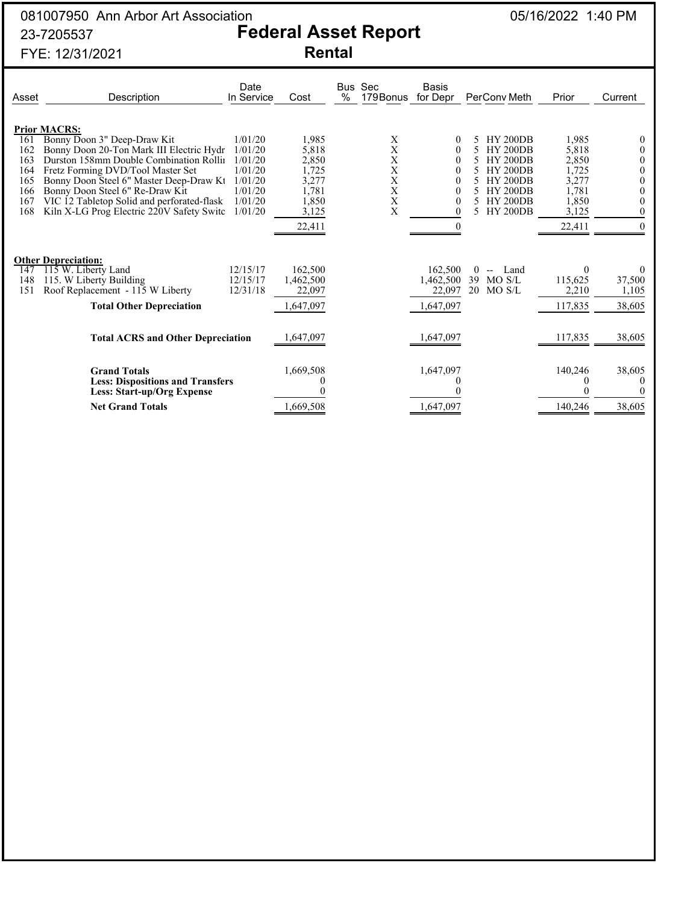#### 081007950 Ann Arbor Art Association **05/16/2022** 1:40 PM 23-7205537 **Federal Asset Report** FYE: 12/31/2021 **Rental**

| $23 - (20553)$ |
|----------------|
| 101010         |

| Asset                                                | Description                                                                                                                                                                                                                                                                                                                                             | Date<br>In Service                                                                   | Cost                                                                           | $\%$ | <b>Bus Sec</b><br>179Bonus           | Basis<br>for Depr                           | PerConv Meth                                                                                                                                               | Prior                                                                          | Current                    |
|------------------------------------------------------|---------------------------------------------------------------------------------------------------------------------------------------------------------------------------------------------------------------------------------------------------------------------------------------------------------------------------------------------------------|--------------------------------------------------------------------------------------|--------------------------------------------------------------------------------|------|--------------------------------------|---------------------------------------------|------------------------------------------------------------------------------------------------------------------------------------------------------------|--------------------------------------------------------------------------------|----------------------------|
| 161<br>162<br>163<br>164<br>165<br>166<br>167<br>168 | <b>Prior MACRS:</b><br>Bonny Doon 3" Deep-Draw Kit<br>Bonny Doon 20-Ton Mark III Electric Hydr<br>Durston 158mm Double Combination Rollin<br>Fretz Forming DVD/Tool Master Set<br>Bonny Doon Steel 6" Master Deep-Draw Kt<br>Bonny Doon Steel 6" Re-Draw Kit<br>VIC 12 Tabletop Solid and perforated-flask<br>Kiln X-LG Prog Electric 220V Safety Switc | 1/01/20<br>1/01/20<br>1/01/20<br>1/01/20<br>1/01/20<br>1/01/20<br>1/01/20<br>1/01/20 | 1,985<br>5,818<br>2,850<br>1,725<br>3,277<br>1,781<br>1,850<br>3,125<br>22,411 |      | X<br>X<br>X<br>X<br>X<br>X<br>X<br>X | $\theta$<br>0<br>0<br>$\theta$<br>$\theta$  | <b>HY 200DB</b><br><b>HY 200DB</b><br><b>HY 200DB</b><br><b>HY 200DB</b><br><b>HY 200DB</b><br><b>HY 200DB</b><br><b>HY 200DB</b><br><b>HY 200DB</b><br>5. | 1,985<br>5,818<br>2,850<br>1.725<br>3,277<br>1,781<br>1,850<br>3,125<br>22,411 |                            |
| 147<br>148<br>151                                    | <b>Other Depreciation:</b><br>115 W. Liberty Land<br>115. W Liberty Building<br>Roof Replacement - 115 W Liberty<br><b>Total Other Depreciation</b>                                                                                                                                                                                                     | 12/15/17<br>12/15/17<br>12/31/18                                                     | 162,500<br>1,462,500<br>22,097<br>1,647,097                                    |      |                                      | 162,500<br>1,462,500<br>22,097<br>1,647,097 | Land<br>$\Omega$<br>$\overline{\phantom{a}}$<br>39 MO S/L<br>20 MO S/L                                                                                     | $\theta$<br>115,625<br>2,210<br>117,835                                        | 37,500<br>1,105<br>38,605  |
|                                                      | <b>Total ACRS and Other Depreciation</b><br><b>Grand Totals</b><br><b>Less: Dispositions and Transfers</b><br><b>Less: Start-up/Org Expense</b><br><b>Net Grand Totals</b>                                                                                                                                                                              |                                                                                      | 1,647,097<br>1,669,508<br>1,669,508                                            |      |                                      | 1,647,097<br>1,647,097<br>1,647,097         |                                                                                                                                                            | 117,835<br>140,246<br>140,246                                                  | 38,605<br>38,605<br>38,605 |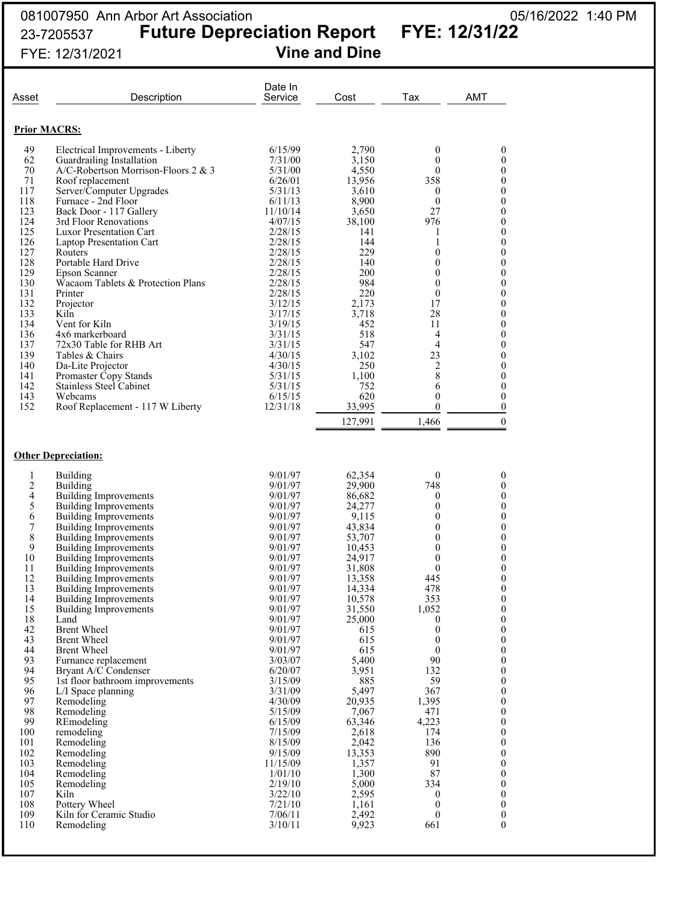# 081007950 Ann Arbor Art Association **05/16/2022** 1:40 PM 23-7205537 **Future Depreciation Report FYE: 12/31/22**

FYE: 12/31/2021 **Vine and Dine**

Date In

| Asset                         | Description                                     | Service            | Cost             | Tax                              | AMT                                  |
|-------------------------------|-------------------------------------------------|--------------------|------------------|----------------------------------|--------------------------------------|
|                               |                                                 |                    |                  |                                  |                                      |
|                               | <b>Prior MACRS:</b>                             |                    |                  |                                  |                                      |
| 49                            | Electrical Improvements - Liberty               | 6/15/99            | 2,790            | $\bf{0}$                         | $\bf{0}$                             |
| 62                            | Guardrailing Installation                       | 7/31/00            | 3,150            | $\mathbf{0}$                     | $\boldsymbol{0}$                     |
| 70                            | A/C-Robertson Morrison-Floors 2 & 3             | 5/31/00            | 4,550            | $\overline{0}$                   | $\boldsymbol{0}$                     |
| 71<br>117                     | Roof replacement                                | 6/26/01<br>5/31/13 | 13,956           | 358                              | $\boldsymbol{0}$<br>$\boldsymbol{0}$ |
| 118                           | Server/Computer Upgrades<br>Furnace - 2nd Floor | 6/11/13            | 3,610<br>8,900   | $\bf{0}$<br>$\boldsymbol{0}$     | $\boldsymbol{0}$                     |
| 123                           | Back Door - 117 Gallery                         | 11/10/14           | 3,650            | 27                               | $\boldsymbol{0}$                     |
| 124                           | 3rd Floor Renovations                           | 4/07/15            | 38,100           | 976                              | $\boldsymbol{0}$                     |
| 125                           | <b>Luxor Presentation Cart</b>                  | 2/28/15            | 141              | 1                                | $\boldsymbol{0}$                     |
| 126                           | Laptop Presentation Cart                        | 2/28/15            | 144              | 1                                | $\boldsymbol{0}$                     |
| 127                           | Routers                                         | 2/28/15            | 229              | 0                                | $\boldsymbol{0}$                     |
| 128<br>129                    | Portable Hard Drive<br>Epson Scanner            | 2/28/15<br>2/28/15 | 140<br>200       | $\boldsymbol{0}$<br>$\mathbf{0}$ | $\boldsymbol{0}$<br>$\boldsymbol{0}$ |
| 130                           | Wacaom Tablets & Protection Plans               | 2/28/15            | 984              | $\boldsymbol{0}$                 | $\boldsymbol{0}$                     |
| 131                           | Printer                                         | 2/28/15            | 220              | $\mathbf{0}$                     | $\boldsymbol{0}$                     |
| 132                           | Projector                                       | 3/12/15            | 2,173            | 17                               | $\boldsymbol{0}$                     |
| 133                           | Kiln                                            | 3/17/15            | 3,718            | 28                               | $\boldsymbol{0}$                     |
| 134                           | Vent for Kiln                                   | 3/19/15            | 452              | 11                               | $\boldsymbol{0}$                     |
| 136                           | 4x6 markerboard                                 | 3/31/15            | 518              | 4                                | $\boldsymbol{0}$                     |
| 137<br>139                    | 72x30 Table for RHB Art<br>Tables & Chairs      | 3/31/15<br>4/30/15 | 547<br>3,102     | 4<br>23                          | $\boldsymbol{0}$<br>$\boldsymbol{0}$ |
| 140                           | Da-Lite Projector                               | 4/30/15            | 250              | 2                                | $\boldsymbol{0}$                     |
| 141                           | Promaster Copy Stands                           | 5/31/15            | 1,100            | 8                                | $\boldsymbol{0}$                     |
| 142                           | Stainless Steel Cabinet                         | 5/31/15            | 752              | 6                                | $\boldsymbol{0}$                     |
| 143                           | Webcams                                         | 6/15/15            | 620              | $\boldsymbol{0}$                 | $\boldsymbol{0}$                     |
| 152                           | Roof Replacement - 117 W Liberty                | 12/31/18           | 33,995           | $\boldsymbol{0}$                 | $\theta$                             |
|                               |                                                 |                    | 127,991          | 1,466                            | $\boldsymbol{0}$                     |
|                               |                                                 |                    |                  |                                  |                                      |
|                               | <b>Other Depreciation:</b>                      |                    |                  |                                  |                                      |
| 1                             | <b>Building</b>                                 | 9/01/97            | 62,354           | $\overline{0}$                   | $\boldsymbol{0}$                     |
| 2<br>$\overline{\mathcal{L}}$ | Building<br><b>Building Improvements</b>        | 9/01/97<br>9/01/97 | 29,900<br>86,682 | 748<br>$\overline{0}$            | $\boldsymbol{0}$<br>$\boldsymbol{0}$ |
| 5                             | <b>Building Improvements</b>                    | 9/01/97            | 24,277           | $\boldsymbol{0}$                 | 0                                    |
| 6                             | Building Improvements                           | 9/01/97            | 9,115            | 0                                | $\boldsymbol{0}$                     |
| 7                             | Building Improvements                           | 9/01/97            | 43,834           | $\overline{0}$                   | $\boldsymbol{0}$                     |
| 8                             | Building Improvements                           | 9/01/97            | 53,707           | $\mathbf{0}$                     | $\boldsymbol{0}$                     |
| 9                             | <b>Building Improvements</b>                    | 9/01/97            | 10,453           | $\overline{0}$                   | $\boldsymbol{0}$                     |
| 10                            | Building Improvements                           | 9/01/97            | 24,917           | $\mathbf{0}$                     | 0                                    |
| 11<br>12                      | Building Improvements<br>Building Improvements  | 9/01/97<br>9/01/97 | 31,808<br>13,358 | $\mathbf{0}$<br>445              | $\theta$<br>0                        |
| 13                            | Building Improvements                           | 9/01/97            | 14,334           | 478                              | $\mathbf{0}$                         |
| 14                            | Building Improvements                           | 9/01/97            | 10,578           | 353                              | $\theta$                             |
| 15                            | <b>Building Improvements</b>                    | 9/01/97            | 31,550           | 1,052                            | $\boldsymbol{0}$                     |
| 18                            | Land                                            | 9/01/97            | 25,000           | $\bf{0}$                         | $\boldsymbol{0}$                     |
| 42                            | <b>Brent Wheel</b>                              | 9/01/97            | 615              | $\overline{0}$                   | $\boldsymbol{0}$                     |
| 43<br>44                      | <b>Brent Wheel</b><br><b>Brent Wheel</b>        | 9/01/97<br>9/01/97 | 615<br>615       | $\overline{0}$<br>$\overline{0}$ | $\boldsymbol{0}$<br>$\boldsymbol{0}$ |
| 93                            | Furnance replacement                            | 3/03/07            | 5,400            | 90                               | $\boldsymbol{0}$                     |
| 94                            | Bryant A/C Condenser                            | 6/20/07            | 3,951            | 132                              | $\boldsymbol{0}$                     |
| 95                            | 1st floor bathroom improvements                 | 3/15/09            | 885              | 59                               | $\boldsymbol{0}$                     |
| 96                            | L/I Space planning                              | 3/31/09            | 5,497            | 367                              | $\boldsymbol{0}$                     |
| 97                            | Remodeling                                      | 4/30/09            | 20,935           | 1,395                            | 0                                    |
| 98                            | Remodeling                                      | 5/15/09            | 7,067            | 471                              | $\boldsymbol{0}$                     |
| 99<br>100                     | REmodeling<br>remodeling                        | 6/15/09<br>7/15/09 | 63,346<br>2,618  | 4,223<br>174                     | $\boldsymbol{0}$<br>$\boldsymbol{0}$ |
| 101                           | Remodeling                                      | 8/15/09            | 2,042            | 136                              | 0                                    |
| 102                           | Remodeling                                      | 9/15/09            | 13,353           | 890                              | $\boldsymbol{0}$                     |
| 103                           | Remodeling                                      | 11/15/09           | 1,357            | 91                               | $\boldsymbol{0}$                     |
| 104                           | Remodeling                                      | 1/01/10            | 1,300            | 87                               | $\boldsymbol{0}$                     |
| 105                           | Remodeling                                      | 2/19/10            | 5,000            | 334                              | $\boldsymbol{0}$                     |
| 107                           | Kiln                                            | 3/22/10            | 2,595            | $\bf{0}$                         | $\boldsymbol{0}$                     |
| 108                           | Pottery Wheel                                   | 7/21/10            | 1,161            | $\overline{0}$<br>$\overline{0}$ | $\boldsymbol{0}$<br>$\mathbf{0}$     |
| 109<br>110                    | Kiln for Ceramic Studio<br>Remodeling           | 7/06/11<br>3/10/11 | 2,492<br>9,923   | 661                              | $\overline{0}$                       |
|                               |                                                 |                    |                  |                                  |                                      |
|                               |                                                 |                    |                  |                                  |                                      |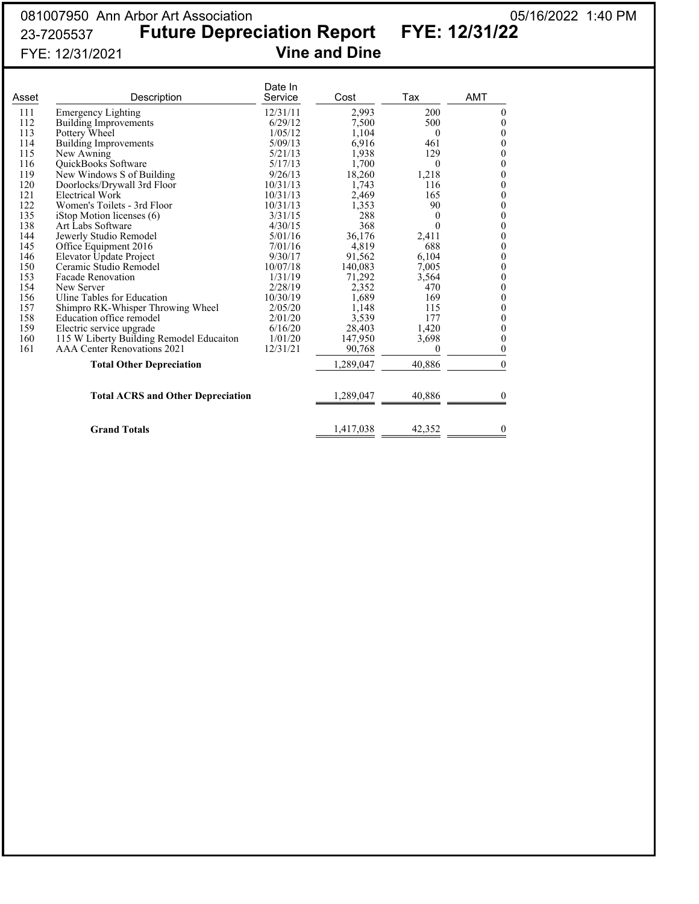#### 081007950 Ann Arbor Art Association<br>23-7205537 **Future Depreciation Report FYE: 12/31/22** 23-7205537 **Future Depreciation Report FYE: 12/31/22** FYE: 12/31/2021 **Vine and Dine**

|  | FYE: 12/31/2021 |
|--|-----------------|
|--|-----------------|

| Asset | Description                              | Date In<br>Service | Cost      | Tax      | <b>AMT</b>       |
|-------|------------------------------------------|--------------------|-----------|----------|------------------|
| 111   | <b>Emergency Lighting</b>                | 12/31/11           | 2,993     | 200      | $\theta$         |
| 112   | <b>Building Improvements</b>             | 6/29/12            | 7,500     | 500      | $\mathbf{0}$     |
| 113   | Pottery Wheel                            | 1/05/12            | 1,104     | $\theta$ | $\boldsymbol{0}$ |
| 114   | <b>Building Improvements</b>             | 5/09/13            | 6,916     | 461      | $\boldsymbol{0}$ |
| 115   | New Awning                               | 5/21/13            | 1,938     | 129      | $\boldsymbol{0}$ |
| 116   | QuickBooks Software                      | 5/17/13            | 1,700     | $\theta$ | $\boldsymbol{0}$ |
| 119   | New Windows S of Building                | 9/26/13            | 18,260    | 1,218    | $\boldsymbol{0}$ |
| 120   | Doorlocks/Drywall 3rd Floor              | 10/31/13           | 1.743     | 116      | $\boldsymbol{0}$ |
| 121   | <b>Electrical Work</b>                   | 10/31/13           | 2,469     | 165      | $\boldsymbol{0}$ |
| 122   | Women's Toilets - 3rd Floor              | 10/31/13           | 1,353     | 90       | $\boldsymbol{0}$ |
| 135   | iStop Motion licenses (6)                | 3/31/15            | 288       | 0        | $\boldsymbol{0}$ |
| 138   | Art Labs Software                        | 4/30/15            | 368       | $\Omega$ | $\boldsymbol{0}$ |
| 144   | Jewerly Studio Remodel                   | 5/01/16            | 36,176    | 2,411    | $\boldsymbol{0}$ |
| 145   | Office Equipment 2016                    | 7/01/16            | 4.819     | 688      | $\boldsymbol{0}$ |
| 146   | Elevator Update Project                  | 9/30/17            | 91,562    | 6,104    | $\boldsymbol{0}$ |
| 150   | Ceramic Studio Remodel                   | 10/07/18           | 140,083   | 7,005    | $\boldsymbol{0}$ |
| 153   | <b>Facade Renovation</b>                 | 1/31/19            | 71,292    | 3,564    | $\boldsymbol{0}$ |
| 154   | New Server                               | 2/28/19            | 2,352     | 470      | $\boldsymbol{0}$ |
| 156   | Uline Tables for Education               | 10/30/19           | 1,689     | 169      | $\boldsymbol{0}$ |
| 157   | Shimpro RK-Whisper Throwing Wheel        | 2/05/20            | 1,148     | 115      | $\boldsymbol{0}$ |
| 158   | Education office remodel                 | 2/01/20            | 3,539     | 177      | $\boldsymbol{0}$ |
| 159   | Electric service upgrade                 | 6/16/20            | 28,403    | 1,420    | $\boldsymbol{0}$ |
| 160   | 115 W Liberty Building Remodel Educaiton | 1/01/20            | 147,950   | 3,698    | $\boldsymbol{0}$ |
| 161   | <b>AAA Center Renovations 2021</b>       | 12/31/21           | 90,768    | $\theta$ | $\mathbf{0}$     |
|       | <b>Total Other Depreciation</b>          |                    | 1,289,047 | 40,886   | $\mathbf{0}$     |
|       | <b>Total ACRS and Other Depreciation</b> |                    | 1,289,047 | 40,886   | $\mathbf{0}$     |
|       | <b>Grand Totals</b>                      |                    | 1,417,038 | 42,352   | $\theta$         |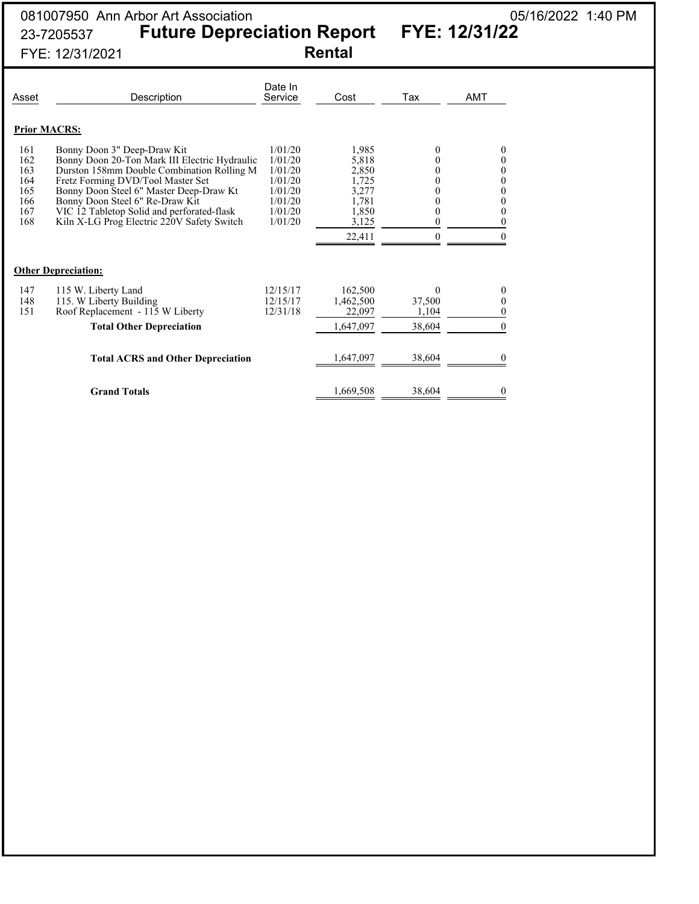### 081007950 Ann Arbor Art Association **05/16/2022** 1:40 PM 23-7205537 **Future Depreciation Report FYE: 12/31/22**<br>FYE: 12/31/2021 **Rental** FYE: 12/31/2021

| Asset                                                | Description                                                                                                                                                                                                                                                                                                                               | Date In<br>Service                                                                   | Cost                                                                           | Tax                                                           | AMT                                                |
|------------------------------------------------------|-------------------------------------------------------------------------------------------------------------------------------------------------------------------------------------------------------------------------------------------------------------------------------------------------------------------------------------------|--------------------------------------------------------------------------------------|--------------------------------------------------------------------------------|---------------------------------------------------------------|----------------------------------------------------|
|                                                      | <b>Prior MACRS:</b>                                                                                                                                                                                                                                                                                                                       |                                                                                      |                                                                                |                                                               |                                                    |
| 161<br>162<br>163<br>164<br>165<br>166<br>167<br>168 | Bonny Doon 3" Deep-Draw Kit<br>Bonny Doon 20-Ton Mark III Electric Hydraulic<br>Durston 158mm Double Combination Rolling M<br>Fretz Forming DVD/Tool Master Set<br>Bonny Doon Steel 6" Master Deep-Draw Kt<br>Bonny Doon Steel 6" Re-Draw Kit<br>VIC 12 Tabletop Solid and perforated-flask<br>Kiln X-LG Prog Electric 220V Safety Switch | 1/01/20<br>1/01/20<br>1/01/20<br>1/01/20<br>1/01/20<br>1/01/20<br>1/01/20<br>1/01/20 | 1,985<br>5,818<br>2,850<br>1,725<br>3,277<br>1,781<br>1,850<br>3,125<br>22,411 | 0<br>0<br>$\theta$<br>0<br>$\theta$<br>0<br>$\mathbf{\Omega}$ | 0<br>$\theta$<br>0<br>$\theta$<br>0<br>0<br>0<br>0 |
|                                                      | <b>Other Depreciation:</b>                                                                                                                                                                                                                                                                                                                |                                                                                      |                                                                                |                                                               |                                                    |
| 147<br>148<br>151                                    | 115 W. Liberty Land<br>115. W Liberty Building<br>Roof Replacement - 115 W Liberty                                                                                                                                                                                                                                                        | 12/15/17<br>12/15/17<br>12/31/18                                                     | 162,500<br>1,462,500<br>22,097                                                 | $\theta$<br>37,500<br>1,104                                   | $_{0}$<br>0<br>0                                   |
|                                                      | <b>Total Other Depreciation</b>                                                                                                                                                                                                                                                                                                           |                                                                                      | 1,647,097                                                                      | 38,604                                                        | $\Omega$                                           |
|                                                      | <b>Total ACRS and Other Depreciation</b>                                                                                                                                                                                                                                                                                                  |                                                                                      | 1,647,097                                                                      | 38,604                                                        | 0                                                  |
|                                                      | <b>Grand Totals</b>                                                                                                                                                                                                                                                                                                                       |                                                                                      | 1,669,508                                                                      | 38,604                                                        | $\mathbf{0}$                                       |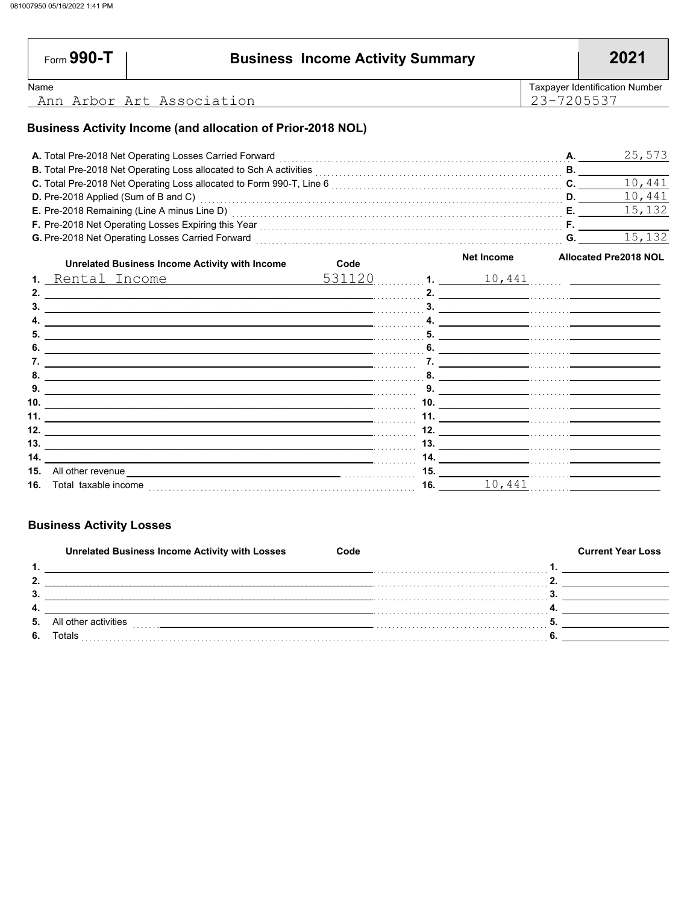| Form $990 - T$           |                                                                                                                                                                                                                                                                                                                                | <b>Business Income Activity Summary</b> |     |                                                                                                                       |            | 2021                                                             |
|--------------------------|--------------------------------------------------------------------------------------------------------------------------------------------------------------------------------------------------------------------------------------------------------------------------------------------------------------------------------|-----------------------------------------|-----|-----------------------------------------------------------------------------------------------------------------------|------------|------------------------------------------------------------------|
| Name                     |                                                                                                                                                                                                                                                                                                                                |                                         |     |                                                                                                                       |            | <b>Taxpayer Identification Number</b>                            |
|                          | Ann Arbor Art Association                                                                                                                                                                                                                                                                                                      |                                         |     |                                                                                                                       | 23-7205537 |                                                                  |
|                          | <b>Business Activity Income (and allocation of Prior-2018 NOL)</b>                                                                                                                                                                                                                                                             |                                         |     |                                                                                                                       |            |                                                                  |
|                          | A. Total Pre-2018 Net Operating Losses Carried Forward                                                                                                                                                                                                                                                                         |                                         |     |                                                                                                                       |            | 25,573                                                           |
|                          | B. Total Pre-2018 Net Operating Loss allocated to Sch A activities                                                                                                                                                                                                                                                             |                                         |     |                                                                                                                       |            | B.                                                               |
|                          |                                                                                                                                                                                                                                                                                                                                |                                         |     |                                                                                                                       |            | 10,441<br>c.                                                     |
|                          | $D.$ $D.$ $10,441$<br>D. Pre-2018 Applied (Sum of B and C)                                                                                                                                                                                                                                                                     |                                         |     |                                                                                                                       |            |                                                                  |
|                          |                                                                                                                                                                                                                                                                                                                                |                                         |     |                                                                                                                       |            | 15,132                                                           |
|                          | F. Pre-2018 Net Operating Losses Expiring this Year [11] [12] Martin Martin Martin Martin Martin Martin Martin Martin Martin Martin Martin Martin Martin Martin Martin Martin Martin Martin Martin Martin Martin Martin Martin                                                                                                 |                                         |     |                                                                                                                       |            | 15,132                                                           |
|                          | G. Pre-2018 Net Operating Losses Carried Forward [11] Content Content Content Content Content Content Content Content Content Content Content Content Content Content Content Content Content Content Content Content Content                                                                                                  |                                         |     |                                                                                                                       |            |                                                                  |
|                          | <b>Unrelated Business Income Activity with Income</b>                                                                                                                                                                                                                                                                          | Code                                    |     | <b>Net Income</b>                                                                                                     |            | <b>Allocated Pre2018 NOL</b>                                     |
| 1. Rental Income         |                                                                                                                                                                                                                                                                                                                                |                                         |     |                                                                                                                       |            | $531120$ 1. $10,441$ 2. $200$                                    |
|                          |                                                                                                                                                                                                                                                                                                                                |                                         |     | 2. $\qquad \qquad$                                                                                                    |            |                                                                  |
|                          |                                                                                                                                                                                                                                                                                                                                |                                         |     |                                                                                                                       |            |                                                                  |
|                          | $\overline{a}$ , and the contract of the contract of the contract of $\overline{a}$ , $\overline{a}$ , $\overline{a}$ , $\overline{a}$ , $\overline{a}$ , $\overline{a}$ , $\overline{a}$ , $\overline{a}$ , $\overline{a}$ , $\overline{a}$ , $\overline{a}$ , $\overline{a}$ , $\overline{a}$ , $\overline{a}$ , $\overline$ |                                         |     | <u> 1980 - Jan James James, politik eta politik eta politik eta politik eta politik eta politik eta politik eta p</u> |            |                                                                  |
|                          |                                                                                                                                                                                                                                                                                                                                |                                         |     |                                                                                                                       |            |                                                                  |
|                          |                                                                                                                                                                                                                                                                                                                                |                                         |     |                                                                                                                       |            |                                                                  |
|                          |                                                                                                                                                                                                                                                                                                                                |                                         |     |                                                                                                                       |            |                                                                  |
| 9.                       |                                                                                                                                                                                                                                                                                                                                |                                         | 9.  |                                                                                                                       |            |                                                                  |
| 10.                      | <u> 1980 - Jan James James Jan James James James James James James James James James James James James James Jam</u><br><u> 1989 - Johann John Stone, Amerikaansk politiker (* 1905)</u>                                                                                                                                       |                                         | 10. |                                                                                                                       |            | <u> 1980 - Jan James James, politik eta idazleari (h. 1908).</u> |
| 11.                      | <u> 1989 - Johann Barn, amerikan bernama (j. 1989)</u>                                                                                                                                                                                                                                                                         |                                         |     |                                                                                                                       |            |                                                                  |
| 12.                      | <u> 1980 - Jan James James Barnett, amerikan bahasa dan berasal dan berasal dalam berasal dalam berasal dalam ber</u>                                                                                                                                                                                                          |                                         |     |                                                                                                                       |            | 12. $\qquad \qquad$                                              |
| 13.                      | <u> 1980 - Jan James James James James James James James James James James James James James James James James J</u>                                                                                                                                                                                                           |                                         | 13. |                                                                                                                       |            |                                                                  |
| 14.                      |                                                                                                                                                                                                                                                                                                                                |                                         |     |                                                                                                                       |            |                                                                  |
| All other revenue<br>15. | <u> 1980 - Jan Barat de Barbara, marca de la contrada de la contrada de la contrada de la contrada de la contrada</u>                                                                                                                                                                                                          |                                         |     |                                                                                                                       |            |                                                                  |
|                          |                                                                                                                                                                                                                                                                                                                                |                                         |     |                                                                                                                       |            |                                                                  |

#### **Business Activity Losses**

|        | <b>Unrelated Business Income Activity with Losses</b> | Code | <b>Current Year Loss</b> |  |
|--------|-------------------------------------------------------|------|--------------------------|--|
|        |                                                       |      |                          |  |
| כי<br> |                                                       |      | .                        |  |
| 3.     |                                                       |      |                          |  |
| -4.    |                                                       |      |                          |  |
|        | <b>5.</b> All other activities<br>.                   |      | .                        |  |
| 6.     | Totals<br>.                                           |      |                          |  |
|        |                                                       |      |                          |  |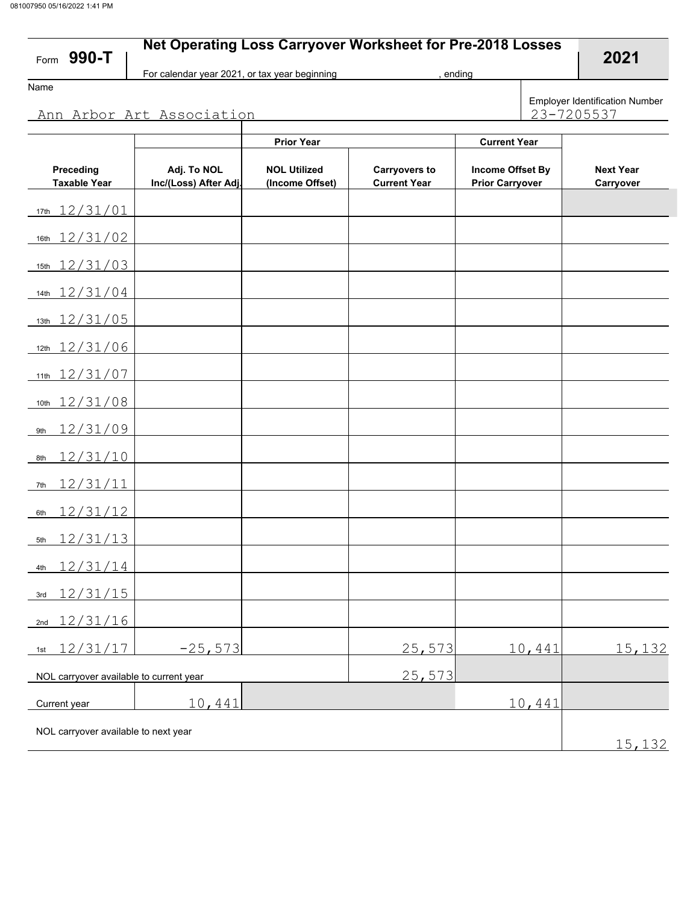#### **Net Operating Loss Carryover Worksheet for Pre-2018 Losses** Form 990-T

For calendar year 2021, or tax year beginning

, ending

**2021**

Employer Identification Number<br> $23 - 7205537$ 

Name

Ann Arbor Art Association

|                                         |                                      | <b>Prior Year</b>                      |                                             | <b>Current Year</b>                               |                               |
|-----------------------------------------|--------------------------------------|----------------------------------------|---------------------------------------------|---------------------------------------------------|-------------------------------|
| Preceding<br><b>Taxable Year</b>        | Adj. To NOL<br>Inc/(Loss) After Adj. | <b>NOL Utilized</b><br>(Income Offset) | <b>Carryovers to</b><br><b>Current Year</b> | <b>Income Offset By</b><br><b>Prior Carryover</b> | <b>Next Year</b><br>Carryover |
| $17th$ $12/31/01$                       |                                      |                                        |                                             |                                                   |                               |
| 16th 12/31/02                           |                                      |                                        |                                             |                                                   |                               |
| 15th 12/31/03                           |                                      |                                        |                                             |                                                   |                               |
| $14th$ $12/31/04$                       |                                      |                                        |                                             |                                                   |                               |
| 13th 12/31/05                           |                                      |                                        |                                             |                                                   |                               |
| 12th 12/31/06                           |                                      |                                        |                                             |                                                   |                               |
| $11th$ $12/31/07$                       |                                      |                                        |                                             |                                                   |                               |
| 10th 12/31/08                           |                                      |                                        |                                             |                                                   |                               |
| 12/31/09<br>9th                         |                                      |                                        |                                             |                                                   |                               |
| 12/31/10<br>8th                         |                                      |                                        |                                             |                                                   |                               |
| <u>12/31/11</u><br>7th                  |                                      |                                        |                                             |                                                   |                               |
| 12/31/12<br>6th                         |                                      |                                        |                                             |                                                   |                               |
| 12/31/13<br>5th                         |                                      |                                        |                                             |                                                   |                               |
| <u>12/31/14</u><br>4th                  |                                      |                                        |                                             |                                                   |                               |
| <u> 12/31/15</u><br>3rd                 |                                      |                                        |                                             |                                                   |                               |
| $2nd \t 12/31/16$                       |                                      |                                        |                                             |                                                   |                               |
| 12/31/17<br>$1st$                       | $-25,573$                            |                                        | 25,573                                      | 10,441                                            | 15,132                        |
| NOL carryover available to current year |                                      |                                        | 25,573                                      |                                                   |                               |
| Current year                            | 10,441                               |                                        |                                             | 10,441                                            |                               |
| NOL carryover available to next year    |                                      |                                        |                                             |                                                   | 15, 132                       |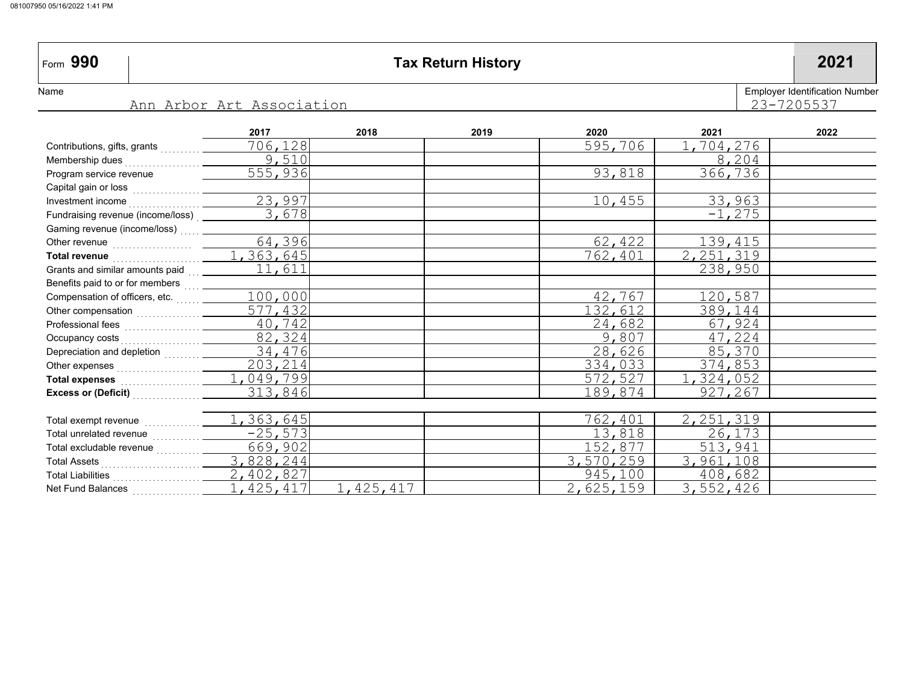| 081007950 05/16/2022 1:41 PM |  |  |
|------------------------------|--|--|
|                              |  |  |

Form 990

# **990 Tax Return History 2021**

NameEmployer Identification Number

Ann Arbor Art Association

|                                                                                                                      | 2017      | 2018      | 2019 | 2020      | 2021        | 2022 |
|----------------------------------------------------------------------------------------------------------------------|-----------|-----------|------|-----------|-------------|------|
| Contributions, gifts, grants                                                                                         | 706,128   |           |      | 595,706   | ,704,276    |      |
| Membership dues                                                                                                      | 9,510     |           |      |           | 8,204       |      |
| Program service revenue                                                                                              | 555,936   |           |      | 93,818    | 366,736     |      |
| Capital gain or loss                                                                                                 |           |           |      |           |             |      |
| Investment income                                                                                                    | 23,997    |           |      | 10,455    | 33,963      |      |
|                                                                                                                      | 3,678     |           |      |           | $-1,275$    |      |
| Gaming revenue (income/loss)                                                                                         |           |           |      |           |             |      |
|                                                                                                                      | 64,396    |           |      | 62,422    | 139,415     |      |
| Total revenue manual contracts and the contracts of the contracts of the contracts of the contracts of the contracts | 1,363,645 |           |      | 762,401   | 2, 251, 319 |      |
| Grants and similar amounts paid [11] _________                                                                       | 11,611    |           |      |           | 238,950     |      |
| Benefits paid to or for members  __                                                                                  |           |           |      |           |             |      |
| Compensation of officers, etc.                                                                                       | 100,000   |           |      | 42,767    | 120,587     |      |
|                                                                                                                      | 577,432   |           |      | 132,612   | 389,144     |      |
| Professional fees<br><br><br><br><br><br><br><br><br><br><br><br><br><br><br><br><br><br><br><br><br><br>            | 40,742    |           |      | 24,682    | 67,924      |      |
|                                                                                                                      | 82,324    |           |      | 9,807     | 47,224      |      |
|                                                                                                                      | 34,476    |           |      | 28,626    | 85,370      |      |
| Other expenses                                                                                                       | 203, 214  |           |      | 334,033   | 374,853     |      |
|                                                                                                                      | 1,049,799 |           |      | 572,527   | 1,324,052   |      |
|                                                                                                                      | 313,846   |           |      | 189,874   | 927,267     |      |
|                                                                                                                      |           |           |      |           |             |      |
| Total exempt revenue                                                                                                 | 1,363,645 |           |      | 762,401   | 2, 251, 319 |      |
| Total unrelated revenue                                                                                              | $-25,573$ |           |      | 13,818    | 26,173      |      |
| Total excludable revenue                                                                                             | 669,902   |           |      | 152,877   | 513,941     |      |
|                                                                                                                      | 3,828,244 |           |      | 3,570,259 | 3, 961, 108 |      |
|                                                                                                                      | 2,402,827 |           |      | 945,100   | 408,682     |      |
| Net Fund Balances                                                                                                    | 1,425,417 | 1,425,417 |      | 2,625,159 | 3,552,426   |      |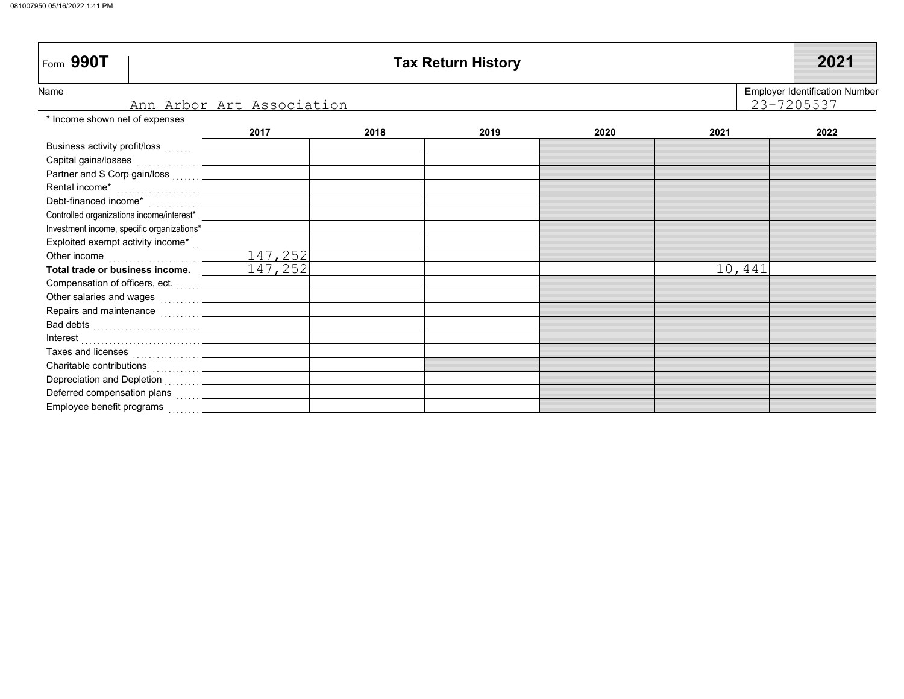| Form $990T$                                                                                                                                                                                                                        | <b>Tax Return History</b> |      |      |      |        |                                       |  |
|------------------------------------------------------------------------------------------------------------------------------------------------------------------------------------------------------------------------------------|---------------------------|------|------|------|--------|---------------------------------------|--|
| Name                                                                                                                                                                                                                               |                           |      |      |      |        | <b>Employer Identification Number</b> |  |
|                                                                                                                                                                                                                                    | Ann Arbor Art Association |      |      |      |        | 23-7205537                            |  |
| * Income shown net of expenses                                                                                                                                                                                                     |                           |      |      |      |        |                                       |  |
|                                                                                                                                                                                                                                    | 2017                      | 2018 | 2019 | 2020 | 2021   | 2022                                  |  |
| Business activity profit/loss  _____________                                                                                                                                                                                       |                           |      |      |      |        |                                       |  |
|                                                                                                                                                                                                                                    |                           |      |      |      |        |                                       |  |
|                                                                                                                                                                                                                                    |                           |      |      |      |        |                                       |  |
|                                                                                                                                                                                                                                    |                           |      |      |      |        |                                       |  |
| Debt-financed income*                                                                                                                                                                                                              |                           |      |      |      |        |                                       |  |
|                                                                                                                                                                                                                                    |                           |      |      |      |        |                                       |  |
| Investment income, specific organizations*                                                                                                                                                                                         |                           |      |      |      |        |                                       |  |
| Exploited exempt activity income*  _______                                                                                                                                                                                         |                           |      |      |      |        |                                       |  |
|                                                                                                                                                                                                                                    | 147, 252                  |      |      |      |        |                                       |  |
| Total trade or business income. $147,252$                                                                                                                                                                                          |                           |      |      |      | 10,441 |                                       |  |
|                                                                                                                                                                                                                                    |                           |      |      |      |        |                                       |  |
| Other salaries and wages<br>Management and the contract of the sales of the sales of the sales of the sales of the sales of the sales of the sales of the sales of the sales of the sales of the sales of the sales of the sale    |                           |      |      |      |        |                                       |  |
|                                                                                                                                                                                                                                    |                           |      |      |      |        |                                       |  |
|                                                                                                                                                                                                                                    |                           |      |      |      |        |                                       |  |
|                                                                                                                                                                                                                                    |                           |      |      |      |        |                                       |  |
| Taxes and licenses <b>contained contained the contract of the contract of the contract of the contract of the contract of the contract of the contract of the contract of the contract of the contract of the contract of the </b> |                           |      |      |      |        |                                       |  |
|                                                                                                                                                                                                                                    |                           |      |      |      |        |                                       |  |
|                                                                                                                                                                                                                                    |                           |      |      |      |        |                                       |  |
|                                                                                                                                                                                                                                    |                           |      |      |      |        |                                       |  |
| Employee benefit programs<br><br><u> </u>                                                                                                                                                                                          |                           |      |      |      |        |                                       |  |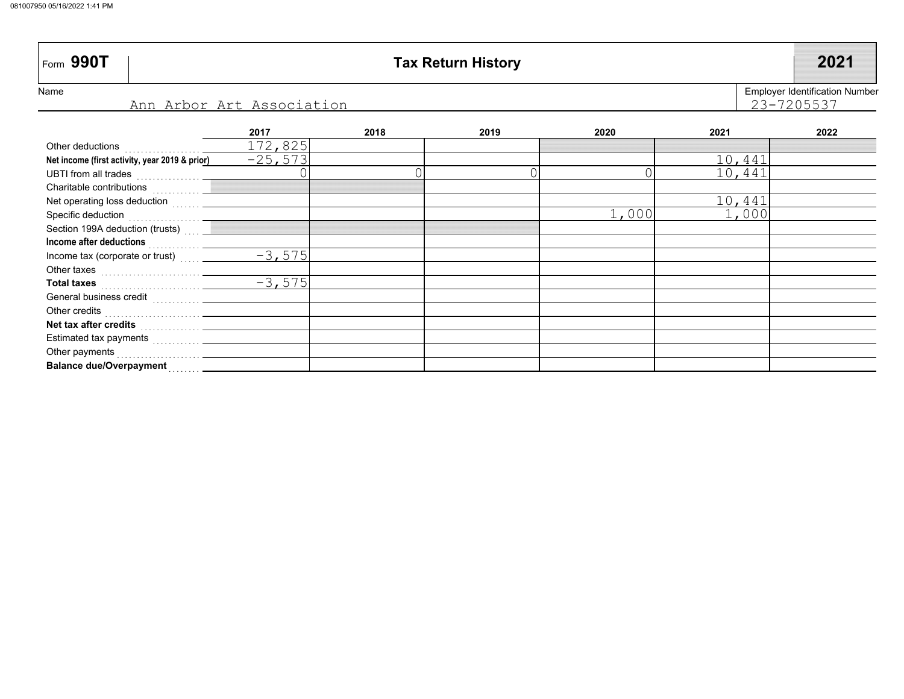| 081007950 05/16/2022 1:41 PM |  |
|------------------------------|--|
|                              |  |

**Balance due/Overpayment** . . . . . . . .

Estimated tax payments  $\begin{smallmatrix} \dots & \dots & \dots \end{smallmatrix}$ Other payments . . . . . . . . . . . . . . . . . . . . .

**Net tax after credits** . . . . . . . . . . . . . . . Other credits . . . . . . . . . . . . . . . . . . . . . . . . General business credit  $\begin{smallmatrix} \dots & \dots & \dots \end{smallmatrix}$ 

Other taxes . . . . . . . . . . . . . . . . . . . . . . . . .

**Total taxes** . . . . . . . . . . . . . . . . . . . . . . . . . -3,575

| Form 990T                                      |                           |      | <b>Tax Return History</b> |       |        | 2021                                  |
|------------------------------------------------|---------------------------|------|---------------------------|-------|--------|---------------------------------------|
| Name                                           |                           |      |                           |       |        | <b>Employer Identification Number</b> |
|                                                | Ann Arbor Art Association |      |                           |       |        | 23-7205537                            |
|                                                | 2017                      | 2018 | 2019                      | 2020  | 2021   | 2022                                  |
| Other deductions                               | 172,825                   |      |                           |       |        |                                       |
| Net income (first activity, year 2019 & prior) | $-25,573$                 |      |                           |       | 10,441 |                                       |
| UBTI from all trades                           |                           |      |                           |       | 10,441 |                                       |
| Charitable contributions<br>.                  |                           |      |                           |       |        |                                       |
| Net operating loss deduction <i>www</i>        |                           |      |                           |       | 10,441 |                                       |
|                                                |                           |      |                           | 1,000 | 1,000  |                                       |
| Section 199A deduction (trusts) [111]          |                           |      |                           |       |        |                                       |
| Income after deductions<br>.                   |                           |      |                           |       |        |                                       |
| Income tax (corporate or trust)                | $-3,575$                  |      |                           |       |        |                                       |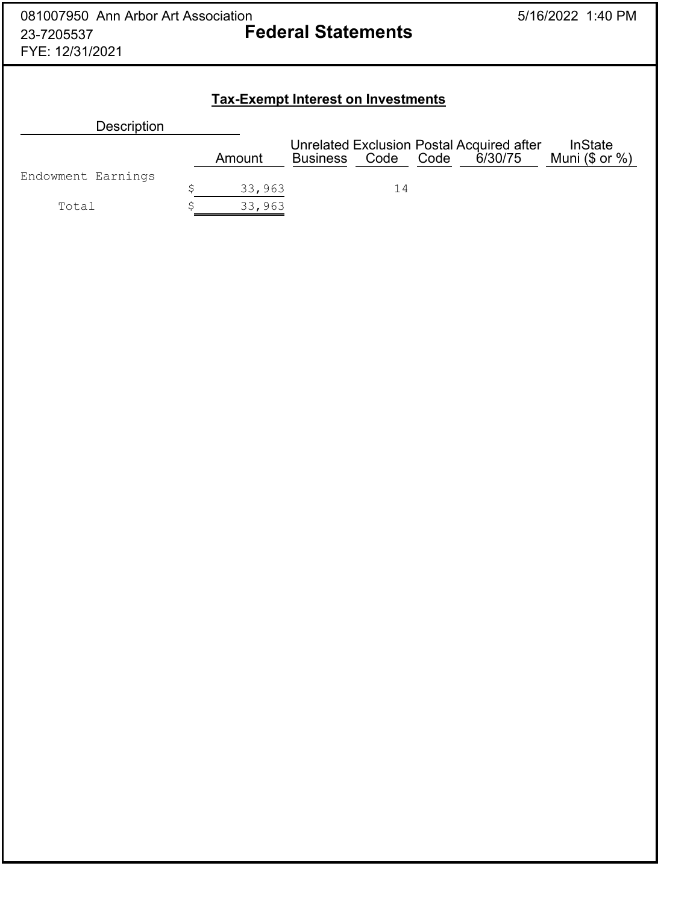|                    | Amount |    | Business Code Code 6/30/75 | Muni (\$ or %) |
|--------------------|--------|----|----------------------------|----------------|
| Endowment Earnings |        |    |                            |                |
|                    | 33,963 | 14 |                            |                |
| Total              | 33,963 |    |                            |                |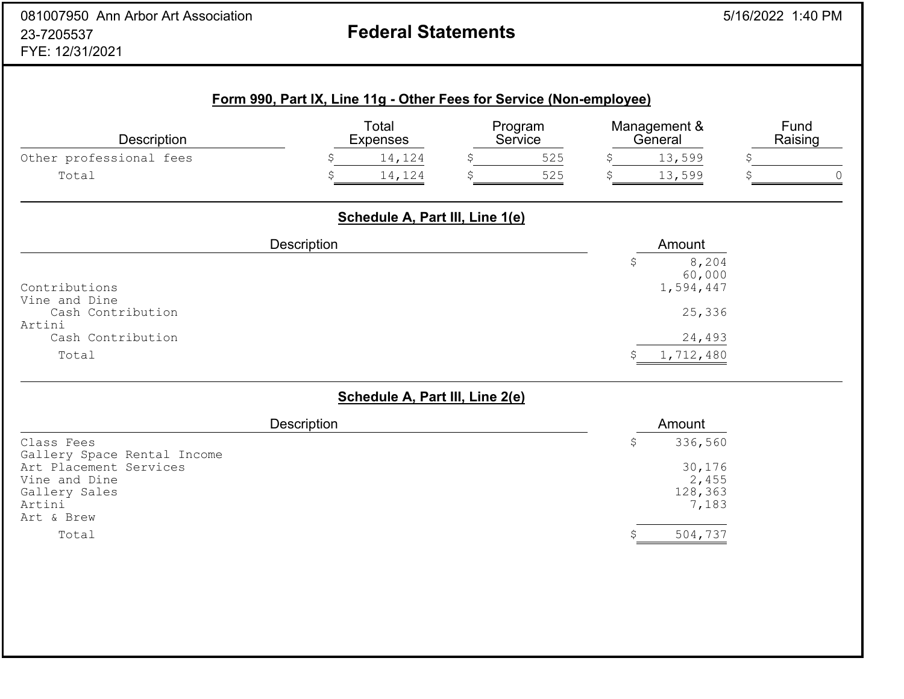# **Federal Statements**

| Description                                           |                    | Total<br><b>Expenses</b>        | Program<br>Service |    | Management &<br>General | Fund<br>Raising |  |
|-------------------------------------------------------|--------------------|---------------------------------|--------------------|----|-------------------------|-----------------|--|
| Other professional fees                               | \$                 | 14,124                          | \$<br>525          |    | 13,599                  | \$              |  |
| Total                                                 | Ś                  | 14,124                          | 525                | Ś. | 13,599                  | Ś               |  |
|                                                       |                    | Schedule A, Part III, Line 1(e) |                    |    |                         |                 |  |
|                                                       | <b>Description</b> |                                 |                    |    | Amount                  |                 |  |
|                                                       |                    |                                 |                    | \$ | 8,204<br>60,000         |                 |  |
| Contributions                                         |                    |                                 |                    |    | 1,594,447               |                 |  |
| Vine and Dine<br>Cash Contribution                    |                    |                                 |                    |    | 25,336                  |                 |  |
| Artini<br>Cash Contribution                           |                    |                                 |                    |    |                         |                 |  |
| Total                                                 |                    |                                 |                    |    | 24,493<br>1,712,480     |                 |  |
|                                                       |                    |                                 |                    |    |                         |                 |  |
|                                                       |                    | Schedule A, Part III, Line 2(e) |                    |    |                         |                 |  |
|                                                       | <b>Description</b> |                                 |                    |    | Amount                  |                 |  |
| Class Fees                                            |                    |                                 |                    | \$ | 336,560                 |                 |  |
| Gallery Space Rental Income<br>Art Placement Services |                    |                                 |                    |    | 30,176                  |                 |  |
| Vine and Dine                                         |                    |                                 |                    |    | 2,455                   |                 |  |
| Gallery Sales<br>Artini                               |                    |                                 |                    |    | 128,363<br>7,183        |                 |  |
| Art & Brew                                            |                    |                                 |                    |    |                         |                 |  |
| Total                                                 |                    |                                 |                    |    | 504,737                 |                 |  |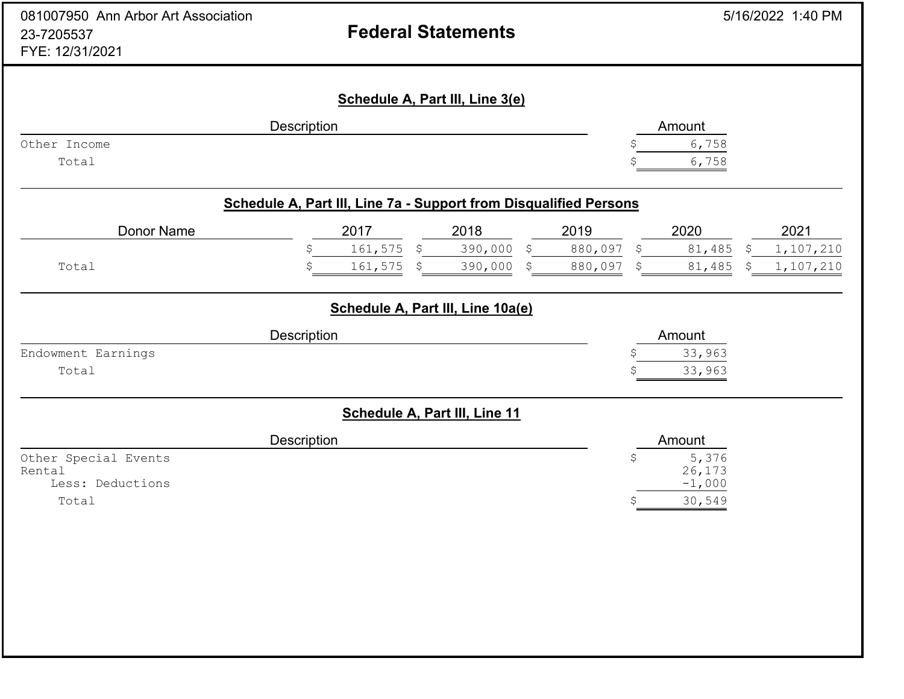| 081007950 Ann Arbor Art Association<br>23-7205537<br>FYE: 12/31/2021 | <b>Federal Statements</b>                                         | 5/16/2022 1:40 PM                        |
|----------------------------------------------------------------------|-------------------------------------------------------------------|------------------------------------------|
|                                                                      | Schedule A, Part III, Line 3(e)                                   |                                          |
|                                                                      | <b>Description</b>                                                | Amount                                   |
| Other Income                                                         |                                                                   | 6,758<br>\$                              |
| Total                                                                |                                                                   | 6,758<br>\$                              |
|                                                                      | Schedule A, Part III, Line 7a - Support from Disqualified Persons |                                          |
| Donor Name                                                           | 2017<br>2018<br>2019                                              | 2020<br>2021                             |
|                                                                      | 161,575<br>390,000<br>880,097<br>$\varsigma$<br>\$<br>\$          | 81,485<br>1,107,210<br>\$<br>$\varsigma$ |
| Total                                                                | \$<br>161,575<br>\$<br>\$<br>390,000<br>880,097                   | \$<br>81,485<br>1,107,210<br>\$          |
|                                                                      | Schedule A, Part III, Line 10a(e)                                 |                                          |
|                                                                      | <b>Description</b>                                                | Amount                                   |
| Endowment Earnings                                                   |                                                                   | 33,963<br>\$                             |
| Total                                                                |                                                                   | 33,963<br>Ŝ                              |
|                                                                      | <b>Schedule A, Part III, Line 11</b>                              |                                          |
|                                                                      | Description                                                       | Amount                                   |
| Other Special Events<br>Rental<br>Less: Deductions                   |                                                                   | 5,376<br>\$<br>26,173<br>$-1,000$        |
| Total                                                                |                                                                   | 30,549<br>Ŝ                              |
|                                                                      |                                                                   |                                          |
|                                                                      |                                                                   |                                          |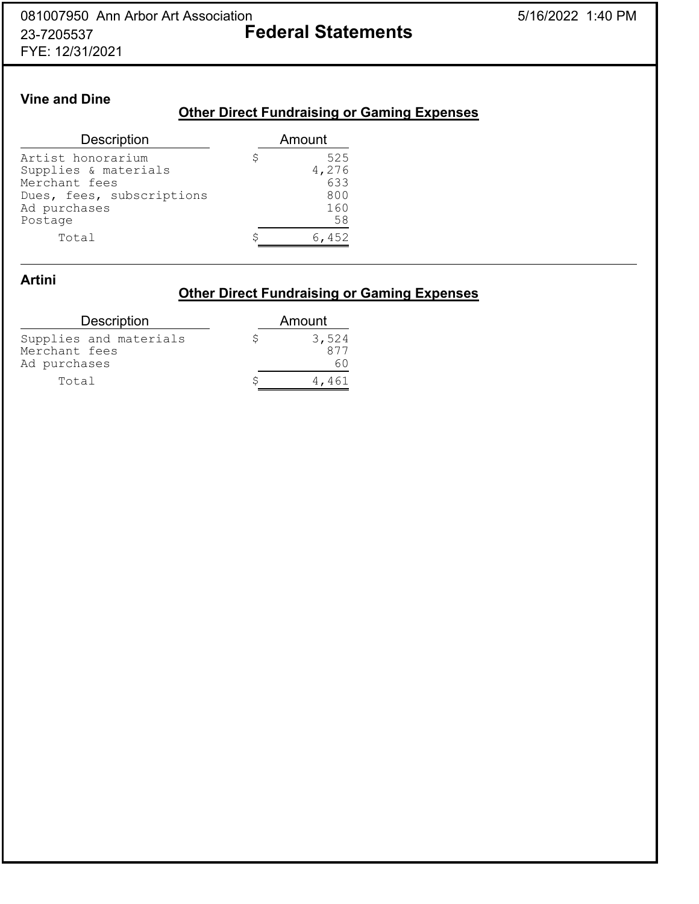#### **Vine and Dine**

#### **Other Direct Fundraising or Gaming Expenses**

| Description               | Amount |
|---------------------------|--------|
| Artist honorarium         | 525    |
| Supplies & materials      | 4,276  |
| Merchant fees             | 633    |
| Dues, fees, subscriptions | 800    |
| Ad purchases              | 160    |
| Postage                   | 58     |
| Total                     | 6,452  |

#### **Artini**

#### **Other Direct Fundraising or Gaming Expenses**

| <b>Description</b>                                      | Amount             |
|---------------------------------------------------------|--------------------|
| Supplies and materials<br>Merchant fees<br>Ad purchases | 3,524<br>877<br>60 |
| Total                                                   | 4.461              |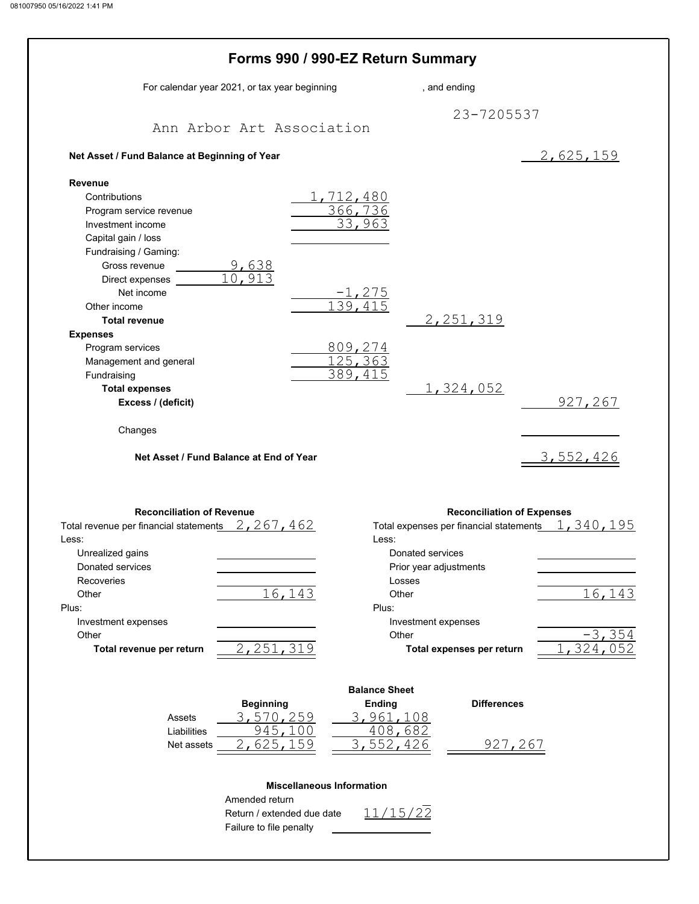| Ann Arbor Art Association<br>Net Asset / Fund Balance at Beginning of Year<br>Revenue<br>Contributions<br>Program service revenue<br>Investment income<br>Capital gain / loss<br>Fundraising / Gaming:<br>9,638<br>Gross revenue<br>10,913<br>Direct expenses<br>Net income | 1,712,480<br>366, 736<br>33,96 | 23-7205537                                                                   | 2,625,159  |
|-----------------------------------------------------------------------------------------------------------------------------------------------------------------------------------------------------------------------------------------------------------------------------|--------------------------------|------------------------------------------------------------------------------|------------|
|                                                                                                                                                                                                                                                                             |                                |                                                                              |            |
|                                                                                                                                                                                                                                                                             |                                |                                                                              |            |
|                                                                                                                                                                                                                                                                             |                                |                                                                              |            |
|                                                                                                                                                                                                                                                                             |                                |                                                                              |            |
|                                                                                                                                                                                                                                                                             |                                |                                                                              |            |
|                                                                                                                                                                                                                                                                             |                                |                                                                              |            |
|                                                                                                                                                                                                                                                                             |                                |                                                                              |            |
|                                                                                                                                                                                                                                                                             |                                |                                                                              |            |
|                                                                                                                                                                                                                                                                             |                                |                                                                              |            |
|                                                                                                                                                                                                                                                                             |                                |                                                                              |            |
|                                                                                                                                                                                                                                                                             |                                |                                                                              |            |
|                                                                                                                                                                                                                                                                             |                                |                                                                              |            |
| Other income                                                                                                                                                                                                                                                                | 139<br>-5<br>41                |                                                                              |            |
| <b>Total revenue</b>                                                                                                                                                                                                                                                        |                                | 2, 251, 319                                                                  |            |
| <b>Expenses</b>                                                                                                                                                                                                                                                             |                                |                                                                              |            |
| Program services                                                                                                                                                                                                                                                            | 809,274                        |                                                                              |            |
| Management and general                                                                                                                                                                                                                                                      | 125, 363                       |                                                                              |            |
| Fundraising                                                                                                                                                                                                                                                                 | 389,415                        |                                                                              |            |
| <b>Total expenses</b>                                                                                                                                                                                                                                                       |                                | 1,324,052                                                                    |            |
| Excess / (deficit)                                                                                                                                                                                                                                                          |                                |                                                                              | 927, 267   |
| Changes                                                                                                                                                                                                                                                                     |                                |                                                                              |            |
| Net Asset / Fund Balance at End of Year                                                                                                                                                                                                                                     |                                |                                                                              | 3,552,426  |
|                                                                                                                                                                                                                                                                             |                                |                                                                              |            |
|                                                                                                                                                                                                                                                                             |                                |                                                                              |            |
| <b>Reconciliation of Revenue</b><br>2,267,462<br>Total revenue per financial statements                                                                                                                                                                                     |                                | <b>Reconciliation of Expenses</b><br>Total expenses per financial statements | 1,340,195  |
| Less:                                                                                                                                                                                                                                                                       | Less:                          |                                                                              |            |
| Unrealized gains                                                                                                                                                                                                                                                            |                                | Donated services                                                             |            |
| Donated services                                                                                                                                                                                                                                                            |                                | Prior year adjustments                                                       |            |
| Recoveries                                                                                                                                                                                                                                                                  |                                | Losses                                                                       |            |
| 16,143<br>Other                                                                                                                                                                                                                                                             |                                | Other                                                                        | 16,143     |
| Plus:                                                                                                                                                                                                                                                                       | Plus:                          |                                                                              |            |
|                                                                                                                                                                                                                                                                             |                                |                                                                              |            |
| Investment expenses<br>Other                                                                                                                                                                                                                                                |                                | Investment expenses<br>Other                                                 | $-3,354$   |
|                                                                                                                                                                                                                                                                             |                                |                                                                              | , 324, 052 |
| 2, 251, 319<br>Total revenue per return                                                                                                                                                                                                                                     |                                | Total expenses per return                                                    |            |

|             | <b>Beginning</b> | <b>Ending</b> | <b>Differences</b> |
|-------------|------------------|---------------|--------------------|
| Assets      | :59<br>┕         |               |                    |
| Liabilities | 945              |               |                    |
| Net assets  | 159              | につ<br>ᄃ       | $\kappa$           |

#### **Miscellaneous Information**

 $\overline{\phantom{a}}$ 

Amended return

Return / extended due date Failure to file penalty

11/15/22